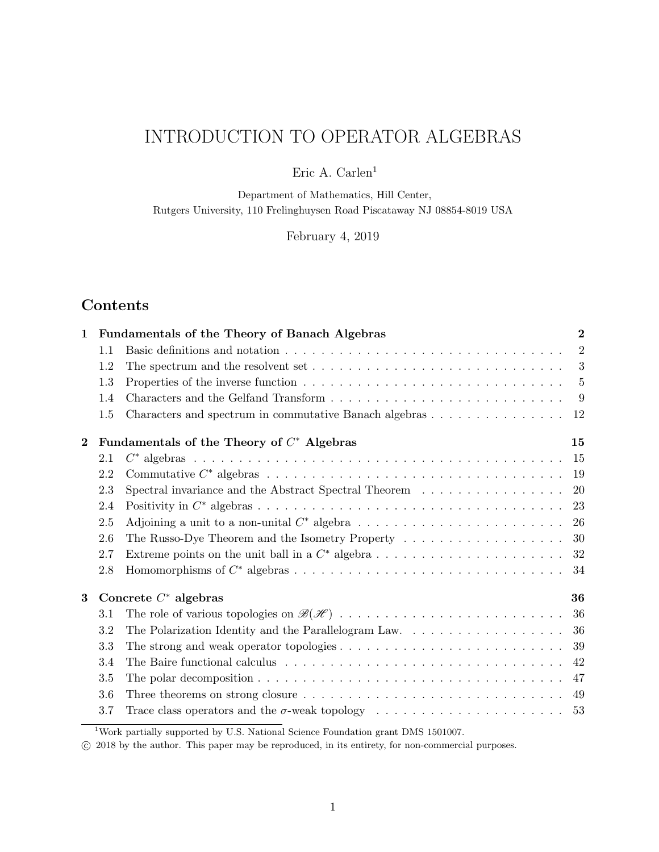# INTRODUCTION TO OPERATOR ALGEBRAS

Eric A. Carlen<sup>1</sup>

Department of Mathematics, Hill Center, Rutgers University, 110 Frelinghuysen Road Piscataway NJ 08854-8019 USA

February 4, 2019

# Contents

| $\mathbf{1}$ |         | Fundamentals of the Theory of Banach Algebras                                                                 | $\overline{2}$ |
|--------------|---------|---------------------------------------------------------------------------------------------------------------|----------------|
|              | 1.1     |                                                                                                               | $\overline{2}$ |
|              | 1.2     |                                                                                                               | 3              |
|              | 1.3     |                                                                                                               | 5              |
|              | 1.4     |                                                                                                               | -9             |
|              | 1.5     | Characters and spectrum in commutative Banach algebras                                                        | 12             |
| $\bf{2}$     |         | Fundamentals of the Theory of $C^*$ Algebras                                                                  | 15             |
|              | 2.1     |                                                                                                               | 15             |
|              | 2.2     |                                                                                                               | 19             |
|              | 2.3     | Spectral invariance and the Abstract Spectral Theorem                                                         | 20             |
|              | 2.4     |                                                                                                               | 23             |
|              | 2.5     | Adjoining a unit to a non-unital $C^*$ algebra $\ldots \ldots \ldots \ldots \ldots \ldots \ldots \ldots$      | 26             |
|              | 2.6     | The Russo-Dye Theorem and the Isometry Property                                                               | 30             |
|              | 2.7     |                                                                                                               | 32             |
|              | 2.8     |                                                                                                               | 34             |
| 3            |         | Concrete $C^*$ algebras                                                                                       | 36             |
|              | 3.1     |                                                                                                               | 36             |
|              | 3.2     | The Polarization Identity and the Parallelogram Law.                                                          | 36             |
|              | 3.3     | The strong and weak operator topologies $\dots \dots \dots \dots \dots \dots \dots \dots \dots \dots$         | 39             |
|              | 3.4     | The Baire functional calculus $\dots \dots \dots \dots \dots \dots \dots \dots \dots \dots \dots \dots \dots$ | 42             |
|              | 3.5     |                                                                                                               | 47             |
|              | $3.6\,$ |                                                                                                               | 49             |
|              | 3.7     |                                                                                                               | 53             |
|              |         |                                                                                                               |                |

<sup>1</sup>Work partially supported by U.S. National Science Foundation grant DMS 1501007.

c 2018 by the author. This paper may be reproduced, in its entirety, for non-commercial purposes.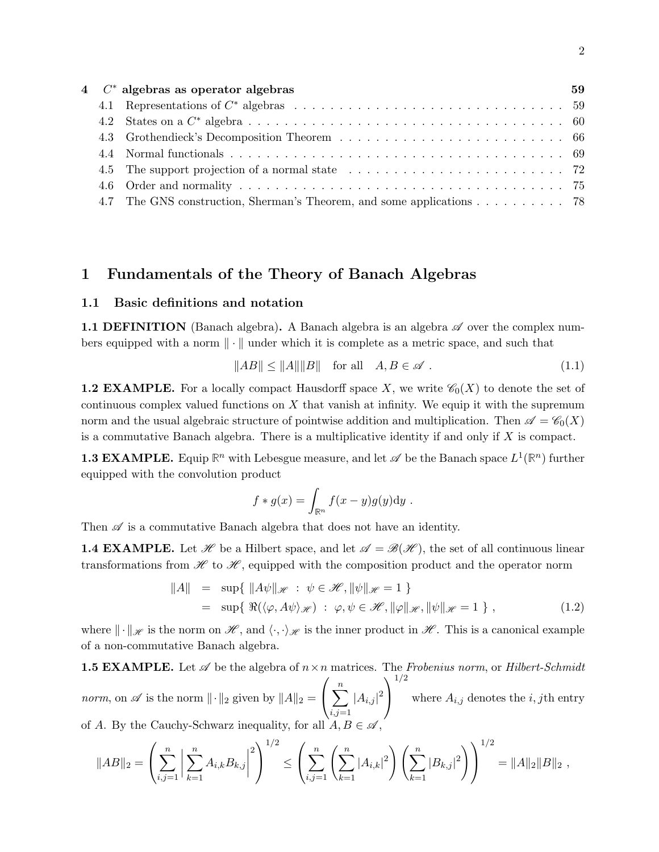|     | $4$ $\mathbb{C}^*$ algebras as operator algebras                  | 59 |
|-----|-------------------------------------------------------------------|----|
|     |                                                                   |    |
|     |                                                                   |    |
|     |                                                                   |    |
|     |                                                                   |    |
|     |                                                                   |    |
|     |                                                                   |    |
| 4.7 | The GNS construction, Sherman's Theorem, and some applications 78 |    |

## 1 Fundamentals of the Theory of Banach Algebras

## 1.1 Basic definitions and notation

**1.1 DEFINITION** (Banach algebra). A Banach algebra is an algebra  $\mathscr A$  over the complex numbers equipped with a norm  $\|\cdot\|$  under which it is complete as a metric space, and such that

$$
||AB|| \le ||A|| ||B|| \quad \text{for all} \quad A, B \in \mathscr{A} \tag{1.1}
$$

**1.2 EXAMPLE.** For a locally compact Hausdorff space X, we write  $\mathcal{C}_0(X)$  to denote the set of continuous complex valued functions on  $X$  that vanish at infinity. We equip it with the supremum norm and the usual algebraic structure of pointwise addition and multiplication. Then  $\mathscr{A} = \mathscr{C}_0(X)$ is a commutative Banach algebra. There is a multiplicative identity if and only if  $X$  is compact.

**1.3 EXAMPLE.** Equip  $\mathbb{R}^n$  with Lebesgue measure, and let  $\mathscr{A}$  be the Banach space  $L^1(\mathbb{R}^n)$  further equipped with the convolution product

$$
f * g(x) = \int_{\mathbb{R}^n} f(x - y)g(y) \mathrm{d}y.
$$

Then  $\mathscr A$  is a commutative Banach algebra that does not have an identity.

**1.4 EXAMPLE.** Let  $\mathcal{H}$  be a Hilbert space, and let  $\mathcal{A} = \mathcal{B}(\mathcal{H})$ , the set of all continuous linear transformations from  $\mathscr H$  to  $\mathscr H$ , equipped with the composition product and the operator norm

$$
||A|| = \sup \{ ||A\psi||_{\mathscr{H}} : \psi \in \mathscr{H}, ||\psi||_{\mathscr{H}} = 1 \}
$$
  
=  $\sup \{ \Re(\langle \varphi, A\psi \rangle_{\mathscr{H}}) : \varphi, \psi \in \mathscr{H}, ||\varphi||_{\mathscr{H}}, ||\psi||_{\mathscr{H}} = 1 \},$  (1.2)

where  $\|\cdot\|_{\mathscr{H}}$  is the norm on  $\mathscr{H}$ , and  $\langle \cdot, \cdot \rangle_{\mathscr{H}}$  is the inner product in  $\mathscr{H}$ . This is a canonical example of a non-commutative Banach algebra.

**1.5 EXAMPLE.** Let 
$$
\mathscr A
$$
 be the algebra of  $n \times n$  matrices. The *Frobenius norm*, or *Hilbert-Schmidt norm*, on  $\mathscr A$  is the norm  $\|\cdot\|_2$  given by  $\|A\|_2 = \left(\sum_{i,j=1}^n |A_{i,j}|^2\right)^{1/2}$  where  $A_{i,j}$  denotes the *i*, *j*th entry of *A*. By the Cauchy-Schwarz inequality, for all  $A, B \in \mathscr A$ ,

$$
||AB||_2 = \left(\sum_{i,j=1}^n \left|\sum_{k=1}^n A_{i,k} B_{k,j}\right|^2\right)^{1/2} \le \left(\sum_{i,j=1}^n \left(\sum_{k=1}^n |A_{i,k}|^2\right) \left(\sum_{k=1}^n |B_{k,j}|^2\right)\right)^{1/2} = ||A||_2||B||_2,
$$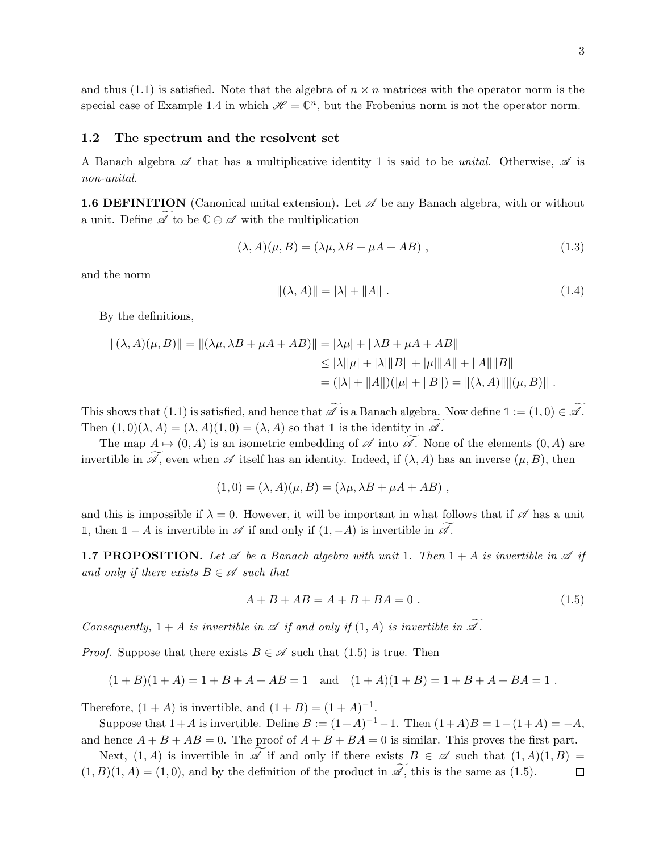and thus (1.1) is satisfied. Note that the algebra of  $n \times n$  matrices with the operator norm is the special case of Example 1.4 in which  $\mathscr{H} = \mathbb{C}^n$ , but the Frobenius norm is not the operator norm.

#### 1.2 The spectrum and the resolvent set

A Banach algebra  $\mathscr A$  that has a multiplicative identity 1 is said to be *unital*. Otherwise,  $\mathscr A$  is non-unital.

**1.6 DEFINITION** (Canonical unital extension). Let  $\mathscr A$  be any Banach algebra, with or without a unit. Define  $\mathscr A$  to be  $\mathbb C \oplus \mathscr A$  with the multiplication

$$
(\lambda, A)(\mu, B) = (\lambda \mu, \lambda B + \mu A + AB), \qquad (1.3)
$$

and the norm

$$
\|(\lambda, A)\| = |\lambda| + \|A\| \tag{1.4}
$$

By the definitions,

$$
\begin{aligned} ||(\lambda, A)(\mu, B)|| &= ||(\lambda \mu, \lambda B + \mu A + AB)|| = |\lambda \mu| + ||\lambda B + \mu A + AB|| \\ &\le |\lambda| |\mu| + |\lambda| \|B\| + |\mu| \|A\| + \|A\| \|B\| \\ &= (|\lambda| + \|A\|)(|\mu| + \|B\|) = \|(\lambda, A)\| \|(\mu, B)\| \, . \end{aligned}
$$

This shows that (1.1) is satisfied, and hence that  $\widetilde{\mathscr{A}}$  is a Banach algebra. Now define  $1 := (1,0) \in \widetilde{\mathscr{A}}$ . Then  $(1,0)(\lambda, A) = (\lambda, A)(1, 0) = (\lambda, A)$  so that 1 is the identity in  $\widetilde{\mathscr{A}}$ .

The map  $A \mapsto (0, A)$  is an isometric embedding of  $\mathscr A$  into  $\mathscr A$ . None of the elements  $(0, A)$  are invertible in  $\widetilde{\mathscr{A}}$ , even when  $\mathscr{A}$  itself has an identity. Indeed, if  $(\lambda, A)$  has an inverse  $(\mu, B)$ , then

$$
(1,0) = (\lambda, A)(\mu, B) = (\lambda \mu, \lambda B + \mu A + AB),
$$

and this is impossible if  $\lambda = 0$ . However, it will be important in what follows that if  $\mathscr A$  has a unit **1**, then **1** − A is invertible in  $\mathscr A$  if and only if  $(1, -A)$  is invertible in  $\mathscr A$ .

**1.7 PROPOSITION.** Let  $\mathscr A$  be a Banach algebra with unit 1. Then  $1 + A$  is invertible in  $\mathscr A$  if and only if there exists  $B \in \mathscr{A}$  such that

$$
A + B + AB = A + B + BA = 0.
$$
 (1.5)

Consequently,  $1 + A$  is invertible in  $\mathscr A$  if and only if  $(1, A)$  is invertible in  $\widetilde{\mathscr A}$ .

*Proof.* Suppose that there exists  $B \in \mathscr{A}$  such that (1.5) is true. Then

$$
(1 + B)(1 + A) = 1 + B + A + AB = 1
$$
 and  $(1 + A)(1 + B) = 1 + B + A + BA = 1$ .

Therefore,  $(1 + A)$  is invertible, and  $(1 + B) = (1 + A)^{-1}$ .

Suppose that  $1+A$  is invertible. Define  $B := (1+A)^{-1} - 1$ . Then  $(1+A)B = 1-(1+A) = -A$ , and hence  $A + B + AB = 0$ . The proof of  $A + B + BA = 0$  is similar. This proves the first part.

Next,  $(1, A)$  is invertible in  $\mathscr A$  if and only if there exists  $B \in \mathscr A$  such that  $(1, A)(1, B) = B(1, A) = (1, 0)$ , and by the definition of the product in  $\widetilde{\mathscr A}$ , this is the same as  $(1.5)$ .  $(1, B)(1, A) = (1, 0)$ , and by the definition of the product in  $\widetilde{\mathscr{A}}$ , this is the same as (1.5).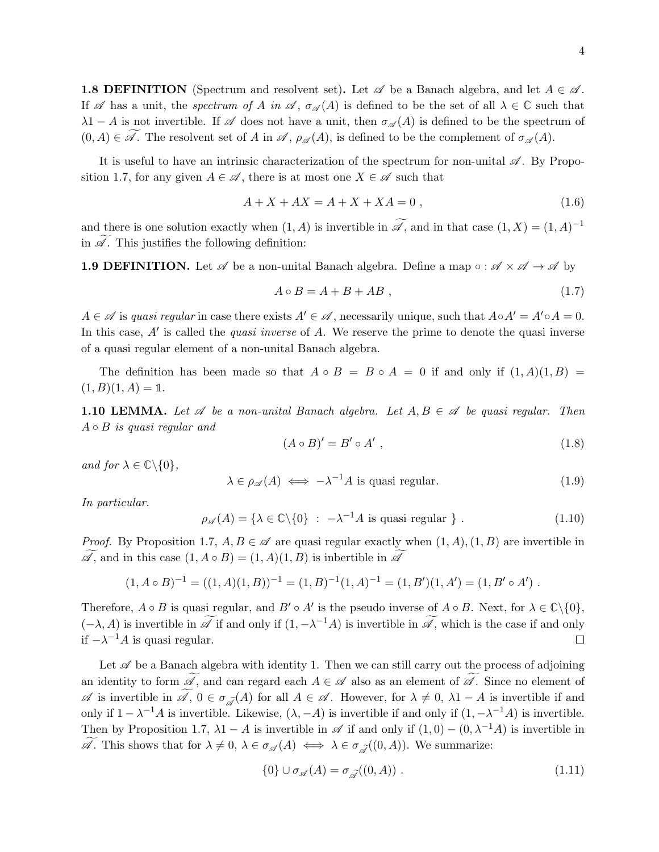**1.8 DEFINITION** (Spectrum and resolvent set). Let  $\mathscr A$  be a Banach algebra, and let  $A \in \mathscr A$ . If  $\mathscr A$  has a unit, the spectrum of A in  $\mathscr A$ ,  $\sigma_{\mathscr A}(A)$  is defined to be the set of all  $\lambda \in \mathbb C$  such that  $\lambda$ 1 − A is not invertible. If  $\mathscr A$  does not have a unit, then  $\sigma_{\mathscr A}(A)$  is defined to be the spectrum of  $(0, A) \in \widetilde{\mathscr{A}}$ . The resolvent set of A in  $\mathscr{A}, \rho_{\mathscr{A}}(A)$ , is defined to be the complement of  $\sigma_{\mathscr{A}}(A)$ .

It is useful to have an intrinsic characterization of the spectrum for non-unital  $\mathscr{A}$ . By Proposition 1.7, for any given  $A \in \mathscr{A}$ , there is at most one  $X \in \mathscr{A}$  such that

$$
A + X + AX = A + X + XA = 0,
$$
\n(1.6)

and there is one solution exactly when  $(1, A)$  is invertible in  $\mathscr{A}$ , and in that case  $(1, X) = (1, A)^{-1}$ in  $\mathscr A$ . This justifies the following definition:

**1.9 DEFINITION.** Let  $\mathscr A$  be a non-unital Banach algebra. Define a map  $\circ : \mathscr A \times \mathscr A \to \mathscr A$  by

$$
A \circ B = A + B + AB \t{1.7}
$$

 $A \in \mathscr{A}$  is quasi regular in case there exists  $A' \in \mathscr{A}$ , necessarily unique, such that  $A \circ A' = A' \circ A = 0$ . In this case,  $A'$  is called the *quasi inverse* of  $A$ . We reserve the prime to denote the quasi inverse of a quasi regular element of a non-unital Banach algebra.

The definition has been made so that  $A \circ B = B \circ A = 0$  if and only if  $(1, A)(1, B) =$  $(1, B)(1, A) = \mathbb{1}.$ 

**1.10 LEMMA.** Let  $\mathscr A$  be a non-unital Banach algebra. Let  $A, B \in \mathscr A$  be quasi regular. Then  $A \circ B$  is quasi regular and

$$
(A \circ B)' = B' \circ A', \qquad (1.8)
$$

and for  $\lambda \in \mathbb{C} \backslash \{0\}$ ,

$$
\lambda \in \rho_{\mathscr{A}}(A) \iff -\lambda^{-1}A \text{ is quasi regular.} \tag{1.9}
$$

In particular.

$$
\rho_{\mathscr{A}}(A) = \{ \lambda \in \mathbb{C} \setminus \{0\} \; : \; -\lambda^{-1}A \text{ is quasi regular } \} \; . \tag{1.10}
$$

*Proof.* By Proposition 1.7,  $A, B \in \mathscr{A}$  are quasi regular exactly when  $(1, A), (1, B)$  are invertible in  $\widetilde{\mathscr{A}}$ , and in this case  $(1, A \circ B) = (1, A)(1, B)$  is inbertible in  $\widetilde{\mathscr{A}}$ 

$$
(1, A \circ B)^{-1} = ((1, A)(1, B))^{-1} = (1, B)^{-1}(1, A)^{-1} = (1, B')(1, A') = (1, B' \circ A') .
$$

Therefore,  $A \circ B$  is quasi regular, and  $B' \circ A'$  is the pseudo inverse of  $A \circ B$ . Next, for  $\lambda \in \mathbb{C} \setminus \{0\},$  $(-\lambda, A)$  is invertible in  $\mathscr A$  if and only if  $(1, -\lambda^{-1}A)$  is invertible in  $\mathscr A$ , which is the case if and only if  $-\lambda^{-1}A$  is quasi regular.

Let  $\mathscr A$  be a Banach algebra with identity 1. Then we can still carry out the process of adjoining an identity to form  $\widetilde{\mathscr{A}}$ , and can regard each  $A \in \mathscr{A}$  also as an element of  $\widetilde{\mathscr{A}}$ . Since no element of  $\mathscr A$  is invertible in  $\widetilde{\mathscr A}$ ,  $0 \in \sigma_{\widetilde{\mathscr A}}(A)$  for all  $A \in \mathscr A$ . However, for  $\lambda \neq 0$ ,  $\lambda 1 - A$  is invertible if and only if  $1 - \lambda^{-1}A$  is invertible. Likewise,  $(\lambda, -A)$  is invertible if and only if  $(1, -\lambda^{-1}A)$  is invertible. Then by Proposition 1.7,  $\lambda$ 1 − A is invertible in  $\mathscr A$  if and only if  $(1,0) - (0,\lambda^{-1}A)$  is invertible in  $\mathscr{A}.$  This shows that for  $\lambda \neq 0, \lambda \in \sigma_{\mathscr{A}}(A) \iff \lambda \in \sigma_{\mathscr{A}}((0, A)).$  We summarize:

$$
\{0\} \cup \sigma_{\mathscr{A}}(A) = \sigma_{\tilde{\mathscr{A}}}((0, A)) . \tag{1.11}
$$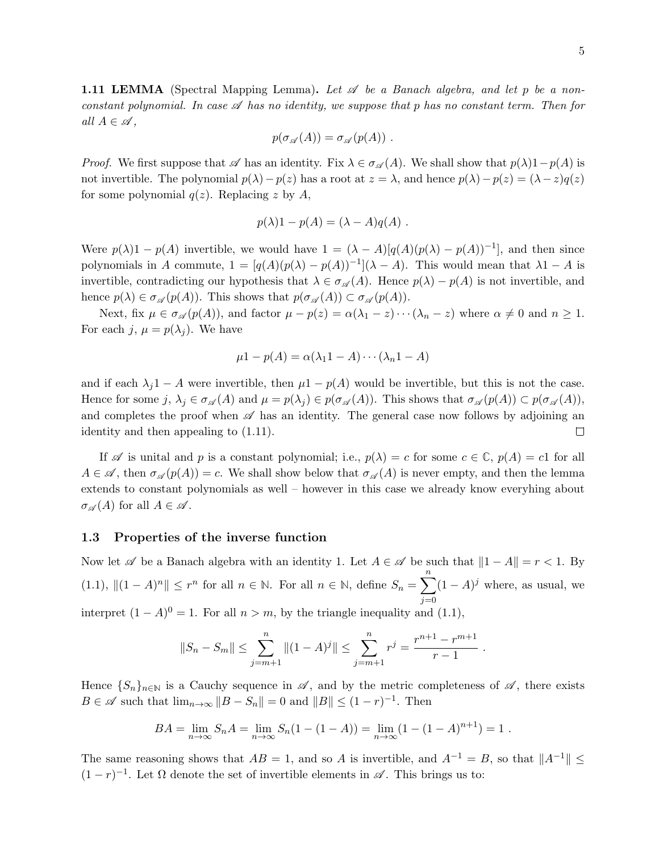**1.11 LEMMA** (Spectral Mapping Lemma). Let  $\mathscr A$  be a Banach algebra, and let p be a nonconstant polynomial. In case  $\mathscr A$  has no identity, we suppose that p has no constant term. Then for all  $A \in \mathscr{A}$ ,

$$
p(\sigma_{\mathscr{A}}(A)) = \sigma_{\mathscr{A}}(p(A)) \ .
$$

*Proof.* We first suppose that  $\mathscr A$  has an identity. Fix  $\lambda \in \sigma_{\mathscr A}(A)$ . We shall show that  $p(\lambda)1-p(A)$  is not invertible. The polynomial  $p(\lambda)-p(z)$  has a root at  $z = \lambda$ , and hence  $p(\lambda)-p(z) = (\lambda - z)q(z)$ for some polynomial  $q(z)$ . Replacing z by A,

$$
p(\lambda)1 - p(A) = (\lambda - A)q(A) .
$$

Were  $p(\lambda)1 - p(A)$  invertible, we would have  $1 = (\lambda - A)[q(A)(p(\lambda) - p(A))^{-1}]$ , and then since polynomials in A commute,  $1 = [q(A)(p(\lambda) - p(A))^{-1}] (\lambda - A)$ . This would mean that  $\lambda 1 - A$  is invertible, contradicting our hypothesis that  $\lambda \in \sigma_{\mathscr{A}}(A)$ . Hence  $p(\lambda) - p(A)$  is not invertible, and hence  $p(\lambda) \in \sigma_{\mathscr{A}}(p(A))$ . This shows that  $p(\sigma_{\mathscr{A}}(A)) \subset \sigma_{\mathscr{A}}(p(A))$ .

Next, fix  $\mu \in \sigma_{\mathscr{A}}(p(A))$ , and factor  $\mu - p(z) = \alpha(\lambda_1 - z) \cdots (\lambda_n - z)$  where  $\alpha \neq 0$  and  $n \geq 1$ . For each j,  $\mu = p(\lambda_j)$ . We have

$$
\mu 1 - p(A) = \alpha(\lambda_1 1 - A) \cdots (\lambda_n 1 - A)
$$

and if each  $\lambda_j$ 1 − A were invertible, then  $\mu$ 1 − p(A) would be invertible, but this is not the case. Hence for some j,  $\lambda_j \in \sigma_{\mathscr{A}}(A)$  and  $\mu = p(\lambda_j) \in p(\sigma_{\mathscr{A}}(A))$ . This shows that  $\sigma_{\mathscr{A}}(p(A)) \subset p(\sigma_{\mathscr{A}}(A))$ , and completes the proof when  $\mathscr A$  has an identity. The general case now follows by adjoining an identity and then appealing to (1.11).  $\Box$ 

If  $\mathscr A$  is unital and p is a constant polynomial; i.e.,  $p(\lambda) = c$  for some  $c \in \mathbb C$ ,  $p(A) = c1$  for all  $A \in \mathscr{A}$ , then  $\sigma_{\mathscr{A}}(p(A)) = c$ . We shall show below that  $\sigma_{\mathscr{A}}(A)$  is never empty, and then the lemma extends to constant polynomials as well – however in this case we already know everyhing about  $\sigma_{\mathscr{A}}(A)$  for all  $A \in \mathscr{A}$ .

#### 1.3 Properties of the inverse function

Now let  $\mathscr A$  be a Banach algebra with an identity 1. Let  $A \in \mathscr A$  be such that  $||1 - A|| = r < 1$ . By (1.1),  $||(1 - A)^n|| \leq r^n$  for all  $n \in \mathbb{N}$ . For all  $n \in \mathbb{N}$ , define  $S_n = \sum_{n=1}^{\infty}$  $j=0$  $(1 - A)^j$  where, as usual, we interpret  $(1 - A)^0 = 1$ . For all  $n > m$ , by the triangle inequality and  $(1.1)$ ,

$$
||S_n - S_m|| \le \sum_{j=m+1}^n ||(1-A)^j|| \le \sum_{j=m+1}^n r^j = \frac{r^{n+1} - r^{m+1}}{r-1}.
$$

Hence  $\{S_n\}_{n\in\mathbb{N}}$  is a Cauchy sequence in  $\mathscr{A}$ , and by the metric completeness of  $\mathscr{A}$ , there exists  $B \in \mathscr{A}$  such that  $\lim_{n \to \infty} ||B - S_n|| = 0$  and  $||B|| \leq (1 - r)^{-1}$ . Then

$$
BA = \lim_{n \to \infty} S_n A = \lim_{n \to \infty} S_n (1 - (1 - A)) = \lim_{n \to \infty} (1 - (1 - A)^{n+1}) = 1.
$$

The same reasoning shows that  $AB = 1$ , and so A is invertible, and  $A^{-1} = B$ , so that  $||A^{-1}|| \le$  $(1 - r)^{-1}$ . Let  $\Omega$  denote the set of invertible elements in  $\mathscr{A}$ . This brings us to: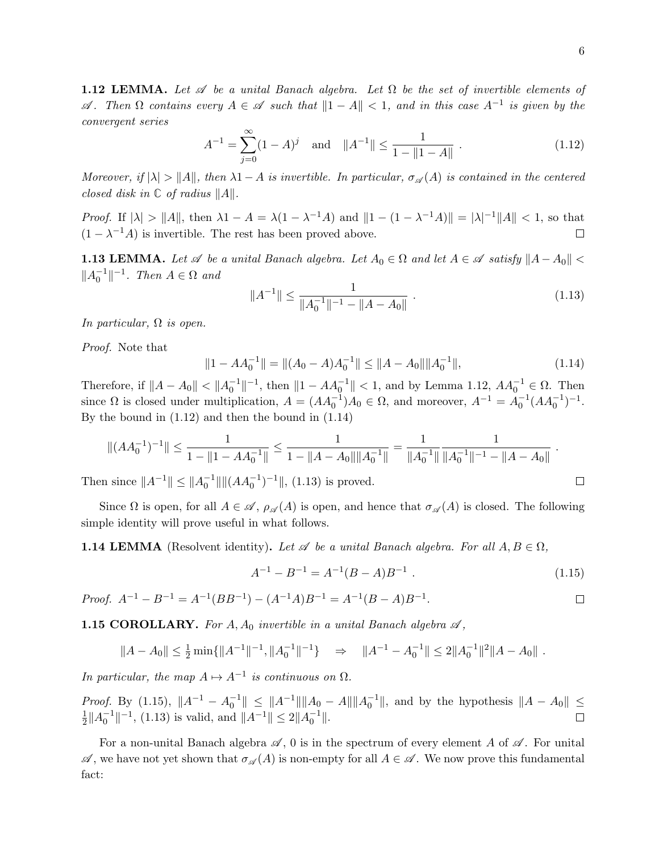**1.12 LEMMA.** Let  $\mathscr A$  be a unital Banach algebra. Let  $\Omega$  be the set of invertible elements of  $\mathscr A$ . Then  $\Omega$  contains every  $A \in \mathscr A$  such that  $\|1 - A\| < 1$ , and in this case  $A^{-1}$  is given by the convergent series

$$
A^{-1} = \sum_{j=0}^{\infty} (1 - A)^j \quad \text{and} \quad \|A^{-1}\| \le \frac{1}{1 - \|1 - A\|} \tag{1.12}
$$

Moreover, if  $|\lambda| > ||A||$ , then  $\lambda 1-A$  is invertible. In particular,  $\sigma_{\mathscr{A}}(A)$  is contained in the centered closed disk in  $\mathbb C$  of radius  $||A||$ .

Proof. If  $|\lambda| > ||A||$ , then  $\lambda 1 - A = \lambda(1 - \lambda^{-1}A)$  and  $||1 - (1 - \lambda^{-1}A)|| = |\lambda|^{-1}||A|| < 1$ , so that  $(1 - \lambda^{-1}A)$  is invertible. The rest has been proved above.  $\Box$ 

**1.13 LEMMA.** Let  $\mathscr A$  be a unital Banach algebra. Let  $A_0 \in \Omega$  and let  $A \in \mathscr A$  satisfy  $||A - A_0|| <$  $||A_0^{-1}||^{-1}$ . Then  $A \in \Omega$  and

$$
||A^{-1}|| \le \frac{1}{||A_0^{-1}||^{-1} - ||A - A_0||} \tag{1.13}
$$

In particular,  $\Omega$  is open.

Proof. Note that

$$
||1 - AA_0^{-1}|| = ||(A_0 - A)A_0^{-1}|| \le ||A - A_0|| ||A_0^{-1}||,
$$
\n(1.14)

Therefore, if  $||A - A_0|| < ||A_0^{-1}||^{-1}$ , then  $||1 - AA_0^{-1}|| < 1$ , and by Lemma 1.12,  $AA_0^{-1} \in \Omega$ . Then since  $\Omega$  is closed under multiplication,  $A = (AA_0^{-1})A_0 \in \Omega$ , and moreover,  $A^{-1} = A_0^{-1}(AA_0^{-1})^{-1}$ . By the bound in (1.12) and then the bound in (1.14)

$$
\|(AA_0^{-1})^{-1}\| \le \frac{1}{1 - \|1 - AA_0^{-1}\|} \le \frac{1}{1 - \|A - A_0\| \|A_0^{-1}\|} = \frac{1}{\|A_0^{-1}\| \|A_0^{-1}\|^{-1} - \|A - A_0\|}.
$$

Then since  $||A^{-1}|| \le ||A_0^{-1}|| ||(AA_0^{-1})^{-1}||$ , (1.13) is proved.

Since  $\Omega$  is open, for all  $A \in \mathscr{A}, \rho_{\mathscr{A}}(A)$  is open, and hence that  $\sigma_{\mathscr{A}}(A)$  is closed. The following simple identity will prove useful in what follows.

**1.14 LEMMA** (Resolvent identity). Let  $\mathscr A$  be a unital Banach algebra. For all  $A, B \in \Omega$ ,

$$
A^{-1} - B^{-1} = A^{-1}(B - A)B^{-1} . \t\t(1.15)
$$

*Proof.* 
$$
A^{-1} - B^{-1} = A^{-1}(BB^{-1}) - (A^{-1}A)B^{-1} = A^{-1}(B - A)B^{-1}
$$
.

**1.15 COROLLARY.** For  $A, A_0$  invertible in a unital Banach algebra  $\mathscr A$ ,

$$
||A - A_0|| \le \frac{1}{2} \min\{||A^{-1}||^{-1}, ||A_0^{-1}||^{-1}\} \Rightarrow ||A^{-1} - A_0^{-1}|| \le 2||A_0^{-1}||^2||A - A_0||.
$$

In particular, the map  $A \mapsto A^{-1}$  is continuous on  $\Omega$ .

*Proof.* By (1.15),  $||A^{-1} - A_0^{-1}|| \le ||A^{-1}|| ||A_0 - A|| ||A_0^{-1}||$ , and by the hypothesis  $||A - A_0|| \le$ 1  $\frac{1}{2}||A_0^{-1}||^{-1}$ , (1.13) is valid, and  $||A^{-1}|| \le 2||A_0^{-1}||$ . П

For a non-unital Banach algebra  $\mathscr A$ , 0 is in the spectrum of every element A of  $\mathscr A$ . For unital  $\mathscr A$ , we have not yet shown that  $\sigma_{\mathscr A}(A)$  is non-empty for all  $A \in \mathscr A$ . We now prove this fundamental fact:

 $\Box$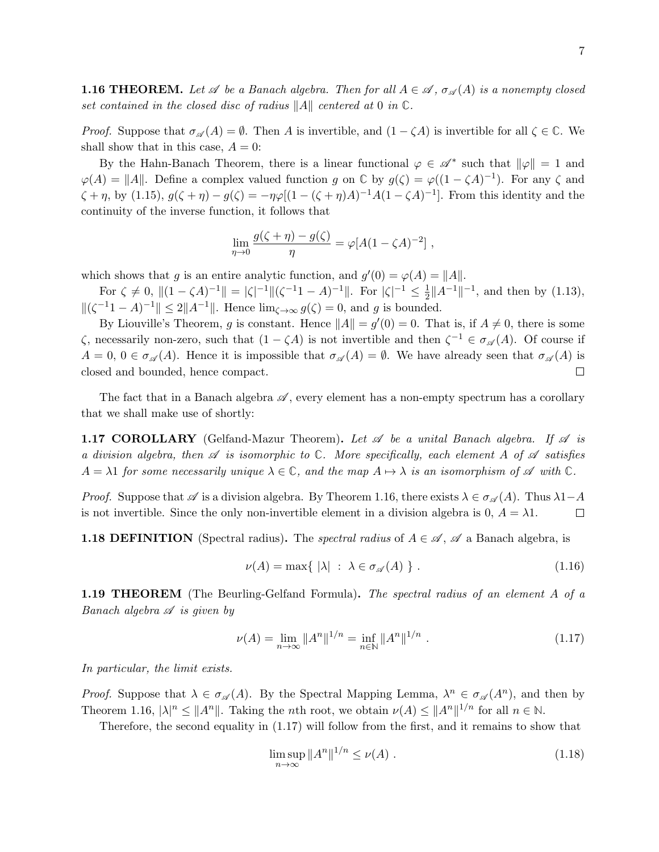**1.16 THEOREM.** Let  $\mathscr A$  be a Banach algebra. Then for all  $A \in \mathscr A$ ,  $\sigma_{\mathscr A}(A)$  is a nonempty closed set contained in the closed disc of radius  $||A||$  centered at 0 in  $\mathbb{C}$ .

*Proof.* Suppose that  $\sigma_{\mathscr{A}}(A) = \emptyset$ . Then A is invertible, and  $(1 - \zeta A)$  is invertible for all  $\zeta \in \mathbb{C}$ . We shall show that in this case,  $A = 0$ :

By the Hahn-Banach Theorem, there is a linear functional  $\varphi \in \mathscr{A}^*$  such that  $\|\varphi\| = 1$  and  $\varphi(A) = ||A||$ . Define a complex valued function g on  $\mathbb{C}$  by  $g(\zeta) = \varphi((1 - \zeta A)^{-1})$ . For any  $\zeta$  and  $\zeta + \eta$ , by (1.15),  $g(\zeta + \eta) - g(\zeta) = -\eta \varphi [(1 - (\zeta + \eta)A)^{-1}A(1 - \zeta A)^{-1}]$ . From this identity and the continuity of the inverse function, it follows that

$$
\lim_{\eta \to 0} \frac{g(\zeta + \eta) - g(\zeta)}{\eta} = \varphi[A(1 - \zeta A)^{-2}],
$$

which shows that g is an entire analytic function, and  $g'(0) = \varphi(A) = ||A||$ .

For  $\zeta \neq 0$ ,  $||(1 - \zeta A)^{-1}|| = |\zeta|^{-1} ||(\zeta^{-1}1 - A)^{-1}||$ . For  $|\zeta|^{-1} \leq \frac{1}{2}$  $\frac{1}{2}||A^{-1}||^{-1}$ , and then by (1.13),  $\|(\zeta^{-1} - A)^{-1}\| \le 2\|A^{-1}\|$ . Hence  $\lim_{\zeta \to \infty} g(\zeta) = 0$ , and g is bounded.

By Liouville's Theorem, g is constant. Hence  $||A|| = g'(0) = 0$ . That is, if  $A \neq 0$ , there is some  $\zeta$ , necessarily non-zero, such that  $(1 - \zeta A)$  is not invertible and then  $\zeta^{-1} \in \sigma_{\mathscr{A}}(A)$ . Of course if  $A = 0, 0 \in \sigma_{\mathscr{A}}(A)$ . Hence it is impossible that  $\sigma_{\mathscr{A}}(A) = \emptyset$ . We have already seen that  $\sigma_{\mathscr{A}}(A)$  is closed and bounded, hence compact.  $\Box$ 

The fact that in a Banach algebra  $\mathscr A$ , every element has a non-empty spectrum has a corollary that we shall make use of shortly:

**1.17 COROLLARY** (Gelfand-Mazur Theorem). Let  $\mathscr A$  be a unital Banach algebra. If  $\mathscr A$  is a division algebra, then  $\mathscr A$  is isomorphic to  $\mathbb C$ . More specifically, each element A of  $\mathscr A$  satisfies  $A = \lambda 1$  for some necessarily unique  $\lambda \in \mathbb{C}$ , and the map  $A \mapsto \lambda$  is an isomorphism of A with  $\mathbb{C}$ .

*Proof.* Suppose that  $\mathscr A$  is a division algebra. By Theorem 1.16, there exists  $\lambda \in \sigma_{\mathscr A}(A)$ . Thus  $\lambda 1-A$ is not invertible. Since the only non-invertible element in a division algebra is 0,  $A = \lambda 1$ .  $\Box$ 

**1.18 DEFINITION** (Spectral radius). The *spectral radius* of  $A \in \mathcal{A}$ ,  $\mathcal{A}$  a Banach algebra, is

$$
\nu(A) = \max\{ |\lambda| \; : \; \lambda \in \sigma_{\mathscr{A}}(A) \} \; . \tag{1.16}
$$

**1.19 THEOREM** (The Beurling-Gelfand Formula). The spectral radius of an element A of a Banach algebra  $\mathscr A$  is given by

$$
\nu(A) = \lim_{n \to \infty} \|A^n\|^{1/n} = \inf_{n \in \mathbb{N}} \|A^n\|^{1/n} . \tag{1.17}
$$

In particular, the limit exists.

*Proof.* Suppose that  $\lambda \in \sigma_{\mathscr{A}}(A)$ . By the Spectral Mapping Lemma,  $\lambda^n \in \sigma_{\mathscr{A}}(A^n)$ , and then by Theorem 1.16,  $|\lambda|^n \leq ||A^n||$ . Taking the *n*th root, we obtain  $\nu(A) \leq ||A^n||^{1/n}$  for all  $n \in \mathbb{N}$ .

Therefore, the second equality in (1.17) will follow from the first, and it remains to show that

$$
\limsup_{n \to \infty} ||A^n||^{1/n} \le \nu(A) . \tag{1.18}
$$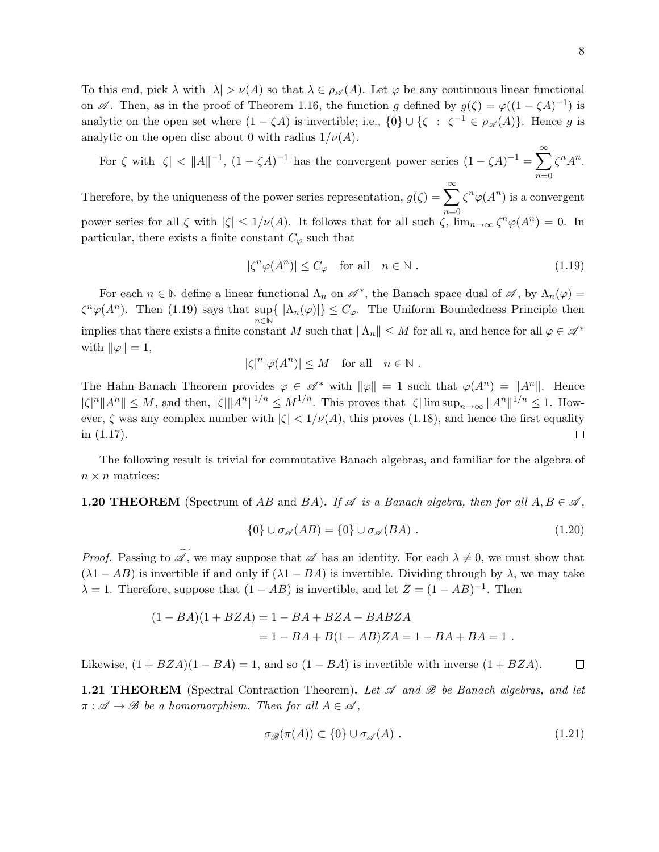To this end, pick  $\lambda$  with  $|\lambda| > \nu(A)$  so that  $\lambda \in \rho_{\mathscr{A}}(A)$ . Let  $\varphi$  be any continuous linear functional on  $\mathscr A$ . Then, as in the proof of Theorem 1.16, the function g defined by  $g(\zeta) = \varphi((1 - \zeta A)^{-1})$  is analytic on the open set where  $(1 - \zeta A)$  is invertible; i.e.,  $\{0\} \cup \{\zeta : \zeta^{-1} \in \rho_{\mathscr{A}}(A)\}\.$  Hence g is analytic on the open disc about 0 with radius  $1/\nu(A)$ .

For  $\zeta$  with  $|\zeta| < ||A||^{-1}$ ,  $(1 - \zeta A)^{-1}$  has the convergent power series  $(1 - \zeta A)^{-1} = \sum_{k=1}^{\infty}$  $n=0$  $\zeta^n A^n$ .

Therefore, by the uniqueness of the power series representation,  $g(\zeta) = \sum_{n=0}^{\infty}$  $n=0$  $\zeta^n \varphi(A^n)$  is a convergent power series for all  $\zeta$  with  $|\zeta| \leq 1/\nu(A)$ . It follows that for all such  $\zeta$ ,  $\lim_{n\to\infty} \zeta^n \varphi(A^n) = 0$ . In particular, there exists a finite constant  $C_{\varphi}$  such that

$$
|\zeta^n \varphi(A^n)| \le C_{\varphi} \quad \text{for all} \quad n \in \mathbb{N}. \tag{1.19}
$$

For each  $n \in \mathbb{N}$  define a linear functional  $\Lambda_n$  on  $\mathscr{A}^*$ , the Banach space dual of  $\mathscr{A}$ , by  $\Lambda_n(\varphi)$  $\zeta^{n} \varphi(A^{n})$ . Then (1.19) says that sup $\{| \Lambda_{n}(\varphi)| \} \leq C_{\varphi}$ . The Uniform Boundedness Principle then  $n\in\mathbb{N}$ implies that there exists a finite constant M such that  $\|\Lambda_n\| \leq M$  for all  $n$ , and hence for all  $\varphi \in \mathscr{A}^*$ with  $\|\varphi\| = 1$ ,

$$
|\zeta|^n |\varphi(A^n)| \le M \quad \text{for all} \quad n \in \mathbb{N} .
$$

The Hahn-Banach Theorem provides  $\varphi \in \mathscr{A}^*$  with  $\|\varphi\| = 1$  such that  $\varphi(A^n) = \|A^n\|$ . Hence  $|\zeta|^n \|A^n\| \le M$ , and then,  $|\zeta| \|A^n\|^{1/n} \le M^{1/n}$ . This proves that  $|\zeta| \limsup_{n \to \infty} \|A^n\|^{1/n} \le 1$ . However,  $\zeta$  was any complex number with  $|\zeta| < 1/\nu(A)$ , this proves (1.18), and hence the first equality in (1.17).  $\Box$ 

The following result is trivial for commutative Banach algebras, and familiar for the algebra of  $n \times n$  matrices:

**1.20 THEOREM** (Spectrum of AB and BA). If  $\mathscr A$  is a Banach algebra, then for all  $A, B \in \mathscr A$ ,

$$
\{0\} \cup \sigma_{\mathscr{A}}(AB) = \{0\} \cup \sigma_{\mathscr{A}}(BA) . \tag{1.20}
$$

*Proof.* Passing to  $\widetilde{\mathscr{A}}$ , we may suppose that  $\mathscr A$  has an identity. For each  $\lambda \neq 0$ , we must show that  $(\lambda 1 - AB)$  is invertible if and only if  $(\lambda 1 - BA)$  is invertible. Dividing through by  $\lambda$ , we may take  $\lambda = 1$ . Therefore, suppose that  $(1 - AB)$  is invertible, and let  $Z = (1 - AB)^{-1}$ . Then

$$
(1 - BA)(1 + BZA) = 1 - BA + BZA - BABZA
$$
  
= 1 - BA + B(1 - AB)ZA = 1 - BA + BA = 1.

Likewise,  $(1 + BZA)(1 - BA) = 1$ , and so  $(1 - BA)$  is invertible with inverse  $(1 + BZA)$ .  $\Box$ 

**1.21 THEOREM** (Spectral Contraction Theorem). Let  $\mathscr A$  and  $\mathscr B$  be Banach algebras, and let  $\pi : \mathscr{A} \to \mathscr{B}$  be a homomorphism. Then for all  $A \in \mathscr{A}$ ,

$$
\sigma_{\mathscr{B}}(\pi(A)) \subset \{0\} \cup \sigma_{\mathscr{A}}(A) . \tag{1.21}
$$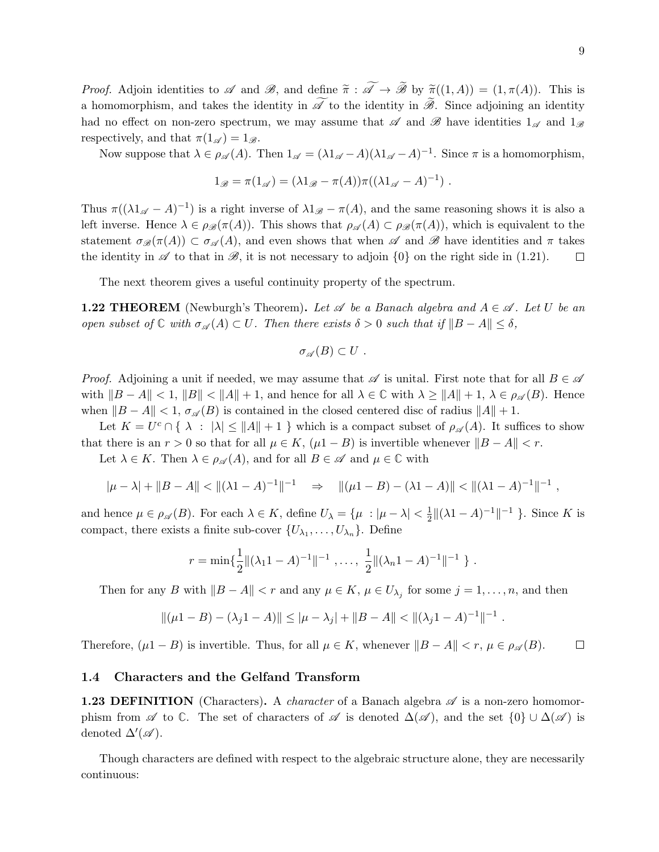*Proof.* Adjoin identities to A and B, and define  $\widetilde{\pi}: \widetilde{\mathscr{A}} \to \widetilde{\mathscr{B}}$  by  $\widetilde{\pi}((1, A)) = (1, \pi(A))$ . This is a homomorphism, and takes the identity in  $\widetilde{\mathscr{A}}$  to the identity in  $\widetilde{\mathscr{B}}$ . Since adjoining an identity had no effect on non-zero spectrum, we may assume that  $\mathscr A$  and  $\mathscr B$  have identities  $1_{\mathscr A}$  and  $1_{\mathscr B}$ respectively, and that  $\pi(1_{\mathscr{A}}) = 1_{\mathscr{B}}$ .

Now suppose that  $\lambda \in \rho_{\mathscr{A}}(A)$ . Then  $1_{\mathscr{A}} = (\lambda 1_{\mathscr{A}} - A)(\lambda 1_{\mathscr{A}} - A)^{-1}$ . Since  $\pi$  is a homomorphism,

$$
1_{\mathscr{B}} = \pi(1_{\mathscr{A}}) = (\lambda 1_{\mathscr{B}} - \pi(A))\pi((\lambda 1_{\mathscr{A}} - A)^{-1}).
$$

Thus  $\pi((\lambda 1_{\mathscr{A}} - A)^{-1})$  is a right inverse of  $\lambda 1_{\mathscr{B}} - \pi(A)$ , and the same reasoning shows it is also a left inverse. Hence  $\lambda \in \rho_{\mathscr{B}}(\pi(A))$ . This shows that  $\rho_{\mathscr{A}}(A) \subset \rho_{\mathscr{B}}(\pi(A))$ , which is equivalent to the statement  $\sigma_{\mathscr{B}}(\pi(A)) \subset \sigma_{\mathscr{A}}(A)$ , and even shows that when  $\mathscr{A}$  and  $\mathscr{B}$  have identities and  $\pi$  takes the identity in  $\mathscr A$  to that in  $\mathscr B$ , it is not necessary to adjoin  $\{0\}$  on the right side in (1.21). □

The next theorem gives a useful continuity property of the spectrum.

**1.22 THEOREM** (Newburgh's Theorem). Let  $\mathscr A$  be a Banach algebra and  $A \in \mathscr A$ . Let U be an open subset of  $\mathbb C$  with  $\sigma_{\mathscr A}(A) \subset U$ . Then there exists  $\delta > 0$  such that if  $||B - A|| \leq \delta$ ,

$$
\sigma_{\mathscr{A}}(B)\subset U\ .
$$

*Proof.* Adjoining a unit if needed, we may assume that  $\mathscr A$  is unital. First note that for all  $B \in \mathscr A$ with  $||B - A|| < 1$ ,  $||B|| < ||A|| + 1$ , and hence for all  $\lambda \in \mathbb{C}$  with  $\lambda \ge ||A|| + 1$ ,  $\lambda \in \rho_{\mathscr{A}}(B)$ . Hence when  $||B - A|| < 1$ ,  $\sigma_{\mathscr{A}}(B)$  is contained in the closed centered disc of radius  $||A|| + 1$ .

Let  $K = U^c \cap \{\lambda : |\lambda| \le ||A|| + 1\}$  which is a compact subset of  $\rho_{\mathscr{A}}(A)$ . It suffices to show that there is an  $r > 0$  so that for all  $\mu \in K$ ,  $(\mu 1 - B)$  is invertible whenever  $||B - A|| < r$ .

Let  $\lambda \in K$ . Then  $\lambda \in \rho_{\mathscr{A}}(A)$ , and for all  $B \in \mathscr{A}$  and  $\mu \in \mathbb{C}$  with

$$
|\mu - \lambda| + \|B - A\| < \|(\lambda 1 - A)^{-1}\|^{-1} \quad \Rightarrow \quad \|(\mu 1 - B) - (\lambda 1 - A)\| < \|(\lambda 1 - A)^{-1}\|^{-1} \;,
$$

and hence  $\mu \in \rho_{\mathscr{A}}(B)$ . For each  $\lambda \in K$ , define  $U_{\lambda} = {\mu : |\mu - \lambda| < \frac{1}{2}}$  $\frac{1}{2} \| (\lambda 1 - A)^{-1} \|^{-1}$  }. Since K is compact, there exists a finite sub-cover  $\{U_{\lambda_1}, \ldots, U_{\lambda_n}\}$ . Define

$$
r = \min\{\frac{1}{2} ||(\lambda_1 1 - A)^{-1}||^{-1}, \ldots, \frac{1}{2} ||(\lambda_n 1 - A)^{-1}||^{-1}\}
$$
.

Then for any B with  $||B - A|| < r$  and any  $\mu \in K$ ,  $\mu \in U_{\lambda_j}$  for some  $j = 1, \ldots, n$ , and then

$$
\|(\mu 1 - B) - (\lambda_j 1 - A)\| \le |\mu - \lambda_j| + \|B - A\| < \|(\lambda_j 1 - A)^{-1}\|^{-1}.
$$

Therefore,  $(\mu 1 - B)$  is invertible. Thus, for all  $\mu \in K$ , whenever  $||B - A|| < r$ ,  $\mu \in \rho_{\mathscr{A}}(B)$ .  $\Box$ 

#### 1.4 Characters and the Gelfand Transform

**1.23 DEFINITION** (Characters). A *character* of a Banach algebra  $\mathscr A$  is a non-zero homomorphism from  $\mathscr A$  to  $\mathbb C$ . The set of characters of  $\mathscr A$  is denoted  $\Delta(\mathscr A)$ , and the set  $\{0\} \cup \Delta(\mathscr A)$  is denoted  $\Delta'(\mathscr{A})$ .

Though characters are defined with respect to the algebraic structure alone, they are necessarily continuous: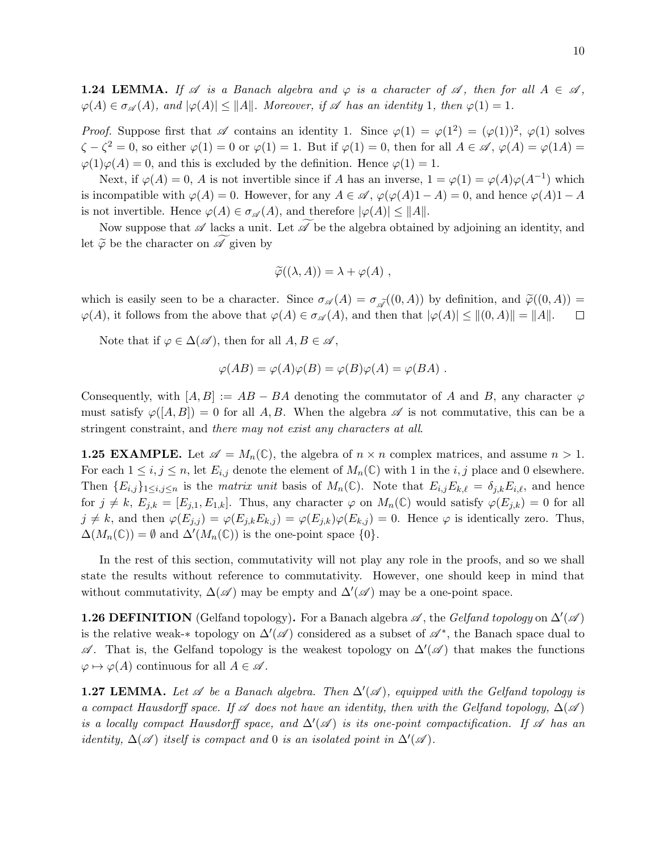**1.24 LEMMA.** If  $\mathscr A$  is a Banach algebra and  $\varphi$  is a character of  $\mathscr A$ , then for all  $A \in \mathscr A$ ,  $\varphi(A) \in \sigma_{\mathscr{A}}(A)$ , and  $|\varphi(A)| \leq ||A||$ . Moreover, if  $\mathscr A$  has an identity 1, then  $\varphi(1) = 1$ .

*Proof.* Suppose first that  $\mathscr A$  contains an identity 1. Since  $\varphi(1) = \varphi(1^2) = (\varphi(1))^2$ ,  $\varphi(1)$  solves  $\zeta - \zeta^2 = 0$ , so either  $\varphi(1) = 0$  or  $\varphi(1) = 1$ . But if  $\varphi(1) = 0$ , then for all  $A \in \mathscr{A}$ ,  $\varphi(A) = \varphi(1A) = 0$  $\varphi(1)\varphi(A) = 0$ , and this is excluded by the definition. Hence  $\varphi(1) = 1$ .

Next, if  $\varphi(A) = 0$ , A is not invertible since if A has an inverse,  $1 = \varphi(1) = \varphi(A)\varphi(A^{-1})$  which is incompatible with  $\varphi(A) = 0$ . However, for any  $A \in \mathscr{A}$ ,  $\varphi(\varphi(A)1 - A) = 0$ , and hence  $\varphi(A)1 - A$ is not invertible. Hence  $\varphi(A) \in \sigma_{\mathscr{A}}(A)$ , and therefore  $|\varphi(A)| \leq ||A||$ .

Now suppose that  $\mathscr A$  lacks a unit. Let  $\mathscr A$  be the algebra obtained by adjoining an identity, and let  $\widetilde{\varphi}$  be the character on  $\mathscr A$  given by

$$
\widetilde{\varphi}((\lambda, A)) = \lambda + \varphi(A) ,
$$

which is easily seen to be a character. Since  $\sigma_{\mathscr{A}}(A) = \sigma_{\mathscr{A}}((0, A))$  by definition, and  $\tilde{\varphi}((0, A)) = \varphi(A)$ , it follows from the above that  $\varphi(A) \in \sigma_{\mathscr{A}}(A)$ , and then that  $|\varphi(A)| \leq ||(0, A)|| = ||A||$ .  $\varphi(A)$ , it follows from the above that  $\varphi(A) \in \sigma_{\mathscr{A}}(A)$ , and then that  $|\varphi(A)| \leq ||(0, A)|| = ||A||$ .

Note that if  $\varphi \in \Delta(\mathscr{A})$ , then for all  $A, B \in \mathscr{A}$ ,

$$
\varphi(AB) = \varphi(A)\varphi(B) = \varphi(B)\varphi(A) = \varphi(BA) .
$$

Consequently, with  $[A, B] := AB - BA$  denoting the commutator of A and B, any character  $\varphi$ must satisfy  $\varphi([A, B]) = 0$  for all A, B. When the algebra  $\mathscr A$  is not commutative, this can be a stringent constraint, and there may not exist any characters at all.

**1.25 EXAMPLE.** Let  $\mathscr{A} = M_n(\mathbb{C})$ , the algebra of  $n \times n$  complex matrices, and assume  $n > 1$ . For each  $1 \leq i, j \leq n$ , let  $E_{i,j}$  denote the element of  $M_n(\mathbb{C})$  with 1 in the i, j place and 0 elsewhere. Then  ${E_{i,j}}_{1\leq i,j\leq n}$  is the *matrix unit* basis of  $M_n(\mathbb{C})$ . Note that  $E_{i,j}E_{k,\ell} = \delta_{j,k}E_{i,\ell}$ , and hence for  $j \neq k$ ,  $E_{j,k} = [E_{j,1}, E_{1,k}]$ . Thus, any character  $\varphi$  on  $M_n(\mathbb{C})$  would satisfy  $\varphi(E_{j,k}) = 0$  for all  $j \neq k$ , and then  $\varphi(E_{j,j}) = \varphi(E_{j,k}E_{k,j}) = \varphi(E_{j,k})\varphi(E_{k,j}) = 0$ . Hence  $\varphi$  is identically zero. Thus,  $\Delta(M_n(\mathbb{C})) = \emptyset$  and  $\Delta'(M_n(\mathbb{C}))$  is the one-point space  $\{0\}.$ 

In the rest of this section, commutativity will not play any role in the proofs, and so we shall state the results without reference to commutativity. However, one should keep in mind that without commutativity,  $\Delta(\mathscr{A})$  may be empty and  $\Delta'(\mathscr{A})$  may be a one-point space.

**1.26 DEFINITION** (Gelfand topology). For a Banach algebra  $\mathscr A$ , the Gelfand topology on  $\Delta'(\mathscr A)$ is the relative weak-\* topology on  $\Delta'(\mathscr{A})$  considered as a subset of  $\mathscr{A}^*$ , the Banach space dual to  $\mathscr A$ . That is, the Gelfand topology is the weakest topology on  $\Delta'(\mathscr A)$  that makes the functions  $\varphi \mapsto \varphi(A)$  continuous for all  $A \in \mathscr{A}$ .

**1.27 LEMMA.** Let  $\mathscr A$  be a Banach algebra. Then  $\Delta'(\mathscr A)$ , equipped with the Gelfand topology is a compact Hausdorff space. If  $\mathscr A$  does not have an identity, then with the Gelfand topology,  $\Delta(\mathscr A)$ is a locally compact Hausdorff space, and  $\Delta'(\mathscr{A})$  is its one-point compactification. If  $\mathscr A$  has an identity,  $\Delta(\mathscr{A})$  itself is compact and 0 is an isolated point in  $\Delta'(\mathscr{A})$ .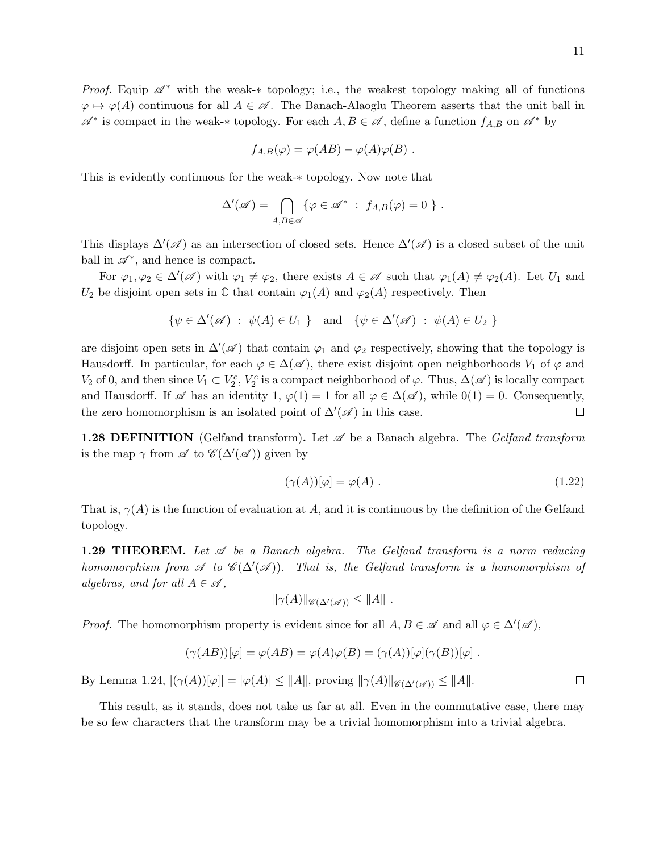$\varphi \mapsto \varphi(A)$  continuous for all  $A \in \mathscr{A}$ . The Banach-Alaoglu Theorem asserts that the unit ball in  $\mathscr{A}^*$  is compact in the weak-\* topology. For each  $A, B \in \mathscr{A}$ , define a function  $f_{A,B}$  on  $\mathscr{A}^*$  by

$$
f_{A,B}(\varphi) = \varphi(AB) - \varphi(A)\varphi(B) .
$$

This is evidently continuous for the weak-∗ topology. Now note that

$$
\Delta'(\mathscr{A}) = \bigcap_{A,B \in \mathscr{A}} \{ \varphi \in \mathscr{A}^* \; : \; f_{A,B}(\varphi) = 0 \; \} \; .
$$

This displays  $\Delta'(\mathscr{A})$  as an intersection of closed sets. Hence  $\Delta'(\mathscr{A})$  is a closed subset of the unit ball in  $\mathscr{A}^*$ , and hence is compact.

For  $\varphi_1, \varphi_2 \in \Delta'(\mathscr{A})$  with  $\varphi_1 \neq \varphi_2$ , there exists  $A \in \mathscr{A}$  such that  $\varphi_1(A) \neq \varphi_2(A)$ . Let  $U_1$  and  $U_2$  be disjoint open sets in  $\mathbb C$  that contain  $\varphi_1(A)$  and  $\varphi_2(A)$  respectively. Then

$$
\{\psi \in \Delta'(\mathscr{A}) \ : \ \psi(A) \in U_1 \ \} \quad \text{and} \quad \{\psi \in \Delta'(\mathscr{A}) \ : \ \psi(A) \in U_2 \ \}
$$

are disjoint open sets in  $\Delta'(\mathscr{A})$  that contain  $\varphi_1$  and  $\varphi_2$  respectively, showing that the topology is Hausdorff. In particular, for each  $\varphi \in \Delta(\mathscr{A})$ , there exist disjoint open neighborhoods  $V_1$  of  $\varphi$  and  $V_2$  of 0, and then since  $V_1 \subset V_2^c$ ,  $V_2^c$  is a compact neighborhood of  $\varphi$ . Thus,  $\Delta(\mathscr{A})$  is locally compact and Hausdorff. If  $\mathscr A$  has an identity 1,  $\varphi(1) = 1$  for all  $\varphi \in \Delta(\mathscr A)$ , while  $0(1) = 0$ . Consequently, the zero homomorphism is an isolated point of  $\Delta'(\mathscr{A})$  in this case. □

**1.28 DEFINITION** (Gelfand transform). Let  $\mathscr A$  be a Banach algebra. The Gelfand transform is the map  $\gamma$  from  $\mathscr A$  to  $\mathscr C(\Delta'(\mathscr A))$  given by

$$
(\gamma(A))[\varphi] = \varphi(A) . \tag{1.22}
$$

That is,  $\gamma(A)$  is the function of evaluation at A, and it is continuous by the definition of the Gelfand topology.

**1.29 THEOREM.** Let  $\mathscr A$  be a Banach algebra. The Gelfand transform is a norm reducing homomorphism from  $\mathscr A$  to  $\mathscr C(\Delta'(\mathscr A))$ . That is, the Gelfand transform is a homomorphism of algebras, and for all  $A \in \mathscr{A}$ ,

$$
\|\gamma(A)\|_{\mathscr{C}(\Delta'(\mathscr{A}))}\leq\|A\|.
$$

*Proof.* The homomorphism property is evident since for all  $A, B \in \mathscr{A}$  and all  $\varphi \in \Delta'(\mathscr{A})$ ,

$$
(\gamma(AB))[\varphi] = \varphi(AB) = \varphi(A)\varphi(B) = (\gamma(A))[\varphi](\gamma(B))[\varphi].
$$

By Lemma 1.24,  $|(\gamma(A))[\varphi]| = |\varphi(A)| \leq ||A||$ , proving  $||\gamma(A)||_{\mathscr{C}(\Lambda'(\mathscr{A}))} \leq ||A||$ .

This result, as it stands, does not take us far at all. Even in the commutative case, there may be so few characters that the transform may be a trivial homomorphism into a trivial algebra.

 $\Box$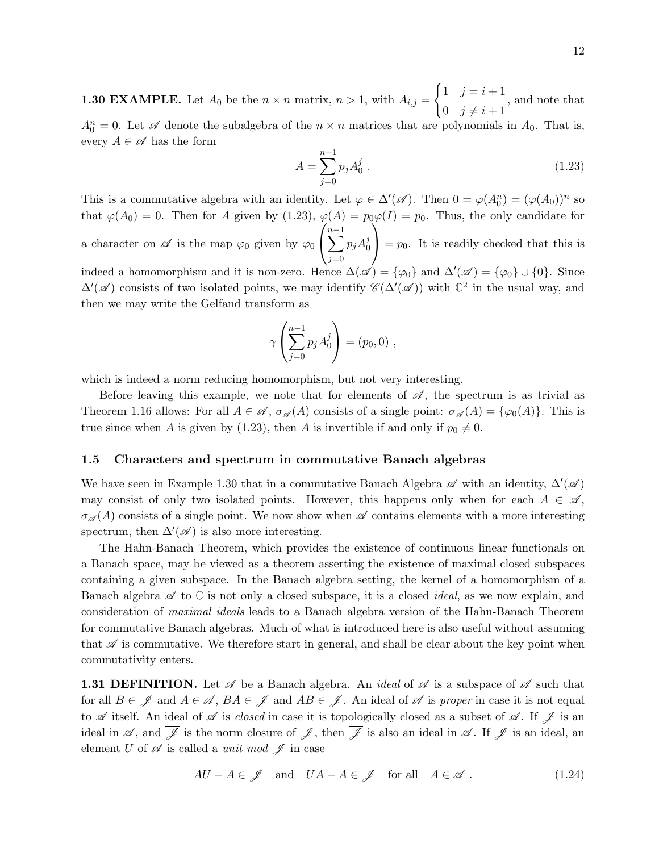**1.30 EXAMPLE.** Let  $A_0$  be the  $n \times n$  matrix,  $n > 1$ , with  $A_{i,j} =$  $\int 1 \quad j = i + 1$ 0  $j \neq i + 1$ , and note that  $A_0^n = 0$ . Let  $\mathscr A$  denote the subalgebra of the  $n \times n$  matrices that are polynomials in  $A_0$ . That is, every  $A \in \mathscr{A}$  has the form

$$
A = \sum_{j=0}^{n-1} p_j A_0^j \tag{1.23}
$$

This is a commutative algebra with an identity. Let  $\varphi \in \Delta'(\mathscr{A})$ . Then  $0 = \varphi(A_0^n) = (\varphi(A_0))^n$  so that  $\varphi(A_0) = 0$ . Then for A given by (1.23),  $\varphi(A) = p_0 \varphi(I) = p_0$ . Thus, the only candidate for a character on  $\mathscr A$  is the map  $\varphi_0$  given by  $\varphi_0$  $\sqrt{ }$  $\mathcal{L}$  $\sum^{n-1}$  $j=0$  $p_jA_0^j$ 0  $\setminus$  $= p_0$ . It is readily checked that this is indeed a homomorphism and it is non-zero. Hence  $\Delta(\mathscr{A}) = \{\varphi_0\}$  and  $\Delta'(\mathscr{A}) = \{\varphi_0\} \cup \{0\}$ . Since

 $\Delta'(\mathscr{A})$  consists of two isolated points, we may identify  $\mathscr{C}(\Delta'(\mathscr{A}))$  with  $\mathbb{C}^2$  in the usual way, and then we may write the Gelfand transform as

$$
\gamma \left( \sum_{j=0}^{n-1} p_j A_0^j \right) = (p_0, 0) ,
$$

which is indeed a norm reducing homomorphism, but not very interesting.

Before leaving this example, we note that for elements of  $\mathscr{A}$ , the spectrum is as trivial as Theorem 1.16 allows: For all  $A \in \mathscr{A}$ ,  $\sigma_{\mathscr{A}}(A)$  consists of a single point:  $\sigma_{\mathscr{A}}(A) = {\varphi_0(A)}$ . This is true since when A is given by (1.23), then A is invertible if and only if  $p_0 \neq 0$ .

#### 1.5 Characters and spectrum in commutative Banach algebras

We have seen in Example 1.30 that in a commutative Banach Algebra  $\mathscr A$  with an identity,  $\Delta'(\mathscr A)$ may consist of only two isolated points. However, this happens only when for each  $A \in \mathscr{A}$ ,  $\sigma_{\mathscr{A}}(A)$  consists of a single point. We now show when  $\mathscr{A}$  contains elements with a more interesting spectrum, then  $\Delta'(\mathscr{A})$  is also more interesting.

The Hahn-Banach Theorem, which provides the existence of continuous linear functionals on a Banach space, may be viewed as a theorem asserting the existence of maximal closed subspaces containing a given subspace. In the Banach algebra setting, the kernel of a homomorphism of a Banach algebra  $\mathscr A$  to  $\mathbb C$  is not only a closed subspace, it is a closed *ideal*, as we now explain, and consideration of maximal ideals leads to a Banach algebra version of the Hahn-Banach Theorem for commutative Banach algebras. Much of what is introduced here is also useful without assuming that  $\mathscr A$  is commutative. We therefore start in general, and shall be clear about the key point when commutativity enters.

**1.31 DEFINITION.** Let  $\mathscr A$  be a Banach algebra. An *ideal* of  $\mathscr A$  is a subspace of  $\mathscr A$  such that for all  $B \in \mathscr{J}$  and  $A \in \mathscr{A}$ ,  $BA \in \mathscr{J}$  and  $AB \in \mathscr{J}$ . An ideal of  $\mathscr{A}$  is proper in case it is not equal to  $\mathscr A$  itself. An ideal of  $\mathscr A$  is *closed* in case it is topologically closed as a subset of  $\mathscr A$ . If  $\mathscr J$  is an ideal in  $\mathscr A$ , and  $\overline{\mathscr J}$  is the norm closure of  $\mathscr J$ , then  $\overline{\mathscr J}$  is also an ideal in  $\mathscr A$ . If  $\mathscr J$  is an ideal, an element U of  $\mathscr A$  is called a *unit mod*  $\mathscr J$  in case

$$
AU - A \in \mathscr{J} \quad \text{and} \quad UA - A \in \mathscr{J} \quad \text{for all} \quad A \in \mathscr{A} \; . \tag{1.24}
$$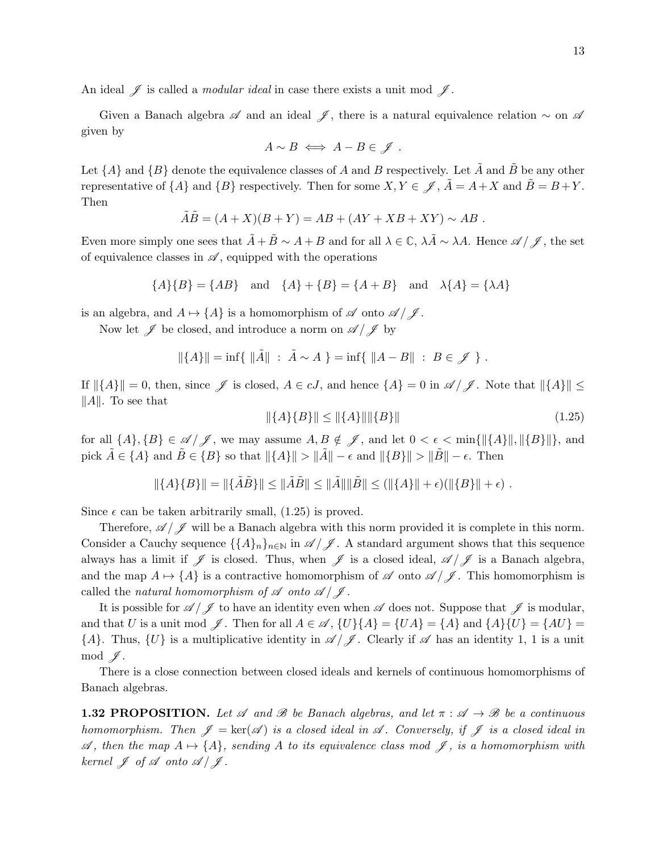An ideal  $\mathscr J$  is called a *modular ideal* in case there exists a unit mod  $\mathscr J$ .

Given a Banach algebra  $\mathscr A$  and an ideal  $\mathscr I$ , there is a natural equivalence relation ∼ on  $\mathscr A$ given by

$$
A \sim B \iff A - B \in \mathscr{J} .
$$

Let  $\{A\}$  and  $\{B\}$  denote the equivalence classes of A and B respectively. Let  $\tilde{A}$  and  $\tilde{B}$  be any other representative of  $\{A\}$  and  $\{B\}$  respectively. Then for some  $X, Y \in \mathscr{J}$ ,  $\tilde{A} = A + X$  and  $\tilde{B} = B + Y$ . Then

$$
\tilde{A}\tilde{B} = (A + X)(B + Y) = AB + (AY + XB + XY) \sim AB.
$$

Even more simply one sees that  $\tilde{A} + \tilde{B} \sim A + B$  and for all  $\lambda \in \mathbb{C}$ ,  $\lambda \tilde{A} \sim \lambda A$ . Hence  $\mathscr{A}/\mathscr{J}$ , the set of equivalence classes in  $\mathscr A$ , equipped with the operations

$$
\{A\}\{B\} = \{AB\} \text{ and } \{A\} + \{B\} = \{A + B\} \text{ and } \lambda\{A\} = \{\lambda A\}
$$

is an algebra, and  $A \mapsto \{A\}$  is a homomorphism of  $\mathscr A$  onto  $\mathscr A / \mathscr J$ .

Now let  $\mathscr J$  be closed, and introduce a norm on  $\mathscr A/\mathscr J$  by

$$
\|\{A\}\| = \inf\{\|\tilde{A}\| \; : \; \tilde{A} \sim A \; \} = \inf\{\; \|A - B\| \; : \; B \in \mathscr{J} \; \} \; .
$$

If  $\|\{A\}\| = 0$ , then, since  $\mathscr J$  is closed,  $A \in cJ$ , and hence  $\{A\} = 0$  in  $\mathscr A / \mathscr J$ . Note that  $\|\{A\}\| \leq$  $||A||.$  To see that

$$
\|\{A\}\{B\}\| \le \|\{A\}\| \|\{B\}\| \tag{1.25}
$$

for all  $\{A\}, \{B\} \in \mathcal{A}/\mathcal{J}$ , we may assume  $A, B \notin \mathcal{J}$ , and let  $0 < \epsilon < \min{\{\|\{A\}\|, \|\{B\}\|\}}$ , and pick  $\tilde{A} \in \{A\}$  and  $\tilde{B} \in \{B\}$  so that  $\|\{A\}\| > \|\tilde{A}\| - \epsilon$  and  $\|\{B\}\| > \|\tilde{B}\| - \epsilon$ . Then

$$
\|\{A\}\{B\}\| = \|\{\tilde{A}\tilde{B}\}\| \le \|\tilde{A}\tilde{B}\| \le \|\tilde{A}\| \|\tilde{B}\| \le (\|\{A\}\| + \epsilon)(\|\{B\}\| + \epsilon) .
$$

Since  $\epsilon$  can be taken arbitrarily small, (1.25) is proved.

Therefore,  $\mathscr{A}/\mathscr{J}$  will be a Banach algebra with this norm provided it is complete in this norm. Consider a Cauchy sequence  $\{\{A\}_n\}_{n\in\mathbb{N}}$  in  $\mathscr{A}/\mathscr{J}$ . A standard argument shows that this sequence always has a limit if  $\mathscr J$  is closed. Thus, when  $\mathscr J$  is a closed ideal,  $\mathscr A/\mathscr J$  is a Banach algebra, and the map  $A \mapsto \{A\}$  is a contractive homomorphism of  $\mathscr A$  onto  $\mathscr A/\mathscr J$ . This homomorphism is called the natural homomorphism of  $\mathscr A$  onto  $\mathscr A / \mathscr J$ .

It is possible for  $\mathscr{A}/\mathscr{J}$  to have an identity even when  $\mathscr A$  does not. Suppose that  $\mathscr J$  is modular, and that U is a unit mod  $\mathscr{J}$ . Then for all  $A \in \mathscr{A}$ ,  $\{U\}\{A\} = \{UA\} = \{A\}$  and  $\{A\}\{U\} = \{AU\} =$  $\{A\}$ . Thus,  $\{U\}$  is a multiplicative identity in  $\mathscr{A}/\mathscr{J}$ . Clearly if  $\mathscr A$  has an identity 1, 1 is a unit  $mod \mathscr{J}.$ 

There is a close connection between closed ideals and kernels of continuous homomorphisms of Banach algebras.

**1.32 PROPOSITION.** Let A and B be Banach algebras, and let  $\pi : \mathcal{A} \to \mathcal{B}$  be a continuous homomorphism. Then  $\mathscr{J} = \text{ker}(\mathscr{A})$  is a closed ideal in  $\mathscr{A}$ . Conversely, if  $\mathscr{J}$  is a closed ideal in  $\mathscr{A}$ , then the map  $A \mapsto \{A\}$ , sending A to its equivalence class mod  $\mathscr{J}$ , is a homomorphism with kernel  $\mathscr{J}$  of  $\mathscr{A}$  onto  $\mathscr{A}/\mathscr{J}$ .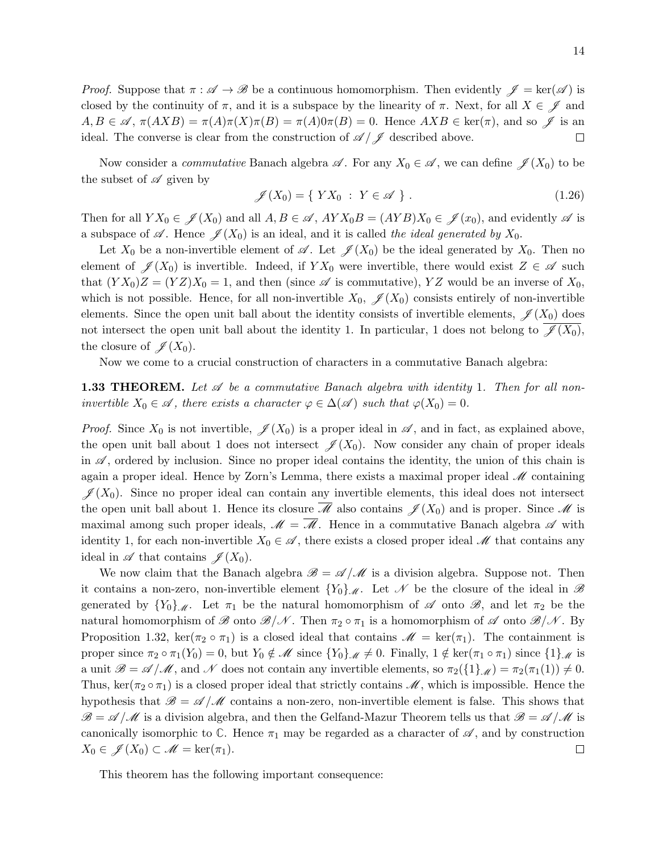*Proof.* Suppose that  $\pi : \mathscr{A} \to \mathscr{B}$  be a continuous homomorphism. Then evidently  $\mathscr{J} = \text{ker}(\mathscr{A})$  is closed by the continuity of  $\pi$ , and it is a subspace by the linearity of  $\pi$ . Next, for all  $X \in \mathscr{J}$  and  $A, B \in \mathscr{A}, \pi(AXB) = \pi(A)\pi(X)\pi(B) = \pi(A)0\pi(B) = 0.$  Hence  $AXB \in \text{ker}(\pi)$ , and so  $\mathscr{J}$  is an ideal. The converse is clear from the construction of  $\mathscr{A}/\mathscr{J}$  described above.  $\Box$ 

Now consider a *commutative* Banach algebra  $\mathscr{A}$ . For any  $X_0 \in \mathscr{A}$ , we can define  $\mathscr{J}(X_0)$  to be the subset of  $\mathscr A$  given by

$$
\mathscr{J}(X_0) = \{ YX_0 : Y \in \mathscr{A} \}.
$$
\n
$$
(1.26)
$$

Then for all  $Y X_0 \in \mathscr{J}(X_0)$  and all  $A, B \in \mathscr{A}, A Y X_0 B = (AYB) X_0 \in \mathscr{J}(x_0)$ , and evidently  $\mathscr{A}$  is a subspace of A. Hence  $\mathscr{J}(X_0)$  is an ideal, and it is called the ideal generated by  $X_0$ .

Let  $X_0$  be a non-invertible element of  $\mathscr{A}$ . Let  $\mathscr{J}(X_0)$  be the ideal generated by  $X_0$ . Then no element of  $\mathscr{J}(X_0)$  is invertible. Indeed, if  $Y X_0$  were invertible, there would exist  $Z \in \mathscr{A}$  such that  $(YX_0)Z = (YZ)X_0 = 1$ , and then (since  $\mathscr A$  is commutative), YZ would be an inverse of  $X_0$ , which is not possible. Hence, for all non-invertible  $X_0$ ,  $\mathscr{J}(X_0)$  consists entirely of non-invertible elements. Since the open unit ball about the identity consists of invertible elements,  $\mathscr{J}(X_0)$  does not intersect the open unit ball about the identity 1. In particular, 1 does not belong to  $\mathscr{J}(X_0)$ , the closure of  $\mathscr{J}(X_0)$ .

Now we come to a crucial construction of characters in a commutative Banach algebra:

**1.33 THEOREM.** Let  $\mathscr A$  be a commutative Banach algebra with identity 1. Then for all noninvertible  $X_0 \in \mathcal{A}$ , there exists a character  $\varphi \in \Delta(\mathcal{A})$  such that  $\varphi(X_0) = 0$ .

*Proof.* Since  $X_0$  is not invertible,  $\mathscr{J}(X_0)$  is a proper ideal in  $\mathscr{A}$ , and in fact, as explained above, the open unit ball about 1 does not intersect  $\mathscr{J}(X_0)$ . Now consider any chain of proper ideals in  $\mathscr A$ , ordered by inclusion. Since no proper ideal contains the identity, the union of this chain is again a proper ideal. Hence by Zorn's Lemma, there exists a maximal proper ideal  $\mathcal M$  containing  $\mathscr{J}(X_0)$ . Since no proper ideal can contain any invertible elements, this ideal does not intersect the open unit ball about 1. Hence its closure  $\overline{\mathscr{M}}$  also contains  $\mathscr{J}(X_0)$  and is proper. Since  $\mathscr{M}$  is maximal among such proper ideals,  $\mathscr{M} = \mathscr{M}$ . Hence in a commutative Banach algebra  $\mathscr A$  with identity 1, for each non-invertible  $X_0 \in \mathscr{A}$ , there exists a closed proper ideal  $\mathscr{M}$  that contains any ideal in  $\mathscr A$  that contains  $\mathscr J(X_0)$ .

We now claim that the Banach algebra  $\mathscr{B} = \mathscr{A}/\mathscr{M}$  is a division algebra. Suppose not. Then it contains a non-zero, non-invertible element  ${Y_0}_\mathcal{M}$ . Let N be the closure of the ideal in B generated by  $\{Y_0\}_{\mathcal{M}}$ . Let  $\pi_1$  be the natural homomorphism of  $\mathcal A$  onto  $\mathcal B$ , and let  $\pi_2$  be the natural homomorphism of B onto  $\mathscr{B}/\mathscr{N}$ . Then  $\pi_2 \circ \pi_1$  is a homomorphism of  $\mathscr{A}$  onto  $\mathscr{B}/\mathscr{N}$ . By Proposition 1.32, ker( $\pi_2 \circ \pi_1$ ) is a closed ideal that contains  $\mathscr{M} = \text{ker}(\pi_1)$ . The containment is proper since  $\pi_2 \circ \pi_1(Y_0) = 0$ , but  $Y_0 \notin \mathcal{M}$  since  $\{Y_0\}_{\mathcal{M}} \neq 0$ . Finally,  $1 \notin \text{ker}(\pi_1 \circ \pi_1)$  since  $\{1\}_{\mathcal{M}}$  is a unit  $\mathscr{B} = \mathscr{A}/\mathscr{M}$ , and  $\mathscr{N}$  does not contain any invertible elements, so  $\pi_2(\{1\},\mathscr{M}) = \pi_2(\pi_1(1)) \neq 0$ . Thus, ker( $\pi_2 \circ \pi_1$ ) is a closed proper ideal that strictly contains  $\mathscr{M}$ , which is impossible. Hence the hypothesis that  $\mathscr{B} = \mathscr{A}/\mathscr{M}$  contains a non-zero, non-invertible element is false. This shows that  $\mathscr{B} = \mathscr{A}/\mathscr{M}$  is a division algebra, and then the Gelfand-Mazur Theorem tells us that  $\mathscr{B} = \mathscr{A}/\mathscr{M}$  is canonically isomorphic to  $\mathbb{C}$ . Hence  $\pi_1$  may be regarded as a character of  $\mathscr{A}$ , and by construction  $X_0 \in \mathscr{J}(X_0) \subset \mathscr{M} = \ker(\pi_1).$  $\Box$ 

This theorem has the following important consequence: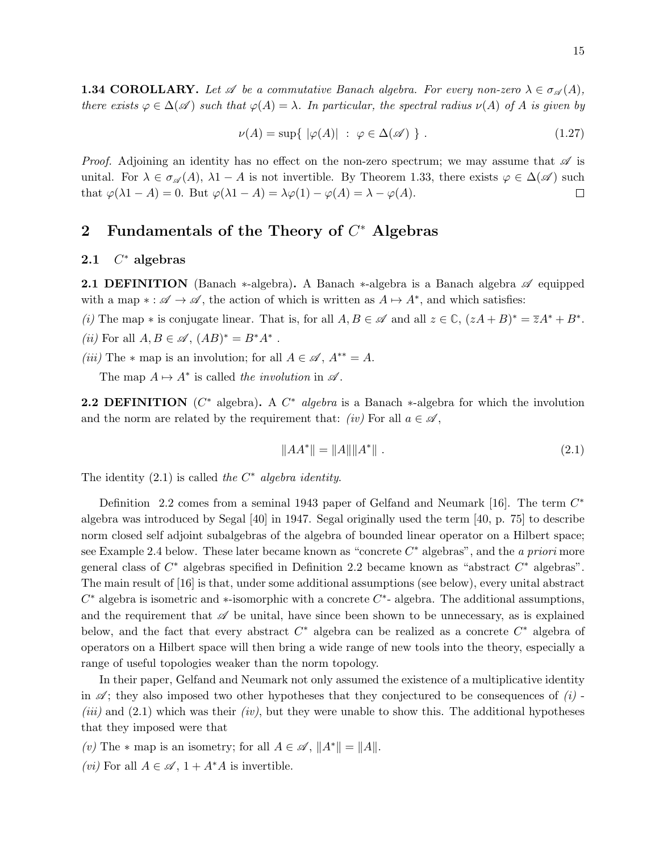**1.34 COROLLARY.** Let  $\mathscr A$  be a commutative Banach algebra. For every non-zero  $\lambda \in \sigma_{\mathscr A}(A)$ , there exists  $\varphi \in \Delta(\mathscr{A})$  such that  $\varphi(A) = \lambda$ . In particular, the spectral radius  $\nu(A)$  of A is given by

$$
\nu(A) = \sup \{ |\varphi(A)| \; : \; \varphi \in \Delta(\mathscr{A}) \; \} \; . \tag{1.27}
$$

*Proof.* Adjoining an identity has no effect on the non-zero spectrum; we may assume that  $\mathscr A$  is unital. For  $\lambda \in \sigma_{\mathscr{A}}(A)$ ,  $\lambda 1 - A$  is not invertible. By Theorem 1.33, there exists  $\varphi \in \Delta(\mathscr{A})$  such that  $\varphi(\lambda 1 - A) = 0$ . But  $\varphi(\lambda 1 - A) = \lambda \varphi(1) - \varphi(A) = \lambda - \varphi(A)$ .  $\Box$ 

# 2 Fundamentals of the Theory of  $C^*$  Algebras

#### 2.1  $C^*$  algebras

**2.1 DEFINITION** (Banach  $*$ -algebra). A Banach  $*$ -algebra is a Banach algebra  $\mathscr A$  equipped with a map  $* : \mathscr{A} \to \mathscr{A}$ , the action of which is written as  $A \mapsto A^*$ , and which satisfies:

(i) The map  $*$  is conjugate linear. That is, for all  $A, B \in \mathscr{A}$  and all  $z \in \mathbb{C}$ ,  $(zA + B)^* = \overline{z}A^* + B^*$ . (*ii*) For all  $A, B \in \mathcal{A}, (AB)^* = B^*A^*$ .

(iii) The  $*$  map is an involution; for all  $A \in \mathscr{A}$ ,  $A^{**} = A$ .

The map  $A \mapsto A^*$  is called the involution in  $\mathscr A$ .

**2.2 DEFINITION** ( $C^*$  algebra). A  $C^*$  algebra is a Banach  $*$ -algebra for which the involution and the norm are related by the requirement that: (iv) For all  $a \in \mathscr{A}$ ,

$$
||AA^*|| = ||A|| ||A^*||.
$$
\n(2.1)

The identity  $(2.1)$  is called the  $C^*$  algebra identity.

Definition 2.2 comes from a seminal 1943 paper of Gelfand and Neumark [16]. The term  $C^*$ algebra was introduced by Segal [40] in 1947. Segal originally used the term [40, p. 75] to describe norm closed self adjoint subalgebras of the algebra of bounded linear operator on a Hilbert space; see Example 2.4 below. These later became known as "concrete  $C^*$  algebras", and the a priori more general class of  $C^*$  algebras specified in Definition 2.2 became known as "abstract  $C^*$  algebras". The main result of [16] is that, under some additional assumptions (see below), every unital abstract  $C^*$  algebra is isometric and \*-isomorphic with a concrete  $C^*$ - algebra. The additional assumptions, and the requirement that  $\mathscr A$  be unital, have since been shown to be unnecessary, as is explained below, and the fact that every abstract  $C^*$  algebra can be realized as a concrete  $C^*$  algebra of operators on a Hilbert space will then bring a wide range of new tools into the theory, especially a range of useful topologies weaker than the norm topology.

In their paper, Gelfand and Neumark not only assumed the existence of a multiplicative identity in  $\mathscr{A}$ ; they also imposed two other hypotheses that they conjectured to be consequences of (i) -(iii) and  $(2.1)$  which was their (iv), but they were unable to show this. The additional hypotheses that they imposed were that

(v) The  $*$  map is an isometry; for all  $A \in \mathscr{A}$ ,  $||A^*|| = ||A||$ .

(*vi*) For all  $A \in \mathscr{A}$ ,  $1 + A^*A$  is invertible.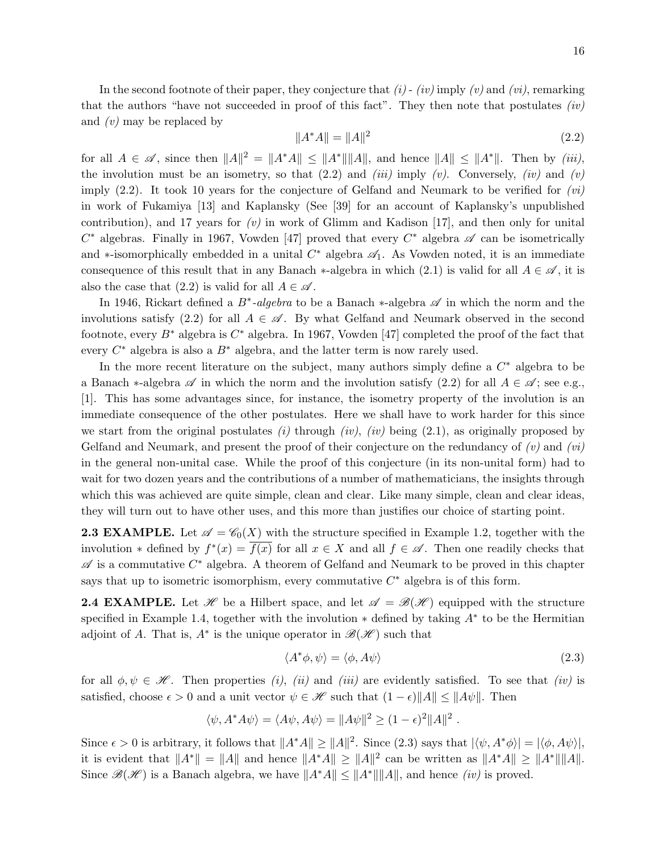In the second footnote of their paper, they conjecture that  $(i)$  -  $(iv)$  imply  $(v)$  and  $(vi)$ , remarking that the authors "have not succeeded in proof of this fact". They then note that postulates  $(iv)$ and (v) may be replaced by

$$
||A^*A|| = ||A||^2
$$
\n(2.2)

for all  $A \in \mathscr{A}$ , since then  $||A||^2 = ||A^*A|| \le ||A^*|| ||A||$ , and hence  $||A|| \le ||A^*||$ . Then by *(iii)*, the involution must be an isometry, so that  $(2.2)$  and  $(iii)$  imply  $(v)$ . Conversely,  $(iv)$  and  $(v)$ imply  $(2.2)$ . It took 10 years for the conjecture of Gelfand and Neumark to be verified for  $(vi)$ in work of Fukamiya [13] and Kaplansky (See [39] for an account of Kaplansky's unpublished contribution), and 17 years for  $(v)$  in work of Glimm and Kadison [17], and then only for unital  $C^*$  algebras. Finally in 1967, Vowden [47] proved that every  $C^*$  algebra  $\mathscr A$  can be isometrically and ∗-isomorphically embedded in a unital  $C^*$  algebra  $\mathscr{A}_1$ . As Vowden noted, it is an immediate consequence of this result that in any Banach  $*$ -algebra in which (2.1) is valid for all  $A \in \mathscr{A}$ , it is also the case that  $(2.2)$  is valid for all  $A \in \mathscr{A}$ .

In 1946, Rickart defined a B<sup>∗</sup>-algebra to be a Banach ∗-algebra  $\mathscr A$  in which the norm and the involutions satisfy (2.2) for all  $A \in \mathscr{A}$ . By what Gelfand and Neumark observed in the second footnote, every  $B^*$  algebra is  $C^*$  algebra. In 1967, Vowden [47] completed the proof of the fact that every  $C^*$  algebra is also a  $B^*$  algebra, and the latter term is now rarely used.

In the more recent literature on the subject, many authors simply define a  $C^*$  algebra to be a Banach ∗-algebra  $\mathscr A$  in which the norm and the involution satisfy (2.2) for all  $A \in \mathscr A$ ; see e.g., [1]. This has some advantages since, for instance, the isometry property of the involution is an immediate consequence of the other postulates. Here we shall have to work harder for this since we start from the original postulates (i) through (iv), (iv) being  $(2.1)$ , as originally proposed by Gelfand and Neumark, and present the proof of their conjecture on the redundancy of  $(v)$  and  $(vi)$ in the general non-unital case. While the proof of this conjecture (in its non-unital form) had to wait for two dozen years and the contributions of a number of mathematicians, the insights through which this was achieved are quite simple, clean and clear. Like many simple, clean and clear ideas, they will turn out to have other uses, and this more than justifies our choice of starting point.

**2.3 EXAMPLE.** Let  $\mathscr{A} = \mathscr{C}_0(X)$  with the structure specified in Example 1.2, together with the involution  $*$  defined by  $f^*(x) = \overline{f(x)}$  for all  $x \in X$  and all  $f \in \mathscr{A}$ . Then one readily checks that  $\mathscr A$  is a commutative  $C^*$  algebra. A theorem of Gelfand and Neumark to be proved in this chapter says that up to isometric isomorphism, every commutative  $C^*$  algebra is of this form.

**2.4 EXAMPLE.** Let  $\mathcal{H}$  be a Hilbert space, and let  $\mathcal{A} = \mathcal{B}(\mathcal{H})$  equipped with the structure specified in Example 1.4, together with the involution  $*$  defined by taking  $A^*$  to be the Hermitian adjoint of A. That is,  $A^*$  is the unique operator in  $\mathscr{B}(\mathscr{H})$  such that

$$
\langle A^*\phi, \psi \rangle = \langle \phi, A\psi \rangle \tag{2.3}
$$

for all  $\phi, \psi \in \mathcal{H}$ . Then properties (i), (ii) and (iii) are evidently satisfied. To see that (iv) is satisfied, choose  $\epsilon > 0$  and a unit vector  $\psi \in \mathcal{H}$  such that  $(1 - \epsilon) ||A|| \leq ||A\psi||$ . Then

$$
\langle \psi, A^* A \psi \rangle = \langle A \psi, A \psi \rangle = ||A \psi||^2 \ge (1 - \epsilon)^2 ||A||^2.
$$

Since  $\epsilon > 0$  is arbitrary, it follows that  $||A^*A|| \ge ||A||^2$ . Since (2.3) says that  $|\langle \psi, A^* \phi \rangle| = |\langle \phi, A\psi \rangle|$ , it is evident that  $||A^*|| = ||A||$  and hence  $||A^*A|| \ge ||A||^2$  can be written as  $||A^*A|| \ge ||A^*|| ||A||$ . Since  $\mathscr{B}(\mathscr{H})$  is a Banach algebra, we have  $||A^*A|| \leq ||A^*|| ||A||$ , and hence *(iv)* is proved.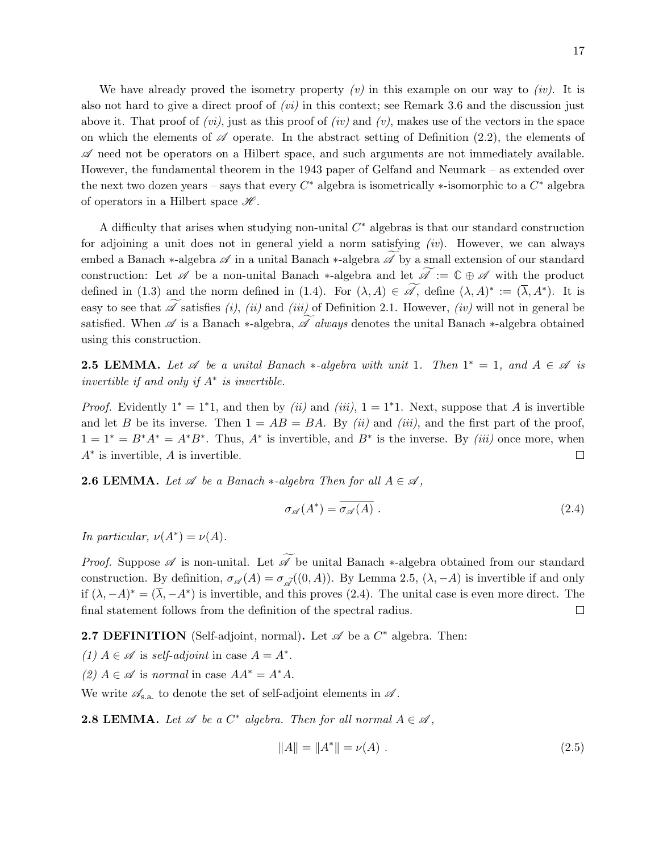We have already proved the isometry property  $(v)$  in this example on our way to  $(iv)$ . It is also not hard to give a direct proof of  $(vi)$  in this context; see Remark 3.6 and the discussion just above it. That proof of  $(vi)$ , just as this proof of  $(iv)$  and  $(v)$ , makes use of the vectors in the space on which the elements of  $\mathscr A$  operate. In the abstract setting of Definition (2.2), the elements of  $\mathscr A$  need not be operators on a Hilbert space, and such arguments are not immediately available. However, the fundamental theorem in the 1943 paper of Gelfand and Neumark – as extended over the next two dozen years – says that every  $C^*$  algebra is isometrically  $*$ -isomorphic to a  $C^*$  algebra of operators in a Hilbert space  $\mathscr{H}$ .

A difficulty that arises when studying non-unital  $C^*$  algebras is that our standard construction for adjoining a unit does not in general yield a norm satisfying  $(iv)$ . However, we can always embed a Banach ∗-algebra  $\mathscr A$  in a unital Banach  $*$ -algebra  $\mathscr A$  by a small extension of our standard construction: Let  $\mathscr A$  be a non-unital Banach  $*$ -algebra and let  $\widetilde{\mathscr A}:=\mathbb C\oplus\mathscr A$  with the product defined in (1.3) and the norm defined in (1.4). For  $(\lambda, A) \in \mathscr{A}$ , define  $(\lambda, A)^* := (\overline{\lambda}, A^*)$ . It is easy to see that  $\mathscr A$  satisfies (i), (ii) and (iii) of Definition 2.1. However, (iv) will not in general be satisfied. When  $\mathscr A$  is a Banach  $*$ -algebra,  $\mathscr A$  always denotes the unital Banach  $*$ -algebra obtained using this construction.

**2.5 LEMMA.** Let  $\mathscr A$  be a unital Banach  $*$ -algebra with unit 1. Then  $1^* = 1$ , and  $A \in \mathscr A$  is invertible if and only if  $A^*$  is invertible.

*Proof.* Evidently  $1^* = 1^*1$ , and then by *(ii)* and *(iii)*,  $1 = 1^*1$ . Next, suppose that A is invertible and let B be its inverse. Then  $1 = AB = BA$ . By *(ii)* and *(iii)*, and the first part of the proof,  $1 = 1^* = B^*A^* = A^*B^*$ . Thus,  $A^*$  is invertible, and  $B^*$  is the inverse. By *(iii)* once more, when  $A^*$  is invertible, A is invertible.  $\Box$ 

**2.6 LEMMA.** Let  $\mathscr A$  be a Banach  $*$ -algebra Then for all  $A \in \mathscr A$ ,

$$
\sigma_{\mathscr{A}}(A^*) = \overline{\sigma_{\mathscr{A}}(A)}\ .\tag{2.4}
$$

In particular,  $\nu(A^*) = \nu(A)$ .

*Proof.* Suppose  $\mathscr A$  is non-unital. Let  $\widetilde{\mathscr A}$  be unital Banach  $*$ -algebra obtained from our standard construction. By definition,  $\sigma_{\mathscr{A}}(A) = \sigma_{\mathscr{A}}((0, A))$ . By Lemma 2.5,  $(\lambda, -A)$  is invertible if and only if  $(\lambda, -A)^* = (\overline{\lambda}, -A^*)$  is invertible, and this proves (2.4). The unital case is even more direct. The final statement follows from the definition of the spectral radius.  $\Box$ 

**2.7 DEFINITION** (Self-adjoint, normal). Let  $\mathscr A$  be a  $C^*$  algebra. Then:

- (1)  $A \in \mathscr{A}$  is self-adjoint in case  $A = A^*$ .
- (2)  $A \in \mathscr{A}$  is normal in case  $AA^* = A^*A$ .

We write  $\mathscr{A}_{s,a}$  to denote the set of self-adjoint elements in  $\mathscr{A}$ .

**2.8 LEMMA.** Let  $\mathscr A$  be a  $C^*$  algebra. Then for all normal  $A \in \mathscr A$ ,

$$
||A|| = ||A^*|| = \nu(A).
$$
\n(2.5)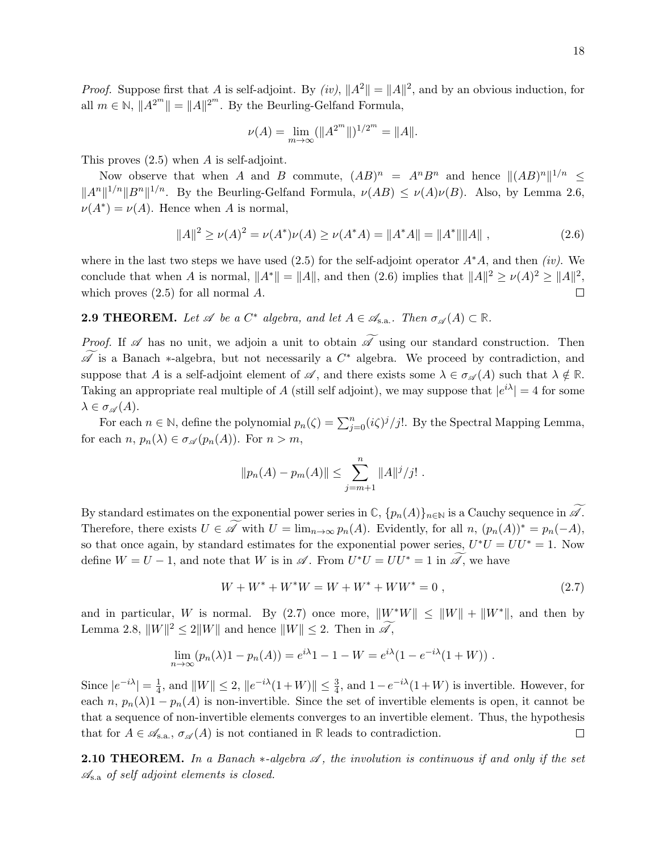*Proof.* Suppose first that A is self-adjoint. By (iv),  $||A^2|| = ||A||^2$ , and by an obvious induction, for all  $m \in \mathbb{N}$ ,  $||A^{2^m}|| = ||A||^{2^m}$ . By the Beurling-Gelfand Formula,

$$
\nu(A) = \lim_{m \to \infty} (\|A^{2^m}\|)^{1/2^m} = \|A\|.
$$

This proves (2.5) when A is self-adjoint.

Now observe that when A and B commute,  $(AB)^n = A^n B^n$  and hence  $||(AB)^n||^{1/n} \le$  $||A^n||^{1/n}||B^n||^{1/n}$ . By the Beurling-Gelfand Formula,  $\nu(AB) \leq \nu(A)\nu(B)$ . Also, by Lemma 2.6,  $\nu(A^*) = \nu(A)$ . Hence when A is normal,

$$
||A||^2 \ge \nu(A)^2 = \nu(A^*)\nu(A) \ge \nu(A^*A) = ||A^*A|| = ||A^*|| ||A||,
$$
\n(2.6)

where in the last two steps we have used (2.5) for the self-adjoint operator  $A^*A$ , and then *(iv)*. We conclude that when A is normal,  $||A^*|| = ||A||$ , and then (2.6) implies that  $||A||^2 \ge \nu(A)^2 \ge ||A||^2$ , which proves  $(2.5)$  for all normal  $A$ . П

**2.9 THEOREM.** Let  $\mathscr A$  be a  $C^*$  algebra, and let  $A \in \mathscr A_{s.a.}$ . Then  $\sigma_{\mathscr A}(A) \subset \mathbb R$ .

*Proof.* If  $\mathscr A$  has no unit, we adjoin a unit to obtain  $\widetilde{\mathscr A}$  using our standard construction. Then  $\widetilde{\mathscr{A}}$  is a Banach  $*$ -algebra, but not necessarily a  $C^*$  algebra. We proceed by contradiction, and suppose that A is a self-adjoint element of  $\mathscr A$ , and there exists some  $\lambda \in \sigma_{\mathscr A}(A)$  such that  $\lambda \notin \mathbb R$ . Taking an appropriate real multiple of A (still self adjoint), we may suppose that  $|e^{i\lambda}| = 4$  for some  $\lambda \in \sigma_{\mathscr{A}}(A).$ 

For each  $n \in \mathbb{N}$ , define the polynomial  $p_n(\zeta) = \sum_{j=0}^n (i\zeta)^j/j!$ . By the Spectral Mapping Lemma, for each  $n, p_n(\lambda) \in \sigma_{\mathscr{A}}(p_n(A))$ . For  $n > m$ ,

$$
||p_n(A) - p_m(A)|| \le \sum_{j=m+1}^n ||A||^j / j!
$$
.

By standard estimates on the exponential power series in  $\mathbb{C}$ ,  $\{p_n(A)\}_{n\in\mathbb{N}}$  is a Cauchy sequence in  $\mathscr{A}$ . Therefore, there exists  $U \in \widetilde{\mathscr{A}}$  with  $U = \lim_{n \to \infty} p_n(A)$ . Evidently, for all  $n$ ,  $(p_n(A))^* = p_n(-A)$ , so that once again, by standard estimates for the exponential power series,  $U^*U = UU^* = 1$ . Now define  $W = U - 1$ , and note that W is in  $\mathscr{A}$ . From  $U^*U = UU^* = 1$  in  $\widetilde{\mathscr{A}}$ , we have

$$
W + W^* + W^*W = W + W^* + WW^* = 0,
$$
\n(2.7)

and in particular, W is normal. By (2.7) once more,  $||W^*W|| \le ||W|| + ||W^*||$ , and then by Lemma 2.8,  $||W||^2 \le 2||W||$  and hence  $||W|| \le 2$ . Then in  $\mathscr{A},$ 

$$
\lim_{n \to \infty} (p_n(\lambda)1 - p_n(A)) = e^{i\lambda}1 - 1 - W = e^{i\lambda}(1 - e^{-i\lambda}(1 + W)).
$$

Since  $|e^{-i\lambda}| = \frac{1}{4}$  $\frac{1}{4}$ , and  $||W|| \leq 2$ ,  $||e^{-i\lambda}(1+W)|| \leq \frac{3}{4}$ , and  $1-e^{-i\lambda}(1+W)$  is invertible. However, for each  $n, p_n(\lambda)1 - p_n(A)$  is non-invertible. Since the set of invertible elements is open, it cannot be that a sequence of non-invertible elements converges to an invertible element. Thus, the hypothesis that for  $A \in \mathscr{A}_{s,a}$ ,  $\sigma_{\mathscr{A}}(A)$  is not contianed in  $\mathbb R$  leads to contradiction.  $\Box$ 

**2.10 THEOREM.** In a Banach  $\ast$ -algebra  $\mathscr A$ , the involution is continuous if and only if the set  $\mathcal{A}_{s,a}$  of self adjoint elements is closed.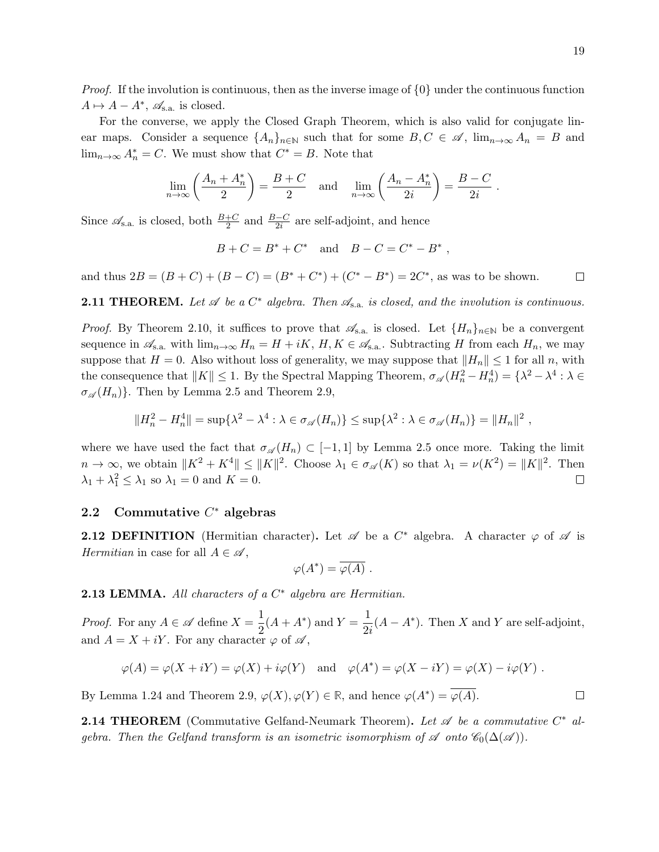*Proof.* If the involution is continuous, then as the inverse image of  $\{0\}$  under the continuous function  $A \mapsto A - A^*$ ,  $\mathscr{A}_{s.a.}$  is closed.

For the converse, we apply the Closed Graph Theorem, which is also valid for conjugate linear maps. Consider a sequence  $\{A_n\}_{n\in\mathbb{N}}$  such that for some  $B, C \in \mathscr{A}$ ,  $\lim_{n\to\infty} A_n = B$  and  $\lim_{n\to\infty} A_n^* = C$ . We must show that  $C^* = B$ . Note that

$$
\lim_{n \to \infty} \left( \frac{A_n + A_n^*}{2} \right) = \frac{B + C}{2} \quad \text{and} \quad \lim_{n \to \infty} \left( \frac{A_n - A_n^*}{2i} \right) = \frac{B - C}{2i} \; .
$$

Since  $\mathscr{A}_{s.a.}$  is closed, both  $\frac{B+C}{2}$  and  $\frac{B-C}{2i}$  are self-adjoint, and hence

$$
B + C = B^* + C^*
$$
 and  $B - C = C^* - B^*$ ,

and thus  $2B = (B + C) + (B - C) = (B^* + C^*) + (C^* - B^*) = 2C^*$ , as was to be shown.  $\Box$ 

**2.11 THEOREM.** Let  $\mathscr A$  be a  $C^*$  algebra. Then  $\mathscr A_{s.a.}$  is closed, and the involution is continuous.

*Proof.* By Theorem 2.10, it suffices to prove that  $\mathscr{A}_{s.a.}$  is closed. Let  $\{H_n\}_{n\in\mathbb{N}}$  be a convergent sequence in  $\mathscr{A}_{s,a}$  with  $\lim_{n\to\infty} H_n = H + iK$ ,  $H, K \in \mathscr{A}_{s,a}$ . Subtracting H from each  $H_n$ , we may suppose that  $H = 0$ . Also without loss of generality, we may suppose that  $||H_n|| \leq 1$  for all n, with the consequence that  $||K|| \leq 1$ . By the Spectral Mapping Theorem,  $\sigma_{\mathscr{A}}(H_n^2 - H_n^4) = \{\lambda^2 - \lambda^4 : \lambda \in$  $\sigma_{\mathscr{A}}(H_n)$ . Then by Lemma 2.5 and Theorem 2.9,

$$
||H_n^2 - H_n^4|| = \sup \{ \lambda^2 - \lambda^4 : \lambda \in \sigma_{\mathscr{A}}(H_n) \} \leq \sup \{ \lambda^2 : \lambda \in \sigma_{\mathscr{A}}(H_n) \} = ||H_n||^2,
$$

where we have used the fact that  $\sigma_{\mathscr{A}}(H_n) \subset [-1,1]$  by Lemma 2.5 once more. Taking the limit  $n \to \infty$ , we obtain  $||K^2 + K^4|| \le ||K||^2$ . Choose  $\lambda_1 \in \sigma_{\mathscr{A}}(K)$  so that  $\lambda_1 = \nu(K^2) = ||K||^2$ . Then  $\lambda_1 + \lambda_1^2 \leq \lambda_1$  so  $\lambda_1 = 0$  and  $K = 0$ .  $\Box$ 

# 2.2 Commutative  $C^*$  algebras

**2.12 DEFINITION** (Hermitian character). Let  $\mathscr A$  be a  $C^*$  algebra. A character  $\varphi$  of  $\mathscr A$  is Hermitian in case for all  $A \in \mathscr{A}$ ,

$$
\varphi(A^*) = \overline{\varphi(A)} \; .
$$

**2.13 LEMMA.** All characters of a  $C^*$  algebra are Hermitian.

*Proof.* For any  $A \in \mathscr{A}$  define  $X = \frac{1}{2}$  $\frac{1}{2}(A + A^*)$  and  $Y = \frac{1}{2i}$  $\frac{1}{2i}(A - A^*)$ . Then X and Y are self-adjoint, and  $A = X + iY$ . For any character  $\varphi$  of  $\mathscr A$ ,

$$
\varphi(A) = \varphi(X + iY) = \varphi(X) + i\varphi(Y) \quad \text{and} \quad \varphi(A^*) = \varphi(X - iY) = \varphi(X) - i\varphi(Y) \; .
$$

By Lemma 1.24 and Theorem 2.9,  $\varphi(X), \varphi(Y) \in \mathbb{R}$ , and hence  $\varphi(A^*) = \overline{\varphi(A)}$ .

**2.14 THEOREM** (Commutative Gelfand-Neumark Theorem). Let  $\mathscr A$  be a commutative  $C^*$  algebra. Then the Gelfand transform is an isometric isomorphism of  $\mathscr A$  onto  $\mathscr C_0(\Delta(\mathscr A))$ .

 $\Box$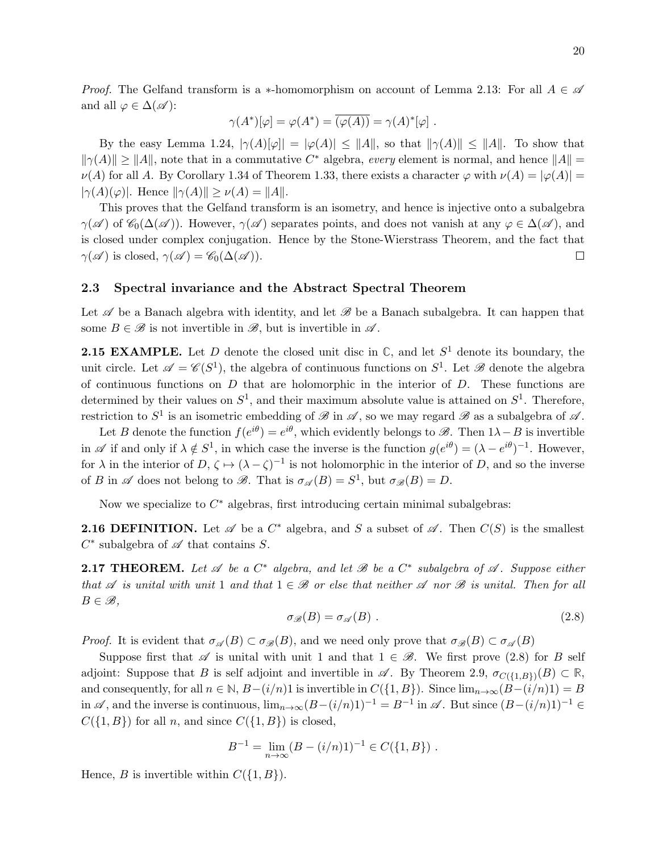*Proof.* The Gelfand transform is a ∗-homomorphism on account of Lemma 2.13: For all  $A \in \mathscr{A}$ and all  $\varphi \in \Delta(\mathscr{A})$ :

$$
\gamma(A^*)[\varphi] = \varphi(A^*) = \overline{(\varphi(A))} = \gamma(A)^*[\varphi] \ .
$$

By the easy Lemma 1.24,  $|\gamma(A)[\varphi]| = |\varphi(A)| \leq ||A||$ , so that  $||\gamma(A)|| \leq ||A||$ . To show that  $\|\gamma(A)\| \geq \|A\|$ , note that in a commutative  $C^*$  algebra, every element is normal, and hence  $\|A\|$  $\nu(A)$  for all A. By Corollary 1.34 of Theorem 1.33, there exists a character  $\varphi$  with  $\nu(A) = |\varphi(A)| =$  $|\gamma(A)(\varphi)|$ . Hence  $\|\gamma(A)\| \geq \nu(A) = \|A\|.$ 

This proves that the Gelfand transform is an isometry, and hence is injective onto a subalgebra  $\gamma(\mathscr{A})$  of  $\mathscr{C}_0(\Delta(\mathscr{A}))$ . However,  $\gamma(\mathscr{A})$  separates points, and does not vanish at any  $\varphi \in \Delta(\mathscr{A})$ , and is closed under complex conjugation. Hence by the Stone-Wierstrass Theorem, and the fact that  $\gamma(\mathscr{A})$  is closed,  $\gamma(\mathscr{A}) = \mathscr{C}_0(\Delta(\mathscr{A})).$  $\Box$ 

### 2.3 Spectral invariance and the Abstract Spectral Theorem

Let  $\mathscr A$  be a Banach algebra with identity, and let  $\mathscr B$  be a Banach subalgebra. It can happen that some  $B \in \mathscr{B}$  is not invertible in  $\mathscr{B}$ , but is invertible in  $\mathscr{A}$ .

**2.15 EXAMPLE.** Let D denote the closed unit disc in  $\mathbb{C}$ , and let  $S^1$  denote its boundary, the unit circle. Let  $\mathscr{A} = \mathscr{C}(S^1)$ , the algebra of continuous functions on  $S^1$ . Let  $\mathscr{B}$  denote the algebra of continuous functions on  $D$  that are holomorphic in the interior of  $D$ . These functions are determined by their values on  $S^1$ , and their maximum absolute value is attained on  $S^1$ . Therefore, restriction to  $S^1$  is an isometric embedding of  $\mathscr B$  in  $\mathscr A$ , so we may regard  $\mathscr B$  as a subalgebra of  $\mathscr A$ .

Let B denote the function  $f(e^{i\theta}) = e^{i\theta}$ , which evidently belongs to  $\mathscr{B}$ . Then  $1\lambda - B$  is invertible in  $\mathscr A$  if and only if  $\lambda \notin S^1$ , in which case the inverse is the function  $g(e^{i\theta}) = (\lambda - e^{i\theta})^{-1}$ . However, for  $\lambda$  in the interior of  $D, \zeta \mapsto (\lambda - \zeta)^{-1}$  is not holomorphic in the interior of D, and so the inverse of B in  $\mathscr A$  does not belong to  $\mathscr B$ . That is  $\sigma_{\mathscr A}(B) = S^1$ , but  $\sigma_{\mathscr B}(B) = D$ .

Now we specialize to  $C^*$  algebras, first introducing certain minimal subalgebras:

**2.16 DEFINITION.** Let  $\mathscr A$  be a  $C^*$  algebra, and S a subset of  $\mathscr A$ . Then  $C(S)$  is the smallest  $C^*$  subalgebra of  $\mathscr A$  that contains S.

**2.17 THEOREM.** Let  $\mathscr A$  be a  $C^*$  algebra, and let  $\mathscr B$  be a  $C^*$  subalgebra of  $\mathscr A$ . Suppose either that  $\mathscr A$  is unital with unit 1 and that  $1 \in \mathscr B$  or else that neither  $\mathscr A$  nor  $\mathscr B$  is unital. Then for all  $B \in \mathscr{B}$ ,

$$
\sigma_{\mathscr{B}}(B) = \sigma_{\mathscr{A}}(B) \tag{2.8}
$$

*Proof.* It is evident that  $\sigma_{\mathscr{A}}(B) \subset \sigma_{\mathscr{B}}(B)$ , and we need only prove that  $\sigma_{\mathscr{B}}(B) \subset \sigma_{\mathscr{A}}(B)$ 

Suppose first that  $\mathscr A$  is unital with unit 1 and that  $1 \in \mathscr B$ . We first prove (2.8) for B self adjoint: Suppose that B is self adjoint and invertible in  $\mathscr A$ . By Theorem 2.9,  $\sigma_{C(\{1,B\})}(B) \subset \mathbb R$ , and consequently, for all  $n \in \mathbb{N}$ ,  $B-(i/n)1$  is invertible in  $C({1, B})$ . Since  $\lim_{n\to\infty} (B-(i/n)1) = B$ in  $\mathscr A$ , and the inverse is continuous,  $\lim_{n\to\infty} (B-(i/n)1)^{-1} = B^{-1}$  in  $\mathscr A$ . But since  $(B-(i/n)1)^{-1} \in$  $C({1, B})$  for all n, and since  $C({1, B})$  is closed,

$$
B^{-1} = \lim_{n \to \infty} (B - (i/n)1)^{-1} \in C({1, B}).
$$

Hence, B is invertible within  $C({1, B})$ .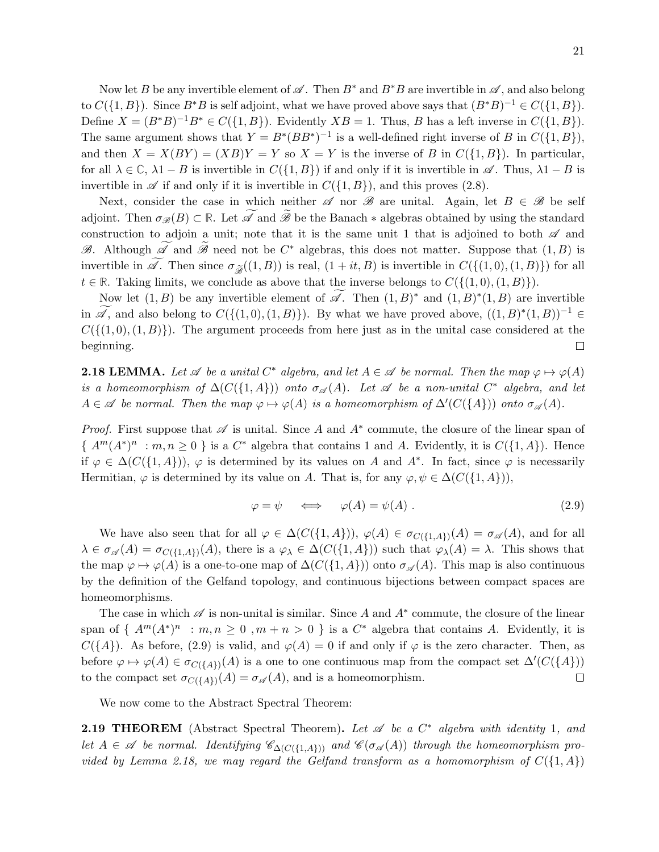Now let B be any invertible element of  $\mathscr A$ . Then  $B^*$  and  $B^*B$  are invertible in  $\mathscr A$ , and also belong to  $C({1, B})$ . Since  $B^*B$  is self adjoint, what we have proved above says that  $(B^*B)^{-1} \in C({1, B})$ . Define  $X = (B^*B)^{-1}B^* \in C({1, B})$ . Evidently  $XB = 1$ . Thus, B has a left inverse in  $C({1, B})$ . The same argument shows that  $Y = B^*(BB^*)^{-1}$  is a well-defined right inverse of B in  $C({1, B})$ , and then  $X = X(BY) = (XB)Y = Y$  so  $X = Y$  is the inverse of B in  $C({1, B})$ . In particular, for all  $\lambda \in \mathbb{C}$ ,  $\lambda 1 - B$  is invertible in  $C({1, B})$  if and only if it is invertible in  $\mathscr{A}$ . Thus,  $\lambda 1 - B$  is invertible in  $\mathscr A$  if and only if it is invertible in  $C({1, B})$ , and this proves (2.8).

Next, consider the case in which neither  $\mathscr A$  nor  $\mathscr B$  are unital. Again, let  $B \in \mathscr B$  be self adjoint. Then  $\sigma_{\mathscr{B}}(B) \subset \mathbb{R}$ . Let  $\widetilde{\mathscr{A}}$  and  $\widetilde{\mathscr{B}}$  be the Banach  $*$  algebras obtained by using the standard construction to adjoin a unit; note that it is the same unit 1 that is adjoined to both  $\mathscr A$  and  $\mathscr{B}$ . Although  $\overline{\mathscr{A}}$  and  $\overline{\mathscr{B}}$  need not be  $C^*$  algebras, this does not matter. Suppose that  $(1, B)$  is invertible in  $\widetilde{\mathscr{A}}$ . Then since  $\sigma_{\widetilde{\mathscr{A}}}(1, B)$  is real,  $(1 + it, B)$  is invertible in  $C(\{(1, 0), (1, B)\})$  for all  $t \in \mathbb{R}$ . Taking limits, we conclude as above that the inverse belongs to  $C({(1,0), (1, B)})$ .

Now let  $(1, B)$  be any invertible element of  $\mathscr{A}$ . Then  $(1, B)^*$  and  $(1, B)^*(1, B)$  are invertible in  $\mathscr{A}$ , and also belong to  $C(\{(1,0), (1, B)\})$ . By what we have proved above,  $((1, B)^*(1, B))^{-1} \in$  $C({(1,0),(1,B)})$ . The argument proceeds from here just as in the unital case considered at the beginning. □

**2.18 LEMMA.** Let  $\mathscr A$  be a unital  $C^*$  algebra, and let  $A \in \mathscr A$  be normal. Then the map  $\varphi \mapsto \varphi(A)$ is a homeomorphism of  $\Delta(C(\{1, A\}))$  onto  $\sigma_{\mathscr{A}}(A)$ . Let  $\mathscr A$  be a non-unital  $C^*$  algebra, and let  $A \in \mathscr{A}$  be normal. Then the map  $\varphi \mapsto \varphi(A)$  is a homeomorphism of  $\Delta'(C(\lbrace A \rbrace))$  onto  $\sigma_{\mathscr{A}}(A)$ .

*Proof.* First suppose that  $\mathscr A$  is unital. Since A and  $A^*$  commute, the closure of the linear span of  $\{A^m(A^*)^n : m, n \ge 0\}$  is a  $C^*$  algebra that contains 1 and A. Evidently, it is  $C(\{1, A\})$ . Hence if  $\varphi \in \Delta(C(\{1,A\})),$   $\varphi$  is determined by its values on A and A<sup>\*</sup>. In fact, since  $\varphi$  is necessarily Hermitian,  $\varphi$  is determined by its value on A. That is, for any  $\varphi, \psi \in \Delta(C(\{1, A\})),$ 

$$
\varphi = \psi \iff \varphi(A) = \psi(A). \tag{2.9}
$$

We have also seen that for all  $\varphi \in \Delta(C(\{1,A\})), \varphi(A) \in \sigma_{C(\{1,A\}}(A)) = \sigma_{\mathscr{A}}(A)$ , and for all  $\lambda \in \sigma_{\mathscr{A}}(A) = \sigma_{C(\{1,A\})}(A)$ , there is a  $\varphi_{\lambda} \in \Delta(C(\{1,A\}))$  such that  $\varphi_{\lambda}(A) = \lambda$ . This shows that the map  $\varphi \mapsto \varphi(A)$  is a one-to-one map of  $\Delta(C(\{1, A\}))$  onto  $\sigma_{\mathscr{A}}(A)$ . This map is also continuous by the definition of the Gelfand topology, and continuous bijections between compact spaces are homeomorphisms.

The case in which  $\mathscr A$  is non-unital is similar. Since A and  $A^*$  commute, the closure of the linear span of  $\{A^m(A^*)^n : m, n \geq 0, m+n > 0 \}$  is a  $C^*$  algebra that contains A. Evidently, it is  $C({A})$ . As before, (2.9) is valid, and  $\varphi(A) = 0$  if and only if  $\varphi$  is the zero character. Then, as before  $\varphi \mapsto \varphi(A) \in \sigma_{C(\{A\})}(A)$  is a one to one continuous map from the compact set  $\Delta'(C(\{A\}))$ to the compact set  $\sigma_{C({A})}(A) = \sigma_{\mathscr{A}}(A)$ , and is a homeomorphism.  $\Box$ 

We now come to the Abstract Spectral Theorem:

**2.19 THEOREM** (Abstract Spectral Theorem). Let  $\mathscr A$  be a  $C^*$  algebra with identity 1, and let  $A \in \mathscr{A}$  be normal. Identifying  $\mathscr{C}_{\Delta(C(\{1, A\}))}$  and  $\mathscr{C}(\sigma_{\mathscr{A}}(A))$  through the homeomorphism provided by Lemma 2.18, we may regard the Gelfand transform as a homomorphism of  $C({1, A})$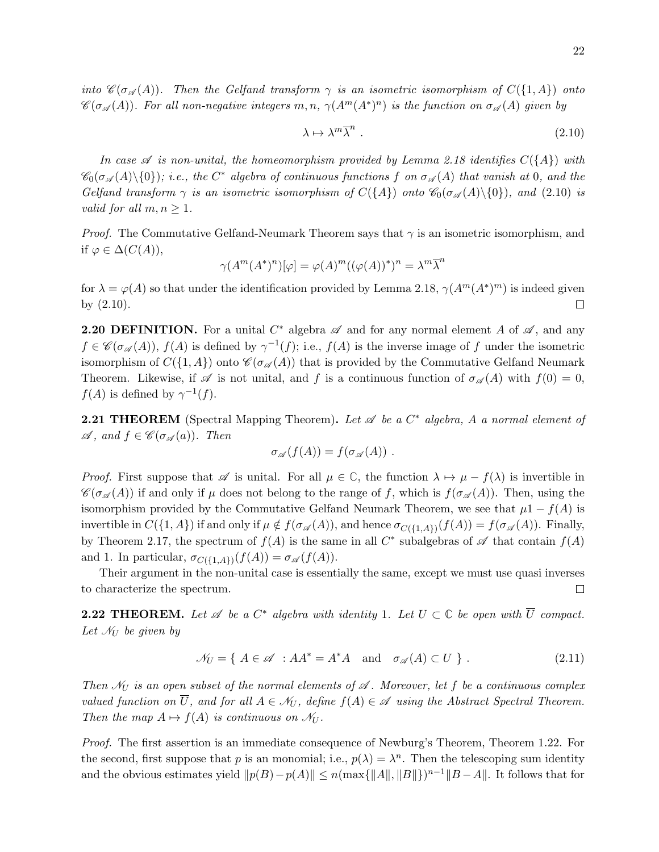into  $\mathscr{C}(\sigma_{\mathscr{A}}(A))$ . Then the Gelfand transform  $\gamma$  is an isometric isomorphism of  $C({1, A})$  onto  $\mathscr{C}(\sigma_{\mathscr{A}}(A))$ . For all non-negative integers  $m, n, \gamma(A^m(A^*)^n)$  is the function on  $\sigma_{\mathscr{A}}(A)$  given by

$$
\lambda \mapsto \lambda^m \overline{\lambda}^n \ . \tag{2.10}
$$

In case  $\mathscr A$  is non-unital, the homeomorphism provided by Lemma 2.18 identifies  $C({A})$  with  $\mathscr{C}_0(\sigma_{\mathscr{A}}(A)\setminus\{0\})$ ; i.e., the  $C^*$  algebra of continuous functions f on  $\sigma_{\mathscr{A}}(A)$  that vanish at 0, and the Gelfand transform  $\gamma$  is an isometric isomorphism of  $C({A})$  onto  $\mathcal{C}_0(\sigma_{\mathscr{A}}(A)\setminus\{0\})$ , and (2.10) is valid for all  $m, n \geq 1$ .

*Proof.* The Commutative Gelfand-Neumark Theorem says that  $\gamma$  is an isometric isomorphism, and if  $\varphi \in \Delta(C(A)),$ 

$$
\gamma(A^m(A^*)^n)[\varphi] = \varphi(A)^m((\varphi(A))^*)^n = \lambda^m \overline{\lambda}^n
$$

for  $\lambda = \varphi(A)$  so that under the identification provided by Lemma 2.18,  $\gamma(A^m(A^*)^m)$  is indeed given by (2.10).  $\Box$ 

**2.20 DEFINITION.** For a unital  $C^*$  algebra  $\mathscr A$  and for any normal element A of  $\mathscr A$ , and any  $f \in \mathscr{C}(\sigma_{\mathscr{A}}(A)), f(A)$  is defined by  $\gamma^{-1}(f)$ ; i.e.,  $f(A)$  is the inverse image of f under the isometric isomorphism of  $C({1, A})$  onto  $\mathscr{C}(\sigma_{\mathscr{A}}(A))$  that is provided by the Commutative Gelfand Neumark Theorem. Likewise, if  $\mathscr A$  is not unital, and f is a continuous function of  $\sigma_{\mathscr A}(A)$  with  $f(0) = 0$ ,  $f(A)$  is defined by  $\gamma^{-1}(f)$ .

**2.21 THEOREM** (Spectral Mapping Theorem). Let  $\mathscr A$  be a  $C^*$  algebra, A a normal element of  $\mathscr A$ , and  $f \in \mathscr C(\sigma_{\mathscr A}(a))$ . Then

$$
\sigma_{\mathscr{A}}(f(A))=f(\sigma_{\mathscr{A}}(A))\ .
$$

*Proof.* First suppose that  $\mathscr A$  is unital. For all  $\mu \in \mathbb C$ , the function  $\lambda \mapsto \mu - f(\lambda)$  is invertible in  $\mathscr{C}(\sigma_{\mathscr{A}}(A))$  if and only if  $\mu$  does not belong to the range of f, which is  $f(\sigma_{\mathscr{A}}(A))$ . Then, using the isomorphism provided by the Commutative Gelfand Neumark Theorem, we see that  $\mu$ 1 –  $f(A)$  is invertible in  $C({1, A})$  if and only if  $\mu \notin f(\sigma_{\mathscr{A}}(A))$ , and hence  $\sigma_{C({1, A})}(f(A)) = f(\sigma_{\mathscr{A}}(A))$ . Finally, by Theorem 2.17, the spectrum of  $f(A)$  is the same in all  $C^*$  subalgebras of  $\mathscr A$  that contain  $f(A)$ and 1. In particular,  $\sigma_{C(\{1,A\})}(f(A)) = \sigma_{\mathscr{A}}(f(A)).$ 

Their argument in the non-unital case is essentially the same, except we must use quasi inverses  $\Box$ to characterize the spectrum.

**2.22 THEOREM.** Let  $\mathscr A$  be a  $C^*$  algebra with identity 1. Let  $U \subset \mathbb C$  be open with  $\overline{U}$  compact. Let  $\mathcal{N}_U$  be given by

$$
\mathcal{N}_U = \{ A \in \mathcal{A} : AA^* = A^*A \text{ and } \sigma_{\mathcal{A}}(A) \subset U \}.
$$
 (2.11)

Then  $\mathcal{N}_U$  is an open subset of the normal elements of  $\mathscr A$ . Moreover, let f be a continuous complex valued function on  $\overline{U}$ , and for all  $A \in \mathcal{N}_U$ , define  $f(A) \in \mathcal{A}$  using the Abstract Spectral Theorem. Then the map  $A \mapsto f(A)$  is continuous on  $\mathcal{N}_U$ .

Proof. The first assertion is an immediate consequence of Newburg's Theorem, Theorem 1.22. For the second, first suppose that p is an monomial; i.e.,  $p(\lambda) = \lambda^n$ . Then the telescoping sum identity and the obvious estimates yield  $||p(B) - p(A)|| \le n(\max{||A||, ||B||})^{n-1} ||B - A||$ . It follows that for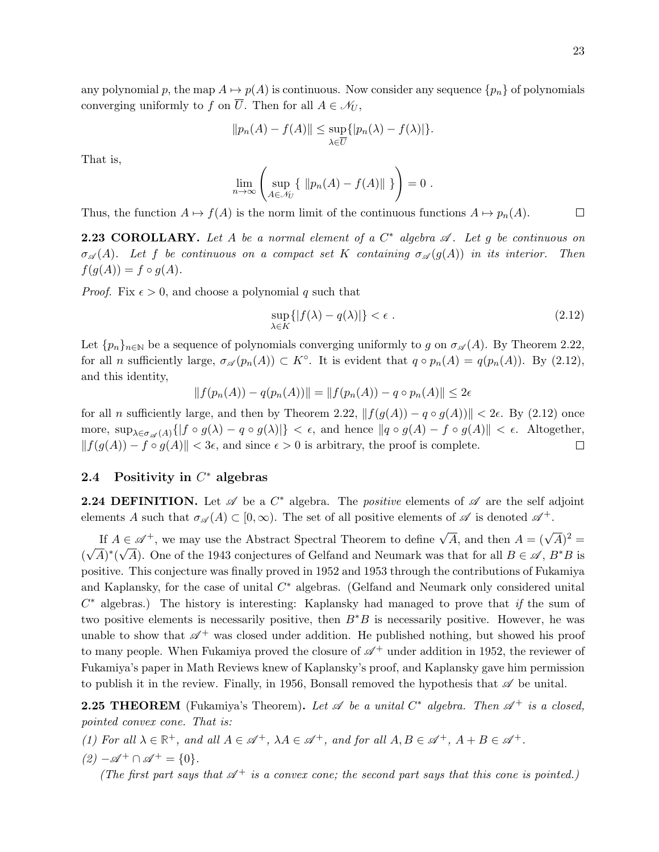any polynomial p, the map  $A \mapsto p(A)$  is continuous. Now consider any sequence  $\{p_n\}$  of polynomials converging uniformly to f on  $\overline{U}$ . Then for all  $A \in \mathcal{N}_U$ ,

$$
||p_n(A) - f(A)|| \le \sup_{\lambda \in \overline{U}} \{|p_n(\lambda) - f(\lambda)|\}.
$$

That is,

$$
\lim_{n\to\infty}\left(\sup_{A\in\mathcal{N}_U}\left\{\|p_n(A)-f(A)\|\right\}\right)=0.
$$

Thus, the function  $A \mapsto f(A)$  is the norm limit of the continuous functions  $A \mapsto p_n(A)$ .  $\Box$ 

**2.23 COROLLARY.** Let A be a normal element of a  $C^*$  algebra  $\mathscr A$ . Let g be continuous on  $\sigma_{\mathscr{A}}(A)$ . Let f be continuous on a compact set K containing  $\sigma_{\mathscr{A}}(g(A))$  in its interior. Then  $f(g(A)) = f \circ g(A).$ 

*Proof.* Fix  $\epsilon > 0$ , and choose a polynomial q such that

$$
\sup_{\lambda \in K} \{ |f(\lambda) - q(\lambda)| \} < \epsilon . \tag{2.12}
$$

Let  $\{p_n\}_{n\in\mathbb{N}}$  be a sequence of polynomials converging uniformly to g on  $\sigma_{\mathscr{A}}(A)$ . By Theorem 2.22, for all *n* sufficiently large,  $\sigma_{\mathscr{A}}(p_n(A)) \subset K^{\circ}$ . It is evident that  $q \circ p_n(A) = q(p_n(A))$ . By (2.12), and this identity,

$$
|| f(p_n(A)) - q(p_n(A)) || = || f(p_n(A)) - q \circ p_n(A) || \le 2\epsilon
$$

for all n sufficiently large, and then by Theorem 2.22,  $|| f(g(A)) - q \circ g(A)) || < 2\epsilon$ . By (2.12) once more,  $\sup_{\lambda \in \sigma_{\mathscr{A}}(A)} \{ |f \circ g(\lambda) - q \circ g(\lambda)| \} < \epsilon$ , and hence  $||q \circ g(A) - f \circ g(A)|| < \epsilon$ . Altogether,  $|| f(g(A)) - f \circ g(A) || < 3\epsilon$ , and since  $\epsilon > 0$  is arbitrary, the proof is complete.  $\Box$ 

# 2.4 Positivity in  $C^*$  algebras

**2.24 DEFINITION.** Let  $\mathscr A$  be a  $C^*$  algebra. The *positive* elements of  $\mathscr A$  are the self adjoint elements A such that  $\sigma_{\mathscr{A}}(A) \subset [0,\infty)$ . The set of all positive elements of  $\mathscr A$  is denoted  $\mathscr A^+$ .

If  $A \in \mathscr{A}^+$ , we may use the Abstract Spectral Theorem to define  $\sqrt{A}$ , and then  $A = (\sqrt{A})^2 = \sqrt{A^2 + A^2}$ ( √  $\overline{A})^*(\sqrt{A})$ . One of the 1943 conjectures of Gelfand and Neumark was that for all  $B \in \mathscr{A}$ ,  $B^*B$  is positive. This conjecture was finally proved in 1952 and 1953 through the contributions of Fukamiya and Kaplansky, for the case of unital  $C^*$  algebras. (Gelfand and Neumark only considered unital  $C^*$  algebras.) The history is interesting: Kaplansky had managed to prove that if the sum of two positive elements is necessarily positive, then  $B^*B$  is necessarily positive. However, he was unable to show that  $\mathscr{A}^+$  was closed under addition. He published nothing, but showed his proof to many people. When Fukamiya proved the closure of  $\mathscr{A}^+$  under addition in 1952, the reviewer of Fukamiya's paper in Math Reviews knew of Kaplansky's proof, and Kaplansky gave him permission to publish it in the review. Finally, in 1956, Bonsall removed the hypothesis that  $\mathscr A$  be unital.

**2.25 THEOREM** (Fukamiya's Theorem). Let  $\mathscr A$  be a unital  $C^*$  algebra. Then  $\mathscr A^+$  is a closed, pointed convex cone. That is:

(1) For all  $\lambda \in \mathbb{R}^+$ , and all  $A \in \mathscr{A}^+$ ,  $\lambda A \in \mathscr{A}^+$ , and for all  $A, B \in \mathscr{A}^+$ ,  $A + B \in \mathscr{A}^+$ .

 $(2) - \mathscr{A}^+ \cap \mathscr{A}^+ = \{0\}.$ 

(The first part says that  $\mathscr{A}^+$  is a convex cone; the second part says that this cone is pointed.)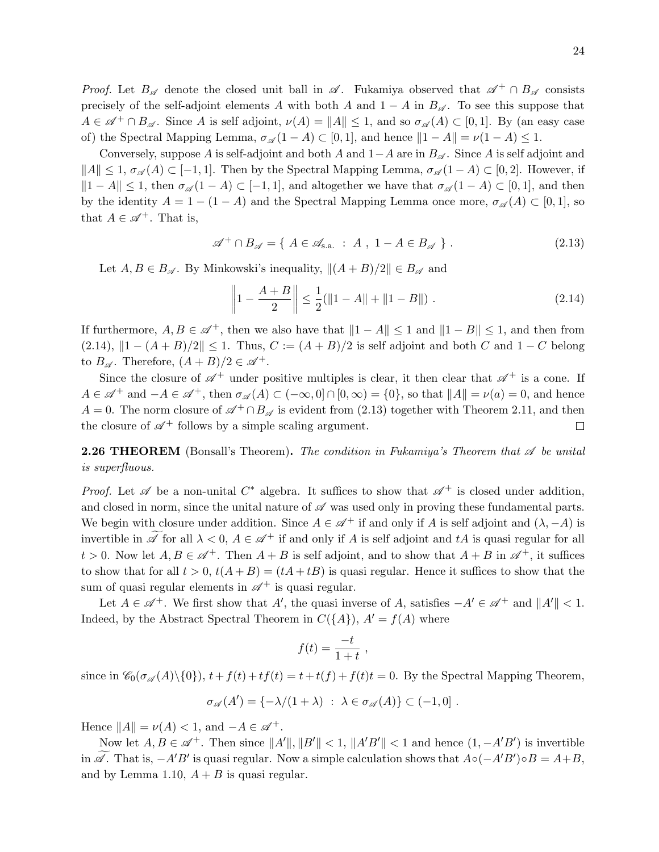*Proof.* Let  $B_{\mathscr{A}}$  denote the closed unit ball in  $\mathscr{A}$ . Fukamiya observed that  $\mathscr{A}^+ \cap B_{\mathscr{A}}$  consists precisely of the self-adjoint elements A with both A and  $1 - A$  in  $B_{\mathscr{A}}$ . To see this suppose that  $A \in \mathscr{A}^+ \cap B_{\mathscr{A}}$ . Since A is self adjoint,  $\nu(A) = ||A|| \leq 1$ , and so  $\sigma_{\mathscr{A}}(A) \subset [0,1]$ . By (an easy case of) the Spectral Mapping Lemma,  $\sigma_{\mathscr{A}}(1 - A) \subset [0, 1]$ , and hence  $||1 - A|| = \nu(1 - A) \leq 1$ .

Conversely, suppose A is self-adjoint and both A and  $1-A$  are in  $B_{\mathscr{A}}$ . Since A is self adjoint and  $||A|| \leq 1, \sigma_{\mathscr{A}}(A) \subset [-1, 1].$  Then by the Spectral Mapping Lemma,  $\sigma_{\mathscr{A}}(1-A) \subset [0, 2]$ . However, if  $||1 - A|| \leq 1$ , then  $\sigma_{\mathscr{A}}(1 - A) \subset [-1, 1]$ , and altogether we have that  $\sigma_{\mathscr{A}}(1 - A) \subset [0, 1]$ , and then by the identity  $A = 1 - (1 - A)$  and the Spectral Mapping Lemma once more,  $\sigma_{\mathscr{A}}(A) \subset [0, 1]$ , so that  $A \in \mathscr{A}^+$ . That is,

$$
\mathscr{A}^+ \cap B_{\mathscr{A}} = \{ A \in \mathscr{A}_{\text{s.a.}} : A, 1 - A \in B_{\mathscr{A}} \}.
$$
 (2.13)

Let  $A, B \in B_{\mathscr{A}}$ . By Minkowski's inequality,  $\|(A + B)/2\| \in B_{\mathscr{A}}$  and

$$
\left\| 1 - \frac{A+B}{2} \right\| \le \frac{1}{2} (\|1 - A\| + \|1 - B\|) . \tag{2.14}
$$

If furthermore,  $A, B \in \mathscr{A}^+$ , then we also have that  $||1 - A|| \leq 1$  and  $||1 - B|| \leq 1$ , and then from  $(2.14), \|1-(A+B)/2\| \leq 1.$  Thus,  $C := (A+B)/2$  is self adjoint and both C and  $1-C$  belong to  $B_{\mathscr{A}}$ . Therefore,  $(A + B)/2 \in \mathscr{A}^+$ .

Since the closure of  $\mathscr{A}^+$  under positive multiples is clear, it then clear that  $\mathscr{A}^+$  is a cone. If  $A \in \mathscr{A}^+$  and  $-A \in \mathscr{A}^+$ , then  $\sigma_{\mathscr{A}}(A) \subset (-\infty, 0] \cap [0, \infty) = \{0\}$ , so that  $||A|| = \nu(a) = 0$ , and hence  $A = 0$ . The norm closure of  $\mathscr{A}^+ \cap B_{\mathscr{A}}$  is evident from (2.13) together with Theorem 2.11, and then the closure of  $\mathscr{A}^+$  follows by a simple scaling argument. □

**2.26 THEOREM** (Bonsall's Theorem). The condition in Fukamiya's Theorem that  $\mathscr A$  be unital is superfluous.

*Proof.* Let  $\mathscr A$  be a non-unital  $C^*$  algebra. It suffices to show that  $\mathscr A^+$  is closed under addition, and closed in norm, since the unital nature of  $\mathscr A$  was used only in proving these fundamental parts. We begin with closure under addition. Since  $A \in \mathscr{A}^+$  if and only if A is self adjoint and  $(\lambda, -A)$  is invertible in  $\mathscr A$  for all  $\lambda < 0$ ,  $A \in \mathscr A^+$  if and only if A is self adjoint and tA is quasi regular for all  $t > 0$ . Now let  $A, B \in \mathcal{A}^+$ . Then  $A + B$  is self adjoint, and to show that  $A + B$  in  $\mathcal{A}^+$ , it suffices to show that for all  $t > 0$ ,  $t(A + B) = (tA + tB)$  is quasi regular. Hence it suffices to show that the sum of quasi regular elements in  $\mathscr{A}^+$  is quasi regular.

Let  $A \in \mathscr{A}^+$ . We first show that A', the quasi inverse of A, satisfies  $-A' \in \mathscr{A}^+$  and  $||A'|| < 1$ . Indeed, by the Abstract Spectral Theorem in  $C({A}), A' = f(A)$  where

$$
f(t) = \frac{-t}{1+t} ,
$$

since in  $\mathscr{C}_0(\sigma_{\mathscr{A}}(A)\setminus\{0\}), t+f(t)+tf(t) = t+t(f)+f(t)t = 0$ . By the Spectral Mapping Theorem,

$$
\sigma_{\mathscr{A}}(A') = \{-\lambda/(1+\lambda) \; : \; \lambda \in \sigma_{\mathscr{A}}(A)\} \subset (-1,0] \; .
$$

Hence  $||A|| = \nu(A) < 1$ , and  $-A \in \mathscr{A}^+$ .

Now let  $A, B \in \mathscr{A}^+$ . Then since  $||A'||, ||B'|| < 1, ||A'B'|| < 1$  and hence  $(1, -A'B')$  is invertible in  $\widetilde{\mathscr{A}}$ . That is,  $-A'B'$  is quasi regular. Now a simple calculation shows that  $A \circ (-A'B') \circ B = A + B$ , and by Lemma 1.10,  $A + B$  is quasi regular.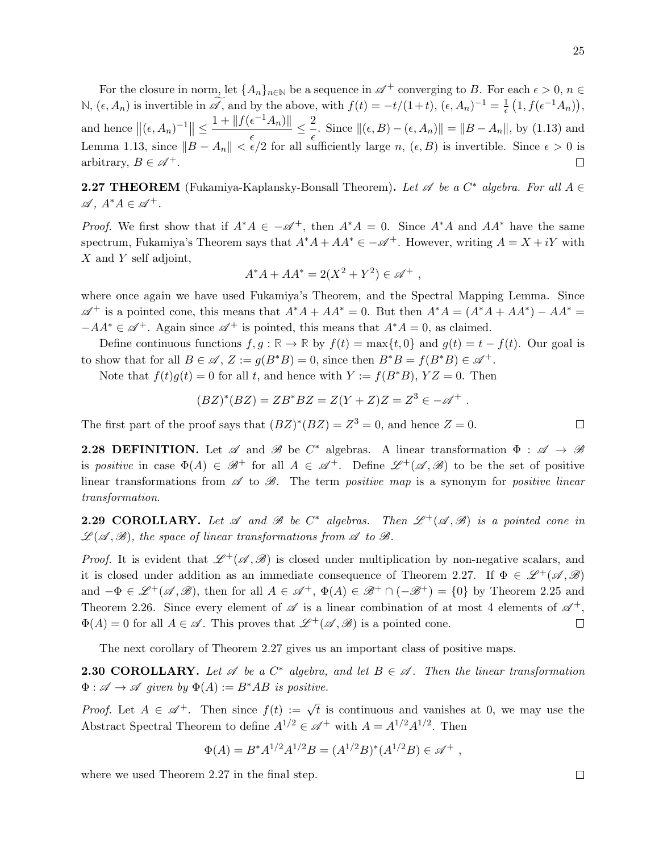For the closure in norm, let  $\{A_n\}_{n\in\mathbb{N}}$  be a sequence in  $\mathscr{A}^+$  converging to B. For each  $\epsilon > 0$ ,  $n \in$ N,  $(\epsilon, A_n)$  is invertible in  $\widetilde{\mathscr{A}}$ , and by the above, with  $f(t) = -t/(1+t)$ ,  $(\epsilon, A_n)^{-1} = \frac{1}{\epsilon}$  $\frac{1}{\epsilon}\left(1, f(\epsilon^{-1}A_n)\right),$ and hence  $\left\| (\epsilon, A_n)^{-1} \right\| \leq \frac{1 + \left\| f(\epsilon^{-1}A_n) \right\|}{\epsilon}$  $\frac{\epsilon^{-1}A_n)\|}{\epsilon} \leq \frac{2}{\epsilon}$  $\frac{2}{\epsilon}$ . Since  $\|(\epsilon, B) - (\epsilon, A_n)\| = \|B - A_n\|$ , by (1.13) and Lemma 1.13, since  $||B - A_n|| < \epsilon/2$  for all sufficiently large n,  $(\epsilon, B)$  is invertible. Since  $\epsilon > 0$  is arbitrary,  $B \in \mathscr{A}^+$ .  $\Box$ 

**2.27 THEOREM** (Fukamiya-Kaplansky-Bonsall Theorem). Let  $\mathscr A$  be a  $C^*$  algebra. For all  $A \in$  $\mathscr{A}, A^*A \in \mathscr{A}^+$ .

*Proof.* We first show that if  $A^*A \in -A^+$ , then  $A^*A = 0$ . Since  $A^*A$  and  $AA^*$  have the same spectrum, Fukamiya's Theorem says that  $A^*A + AA^* \in -A^+$ . However, writing  $A = X + iY$  with X and Y self adjoint,

$$
A^*A + AA^* = 2(X^2 + Y^2) \in \mathscr{A}^+ ,
$$

where once again we have used Fukamiya's Theorem, and the Spectral Mapping Lemma. Since  $\mathscr{A}^+$  is a pointed cone, this means that  $A^*A + AA^* = 0$ . But then  $A^*A = (A^*A + AA^*) - AA^* = 0$  $-AA^* \in \mathscr{A}^+$ . Again since  $\mathscr{A}^+$  is pointed, this means that  $A^*A = 0$ , as claimed.

Define continuous functions  $f, g : \mathbb{R} \to \mathbb{R}$  by  $f(t) = \max\{t, 0\}$  and  $g(t) = t - f(t)$ . Our goal is to show that for all  $B \in \mathscr{A}, Z := g(B^*B) = 0$ , since then  $B^*B = f(B^*B) \in \mathscr{A}^+$ .

Note that  $f(t)g(t) = 0$  for all t, and hence with  $Y := f(B^*B)$ ,  $YZ = 0$ . Then

$$
(BZ)^{*}(BZ) = ZB^{*}BZ = Z(Y + Z)Z = Z^{3} \in -\mathscr{A}^{+}.
$$

The first part of the proof says that  $(BZ)^*(BZ) = Z^3 = 0$ , and hence  $Z = 0$ .

**2.28 DEFINITION.** Let  $\mathscr A$  and  $\mathscr B$  be  $C^*$  algebras. A linear transformation  $\Phi : \mathscr A \to \mathscr B$ is positive in case  $\Phi(A) \in \mathcal{B}^+$  for all  $A \in \mathcal{A}^+$ . Define  $\mathcal{L}^+(\mathcal{A}, \mathcal{B})$  to be the set of positive linear transformations from  $\mathscr A$  to  $\mathscr B$ . The term positive map is a synonym for positive linear transformation.

**2.29 COROLLARY.** Let  $\mathscr A$  and  $\mathscr B$  be  $C^*$  algebras. Then  $\mathscr L^+(\mathscr A,\mathscr B)$  is a pointed cone in  $\mathscr{L}(\mathscr{A},\mathscr{B})$ , the space of linear transformations from  $\mathscr{A}$  to  $\mathscr{B}$ .

*Proof.* It is evident that  $\mathscr{L}^+(\mathscr{A}, \mathscr{B})$  is closed under multiplication by non-negative scalars, and it is closed under addition as an immediate consequence of Theorem 2.27. If  $\Phi \in \mathcal{L}^+(\mathscr{A},\mathscr{B})$ and  $-\Phi \in \mathcal{L}^+(\mathcal{A}, \mathcal{B})$ , then for all  $A \in \mathcal{A}^+, \Phi(A) \in \mathcal{B}^+ \cap (-\mathcal{B}^+) = \{0\}$  by Theorem 2.25 and Theorem 2.26. Since every element of  $\mathscr A$  is a linear combination of at most 4 elements of  $\mathscr A^+$ ,  $\Phi(A) = 0$  for all  $A \in \mathscr{A}$ . This proves that  $\mathscr{L}^+(\mathscr{A}, \mathscr{B})$  is a pointed cone.  $\Box$ 

The next corollary of Theorem 2.27 gives us an important class of positive maps.

**2.30 COROLLARY.** Let  $\mathscr A$  be a  $C^*$  algebra, and let  $B \in \mathscr A$ . Then the linear transformation  $\Phi : \mathscr{A} \to \mathscr{A}$  given by  $\Phi(A) := B^*AB$  is positive.

*Proof.* Let  $A \in \mathscr{A}^+$ . Then since  $f(t) := \sqrt{t}$  is continuous and vanishes at 0, we may use the Abstract Spectral Theorem to define  $A^{1/2} \in \mathcal{A}^+$  with  $A = A^{1/2} A^{1/2}$ . Then

$$
\Phi(A) = B^* A^{1/2} A^{1/2} B = (A^{1/2} B)^* (A^{1/2} B) \in \mathscr{A}^+ ,
$$

where we used Theorem 2.27 in the final step.

 $\Box$ 

 $\Box$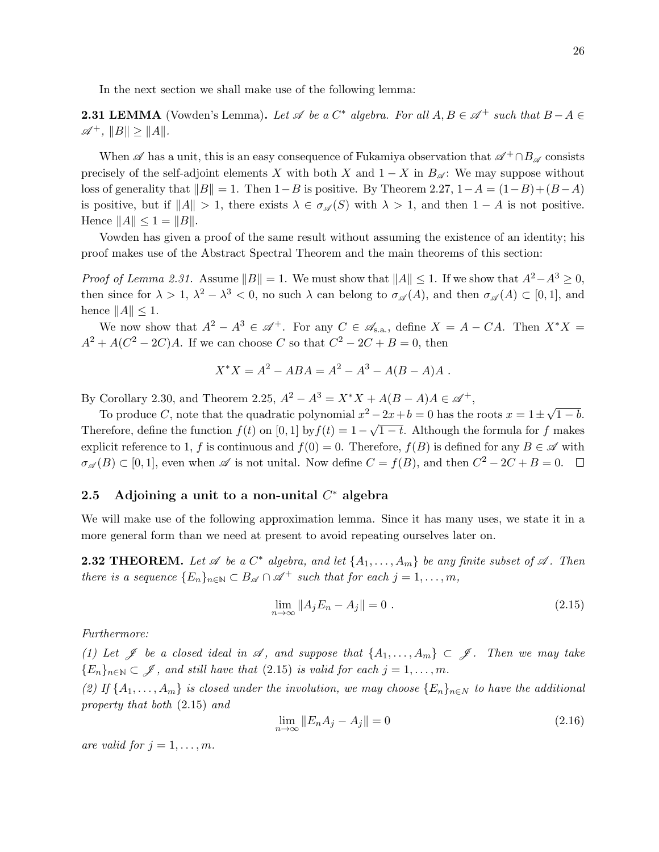In the next section we shall make use of the following lemma:

**2.31 LEMMA** (Vowden's Lemma). Let  $\mathscr A$  be a  $C^*$  algebra. For all  $A, B \in \mathscr A^+$  such that  $B - A \in$  $\mathscr{A}^+$ ,  $||B|| \geq ||A||$ .

When  $\mathscr A$  has a unit, this is an easy consequence of Fukamiya observation that  $\mathscr A^+\cap B_{\mathscr A}$  consists precisely of the self-adjoint elements X with both X and  $1 - X$  in  $B_{\mathscr{A}}$ : We may suppose without loss of generality that  $||B|| = 1$ . Then  $1-B$  is positive. By Theorem 2.27,  $1-A = (1-B)+(B-A)$ is positive, but if  $||A|| > 1$ , there exists  $\lambda \in \sigma_{\mathscr{A}}(S)$  with  $\lambda > 1$ , and then  $1 - A$  is not positive. Hence  $||A|| \leq 1 = ||B||$ .

Vowden has given a proof of the same result without assuming the existence of an identity; his proof makes use of the Abstract Spectral Theorem and the main theorems of this section:

*Proof of Lemma 2.31.* Assume  $||B|| = 1$ . We must show that  $||A|| \le 1$ . If we show that  $A^2 - A^3 \ge 0$ , then since for  $\lambda > 1$ ,  $\lambda^2 - \lambda^3 < 0$ , no such  $\lambda$  can belong to  $\sigma_{\mathscr{A}}(A)$ , and then  $\sigma_{\mathscr{A}}(A) \subset [0,1]$ , and hence  $||A|| \leq 1$ .

We now show that  $A^2 - A^3 \in \mathscr{A}^+$ . For any  $C \in \mathscr{A}_{s.a.}$ , define  $X = A - CA$ . Then  $X^*X =$  $A^2 + A(C^2 - 2C)A$ . If we can choose C so that  $C^2 - 2C + B = 0$ , then

$$
X^*X = A^2 - ABA = A^2 - A^3 - A(B - A)A.
$$

By Corollary 2.30, and Theorem 2.25,  $A^2 - A^3 = X^*X + A(B - A)A \in \mathcal{A}^+$ ,

To produce C, note that the quadratic polynomial  $x^2 - 2x + b = 0$  has the roots  $x = 1 \pm \sqrt{2}$  $\overline{-2x} + b = 0$  has the roots  $x = 1 \pm \sqrt{1 - b}$ . Therefore, define the function  $f(t)$  on [0, 1] by  $f(t) = 1 - \sqrt{1-t}$ . Although the formula for f makes explicit reference to 1, f is continuous and  $f(0) = 0$ . Therefore,  $f(B)$  is defined for any  $B \in \mathscr{A}$  with  $\sigma_{\mathscr{A}}(B) \subset [0,1]$ , even when  $\mathscr{A}$  is not unital. Now define  $C = f(B)$ , and then  $C^2 - 2C + B = 0$ .

# 2.5 Adjoining a unit to a non-unital  $C^*$  algebra

We will make use of the following approximation lemma. Since it has many uses, we state it in a more general form than we need at present to avoid repeating ourselves later on.

**2.32 THEOREM.** Let  $\mathscr A$  be a  $C^*$  algebra, and let  $\{A_1, \ldots, A_m\}$  be any finite subset of  $\mathscr A$ . Then there is a sequence  ${E_n}_{n \in \mathbb{N}} \subset B_{\mathscr{A}} \cap \mathscr{A}^+$  such that for each  $j = 1, \ldots, m$ ,

$$
\lim_{n \to \infty} \|A_j E_n - A_j\| = 0.
$$
\n(2.15)

Furthermore:

(1) Let  $\mathscr J$  be a closed ideal in  $\mathscr A$ , and suppose that  $\{A_1,\ldots,A_m\}\subset\mathscr J$ . Then we may take  ${E_n}_{n\in\mathbb{N}}\subset\mathscr{J}$ , and still have that (2.15) is valid for each  $j=1,\ldots,m$ .

(2) If  $\{A_1,\ldots,A_m\}$  is closed under the involution, we may choose  $\{E_n\}_{n\in\mathbb{N}}$  to have the additional property that both (2.15) and

$$
\lim_{n \to \infty} \|E_n A_j - A_j\| = 0
$$
\n(2.16)

are valid for  $j = 1, \ldots, m$ .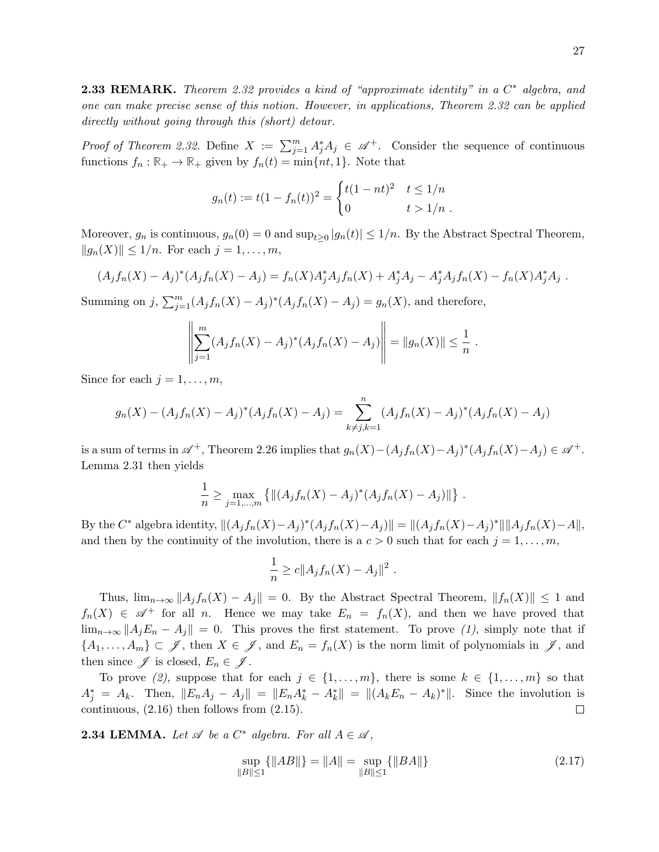**2.33 REMARK.** Theorem 2.32 provides a kind of "approximate identity" in a  $C^*$  algebra, and one can make precise sense of this notion. However, in applications, Theorem 2.32 can be applied directly without going through this (short) detour.

*Proof of Theorem 2.32.* Define  $X := \sum_{j=1}^{m} A_j^* A_j \in \mathscr{A}^+$ . Consider the sequence of continuous functions  $f_n : \mathbb{R}_+ \to \mathbb{R}_+$  given by  $f_n(t) = \min\{nt, 1\}$ . Note that

$$
g_n(t) := t(1 - f_n(t))^2 = \begin{cases} t(1 - nt)^2 & t \le 1/n \\ 0 & t > 1/n \end{cases}
$$

Moreover,  $g_n$  is continuous,  $g_n(0) = 0$  and  $\sup_{t \geq 0} |g_n(t)| \leq 1/n$ . By the Abstract Spectral Theorem,  $||g_n(X)|| \leq 1/n$ . For each  $j = 1, ..., m$ ,

$$
(A_jf_n(X) - A_j)^*(A_jf_n(X) - A_j) = f_n(X)A_j^*A_jf_n(X) + A_j^*A_j - A_j^*A_jf_n(X) - f_n(X)A_j^*A_j.
$$

Summing on j,  $\sum_{j=1}^{m} (A_j f_n(X) - A_j)^*(A_j f_n(X) - A_j) = g_n(X)$ , and therefore,

$$
\left\| \sum_{j=1}^m (A_j f_n(X) - A_j)^* (A_j f_n(X) - A_j) \right\| = \|g_n(X)\| \le \frac{1}{n}
$$

.

Since for each  $j = 1, \ldots, m$ ,

$$
g_n(X) - (A_j f_n(X) - A_j)^*(A_j f_n(X) - A_j) = \sum_{k \neq j, k=1}^n (A_j f_n(X) - A_j)^*(A_j f_n(X) - A_j)
$$

is a sum of terms in  $\mathscr{A}^+$ , Theorem 2.26 implies that  $g_n(X) - (A_j f_n(X) - A_j)^*(A_j f_n(X) - A_j) \in \mathscr{A}^+$ . Lemma 2.31 then yields

$$
\frac{1}{n} \ge \max_{j=1,\dots,m} \{ \|(A_j f_n(X) - A_j)^*(A_j f_n(X) - A_j) \| \} .
$$

By the  $C^*$  algebra identity,  $||(A_jf_n(X)-A_j)^*(A_jf_n(X)-A_j)|| = ||(A_jf_n(X)-A_j)^*|| ||A_jf_n(X)-A||$ , and then by the continuity of the involution, there is a  $c > 0$  such that for each  $j = 1, \ldots, m$ ,

$$
\frac{1}{n} \ge c ||A_j f_n(X) - A_j||^2.
$$

Thus,  $\lim_{n\to\infty} ||A_j f_n(X) - A_j|| = 0$ . By the Abstract Spectral Theorem,  $||f_n(X)|| \leq 1$  and  $f_n(X) \in \mathscr{A}^+$  for all n. Hence we may take  $E_n = f_n(X)$ , and then we have proved that  $\lim_{n\to\infty}||A_jE_n - A_j|| = 0$ . This proves the first statement. To prove (1), simply note that if  $\{A_1,\ldots,A_m\}\subset\mathscr{J}$ , then  $X\in\mathscr{J}$ , and  $E_n=f_n(X)$  is the norm limit of polynomials in  $\mathscr{J}$ , and then since  $\mathscr{J}$  is closed,  $E_n \in \mathscr{J}$ .

To prove (2), suppose that for each  $j \in \{1, \ldots, m\}$ , there is some  $k \in \{1, \ldots, m\}$  so that  $A_j^* = A_k$ . Then,  $||E_n A_j - A_j|| = ||E_n A_k^* - A_k^*|| = ||(A_k E_n - A_k)^*||$ . Since the involution is continuous, (2.16) then follows from (2.15).  $\Box$ 

**2.34 LEMMA.** Let  $\mathscr A$  be a  $C^*$  algebra. For all  $A \in \mathscr A$ ,

$$
\sup_{\|B\| \le 1} {\|AB\|} = \|A\| = \sup_{\|B\| \le 1} {\|BA\|}
$$
\n(2.17)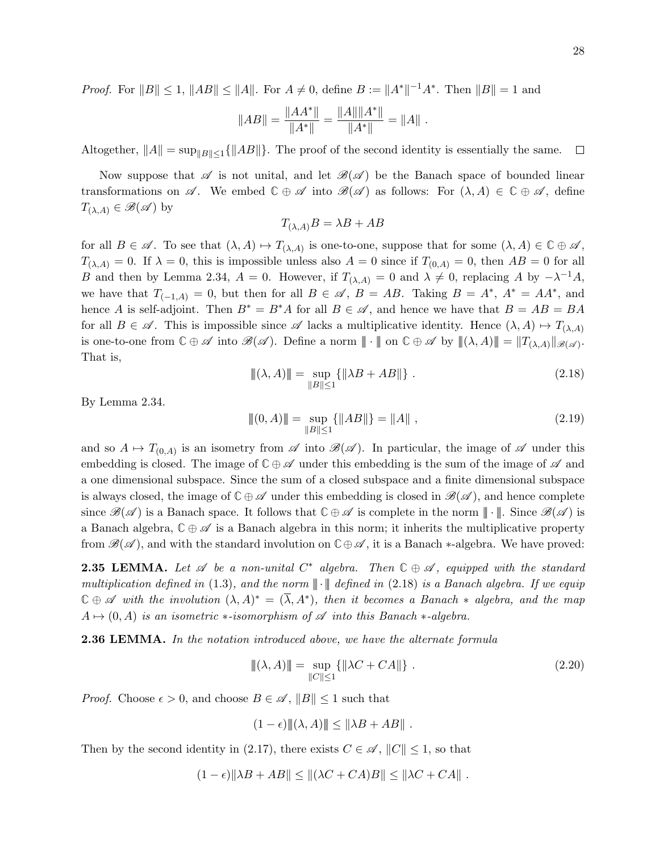*Proof.* For  $||B|| \le 1$ ,  $||AB|| \le ||A||$ . For  $A \ne 0$ , define  $B := ||A^*||^{-1}A^*$ . Then  $||B|| = 1$  and

$$
||AB|| = \frac{||AA^*||}{||A^*||} = \frac{||A|| ||A^*||}{||A^*||} = ||A||.
$$

Altogether,  $||A|| = \sup_{||B|| \leq 1} \{||AB||\}$ . The proof of the second identity is essentially the same.  $\Box$ 

Now suppose that  $\mathscr A$  is not unital, and let  $\mathscr B(\mathscr A)$  be the Banach space of bounded linear transformations on  $\mathscr A$ . We embed  $\mathbb C \oplus \mathscr A$  into  $\mathscr B(\mathscr A)$  as follows: For  $(\lambda, A) \in \mathbb C \oplus \mathscr A$ , define  $T_{(\lambda,A)} \in \mathscr{B}(\mathscr{A})$  by

$$
T_{(\lambda,A)}B = \lambda B + AB
$$

for all  $B \in \mathscr{A}$ . To see that  $(\lambda, A) \mapsto T_{(\lambda, A)}$  is one-to-one, suppose that for some  $(\lambda, A) \in \mathbb{C} \oplus \mathscr{A}$ ,  $T_{(\lambda,A)} = 0$ . If  $\lambda = 0$ , this is impossible unless also  $A = 0$  since if  $T_{(0,A)} = 0$ , then  $AB = 0$  for all B and then by Lemma 2.34,  $A = 0$ . However, if  $T_{(\lambda,A)} = 0$  and  $\lambda \neq 0$ , replacing A by  $-\lambda^{-1}A$ , we have that  $T_{(-1, A)} = 0$ , but then for all  $B \in \mathscr{A}$ ,  $B = AB$ . Taking  $B = A^*$ ,  $A^* = AA^*$ , and hence A is self-adjoint. Then  $B^* = B^*A$  for all  $B \in \mathscr{A}$ , and hence we have that  $B = AB = BA$ for all  $B \in \mathscr{A}$ . This is impossible since  $\mathscr{A}$  lacks a multiplicative identity. Hence  $(\lambda, A) \mapsto T_{(\lambda, A)}$ is one-to-one from  $\mathbb{C} \oplus \mathscr{A}$  into  $\mathscr{B}(\mathscr{A})$ . Define a norm  $\|\cdot\|$  on  $\mathbb{C} \oplus \mathscr{A}$  by  $\|(\lambda, A)\| = \|T_{(\lambda, A)}\|_{\mathscr{B}(\mathscr{A})}$ . That is,

$$
\|(\lambda, A)\| = \sup_{\|B\| \le 1} \{ \|\lambda B + AB\| \} .
$$
\n(2.18)

By Lemma 2.34.

$$
|\!|\!|(0,A)\!|\!|\!| = \sup_{\|B\|\le 1} \{||AB||\} = ||A||\,,\tag{2.19}
$$

and so  $A \mapsto T_{(0,A)}$  is an isometry from  $\mathscr A$  into  $\mathscr B(\mathscr A)$ . In particular, the image of  $\mathscr A$  under this embedding is closed. The image of  $\mathbb{C} \oplus \mathscr{A}$  under this embedding is the sum of the image of  $\mathscr A$  and a one dimensional subspace. Since the sum of a closed subspace and a finite dimensional subspace is always closed, the image of  $\mathbb{C} \oplus \mathscr{A}$  under this embedding is closed in  $\mathscr{B}(\mathscr{A})$ , and hence complete since  $\mathscr{B}(\mathscr{A})$  is a Banach space. It follows that  $\mathbb{C} \oplus \mathscr{A}$  is complete in the norm  $\|\cdot\|$ . Since  $\mathscr{B}(\mathscr{A})$  is a Banach algebra,  $\mathbb{C} \oplus \mathscr{A}$  is a Banach algebra in this norm; it inherits the multiplicative property from  $\mathcal{B}(\mathcal{A})$ , and with the standard involution on  $\mathbb{C} \oplus \mathcal{A}$ , it is a Banach  $*$ -algebra. We have proved:

**2.35 LEMMA.** Let  $\mathscr A$  be a non-unital  $C^*$  algebra. Then  $\mathbb C \oplus \mathscr A$ , equipped with the standard multiplication defined in (1.3), and the norm  $\|\cdot\|$  defined in (2.18) is a Banach algebra. If we equip  $\mathbb{C} \oplus \mathscr{A}$  with the involution  $(\lambda, A)^* = (\overline{\lambda}, A^*)$ , then it becomes a Banach  $*$  algebra, and the map  $A \mapsto (0, A)$  is an isometric  $*$ -isomorphism of  $\mathscr A$  into this Banach  $*$ -algebra.

**2.36 LEMMA.** In the notation introduced above, we have the alternate formula

$$
\|(\lambda, A)\| = \sup_{\|C\| \le 1} {\| \lambda C + C A \|}.
$$
\n(2.20)

*Proof.* Choose  $\epsilon > 0$ , and choose  $B \in \mathcal{A}$ ,  $||B|| \leq 1$  such that

 $(1 - \epsilon) ||(\lambda, A)|| \leq ||\lambda B + AB||$ .

Then by the second identity in (2.17), there exists  $C \in \mathscr{A}$ ,  $||C|| \leq 1$ , so that

$$
(1 - \epsilon) \|\lambda B + AB\| \le \|(\lambda C + CA)B\| \le \|\lambda C + CA\|.
$$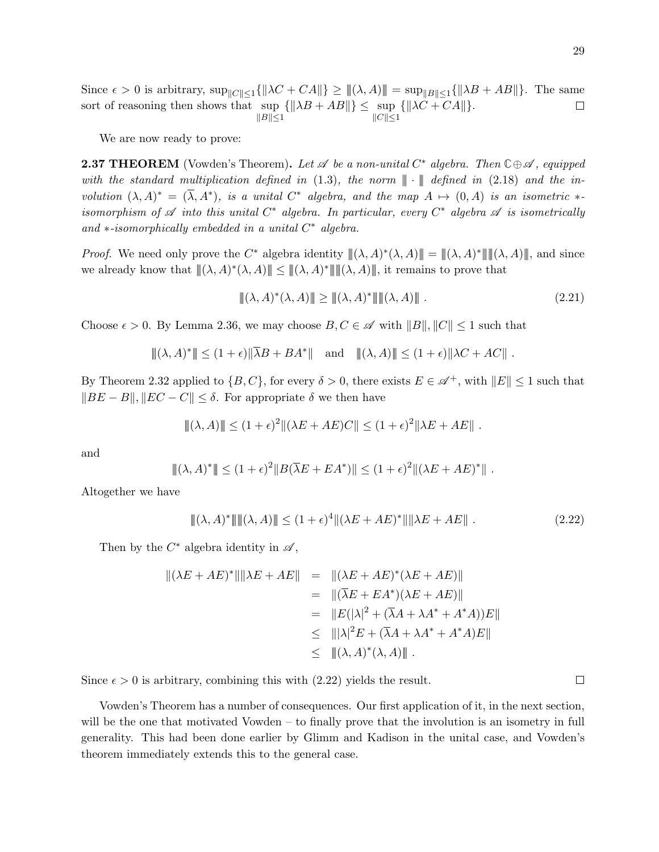Since  $\epsilon > 0$  is arbitrary,  $\sup_{\Vert C \Vert \leq 1} {\Vert \lambda C + CA \Vert} \geq \Vert (\lambda, A) \Vert = \sup_{\Vert B \Vert \leq 1} {\Vert \lambda B + AB \Vert}.$  The same sort of reasoning then shows that sup  $\{\|\lambda B + AB\|\} \leq \sup$  $\{\|\lambda C + CA\|\}.$  $\Box$  $||B|| \leq 1$  $||C|| \leq 1$ 

We are now ready to prove:

**2.37 THEOREM** (Vowden's Theorem). Let  $\mathscr A$  be a non-unital  $C^*$  algebra. Then  $\mathbb C \oplus \mathscr A$ , equipped with the standard multiplication defined in  $(1.3)$ , the norm  $\|\cdot\|$  defined in  $(2.18)$  and the involution  $(\lambda, A)^* = (\overline{\lambda}, A^*)$ , is a unital  $C^*$  algebra, and the map  $A \mapsto (0, A)$  is an isometric  $*$ isomorphism of  $\mathscr A$  into this unital  $C^*$  algebra. In particular, every  $C^*$  algebra  $\mathscr A$  is isometrically and  $*$ -isomorphically embedded in a unital  $C^*$  algebra.

*Proof.* We need only prove the C<sup>\*</sup> algebra identity  $\|(\lambda, A)^*(\lambda, A)\| = \|(\lambda, A)^*\| \|(\lambda, A)\|$ , and since we already know that  $\|(\lambda, A)^*(\lambda, A)\| \leq \|(\lambda, A)^*\| \|(\lambda, A)\|$ , it remains to prove that

 $||(\lambda, A)^*(\lambda, A)|| \ge ||(\lambda, A)^*|| ||(\lambda, A)||$ . (2.21)

Choose  $\epsilon > 0$ . By Lemma 2.36, we may choose  $B, C \in \mathscr{A}$  with  $||B||, ||C|| \leq 1$  such that

$$
|\!|\!|(\lambda,A)^*|\!|\!|\leq (1+\epsilon)| |\bar{\lambda}B+BA^*|\!|\quad\text{and}\quad |\!|\!|(\lambda,A)|\!|\!|\leq (1+\epsilon)| |\lambda C+AC|\!|\!|.
$$

By Theorem 2.32 applied to  $\{B, C\}$ , for every  $\delta > 0$ , there exists  $E \in \mathscr{A}^+$ , with  $||E|| \leq 1$  such that  $||BE - B||$ ,  $||EC - C||$  ≤  $\delta$ . For appropriate  $\delta$  we then have

$$
|| ( \lambda, A) || \le (1 + \epsilon)^2 ||(\lambda E + AE)C|| \le (1 + \epsilon)^2 ||\lambda E + AE||.
$$

and

$$
||\!||(\lambda, A)^*|| \le (1 + \epsilon)^2 ||B(\overline{\lambda}E + EA^*)|| \le (1 + \epsilon)^2 ||(\lambda E + AE)^*||.
$$

Altogether we have

$$
\|(\lambda, A)^*\| \|\|\lambda, A\|\le (1+\epsilon)^4 \|(\lambda E + AE)^*\| \|\lambda E + AE\|.
$$
 (2.22)

Then by the  $C^*$  algebra identity in  $\mathscr{A}$ ,

$$
\begin{aligned} ||(\lambda E + AE)^*|| ||\lambda E + AE|| &= ||(\lambda E + AE)^* (\lambda E + AE)|| \\ &= ||(\overline{\lambda}E + EA^*)(\lambda E + AE)|| \\ &= ||E(|\lambda|^2 + (\overline{\lambda}A + \lambda A^* + A^*A))E|| \\ &\le |||\lambda|^2 E + (\overline{\lambda}A + \lambda A^* + A^*A)E|| \\ &\le ||(\lambda, A)^*(\lambda, A)|| \end{aligned}
$$

Since  $\epsilon > 0$  is arbitrary, combining this with (2.22) yields the result.

Vowden's Theorem has a number of consequences. Our first application of it, in the next section, will be the one that motivated Vowden – to finally prove that the involution is an isometry in full generality. This had been done earlier by Glimm and Kadison in the unital case, and Vowden's theorem immediately extends this to the general case.

 $\Box$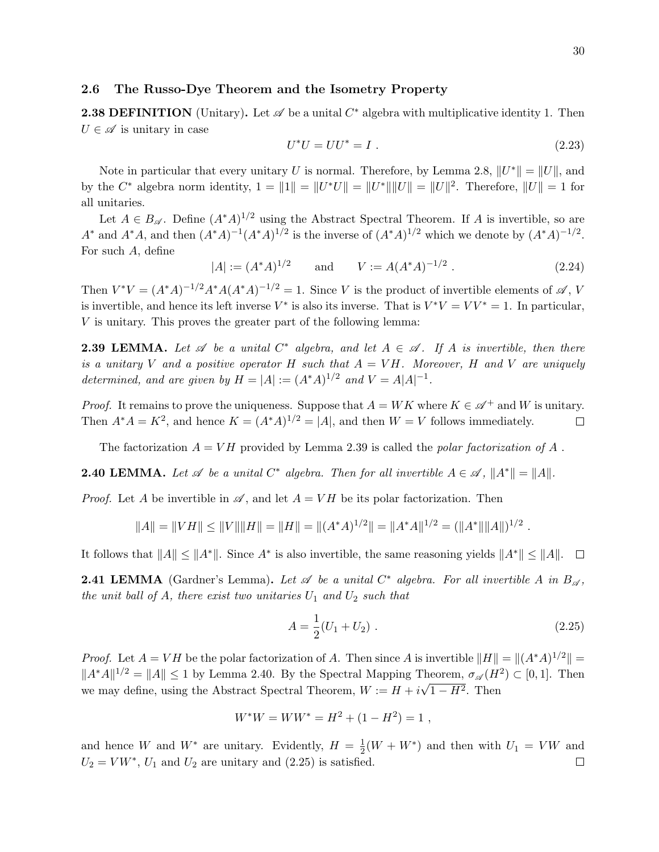#### 2.6 The Russo-Dye Theorem and the Isometry Property

**2.38 DEFINITION** (Unitary). Let  $\mathscr A$  be a unital  $C^*$  algebra with multiplicative identity 1. Then  $U \in \mathscr{A}$  is unitary in case

$$
U^*U = UU^* = I \tag{2.23}
$$

Note in particular that every unitary U is normal. Therefore, by Lemma 2.8,  $||U^*|| = ||U||$ , and by the  $C^*$  algebra norm identity,  $1 = ||1|| = ||U^*U|| = ||U^*|| ||U|| = ||U||^2$ . Therefore,  $||U|| = 1$  for all unitaries.

Let  $A \in B_{\mathscr{A}}$ . Define  $(A^*A)^{1/2}$  using the Abstract Spectral Theorem. If A is invertible, so are  $A^*$  and  $A^*A$ , and then  $(A^*A)^{-1}(A^*A)^{1/2}$  is the inverse of  $(A^*A)^{1/2}$  which we denote by  $(A^*A)^{-1/2}$ . For such A, define

$$
|A| := (A^*A)^{1/2}
$$
 and  $V := A(A^*A)^{-1/2}$ . (2.24)

Then  $V^*V = (A^*A)^{-1/2}A^*A(A^*A)^{-1/2} = 1$ . Since V is the product of invertible elements of  $\mathscr{A}, V$ is invertible, and hence its left inverse  $V^*$  is also its inverse. That is  $V^*V = VV^* = 1$ . In particular, V is unitary. This proves the greater part of the following lemma:

**2.39 LEMMA.** Let  $\mathscr A$  be a unital  $C^*$  algebra, and let  $A \in \mathscr A$ . If A is invertible, then there is a unitary V and a positive operator H such that  $A = VH$ . Moreover, H and V are uniquely determined, and are given by  $H = |A| := (A^*A)^{1/2}$  and  $V = A|A|^{-1}$ .

*Proof.* It remains to prove the uniqueness. Suppose that  $A = WK$  where  $K \in \mathcal{A}^+$  and W is unitary. Then  $A^*A = K^2$ , and hence  $K = (A^*A)^{1/2} = |A|$ , and then  $W = V$  follows immediately.  $\Box$ 

The factorization  $A = VH$  provided by Lemma 2.39 is called the *polar factorization of A*.

**2.40 LEMMA.** Let  $\mathscr A$  be a unital  $C^*$  algebra. Then for all invertible  $A \in \mathscr A$ ,  $||A^*|| = ||A||$ .

*Proof.* Let A be invertible in  $\mathscr A$ , and let  $A = VH$  be its polar factorization. Then

$$
||A|| = ||VH|| \le ||V|| ||H|| = ||H|| = ||(A^*A)^{1/2}|| = ||A^*A||^{1/2} = (||A^*|| ||A||)^{1/2}.
$$

It follows that  $||A|| \le ||A^*||$ . Since  $A^*$  is also invertible, the same reasoning yields  $||A^*|| \le ||A||$ .

**2.41 LEMMA** (Gardner's Lemma). Let  $\mathscr A$  be a unital  $C^*$  algebra. For all invertible A in  $B_{\mathscr A}$ , the unit ball of  $A$ , there exist two unitaries  $U_1$  and  $U_2$  such that

$$
A = \frac{1}{2}(U_1 + U_2) \tag{2.25}
$$

*Proof.* Let  $A = VH$  be the polar factorization of A. Then since A is invertible  $||H|| = ||(A^*A)^{1/2}|| =$  $||A^*A||^{1/2} = ||A|| \le 1$  by Lemma 2.40. By the Spectral Mapping Theorem,  $\sigma_{\mathscr{A}}(H^2) \subset [0,1]$ . Then we may define, using the Abstract Spectral Theorem,  $W := H + i\sqrt{1 - H^2}$ . Then

$$
W^*W = WW^* = H^2 + (1 - H^2) = 1,
$$

and hence W and  $W^*$  are unitary. Evidently,  $H = \frac{1}{2}$  $\frac{1}{2}(W+W^*)$  and then with  $U_1 = VW$  and  $U_2 = VW^*, U_1$  and  $U_2$  are unitary and (2.25) is satisfied.  $\Box$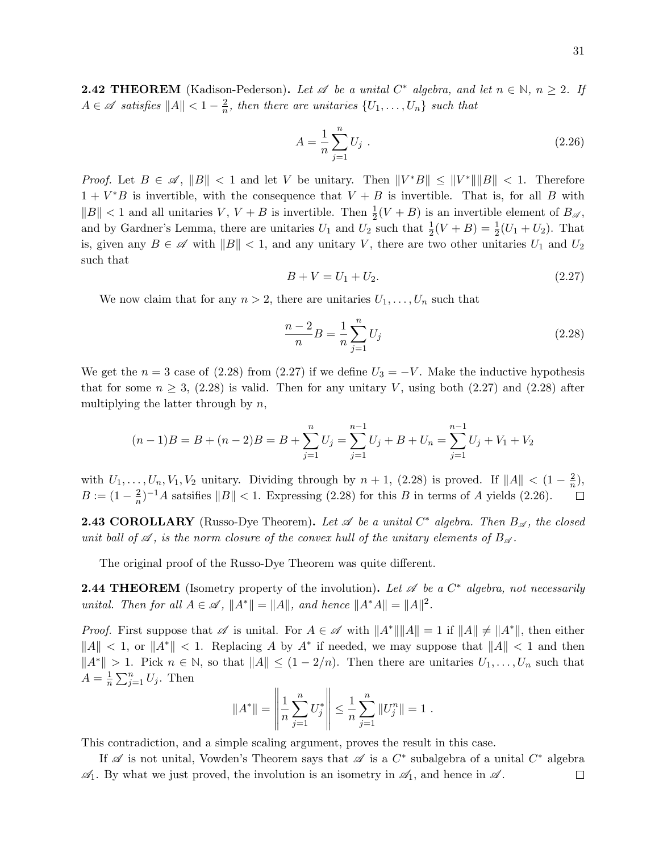**2.42 THEOREM** (Kadison-Pederson). Let  $\mathscr A$  be a unital  $C^*$  algebra, and let  $n \in \mathbb N$ ,  $n \geq 2$ . If  $A \in \mathscr{A}$  satisfies  $||A|| < 1 - \frac{2}{n}$  $\frac{2}{n}$ , then there are unitaries  $\{U_1, \ldots, U_n\}$  such that

$$
A = \frac{1}{n} \sum_{j=1}^{n} U_j \tag{2.26}
$$

*Proof.* Let  $B \in \mathscr{A}$ ,  $||B|| < 1$  and let V be unitary. Then  $||V^*B|| \le ||V^*|| ||B|| < 1$ . Therefore  $1 + V^*B$  is invertible, with the consequence that  $V + B$  is invertible. That is, for all B with  $||B|| < 1$  and all unitaries V,  $V + B$  is invertible. Then  $\frac{1}{2}(V + B)$  is an invertible element of  $B_{\mathscr{A}}$ , and by Gardner's Lemma, there are unitaries  $U_1$  and  $U_2$  such that  $\frac{1}{2}(V+B) = \frac{1}{2}(U_1+U_2)$ . That is, given any  $B \in \mathscr{A}$  with  $||B|| < 1$ , and any unitary V, there are two other unitaries  $U_1$  and  $U_2$ such that

$$
B + V = U_1 + U_2. \t\t(2.27)
$$

We now claim that for any  $n > 2$ , there are unitaries  $U_1, \ldots, U_n$  such that

$$
\frac{n-2}{n}B = \frac{1}{n}\sum_{j=1}^{n}U_j
$$
\n(2.28)

We get the  $n = 3$  case of (2.28) from (2.27) if we define  $U_3 = -V$ . Make the inductive hypothesis that for some  $n \geq 3$ , (2.28) is valid. Then for any unitary V, using both (2.27) and (2.28) after multiplying the latter through by  $n$ ,

$$
(n-1)B = B + (n-2)B = B + \sum_{j=1}^{n} U_j = \sum_{j=1}^{n-1} U_j + B + U_n = \sum_{j=1}^{n-1} U_j + V_1 + V_2
$$

with  $U_1, \ldots, U_n, V_1, V_2$  unitary. Dividing through by  $n + 1$ , (2.28) is proved. If  $||A|| < (1 - \frac{2}{n})$  $\frac{2}{n}$ ),  $B := (1 - \frac{2}{n})$  $\frac{2}{n}$ )<sup>-1</sup>A satsifies  $||B|| < 1$ . Expressing (2.28) for this B in terms of A yields (2.26).  $\Box$ 

**2.43 COROLLARY** (Russo-Dye Theorem). Let  $\mathscr A$  be a unital  $C^*$  algebra. Then  $B_{\mathscr A}$ , the closed unit ball of  $\mathscr A$ , is the norm closure of the convex hull of the unitary elements of  $B_{\mathscr A}$ .

The original proof of the Russo-Dye Theorem was quite different.

**2.44 THEOREM** (Isometry property of the involution). Let  $\mathscr A$  be a  $C^*$  algebra, not necessarily unital. Then for all  $A \in \mathscr{A}$ ,  $||A^*|| = ||A||$ , and hence  $||A^*A|| = ||A||^2$ .

*Proof.* First suppose that  $\mathscr A$  is unital. For  $A \in \mathscr A$  with  $||A^*|| ||A|| = 1$  if  $||A|| \neq ||A^*||$ , then either  $||A|| < 1$ , or  $||A^*|| < 1$ . Replacing A by  $A^*$  if needed, we may suppose that  $||A|| < 1$  and then  $||A^*|| > 1$ . Pick  $n \in \mathbb{N}$ , so that  $||A|| \leq (1 - 2/n)$ . Then there are unitaries  $U_1, \ldots, U_n$  such that  $A=\frac{1}{n}$  $\frac{1}{n} \sum_{j=1}^{n} U_j$ . Then  $\overline{11}$ 

$$
||A^*|| = \left\|\frac{1}{n}\sum_{j=1}^n U_j^*\right\| \le \frac{1}{n}\sum_{j=1}^n ||U_j^n|| = 1.
$$

This contradiction, and a simple scaling argument, proves the result in this case.

If  $\mathscr A$  is not unital, Vowden's Theorem says that  $\mathscr A$  is a  $C^*$  subalgebra of a unital  $C^*$  algebra  $\mathscr{A}_1$ . By what we just proved, the involution is an isometry in  $\mathscr{A}_1$ , and hence in  $\mathscr{A}$ .  $\Box$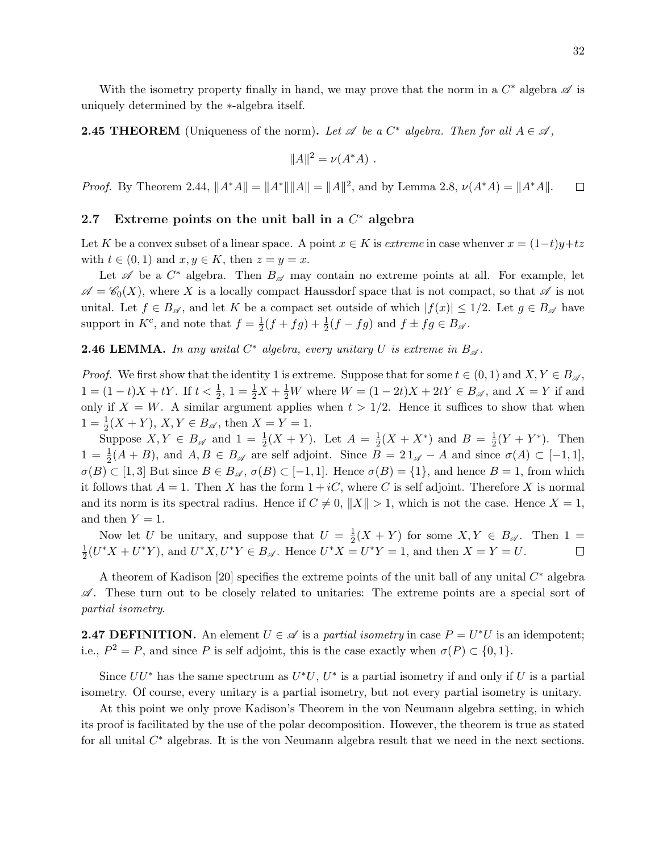With the isometry property finally in hand, we may prove that the norm in a  $C^*$  algebra  $\mathscr A$  is uniquely determined by the ∗-algebra itself.

**2.45 THEOREM** (Uniqueness of the norm). Let  $\mathscr A$  be a  $C^*$  algebra. Then for all  $A \in \mathscr A$ ,

$$
||A||^2 = \nu(A^*A) .
$$

*Proof.* By Theorem 2.44,  $||A^*A|| = ||A^*|| ||A|| = ||A||^2$ , and by Lemma 2.8,  $\nu(A^*A) = ||A^*A||$ .  $\Box$ 

# 2.7 Extreme points on the unit ball in a  $C^*$  algebra

Let K be a convex subset of a linear space. A point  $x \in K$  is extreme in case whenver  $x = (1-t)y+tz$ with  $t \in (0,1)$  and  $x, y \in K$ , then  $z = y = x$ .

Let  $\mathscr A$  be a  $C^*$  algebra. Then  $B_{\mathscr A}$  may contain no extreme points at all. For example, let  $\mathscr{A} = \mathscr{C}_0(X)$ , where X is a locally compact Haussdorf space that is not compact, so that  $\mathscr{A}$  is not unital. Let  $f \in B_{\mathscr{A}}$ , and let K be a compact set outside of which  $|f(x)| \leq 1/2$ . Let  $g \in B_{\mathscr{A}}$  have support in  $K^c$ , and note that  $f = \frac{1}{2}$  $\frac{1}{2}(f + fg) + \frac{1}{2}(f - fg)$  and  $f \pm fg \in B_{\mathscr{A}}$ .

**2.46 LEMMA.** In any unital  $C^*$  algebra, every unitary U is extreme in  $B_{\mathscr{A}}$ .

*Proof.* We first show that the identity 1 is extreme. Suppose that for some  $t \in (0,1)$  and  $X, Y \in B_{\mathscr{A}}$ ,  $1 = (1-t)X + tY$ . If  $t < \frac{1}{2}$ ,  $1 = \frac{1}{2}X + \frac{1}{2}W$  where  $W = (1 - 2t)X + 2tY \in B_{\mathscr{A}}$ , and  $X = Y$  if and only if  $X = W$ . A similar argument applies when  $t > 1/2$ . Hence it suffices to show that when  $1 = \frac{1}{2}(X + Y), X, Y \in B_{\mathscr{A}}, \text{ then } X = Y = 1.$ 

Suppose  $X, Y \in B_{\mathscr{A}}$  and  $1 = \frac{1}{2}(X + Y)$ . Let  $A = \frac{1}{2}$  $\frac{1}{2}(X + X^*)$  and  $B = \frac{1}{2}$  $\frac{1}{2}(Y + Y^*)$ . Then  $1 = \frac{1}{2}(A + B)$ , and  $A, B \in B_{\mathscr{A}}$  are self adjoint. Since  $B = 21_{\mathscr{A}} - A$  and since  $\sigma(A) \subset [-1,1]$ ,  $\sigma(B) \subset [1,3]$  But since  $B \in B_{\mathscr{A}}, \sigma(B) \subset [-1,1]$ . Hence  $\sigma(B) = \{1\}$ , and hence  $B = 1$ , from which it follows that  $A = 1$ . Then X has the form  $1 + iC$ , where C is self adjoint. Therefore X is normal and its norm is its spectral radius. Hence if  $C \neq 0$ ,  $||X|| > 1$ , which is not the case. Hence  $X = 1$ , and then  $Y = 1$ .

Now let U be unitary, and suppose that  $U = \frac{1}{2}$  $\frac{1}{2}(X+Y)$  for some  $X, Y \in B_{\mathscr{A}}$ . Then  $1 =$ 1  $\frac{1}{2}(U^*X + U^*Y)$ , and  $U^*X, U^*Y \in B_{\mathscr{A}}$ . Hence  $U^*X = U^*Y = 1$ , and then  $X = Y = U$ .  $\Box$ 

A theorem of Kadison [20] specifies the extreme points of the unit ball of any unital  $C^*$  algebra  $\mathscr A$ . These turn out to be closely related to unitaries: The extreme points are a special sort of partial isometry.

**2.47 DEFINITION.** An element  $U \in \mathcal{A}$  is a partial isometry in case  $P = U^*U$  is an idempotent; i.e.,  $P^2 = P$ , and since P is self adjoint, this is the case exactly when  $\sigma(P) \subset \{0, 1\}$ .

Since  $UU^*$  has the same spectrum as  $U^*U$ ,  $U^*$  is a partial isometry if and only if U is a partial isometry. Of course, every unitary is a partial isometry, but not every partial isometry is unitary.

At this point we only prove Kadison's Theorem in the von Neumann algebra setting, in which its proof is facilitated by the use of the polar decomposition. However, the theorem is true as stated for all unital  $C^*$  algebras. It is the von Neumann algebra result that we need in the next sections.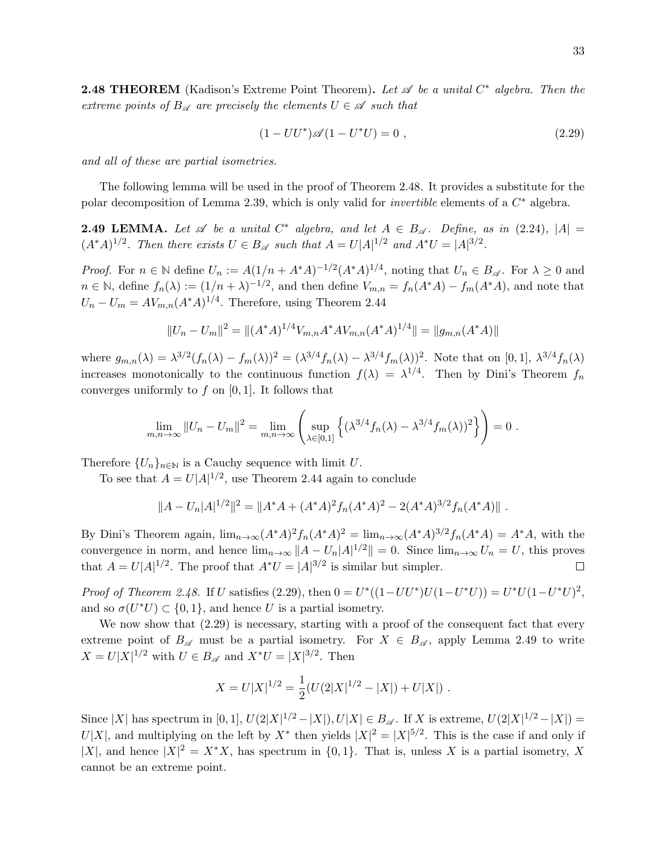**2.48 THEOREM** (Kadison's Extreme Point Theorem). Let  $\mathscr A$  be a unital  $C^*$  algebra. Then the extreme points of  $B_{\mathscr{A}}$  are precisely the elements  $U \in \mathscr{A}$  such that

$$
(1 - UU^*)\mathscr{A}(1 - U^*U) = 0 , \qquad (2.29)
$$

and all of these are partial isometries.

The following lemma will be used in the proof of Theorem 2.48. It provides a substitute for the polar decomposition of Lemma 2.39, which is only valid for *invertible* elements of a  $C^*$  algebra.

**2.49 LEMMA.** Let  $\mathscr A$  be a unital  $C^*$  algebra, and let  $A \in B_{\mathscr A}$ . Define, as in (2.24),  $|A| =$  $(A^*A)^{1/2}$ . Then there exists  $U \in B_{\mathscr{A}}$  such that  $A = U|A|^{1/2}$  and  $A^*U = |A|^{3/2}$ .

*Proof.* For  $n \in \mathbb{N}$  define  $U_n := A(1/n + A^*A)^{-1/2}(A^*A)^{1/4}$ , noting that  $U_n \in B_{\mathscr{A}}$ . For  $\lambda \geq 0$  and  $n \in \mathbb{N}$ , define  $f_n(\lambda) := (1/n + \lambda)^{-1/2}$ , and then define  $V_{m,n} = f_n(A^*A) - f_m(A^*A)$ , and note that  $U_n - U_m = AV_{m,n}(A^*A)^{1/4}$ . Therefore, using Theorem 2.44

$$
||U_n - U_m||^2 = ||(A^*A)^{1/4}V_{m,n}A^*AV_{m,n}(A^*A)^{1/4}|| = ||g_{m,n}(A^*A)||
$$

where  $g_{m,n}(\lambda) = \lambda^{3/2} (f_n(\lambda) - f_m(\lambda))^2 = (\lambda^{3/4} f_n(\lambda) - \lambda^{3/4} f_m(\lambda))^2$ . Note that on [0, 1],  $\lambda^{3/4} f_n(\lambda)$ increases monotonically to the continuous function  $f(\lambda) = \lambda^{1/4}$ . Then by Dini's Theorem  $f_n$ converges uniformly to  $f$  on [0, 1]. It follows that

$$
\lim_{m,n \to \infty} ||U_n - U_m||^2 = \lim_{m,n \to \infty} \left( \sup_{\lambda \in [0,1]} \left\{ (\lambda^{3/4} f_n(\lambda) - \lambda^{3/4} f_m(\lambda))^2 \right\} \right) = 0.
$$

Therefore  ${U_n}_{n\in\mathbb{N}}$  is a Cauchy sequence with limit U.

To see that  $A = U|A|^{1/2}$ , use Theorem 2.44 again to conclude

$$
||A - U_n|A|^{1/2}||^2 = ||A^*A + (A^*A)^2 f_n(A^*A)^2 - 2(A^*A)^{3/2} f_n(A^*A)||.
$$

By Dini's Theorem again,  $\lim_{n\to\infty}(A^*A)^2f_n(A^*A)^2 = \lim_{n\to\infty}(A^*A)^{3/2}f_n(A^*A) = A^*A$ , with the convergence in norm, and hence  $\lim_{n\to\infty} ||A - U_n|A|^{1/2} || = 0$ . Since  $\lim_{n\to\infty} U_n = U$ , this proves that  $A = U|A|^{1/2}$ . The proof that  $A^*U = |A|^{3/2}$  is similar but simpler.  $\Box$ 

*Proof of Theorem 2.48.* If U satisfies (2.29), then  $0 = U^*((1 - UU^*)U(1 - U^*U)) = U^*U(1 - U^*U)^2$ , and so  $\sigma(U^*U) \subset \{0,1\}$ , and hence U is a partial isometry.

We now show that  $(2.29)$  is necessary, starting with a proof of the consequent fact that every extreme point of  $B_{\mathscr{A}}$  must be a partial isometry. For  $X \in B_{\mathscr{A}}$ , apply Lemma 2.49 to write  $X = U|X|^{1/2}$  with  $U \in B_{\mathscr{A}}$  and  $X^*U = |X|^{3/2}$ . Then

$$
X = U|X|^{1/2} = \frac{1}{2}(U(2|X|^{1/2} - |X|) + U|X|) .
$$

Since |X| has spectrum in  $[0,1]$ ,  $U(2|X|^{1/2} - |X|)$ ,  $U|X| \in B_{\mathscr{A}}$ . If X is extreme,  $U(2|X|^{1/2} - |X|) =$ U|X|, and multiplying on the left by  $X^*$  then yields  $|X|^2 = |X|^{5/2}$ . This is the case if and only if |X|, and hence  $|X|^2 = X^*X$ , has spectrum in  $\{0,1\}$ . That is, unless X is a partial isometry, X cannot be an extreme point.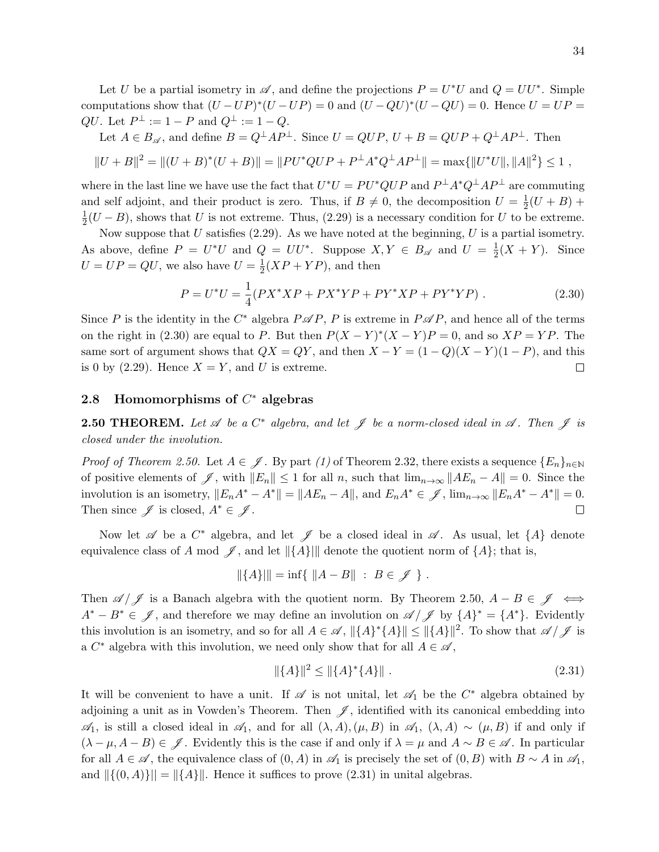Let U be a partial isometry in  $\mathscr A$ , and define the projections  $P = U^*U$  and  $Q = UU^*$ . Simple computations show that  $(U - UP)^*(U - UP) = 0$  and  $(U - QU)^*(U - QU) = 0$ . Hence  $U = UP =$  $QU.$  Let  $P^{\perp} := 1 - P$  and  $Q^{\perp} := 1 - Q.$ 

Let  $A \in B_{\mathscr{A}}$ , and define  $B = Q^{\perp}AP^{\perp}$ . Since  $U = QUP$ ,  $U + B = QUP + Q^{\perp}AP^{\perp}$ . Then

$$
||U + B||2 = ||(U + B)*(U + B)|| = ||PU*QUP + P\perpA*Q\perpAP\perp|| = max{||U*U||, ||A||2} ≤ 1,
$$

where in the last line we have use the fact that  $U^*U = PU^*QUP$  and  $P^{\perp}A^*Q^{\perp}AP^{\perp}$  are commuting and self adjoint, and their product is zero. Thus, if  $B \neq 0$ , the decomposition  $U = \frac{1}{2}$  $\frac{1}{2}(U+B)+$ 1  $\frac{1}{2}(U-B)$ , shows that U is not extreme. Thus, (2.29) is a necessary condition for U to be extreme.

Now suppose that U satisfies  $(2.29)$ . As we have noted at the beginning, U is a partial isometry. As above, define  $P = U^*U$  and  $Q = UU^*$ . Suppose  $X, Y \in B_{\mathscr{A}}$  and  $U = \frac{1}{2}$  $\frac{1}{2}(X+Y)$ . Since  $U = UP = QU$ , we also have  $U = \frac{1}{2}$  $\frac{1}{2}(XP+YP)$ , and then

$$
P = U^*U = \frac{1}{4}(PX^*XP + PX^*YP + PY^*XP + PY^*YP).
$$
 (2.30)

Since P is the identity in the  $C^*$  algebra  $P \mathscr{A} P$ , P is extreme in  $P \mathscr{A} P$ , and hence all of the terms on the right in (2.30) are equal to P. But then  $P(X - Y)^*(X - Y)P = 0$ , and so  $XP = YP$ . The same sort of argument shows that  $QX = QY$ , and then  $X - Y = (1 - Q)(X - Y)(1 - P)$ , and this is 0 by (2.29). Hence  $X = Y$ , and U is extreme.  $\Box$ 

# 2.8 Homomorphisms of  $C^*$  algebras

**2.50 THEOREM.** Let  $\mathscr A$  be a  $C^*$  algebra, and let  $\mathscr J$  be a norm-closed ideal in  $\mathscr A$ . Then  $\mathscr J$  is closed under the involution.

*Proof of Theorem 2.50.* Let  $A \in \mathscr{J}$ . By part (1) of Theorem 2.32, there exists a sequence  $\{E_n\}_{n\in\mathbb{N}}$ of positive elements of  $\mathscr{J}$ , with  $||E_n|| \leq 1$  for all n, such that  $\lim_{n\to\infty} ||AE_n - A|| = 0$ . Since the involution is an isometry,  $||E_nA^* - A^*|| = ||AE_n - A||$ , and  $E_nA^* \in \mathscr{J}$ ,  $\lim_{n\to\infty} ||E_nA^* - A^*|| = 0$ . Then since  $\mathscr{J}$  is closed,  $A^* \in \mathscr{J}$ . □

Now let  $\mathscr A$  be a  $C^*$  algebra, and let  $\mathscr J$  be a closed ideal in  $\mathscr A$ . As usual, let  $\{A\}$  denote equivalence class of A mod  $\mathscr{J}$ , and let  $\|\{A\}\|$  denote the quotient norm of  $\{A\}$ ; that is,

$$
\|\{A\}\| = \inf\{\|A - B\| \ : \ B \in \mathscr{J}\}.
$$

Then  $\mathscr{A}/\mathscr{J}$  is a Banach algebra with the quotient norm. By Theorem 2.50,  $A - B \in \mathscr{J} \iff$  $A^* - B^* \in \mathscr{J}$ , and therefore we may define an involution on  $\mathscr{A}/\mathscr{J}$  by  $\{A\}^* = \{A^*\}$ . Evidently this involution is an isometry, and so for all  $A \in \mathscr{A}$ ,  $\|\{A\}^*\{A\}\| \le \|\{A\}\|^2$ . To show that  $\mathscr{A}/\mathscr{J}$  is a  $C^*$  algebra with this involution, we need only show that for all  $A \in \mathscr{A}$ ,

$$
\|\{A\}\|^2 \le \|\{A\}^*\{A\}\| \tag{2.31}
$$

It will be convenient to have a unit. If  $\mathscr A$  is not unital, let  $\mathscr A_1$  be the  $C^*$  algebra obtained by adjoining a unit as in Vowden's Theorem. Then  $\mathscr{J}$ , identified with its canonical embedding into  $\mathscr{A}_1$ , is still a closed ideal in  $\mathscr{A}_1$ , and for all  $(\lambda, A), (\mu, B)$  in  $\mathscr{A}_1$ ,  $(\lambda, A) \sim (\mu, B)$  if and only if  $(\lambda - \mu, A - B) \in \mathscr{J}$ . Evidently this is the case if and only if  $\lambda = \mu$  and  $A \sim B \in \mathscr{A}$ . In particular for all  $A \in \mathscr{A}$ , the equivalence class of  $(0, A)$  in  $\mathscr{A}_1$  is precisely the set of  $(0, B)$  with  $B \sim A$  in  $\mathscr{A}_1$ , and  $\|{(0, A)}\| = \|{A}\|$ . Hence it suffices to prove (2.31) in unital algebras.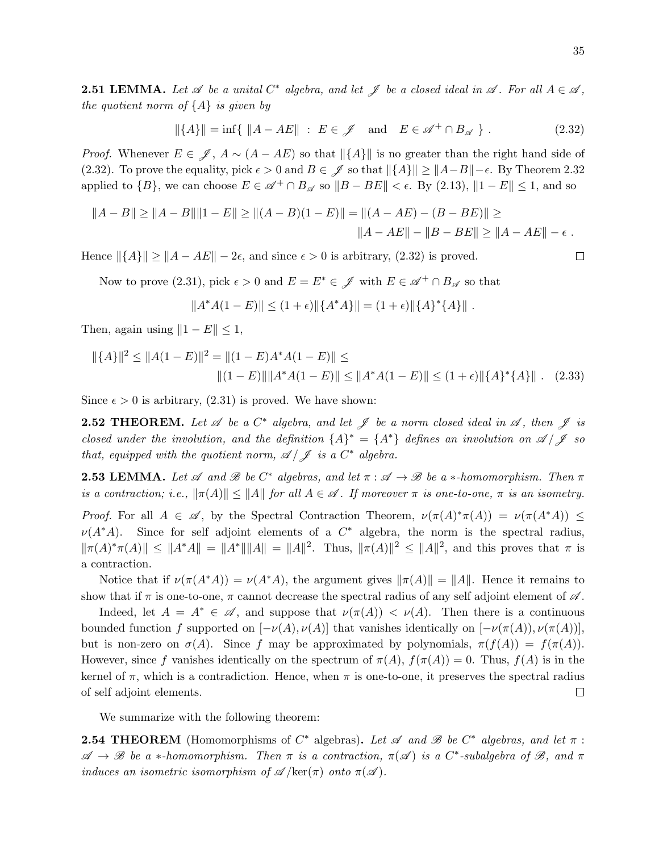**2.51 LEMMA.** Let  $\mathscr A$  be a unital  $C^*$  algebra, and let  $\mathscr J$  be a closed ideal in  $\mathscr A$ . For all  $A \in \mathscr A$ , the quotient norm of  $\{A\}$  is given by

$$
\|\{A\}\| = \inf\{\ \|A - AE\| \ : \ E \in \mathscr{J} \quad \text{and} \quad E \in \mathscr{A}^+ \cap B_{\mathscr{A}}\} \ . \tag{2.32}
$$

*Proof.* Whenever  $E \in \mathscr{J}$ ,  $A \sim (A - AE)$  so that  $\|\{A\}\|$  is no greater than the right hand side of (2.32). To prove the equality, pick  $\epsilon > 0$  and  $B \in \mathscr{J}$  so that  $||\{A\}|| \geq ||A - B|| - \epsilon$ . By Theorem 2.32 applied to  $\{B\}$ , we can choose  $E \in \mathscr{A}^+ \cap B_{\mathscr{A}}$  so  $||B - BE|| < \epsilon$ . By (2.13),  $||1 - E|| \le 1$ , and so

$$
||A - B|| \ge ||A - B|| ||1 - E|| \ge ||(A - B)(1 - E)|| = ||(A - AE) - (B - BE)|| \ge ||A - AE|| - \|B - BE|| \ge ||A - AE|| - \epsilon.
$$

Hence  $\|\{A\}\| \geq \|A - AE\| - 2\epsilon$ , and since  $\epsilon > 0$  is arbitrary, (2.32) is proved.

Now to prove (2.31), pick  $\epsilon > 0$  and  $E = E^* \in \mathscr{J}$  with  $E \in \mathscr{A}^+ \cap B_{\mathscr{A}}$  so that

$$
||A^*A(1 - E)|| \le (1 + \epsilon) ||\{A^*A\}|| = (1 + \epsilon) ||\{A\}^*\{A\}||.
$$

Then, again using  $||1 - E|| \leq 1$ ,

$$
\|\{A\}\|^2 \le \|A(1 - E)\|^2 = \|(1 - E)A^*A(1 - E)\| \le
$$
  

$$
\|(1 - E)\|\|A^*A(1 - E)\| \le \|A^*A(1 - E)\| \le (1 + \epsilon)\|\{A\}^*\{A\}\|.
$$
 (2.33)

Since  $\epsilon > 0$  is arbitrary, (2.31) is proved. We have shown:

**2.52 THEOREM.** Let  $\mathscr A$  be a  $C^*$  algebra, and let  $\mathscr J$  be a norm closed ideal in  $\mathscr A$ , then  $\mathscr J$  is closed under the involution, and the definition  $\{A\}^* = \{A^*\}$  defines an involution on  $\mathscr{A}/\mathscr{J}$  so that, equipped with the quotient norm,  $\mathscr{A}/\mathscr{J}$  is a  $C^*$  algebra.

**2.53 LEMMA.** Let  $\mathscr A$  and  $\mathscr B$  be  $C^*$  algebras, and let  $\pi : \mathscr A \to \mathscr B$  be a  $*$ -homomorphism. Then  $\pi$ is a contraction; i.e.,  $\|\pi(A)\| \le \|A\|$  for all  $A \in \mathcal{A}$ . If moreover  $\pi$  is one-to-one,  $\pi$  is an isometry.

Proof. For all  $A \in \mathscr{A}$ , by the Spectral Contraction Theorem,  $\nu(\pi(A)^*\pi(A)) = \nu(\pi(A^*A)) \leq$  $\nu(A^*A)$ . Since for self adjoint elements of a  $C^*$  algebra, the norm is the spectral radius,  $\|\pi(A)^*\pi(A)\| \leq \|A^*A\| = \|A^*\|\|A\| = \|A\|^2$ . Thus,  $\|\pi(A)\|^2 \leq \|A\|^2$ , and this proves that  $\pi$  is a contraction.

Notice that if  $\nu(\pi(A^*A)) = \nu(A^*A)$ , the argument gives  $\|\pi(A)\| = \|A\|$ . Hence it remains to show that if  $\pi$  is one-to-one,  $\pi$  cannot decrease the spectral radius of any self adjoint element of  $\mathscr A$ .

Indeed, let  $A = A^* \in \mathscr{A}$ , and suppose that  $\nu(\pi(A)) \leq \nu(A)$ . Then there is a continuous bounded function f supported on  $[-\nu(A), \nu(A)]$  that vanishes identically on  $[-\nu(\pi(A)), \nu(\pi(A))]$ , but is non-zero on  $\sigma(A)$ . Since f may be approximated by polynomials,  $\pi(f(A)) = f(\pi(A))$ . However, since f vanishes identically on the spectrum of  $\pi(A)$ ,  $f(\pi(A)) = 0$ . Thus,  $f(A)$  is in the kernel of  $\pi$ , which is a contradiction. Hence, when  $\pi$  is one-to-one, it preserves the spectral radius of self adjoint elements.  $\Box$ 

We summarize with the following theorem:

**2.54 THEOREM** (Homomorphisms of  $C^*$  algebras). Let  $\mathscr A$  and  $\mathscr B$  be  $C^*$  algebras, and let  $\pi$ :  $\mathscr{A} \to \mathscr{B}$  be a \*-homomorphism. Then  $\pi$  is a contraction,  $\pi(\mathscr{A})$  is a C\*-subalgebra of  $\mathscr{B}$ , and  $\pi$ induces an isometric isomorphism of  $\mathscr{A}/\text{ker}(\pi)$  onto  $\pi(\mathscr{A})$ .

 $\Box$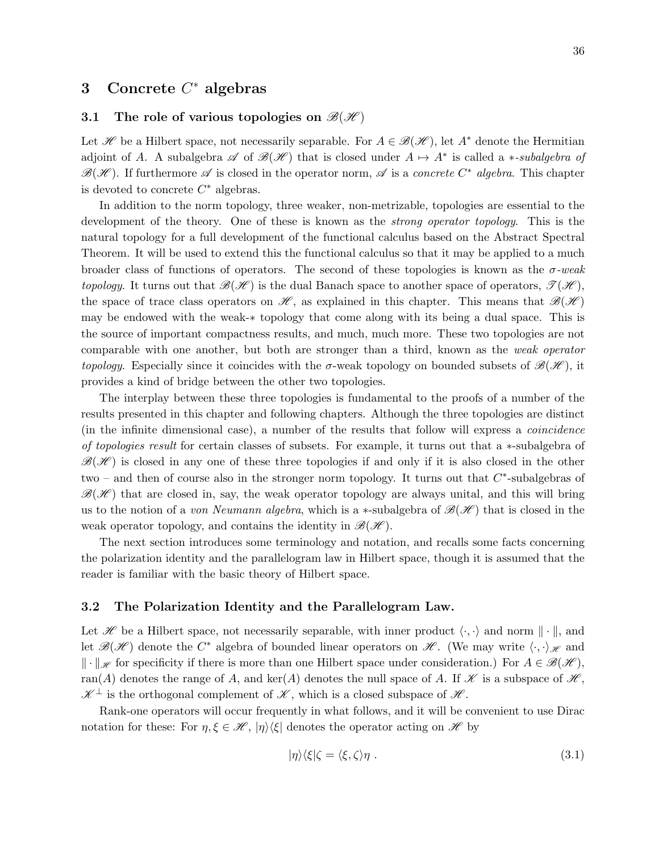# 3 Concrete  $C^*$  algebras

## 3.1 The role of various topologies on  $\mathcal{B}(\mathcal{H})$

Let H be a Hilbert space, not necessarily separable. For  $A \in \mathcal{B}(\mathcal{H})$ , let A<sup>\*</sup> denote the Hermitian adjoint of A. A subalgebra  $\mathscr A$  of  $\mathscr B(\mathscr H)$  that is closed under  $A \mapsto A^*$  is called a \*-subalgebra of  $\mathscr{B}(\mathscr{H})$ . If furthermore  $\mathscr{A}$  is closed in the operator norm,  $\mathscr{A}$  is a concrete  $C^*$  algebra. This chapter is devoted to concrete  $C^*$  algebras.

In addition to the norm topology, three weaker, non-metrizable, topologies are essential to the development of the theory. One of these is known as the *strong operator topology*. This is the natural topology for a full development of the functional calculus based on the Abstract Spectral Theorem. It will be used to extend this the functional calculus so that it may be applied to a much broader class of functions of operators. The second of these topologies is known as the  $\sigma$ -weak topology. It turns out that  $\mathscr{B}(\mathscr{H})$  is the dual Banach space to another space of operators,  $\mathscr{T}(\mathscr{H})$ , the space of trace class operators on  $\mathscr{H}$ , as explained in this chapter. This means that  $\mathscr{B}(\mathscr{H})$ may be endowed with the weak-∗ topology that come along with its being a dual space. This is the source of important compactness results, and much, much more. These two topologies are not comparable with one another, but both are stronger than a third, known as the weak operator topology. Especially since it coincides with the  $\sigma$ -weak topology on bounded subsets of  $\mathscr{B}(\mathscr{H})$ , it provides a kind of bridge between the other two topologies.

The interplay between these three topologies is fundamental to the proofs of a number of the results presented in this chapter and following chapters. Although the three topologies are distinct (in the infinite dimensional case), a number of the results that follow will express a coincidence of topologies result for certain classes of subsets. For example, it turns out that a ∗-subalgebra of  $\mathscr{B}(\mathscr{H})$  is closed in any one of these three topologies if and only if it is also closed in the other two – and then of course also in the stronger norm topology. It turns out that  $C^*$ -subalgebras of  $\mathscr{B}(\mathscr{H})$  that are closed in, say, the weak operator topology are always unital, and this will bring us to the notion of a *von Neumann algebra*, which is a ∗-subalgebra of  $\mathcal{B}(\mathcal{H})$  that is closed in the weak operator topology, and contains the identity in  $\mathscr{B}(\mathscr{H})$ .

The next section introduces some terminology and notation, and recalls some facts concerning the polarization identity and the parallelogram law in Hilbert space, though it is assumed that the reader is familiar with the basic theory of Hilbert space.

#### 3.2 The Polarization Identity and the Parallelogram Law.

Let  $\mathscr H$  be a Hilbert space, not necessarily separable, with inner product  $\langle \cdot, \cdot \rangle$  and norm  $\|\cdot\|$ , and let  $\mathscr{B}(\mathscr{H})$  denote the  $C^*$  algebra of bounded linear operators on  $\mathscr{H}$ . (We may write  $\langle \cdot, \cdot \rangle_{\mathscr{H}}$  and  $\|\cdot\|_{\mathscr{H}}$  for specificity if there is more than one Hilbert space under consideration.) For  $A \in \mathscr{B}(\mathscr{H})$ , ran(A) denotes the range of A, and ker(A) denotes the null space of A. If  $\mathscr K$  is a subspace of  $\mathscr K$ ,  $\mathscr{K}^{\perp}$  is the orthogonal complement of  $\mathscr{K}$ , which is a closed subspace of  $\mathscr{H}$ .

Rank-one operators will occur frequently in what follows, and it will be convenient to use Dirac notation for these: For  $\eta, \xi \in \mathcal{H}$ ,  $|\eta\rangle\langle\xi|$  denotes the operator acting on  $\mathcal{H}$  by

$$
|\eta\rangle\langle\xi|\zeta=\langle\xi,\zeta\rangle\eta\ .\tag{3.1}
$$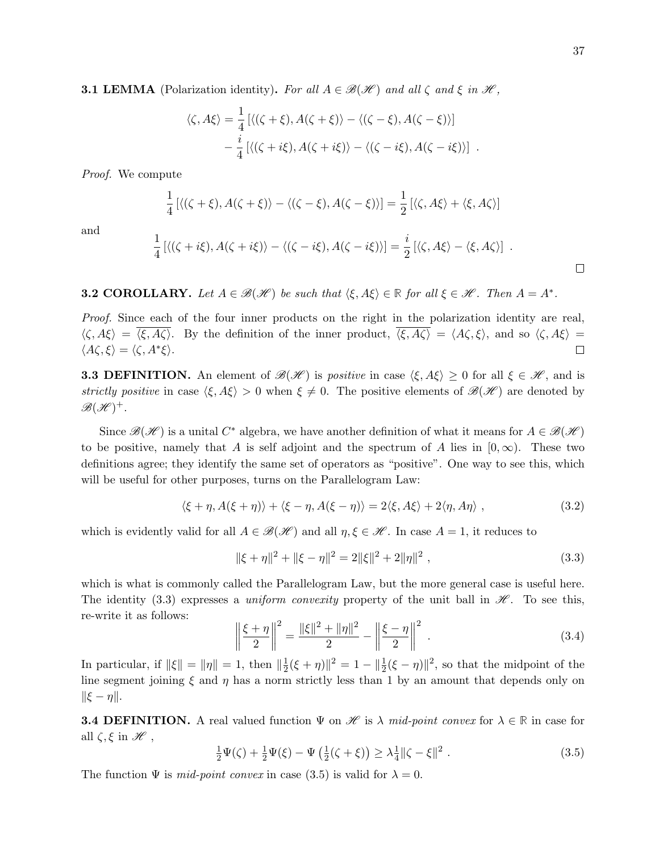**3.1 LEMMA** (Polarization identity). For all  $A \in \mathcal{B}(\mathcal{H})$  and all  $\zeta$  and  $\xi$  in  $\mathcal{H}$ ,

$$
\langle \zeta, A\xi \rangle = \frac{1}{4} \left[ \langle (\zeta + \xi), A(\zeta + \xi) \rangle - \langle (\zeta - \xi), A(\zeta - \xi) \rangle \right] - \frac{i}{4} \left[ \langle (\zeta + i\xi), A(\zeta + i\xi) \rangle - \langle (\zeta - i\xi), A(\zeta - i\xi) \rangle \right] .
$$

Proof. We compute

$$
\frac{1}{4} \left[ \langle (\zeta + \xi), A(\zeta + \xi) \rangle - \langle (\zeta - \xi), A(\zeta - \xi) \rangle \right] = \frac{1}{2} \left[ \langle \zeta, A\xi \rangle + \langle \xi, A\zeta \rangle \right]
$$

and

$$
\frac{1}{4} [\langle (\zeta + i\xi), A(\zeta + i\xi) \rangle - \langle (\zeta - i\xi), A(\zeta - i\xi) \rangle] = \frac{i}{2} [\langle \zeta, A\xi \rangle - \langle \xi, A\zeta \rangle] .
$$

**3.2 COROLLARY.** Let  $A \in \mathcal{B}(\mathcal{H})$  be such that  $\langle \xi, A\xi \rangle \in \mathbb{R}$  for all  $\xi \in \mathcal{H}$ . Then  $A = A^*$ .

Proof. Since each of the four inner products on the right in the polarization identity are real,  $\langle \zeta, A\xi \rangle = \overline{\langle \xi, A\zeta \rangle}$ . By the definition of the inner product,  $\overline{\langle \xi, A\zeta \rangle} = \langle A\zeta, \xi \rangle$ , and so  $\langle \zeta, A\xi \rangle =$  $\langle A\zeta,\xi\rangle = \langle \zeta, A^*\xi\rangle.$  $\Box$ 

**3.3 DEFINITION.** An element of  $\mathscr{B}(\mathscr{H})$  is *positive* in case  $\langle \xi, A\xi \rangle \geq 0$  for all  $\xi \in \mathscr{H}$ , and is strictly positive in case  $\langle \xi, A\xi \rangle > 0$  when  $\xi \neq 0$ . The positive elements of  $\mathscr{B}(\mathscr{H})$  are denoted by  $\mathscr{B}(\mathscr{H})^+$  .

Since  $\mathscr{B}(\mathscr{H})$  is a unital  $C^*$  algebra, we have another definition of what it means for  $A \in \mathscr{B}(\mathscr{H})$ to be positive, namely that A is self adjoint and the spectrum of A lies in  $[0,\infty)$ . These two definitions agree; they identify the same set of operators as "positive". One way to see this, which will be useful for other purposes, turns on the Parallelogram Law:

$$
\langle \xi + \eta, A(\xi + \eta) \rangle + \langle \xi - \eta, A(\xi - \eta) \rangle = 2 \langle \xi, A\xi \rangle + 2 \langle \eta, A\eta \rangle , \qquad (3.2)
$$

which is evidently valid for all  $A \in \mathcal{B}(\mathcal{H})$  and all  $\eta, \xi \in \mathcal{H}$ . In case  $A = 1$ , it reduces to

$$
\|\xi + \eta\|^2 + \|\xi - \eta\|^2 = 2\|\xi\|^2 + 2\|\eta\|^2,
$$
\n(3.3)

which is what is commonly called the Parallelogram Law, but the more general case is useful here. The identity (3.3) expresses a uniform convexity property of the unit ball in  $\mathcal{H}$ . To see this, re-write it as follows:

$$
\left\| \frac{\xi + \eta}{2} \right\|^2 = \frac{\|\xi\|^2 + \|\eta\|^2}{2} - \left\| \frac{\xi - \eta}{2} \right\|^2.
$$
 (3.4)

In particular, if  $\|\xi\| = \|\eta\| = 1$ , then  $\|\frac{1}{2}\|$  $\frac{1}{2}(\xi + \eta) \|^{2} = 1 - \| \frac{1}{2}(\xi - \eta) \|^{2}$ , so that the midpoint of the line segment joining  $\xi$  and  $\eta$  has a norm strictly less than 1 by an amount that depends only on  $\|\xi - \eta\|.$ 

**3.4 DEFINITION.** A real valued function  $\Psi$  on  $\mathscr H$  is  $\lambda$  mid-point convex for  $\lambda \in \mathbb R$  in case for all  $\zeta, \xi$  in  $\mathscr{H}$  ,

$$
\frac{1}{2}\Psi(\zeta) + \frac{1}{2}\Psi(\xi) - \Psi\left(\frac{1}{2}(\zeta + \xi)\right) \ge \lambda \frac{1}{4} \|\zeta - \xi\|^2.
$$
 (3.5)

The function  $\Psi$  is *mid-point convex* in case (3.5) is valid for  $\lambda = 0$ .

 $\Box$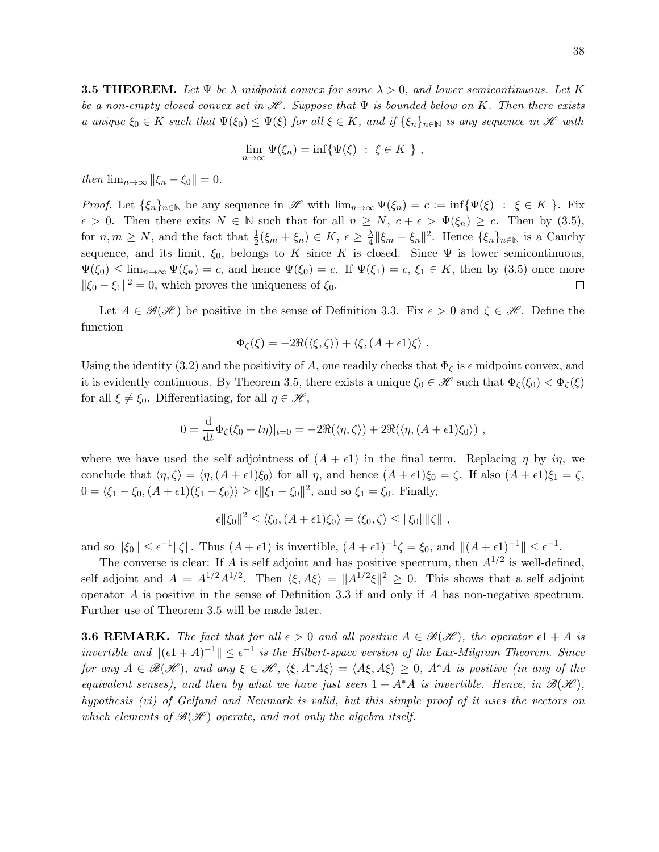**3.5 THEOREM.** Let  $\Psi$  be  $\lambda$  midpoint convex for some  $\lambda > 0$ , and lower semicontinuous. Let K be a non-empty closed convex set in  $\mathcal H$ . Suppose that  $\Psi$  is bounded below on K. Then there exists a unique  $\xi_0 \in K$  such that  $\Psi(\xi_0) \leq \Psi(\xi)$  for all  $\xi \in K$ , and if  $\{\xi_n\}_{n \in \mathbb{N}}$  is any sequence in  $\mathscr{H}$  with

$$
\lim_{n \to \infty} \Psi(\xi_n) = \inf \{ \Psi(\xi) : \xi \in K \} ,
$$

then  $\lim_{n\to\infty} ||\xi_n - \xi_0|| = 0.$ 

*Proof.* Let  $\{\xi_n\}_{n\in\mathbb{N}}$  be any sequence in H with  $\lim_{n\to\infty}\Psi(\xi_n)=c:=\inf\{\Psi(\xi)\;:\;\xi\in K\}$ . Fix  $\epsilon > 0$ . Then there exits  $N \in \mathbb{N}$  such that for all  $n \geq N$ ,  $c + \epsilon > \Psi(\xi_n) \geq c$ . Then by (3.5), for  $n, m \ge N$ , and the fact that  $\frac{1}{2}(\xi_m + \xi_n) \in K$ ,  $\epsilon \ge \frac{\lambda}{4}$  $\frac{\lambda}{4} \|\xi_m - \xi_n\|^2$ . Hence  $\{\xi_n\}_{n \in \mathbb{N}}$  is a Cauchy sequence, and its limit,  $\xi_0$ , belongs to K since K is closed. Since  $\Psi$  is lower semicontinuous,  $\Psi(\xi_0) \le \lim_{n \to \infty} \Psi(\xi_n) = c$ , and hence  $\Psi(\xi_0) = c$ . If  $\Psi(\xi_1) = c$ ,  $\xi_1 \in K$ , then by (3.5) once more  $\|\xi_0 - \xi_1\|^2 = 0$ , which proves the uniqueness of  $\xi_0$ .  $\Box$ 

Let  $A \in \mathcal{B}(\mathcal{H})$  be positive in the sense of Definition 3.3. Fix  $\epsilon > 0$  and  $\zeta \in \mathcal{H}$ . Define the function

$$
\Phi_{\zeta}(\xi) = -2\Re(\langle \xi, \zeta \rangle) + \langle \xi, (A + \epsilon 1)\xi \rangle.
$$

Using the identity (3.2) and the positivity of A, one readily checks that  $\Phi_{\zeta}$  is  $\epsilon$  midpoint convex, and it is evidently continuous. By Theorem 3.5, there exists a unique  $\xi_0 \in \mathscr{H}$  such that  $\Phi_{\zeta}(\xi_0) < \Phi_{\zeta}(\xi)$ for all  $\xi \neq \xi_0$ . Differentiating, for all  $\eta \in \mathcal{H}$ ,

$$
0 = \frac{\mathrm{d}}{\mathrm{d}t} \Phi_{\zeta}(\xi_0 + t\eta)|_{t=0} = -2\Re(\langle \eta, \zeta \rangle) + 2\Re(\langle \eta, (A + \epsilon 1)\xi_0 \rangle) ,
$$

where we have used the self adjointness of  $(A + \epsilon 1)$  in the final term. Replacing  $\eta$  by  $i\eta$ , we conclude that  $\langle \eta, \zeta \rangle = \langle \eta, (A + \epsilon 1)\xi_0 \rangle$  for all  $\eta$ , and hence  $(A + \epsilon 1)\xi_0 = \zeta$ . If also  $(A + \epsilon 1)\xi_1 = \zeta$ ,  $0 = \langle \xi_1 - \xi_0, (A + \epsilon_1)(\xi_1 - \xi_0) \rangle \ge \epsilon ||\xi_1 - \xi_0||^2$ , and so  $\xi_1 = \xi_0$ . Finally,

$$
\epsilon \|\xi_0\|^2 \le \langle \xi_0, (A+\epsilon 1)\xi_0 \rangle = \langle \xi_0, \zeta \rangle \le \|\xi_0\| \|\zeta\|,
$$

and so  $\|\xi_0\| \leq \epsilon^{-1} \|\zeta\|$ . Thus  $(A + \epsilon 1)$  is invertible,  $(A + \epsilon 1)^{-1}\zeta = \xi_0$ , and  $\|(A + \epsilon 1)^{-1}\| \leq \epsilon^{-1}$ .

The converse is clear: If A is self adjoint and has positive spectrum, then  $A^{1/2}$  is well-defined, self adjoint and  $A = A^{1/2}A^{1/2}$ . Then  $\langle \xi, A\xi \rangle = ||A^{1/2}\xi||^2 \ge 0$ . This shows that a self adjoint operator  $A$  is positive in the sense of Definition 3.3 if and only if  $A$  has non-negative spectrum. Further use of Theorem 3.5 will be made later.

**3.6 REMARK.** The fact that for all  $\epsilon > 0$  and all positive  $A \in \mathcal{B}(\mathcal{H})$ , the operator  $\epsilon 1 + A$  is invertible and  $\| (e_1 + A)^{-1} \| \leq \epsilon^{-1}$  is the Hilbert-space version of the Lax-Milgram Theorem. Since for any  $A \in \mathscr{B}(\mathscr{H})$ , and any  $\xi \in \mathscr{H}$ ,  $\langle \xi, A^*A\xi \rangle = \langle A\xi, A\xi \rangle \geq 0$ ,  $A^*A$  is positive (in any of the equivalent senses), and then by what we have just seen  $1 + A^*A$  is invertible. Hence, in  $\mathcal{B}(\mathcal{H})$ , hypothesis (vi) of Gelfand and Neumark is valid, but this simple proof of it uses the vectors on which elements of  $\mathcal{B}(\mathcal{H})$  operate, and not only the algebra itself.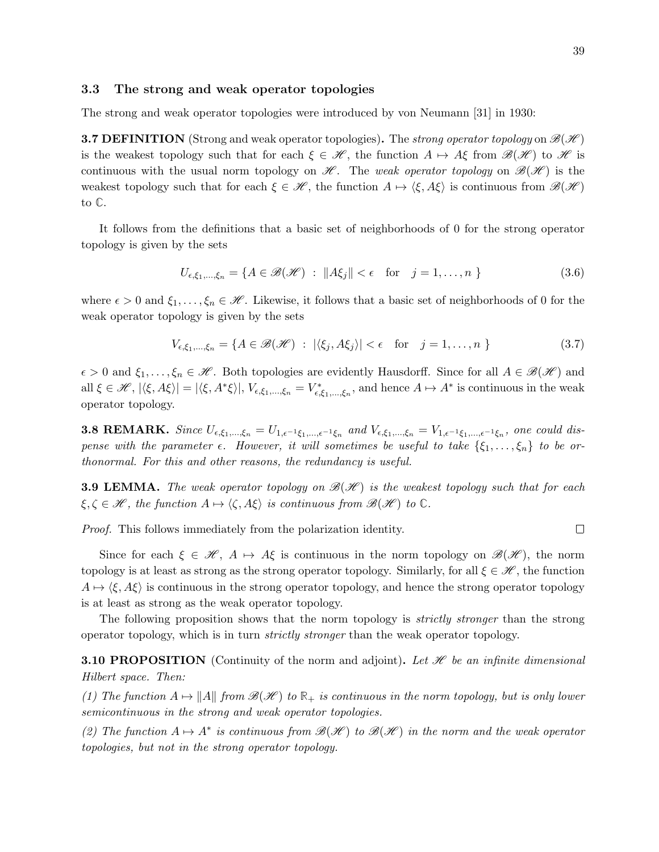$\Box$ 

### 3.3 The strong and weak operator topologies

The strong and weak operator topologies were introduced by von Neumann [31] in 1930:

**3.7 DEFINITION** (Strong and weak operator topologies). The strong operator topology on  $\mathcal{B}(\mathcal{H})$ is the weakest topology such that for each  $\xi \in \mathcal{H}$ , the function  $A \mapsto A\xi$  from  $\mathcal{B}(\mathcal{H})$  to  $\mathcal{H}$  is continuous with the usual norm topology on  $\mathscr{H}$ . The weak operator topology on  $\mathscr{B}(\mathscr{H})$  is the weakest topology such that for each  $\xi \in \mathcal{H}$ , the function  $A \mapsto \langle \xi, A\xi \rangle$  is continuous from  $\mathcal{B}(\mathcal{H})$ to **C**.

It follows from the definitions that a basic set of neighborhoods of 0 for the strong operator topology is given by the sets

$$
U_{\epsilon,\xi_1,\dots,\xi_n} = \{ A \in \mathcal{B}(\mathcal{H}) \; : \; \|A\xi_j\| < \epsilon \quad \text{for} \quad j = 1,\dots,n \; \} \tag{3.6}
$$

where  $\epsilon > 0$  and  $\xi_1, \ldots, \xi_n \in \mathcal{H}$ . Likewise, it follows that a basic set of neighborhoods of 0 for the weak operator topology is given by the sets

$$
V_{\epsilon,\xi_1,\dots,\xi_n} = \{ A \in \mathcal{B}(\mathcal{H}) \; : \; |\langle \xi_j, A\xi_j \rangle| < \epsilon \quad \text{for} \quad j = 1,\dots, n \; \} \tag{3.7}
$$

 $\epsilon > 0$  and  $\xi_1, \ldots, \xi_n \in \mathcal{H}$ . Both topologies are evidently Hausdorff. Since for all  $A \in \mathcal{B}(\mathcal{H})$  and all  $\xi \in \mathscr{H}, |\langle \xi, A\xi \rangle| = |\langle \xi, A^*\xi \rangle|, V_{\epsilon, \xi_1, \dots, \xi_n} = V_{\epsilon, \xi_1, \dots, \xi_n}^*$ , and hence  $A \mapsto A^*$  is continuous in the weak operator topology.

**3.8 REMARK.** Since  $U_{\epsilon,\xi_1,...,\xi_n} = U_{1,\epsilon^{-1}\xi_1,...,\epsilon^{-1}\xi_n}$  and  $V_{\epsilon,\xi_1,...,\xi_n} = V_{1,\epsilon^{-1}\xi_1,...,\epsilon^{-1}\xi_n}$ , one could dispense with the parameter  $\epsilon$ . However, it will sometimes be useful to take  $\{\xi_1, \ldots, \xi_n\}$  to be orthonormal. For this and other reasons, the redundancy is useful.

**3.9 LEMMA.** The weak operator topology on  $\mathcal{B}(\mathcal{H})$  is the weakest topology such that for each  $\xi, \zeta \in \mathcal{H}$ , the function  $A \mapsto \langle \zeta, A\xi \rangle$  is continuous from  $\mathcal{B}(\mathcal{H})$  to  $\mathbb{C}$ .

Proof. This follows immediately from the polarization identity.

Since for each  $\xi \in \mathcal{H}$ ,  $A \mapsto A\xi$  is continuous in the norm topology on  $\mathcal{B}(\mathcal{H})$ , the norm topology is at least as strong as the strong operator topology. Similarly, for all  $\xi \in \mathscr{H}$ , the function  $A \mapsto \langle \xi, A\xi \rangle$  is continuous in the strong operator topology, and hence the strong operator topology is at least as strong as the weak operator topology.

The following proposition shows that the norm topology is *strictly stronger* than the strong operator topology, which is in turn strictly stronger than the weak operator topology.

**3.10 PROPOSITION** (Continuity of the norm and adjoint). Let  $\mathcal{H}$  be an infinite dimensional Hilbert space. Then:

(1) The function  $A \mapsto ||A||$  from  $\mathcal{B}(\mathcal{H})$  to  $\mathbb{R}_+$  is continuous in the norm topology, but is only lower semicontinuous in the strong and weak operator topologies.

(2) The function  $A \mapsto A^*$  is continuous from  $\mathcal{B}(\mathcal{H})$  to  $\mathcal{B}(\mathcal{H})$  in the norm and the weak operator topologies, but not in the strong operator topology.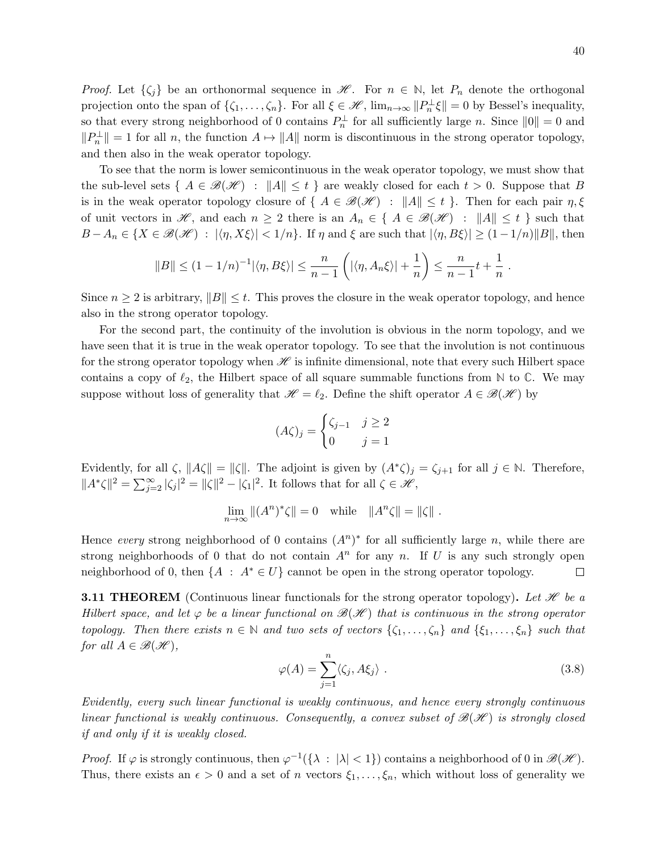*Proof.* Let  $\{\zeta_i\}$  be an orthonormal sequence in  $\mathcal{H}$ . For  $n \in \mathbb{N}$ , let  $P_n$  denote the orthogonal projection onto the span of  $\{\zeta_1,\ldots,\zeta_n\}$ . For all  $\xi \in \mathscr{H}$ ,  $\lim_{n\to\infty} ||P_n^{\perp}\xi|| = 0$  by Bessel's inequality, so that every strong neighborhood of 0 contains  $P_n^{\perp}$  for all sufficiently large n. Since  $||0|| = 0$  and  $||P_n^{\perp}|| = 1$  for all n, the function  $A \mapsto ||A||$  norm is discontinuous in the strong operator topology, and then also in the weak operator topology.

To see that the norm is lower semicontinuous in the weak operator topology, we must show that the sub-level sets {  $A \in \mathcal{B}(\mathcal{H})$  :  $||A|| \leq t$  } are weakly closed for each  $t > 0$ . Suppose that B is in the weak operator topology closure of  $\{ A \in \mathcal{B}(\mathcal{H}) : ||A|| \leq t \}$ . Then for each pair  $\eta, \xi$ of unit vectors in H, and each  $n \geq 2$  there is an  $A_n \in \{ A \in \mathcal{B}(\mathcal{H}) : ||A|| \leq t \}$  such that  $B-A_n \in \{X \in \mathscr{B}(\mathscr{H}) \; : \; |\langle \eta, X\xi \rangle| < 1/n\}$ . If  $\eta$  and  $\xi$  are such that  $|\langle \eta, B\xi \rangle| \geq (1-1/n)\|B\|$ , then

$$
||B|| \le (1 - 1/n)^{-1} |\langle \eta, B\xi \rangle| \le \frac{n}{n-1} \left( |\langle \eta, A_n \xi \rangle| + \frac{1}{n} \right) \le \frac{n}{n-1} t + \frac{1}{n}.
$$

Since  $n \geq 2$  is arbitrary,  $||B|| \leq t$ . This proves the closure in the weak operator topology, and hence also in the strong operator topology.

For the second part, the continuity of the involution is obvious in the norm topology, and we have seen that it is true in the weak operator topology. To see that the involution is not continuous for the strong operator topology when  $\mathscr H$  is infinite dimensional, note that every such Hilbert space contains a copy of  $\ell_2$ , the Hilbert space of all square summable functions from  $\mathbb N$  to  $\mathbb C$ . We may suppose without loss of generality that  $\mathscr{H} = \ell_2$ . Define the shift operator  $A \in \mathscr{B}(\mathscr{H})$  by

$$
(A\zeta)_j = \begin{cases} \zeta_{j-1} & j \ge 2\\ 0 & j = 1 \end{cases}
$$

Evidently, for all  $\zeta$ ,  $||A\zeta|| = ||\zeta||$ . The adjoint is given by  $(A^*\zeta)_j = \zeta_{j+1}$  for all  $j \in \mathbb{N}$ . Therefore,  $||A^*\zeta||^2 = \sum_{j=2}^{\infty} |\zeta_j|^2 = ||\zeta||^2 - |\zeta_1|^2$ . It follows that for all  $\zeta \in \mathcal{H}$ ,

$$
\lim_{n \to \infty} \|(A^n)^*\zeta\| = 0 \quad \text{while} \quad \|A^n\zeta\| = \|\zeta\|.
$$

Hence every strong neighborhood of 0 contains  $(A^n)^*$  for all sufficiently large n, while there are strong neighborhoods of 0 that do not contain  $A<sup>n</sup>$  for any n. If U is any such strongly open neighborhood of 0, then  $\{A : A^* \in U\}$  cannot be open in the strong operator topology. □

**3.11 THEOREM** (Continuous linear functionals for the strong operator topology). Let H be a Hilbert space, and let  $\varphi$  be a linear functional on  $\mathscr{B}(\mathscr{H})$  that is continuous in the strong operator topology. Then there exists  $n \in \mathbb{N}$  and two sets of vectors  $\{\zeta_1, \ldots, \zeta_n\}$  and  $\{\xi_1, \ldots, \xi_n\}$  such that for all  $A \in \mathcal{B}(\mathcal{H}),$ 

$$
\varphi(A) = \sum_{j=1}^{n} \langle \zeta_j, A\xi_j \rangle . \tag{3.8}
$$

Evidently, every such linear functional is weakly continuous, and hence every strongly continuous linear functional is weakly continuous. Consequently, a convex subset of  $\mathcal{B}(\mathcal{H})$  is strongly closed if and only if it is weakly closed.

*Proof.* If  $\varphi$  is strongly continuous, then  $\varphi^{-1}(\{\lambda : |\lambda| < 1\})$  contains a neighborhood of 0 in  $\mathcal{B}(\mathcal{H})$ . Thus, there exists an  $\epsilon > 0$  and a set of n vectors  $\xi_1, \ldots, \xi_n$ , which without loss of generality we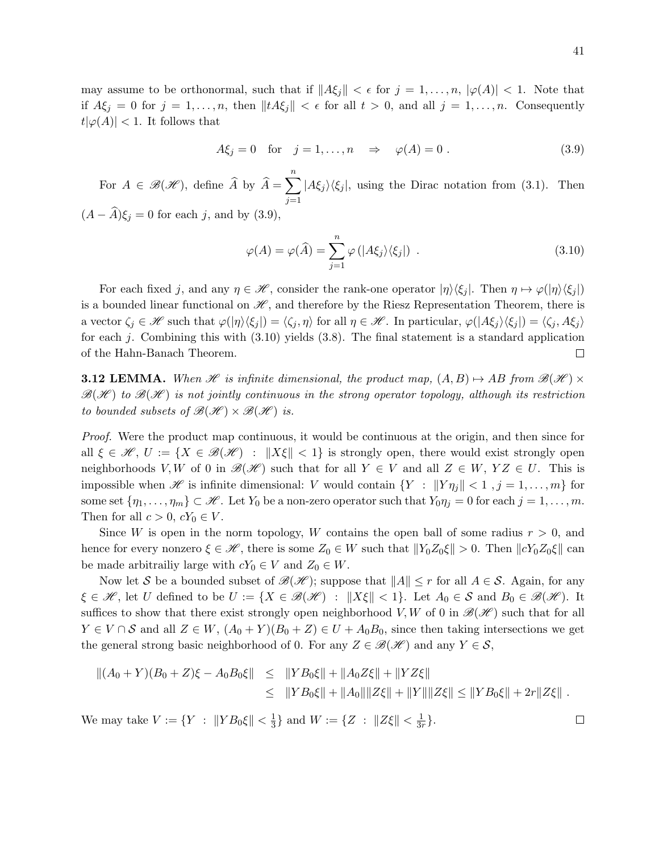may assume to be orthonormal, such that if  $||A\xi_j|| < \epsilon$  for  $j = 1, \ldots, n$ ,  $|\varphi(A)| < 1$ . Note that if  $A\xi_j = 0$  for  $j = 1, ..., n$ , then  $||tA\xi_j|| < \epsilon$  for all  $t > 0$ , and all  $j = 1, ..., n$ . Consequently  $|t|\varphi(A)| < 1$ . It follows that

$$
A\xi_j = 0 \quad \text{for} \quad j = 1, \dots, n \quad \Rightarrow \quad \varphi(A) = 0 \tag{3.9}
$$

For  $A \in \mathcal{B}(\mathcal{H})$ , define  $\widehat{A}$  by  $\widehat{A} = \sum^{n}$  $j=1$  $|A\xi_j\rangle\langle \xi_j|$ , using the Dirac notation from (3.1). Then  $(A - \widehat{A})\xi_i = 0$  for each j, and by (3.9),

$$
\varphi(A) = \varphi(\widehat{A}) = \sum_{j=1}^{n} \varphi\left(|A\xi_j\rangle\langle\xi_j|\right) \tag{3.10}
$$

For each fixed j, and any  $\eta \in \mathcal{H}$ , consider the rank-one operator  $|\eta\rangle\langle\xi_i|$ . Then  $\eta \mapsto \varphi(|\eta\rangle\langle\xi_i|)$ is a bounded linear functional on  $\mathscr{H}$ , and therefore by the Riesz Representation Theorem, there is a vector  $\zeta_i \in \mathscr{H}$  such that  $\varphi(|\eta\rangle\langle\xi_i|) = \langle \zeta_i, \eta \rangle$  for all  $\eta \in \mathscr{H}$ . In particular,  $\varphi(|A\xi_i\rangle\langle\xi_i|) = \langle \zeta_i, A\xi_i \rangle$ for each j. Combining this with  $(3.10)$  yields  $(3.8)$ . The final statement is a standard application of the Hahn-Banach Theorem.  $\Box$ 

**3.12 LEMMA.** When H is infinite dimensional, the product map,  $(A, B) \rightarrow AB$  from  $\mathcal{B}(\mathcal{H}) \times$  $\mathscr{B}(\mathscr{H})$  to  $\mathscr{B}(\mathscr{H})$  is not jointly continuous in the strong operator topology, although its restriction to bounded subsets of  $\mathcal{B}(\mathcal{H}) \times \mathcal{B}(\mathcal{H})$  is.

Proof. Were the product map continuous, it would be continuous at the origin, and then since for all  $\xi \in \mathscr{H}$ ,  $U := \{ X \in \mathscr{B}(\mathscr{H}) \; : \; \|X\xi\| < 1 \}$  is strongly open, there would exist strongly open neighborhoods V, W of 0 in  $\mathcal{B}(\mathcal{H})$  such that for all  $Y \in V$  and all  $Z \in W$ ,  $YZ \in U$ . This is impossible when  $\mathscr H$  is infinite dimensional: V would contain  $\{Y : ||Y\eta_j|| < 1, j = 1, \ldots, m\}$  for some set  $\{\eta_1,\ldots,\eta_m\}\subset\mathscr{H}$ . Let  $Y_0$  be a non-zero operator such that  $Y_0\eta_j=0$  for each  $j=1,\ldots,m$ . Then for all  $c > 0$ ,  $cY_0 \in V$ .

Since W is open in the norm topology, W contains the open ball of some radius  $r > 0$ , and hence for every nonzero  $\xi \in \mathcal{H}$ , there is some  $Z_0 \in W$  such that  $||Y_0Z_0\xi|| > 0$ . Then  $||cY_0Z_0\xi||$  can be made arbitrailiy large with  $cY_0 \in V$  and  $Z_0 \in W$ .

Now let S be a bounded subset of  $\mathscr{B}(\mathscr{H})$ ; suppose that  $||A|| \leq r$  for all  $A \in \mathcal{S}$ . Again, for any  $\xi \in \mathcal{H}$ , let U defined to be  $U := \{X \in \mathcal{B}(\mathcal{H}) : ||X\xi|| < 1\}$ . Let  $A_0 \in \mathcal{S}$  and  $B_0 \in \mathcal{B}(\mathcal{H})$ . It suffices to show that there exist strongly open neighborhood V, W of 0 in  $\mathcal{B}(\mathcal{H})$  such that for all  $Y \in V \cap S$  and all  $Z \in W$ ,  $(A_0 + Y)(B_0 + Z) \in U + A_0B_0$ , since then taking intersections we get the general strong basic neighborhood of 0. For any  $Z \in \mathcal{B}(\mathcal{H})$  and any  $Y \in \mathcal{S}$ ,

$$
||(A_0 + Y)(B_0 + Z)\xi - A_0B_0\xi|| \le ||YB_0\xi|| + ||A_0Z\xi|| + ||YZ\xi||
$$
  
\n
$$
\le ||YB_0\xi|| + ||A_0|| ||Z\xi|| + ||Y|| ||Z\xi|| \le ||YB_0\xi|| + 2r||Z\xi||.
$$

We may take  $V := \{ Y : ||Y B_0 \xi || < \frac{1}{3}$  $\frac{1}{3}$  and  $W := \{ Z : ||Z\xi|| < \frac{1}{3n} \}$  $\frac{1}{3r}$ .

 $\Box$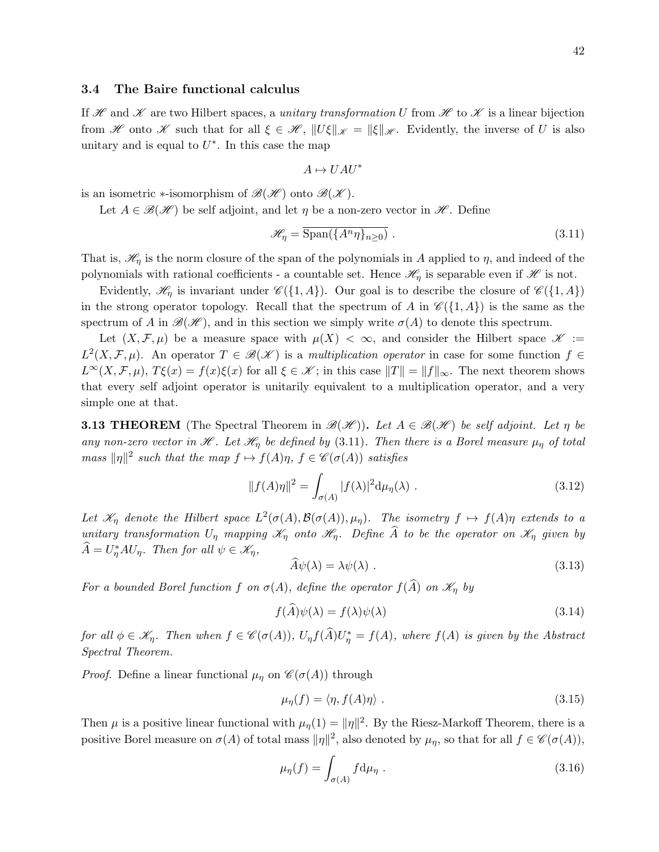### 3.4 The Baire functional calculus

If H and H are two Hilbert spaces, a unitary transformation U from H to H is a linear bijection from H onto K such that for all  $\xi \in \mathcal{H}$ ,  $||U\xi||_{\mathcal{K}} = ||\xi||_{\mathcal{H}}$ . Evidently, the inverse of U is also unitary and is equal to  $U^*$ . In this case the map

$$
A\mapsto UAU^*
$$

is an isometric ∗-isomorphism of  $\mathscr{B}(\mathscr{H})$  onto  $\mathscr{B}(\mathscr{K})$ .

Let  $A \in \mathcal{B}(\mathcal{H})$  be self adjoint, and let  $\eta$  be a non-zero vector in  $\mathcal{H}$ . Define

$$
\mathcal{H}_{\eta} = \overline{\text{Span}(\{A^n \eta\}_{n \ge 0})} \tag{3.11}
$$

That is,  $\mathcal{H}_{\eta}$  is the norm closure of the span of the polynomials in A applied to  $\eta$ , and indeed of the polynomials with rational coefficients - a countable set. Hence  $\mathcal{H}_{\eta}$  is separable even if  $\mathcal{H}$  is not.

Evidently,  $\mathcal{H}_{\eta}$  is invariant under  $\mathcal{C}(\{1, A\})$ . Our goal is to describe the closure of  $\mathcal{C}(\{1, A\})$ in the strong operator topology. Recall that the spectrum of A in  $\mathscr{C}(\{1, A\})$  is the same as the spectrum of A in  $\mathscr{B}(\mathscr{H})$ , and in this section we simply write  $\sigma(A)$  to denote this spectrum.

Let  $(X, \mathcal{F}, \mu)$  be a measure space with  $\mu(X) < \infty$ , and consider the Hilbert space  $\mathscr{K} :=$  $L^2(X,\mathcal{F},\mu)$ . An operator  $T \in \mathscr{B}(\mathscr{K})$  is a multiplication operator in case for some function  $f \in$  $L^{\infty}(X,\mathcal{F},\mu), T\xi(x) = f(x)\xi(x)$  for all  $\xi \in \mathscr{K}$ ; in this case  $||T|| = ||f||_{\infty}$ . The next theorem shows that every self adjoint operator is unitarily equivalent to a multiplication operator, and a very simple one at that.

**3.13 THEOREM** (The Spectral Theorem in  $\mathscr{B}(\mathscr{H})$ ). Let  $A \in \mathscr{B}(\mathscr{H})$  be self adjoint. Let  $\eta$  be any non-zero vector in  $\mathcal{H}$ . Let  $\mathcal{H}_{\eta}$  be defined by (3.11). Then there is a Borel measure  $\mu_{\eta}$  of total mass  $\|\eta\|^2$  such that the map  $f \mapsto f(A)\eta$ ,  $f \in \mathscr{C}(\sigma(A))$  satisfies

$$
||f(A)\eta||^2 = \int_{\sigma(A)} |f(\lambda)|^2 d\mu_{\eta}(\lambda) . \qquad (3.12)
$$

Let  $\mathscr{K}_\eta$  denote the Hilbert space  $L^2(\sigma(A), \mathcal{B}(\sigma(A)), \mu_\eta)$ . The isometry  $f \mapsto f(A)\eta$  extends to a unitary transformation  $U_{\eta}$  mapping  $\mathcal{K}_{\eta}$  onto  $\mathcal{H}_{\eta}$ . Define  $\widehat{A}$  to be the operator on  $\mathcal{K}_{\eta}$  given by  $\widehat{A} = U_{\eta}^* A U_{\eta}$ . Then for all  $\psi \in \mathscr{K}_{\eta}$ ,

$$
\widehat{A}\psi(\lambda) = \lambda\psi(\lambda) \tag{3.13}
$$

For a bounded Borel function f on  $\sigma(A)$ , define the operator  $f(\widehat{A})$  on  $\mathscr{K}_n$  by

$$
f(\widehat{A})\psi(\lambda) = f(\lambda)\psi(\lambda) \tag{3.14}
$$

for all  $\phi \in \mathscr{K}_{\eta}$ . Then when  $f \in \mathscr{C}(\sigma(A))$ ,  $U_{\eta}f(\widehat{A})U_{\eta}^* = f(A)$ , where  $f(A)$  is given by the Abstract Spectral Theorem.

*Proof.* Define a linear functional  $\mu_{\eta}$  on  $\mathscr{C}(\sigma(A))$  through

$$
\mu_{\eta}(f) = \langle \eta, f(A)\eta \rangle \tag{3.15}
$$

Then  $\mu$  is a positive linear functional with  $\mu_{\eta}(1) = ||\eta||^2$ . By the Riesz-Markoff Theorem, there is a positive Borel measure on  $\sigma(A)$  of total mass  $\|\eta\|^2$ , also denoted by  $\mu_{\eta}$ , so that for all  $f \in \mathscr{C}(\sigma(A)),$ 

$$
\mu_{\eta}(f) = \int_{\sigma(A)} f \, \mathrm{d}\mu_{\eta} \tag{3.16}
$$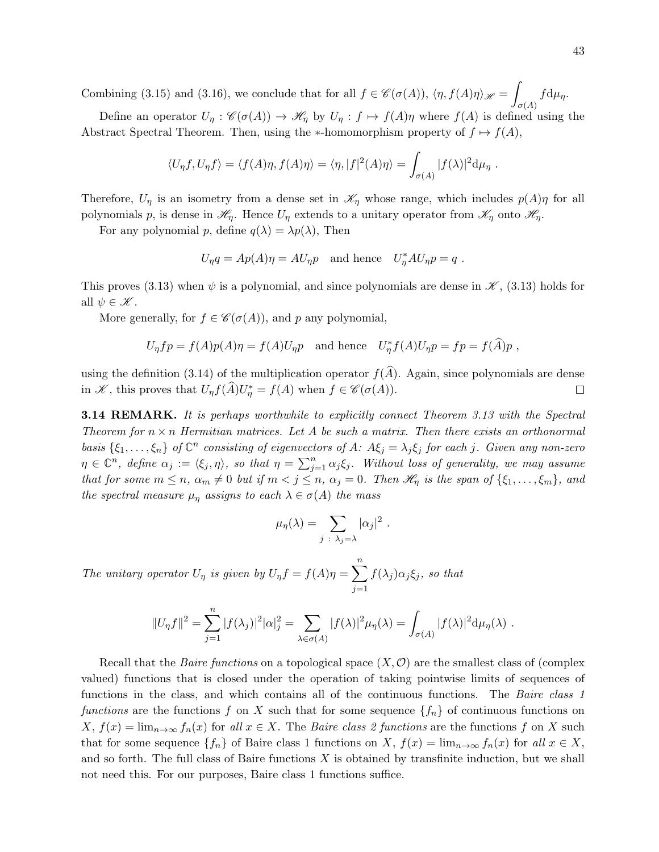Combining (3.15) and (3.16), we conclude that for all  $f \in \mathscr{C}(\sigma(A))$ ,  $\langle \eta, f(A)\eta \rangle_{\mathscr{H}} = \int$  $\sigma(A)$  $f d\mu_{\eta}$ .

Define an operator  $U_\eta : \mathscr{C}(\sigma(A)) \to \mathscr{H}_\eta$  by  $U_\eta : f \mapsto f(A)\eta$  where  $f(A)$  is defined using the Abstract Spectral Theorem. Then, using the \*-homomorphism property of  $f \mapsto f(A)$ ,

$$
\langle U_{\eta} f, U_{\eta} f \rangle = \langle f(A) \eta, f(A) \eta \rangle = \langle \eta, |f|^2(A) \eta \rangle = \int_{\sigma(A)} |f(\lambda)|^2 d\mu_{\eta}.
$$

Therefore,  $U_{\eta}$  is an isometry from a dense set in  $\mathscr{K}_{\eta}$  whose range, which includes  $p(A)\eta$  for all polynomials p, is dense in  $\mathcal{H}_{\eta}$ . Hence  $U_{\eta}$  extends to a unitary operator from  $\mathcal{K}_{\eta}$  onto  $\mathcal{H}_{\eta}$ .

For any polynomial p, define  $q(\lambda) = \lambda p(\lambda)$ , Then

$$
U_{\eta}q = Ap(A)\eta = AU_{\eta}p \text{ and hence } U_{\eta}^*AU_{\eta}p = q.
$$

This proves (3.13) when  $\psi$  is a polynomial, and since polynomials are dense in  $\mathscr{K}$ , (3.13) holds for all  $\psi \in \mathscr{K}$ .

More generally, for  $f \in \mathcal{C}(\sigma(A))$ , and p any polynomial,

$$
U_{\eta}fp = f(A)p(A)\eta = f(A)U_{\eta}p \text{ and hence } U_{\eta}^*f(A)U_{\eta}p = fp = f(\widehat{A})p,
$$

using the definition (3.14) of the multiplication operator  $f(\hat{A})$ . Again, since polynomials are dense in  $\mathscr{K}$ , this proves that  $U_n f(\hat{A}) U_n^* = f(A)$  when  $f \in \mathscr{C}(\sigma(A))$ . in  $\mathscr{K}$ , this proves that  $U_{\eta} f(\widehat{A}) U_{\eta}^* = f(A)$  when  $f \in \mathscr{C}(\sigma(A))$ .

**3.14 REMARK.** It is perhaps worthwhile to explicitly connect Theorem 3.13 with the Spectral Theorem for  $n \times n$  Hermitian matrices. Let A be such a matrix. Then there exists an orthonormal basis  $\{\xi_1,\ldots,\xi_n\}$  of  $\mathbb{C}^n$  consisting of eigenvectors of A:  $A\xi_j = \lambda_j \xi_j$  for each j. Given any non-zero  $\eta \in \mathbb{C}^n$ , define  $\alpha_j := \langle \xi_j, \eta \rangle$ , so that  $\eta = \sum_{j=1}^n \alpha_j \xi_j$ . Without loss of generality, we may assume that for some  $m \leq n$ ,  $\alpha_m \neq 0$  but if  $m < j \leq n$ ,  $\alpha_j = 0$ . Then  $\mathcal{H}_\eta$  is the span of  $\{\xi_1, \ldots, \xi_m\}$ , and the spectral measure  $\mu_n$  assigns to each  $\lambda \in \sigma(A)$  the mass

$$
\mu_{\eta}(\lambda) = \sum_{j \; : \; \lambda_j = \lambda} |\alpha_j|^2 \; .
$$

The unitary operator  $U_{\eta}$  is given by  $U_{\eta}f = f(A)\eta = \sum_{\eta}^{n}$  $j=1$  $f(\lambda_j)\alpha_j\xi_j$ , so that

$$
||U_{\eta}f||^{2} = \sum_{j=1}^{n} |f(\lambda_{j})|^{2} |\alpha|_{j}^{2} = \sum_{\lambda \in \sigma(A)} |f(\lambda)|^{2} \mu_{\eta}(\lambda) = \int_{\sigma(A)} |f(\lambda)|^{2} d\mu_{\eta}(\lambda) .
$$

Recall that the *Baire functions* on a topological space  $(X, \mathcal{O})$  are the smallest class of (complex valued) functions that is closed under the operation of taking pointwise limits of sequences of functions in the class, and which contains all of the continuous functions. The *Baire class 1* functions are the functions f on X such that for some sequence  $\{f_n\}$  of continuous functions on  $X, f(x) = \lim_{n \to \infty} f_n(x)$  for all  $x \in X$ . The *Baire class 2 functions* are the functions f on X such that for some sequence  $\{f_n\}$  of Baire class 1 functions on X,  $f(x) = \lim_{n\to\infty} f_n(x)$  for all  $x \in X$ , and so forth. The full class of Baire functions  $X$  is obtained by transfinite induction, but we shall not need this. For our purposes, Baire class 1 functions suffice.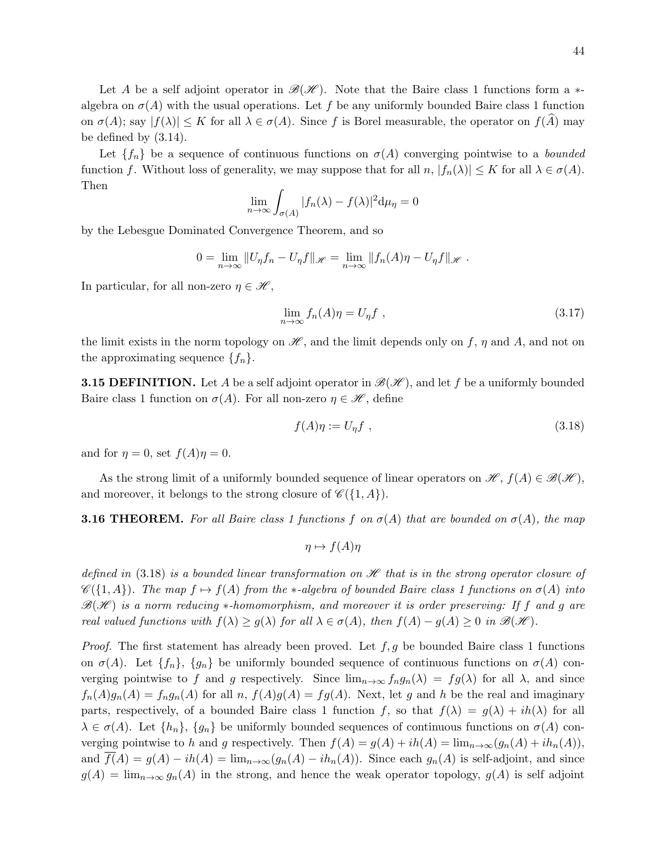Let A be a self adjoint operator in  $\mathscr{B}(\mathscr{H})$ . Note that the Baire class 1 functions form a  $*$ algebra on  $\sigma(A)$  with the usual operations. Let f be any uniformly bounded Baire class 1 function on  $\sigma(A)$ ; say  $|f(\lambda)| \leq K$  for all  $\lambda \in \sigma(A)$ . Since f is Borel measurable, the operator on  $f(A)$  may be defined by (3.14).

Let  $\{f_n\}$  be a sequence of continuous functions on  $\sigma(A)$  converging pointwise to a bounded function f. Without loss of generality, we may suppose that for all  $n, |f_n(\lambda)| \leq K$  for all  $\lambda \in \sigma(A)$ . Then

$$
\lim_{n \to \infty} \int_{\sigma(A)} |f_n(\lambda) - f(\lambda)|^2 d\mu_{\eta} = 0
$$

by the Lebesgue Dominated Convergence Theorem, and so

$$
0 = \lim_{n \to \infty} ||U_{\eta} f_n - U_{\eta} f||_{\mathscr{H}} = \lim_{n \to \infty} ||f_n(A)\eta - U_{\eta} f||_{\mathscr{H}}.
$$

In particular, for all non-zero  $\eta \in \mathcal{H}$ ,

$$
\lim_{n \to \infty} f_n(A)\eta = U_\eta f \tag{3.17}
$$

the limit exists in the norm topology on  $\mathscr{H}$ , and the limit depends only on f,  $\eta$  and A, and not on the approximating sequence  $\{f_n\}.$ 

**3.15 DEFINITION.** Let A be a self adjoint operator in  $\mathcal{B}(\mathcal{H})$ , and let f be a uniformly bounded Baire class 1 function on  $\sigma(A)$ . For all non-zero  $\eta \in \mathcal{H}$ , define

$$
f(A)\eta := U_{\eta}f \tag{3.18}
$$

and for  $\eta = 0$ , set  $f(A)\eta = 0$ .

As the strong limit of a uniformly bounded sequence of linear operators on  $\mathscr{H}, f(A) \in \mathscr{B}(\mathscr{H}),$ and moreover, it belongs to the strong closure of  $\mathscr{C}(\{1, A\})$ .

**3.16 THEOREM.** For all Baire class 1 functions f on  $\sigma(A)$  that are bounded on  $\sigma(A)$ , the map

$$
\eta \mapsto f(A)\eta
$$

defined in (3.18) is a bounded linear transformation on  $\mathscr H$  that is in the strong operator closure of  $\mathscr{C}(\{1,A\})$ . The map  $f \mapsto f(A)$  from the ∗-algebra of bounded Baire class 1 functions on  $\sigma(A)$  into  $\mathcal{B}(\mathcal{H})$  is a norm reducing \*-homomorphism, and moreover it is order preserving: If f and g are real valued functions with  $f(\lambda) \ge g(\lambda)$  for all  $\lambda \in \sigma(A)$ , then  $f(A) - g(A) \ge 0$  in  $\mathcal{B}(\mathcal{H})$ .

*Proof.* The first statement has already been proved. Let  $f, g$  be bounded Baire class 1 functions on  $\sigma(A)$ . Let  $\{f_n\}$ ,  $\{g_n\}$  be uniformly bounded sequence of continuous functions on  $\sigma(A)$  converging pointwise to f and g respectively. Since  $\lim_{n\to\infty} f_n g_n(\lambda) = fg(\lambda)$  for all  $\lambda$ , and since  $f_n(A)g_n(A) = f_ng_n(A)$  for all  $n, f(A)g(A) = fg(A)$ . Next, let g and h be the real and imaginary parts, respectively, of a bounded Baire class 1 function f, so that  $f(\lambda) = g(\lambda) + ih(\lambda)$  for all  $\lambda \in \sigma(A)$ . Let  $\{h_n\}$ ,  $\{g_n\}$  be uniformly bounded sequences of continuous functions on  $\sigma(A)$  converging pointwise to h and g respectively. Then  $f(A) = g(A) + ih(A) = \lim_{n \to \infty} (g_n(A) + ih_n(A)),$ and  $f(A) = g(A) - ih(A) = \lim_{n \to \infty} (g_n(A) - ih_n(A))$ . Since each  $g_n(A)$  is self-adjoint, and since  $g(A) = \lim_{n\to\infty} g_n(A)$  in the strong, and hence the weak operator topology,  $g(A)$  is self adjoint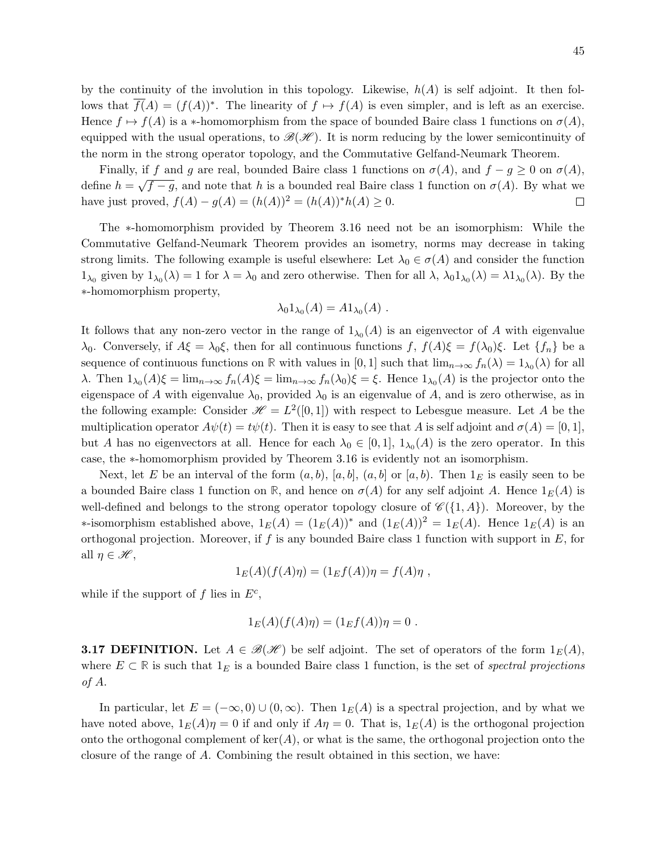by the continuity of the involution in this topology. Likewise,  $h(A)$  is self adjoint. It then follows that  $\overline{f}(A) = (f(A))^*$ . The linearity of  $f \mapsto f(A)$  is even simpler, and is left as an exercise. Hence  $f \mapsto f(A)$  is a \*-homomorphism from the space of bounded Baire class 1 functions on  $\sigma(A)$ , equipped with the usual operations, to  $\mathscr{B}(\mathscr{H})$ . It is norm reducing by the lower semicontinuity of the norm in the strong operator topology, and the Commutative Gelfand-Neumark Theorem.

Finally, if f and g are real, bounded Baire class 1 functions on  $\sigma(A)$ , and  $f - g \geq 0$  on  $\sigma(A)$ , √ define  $h =$  $\overline{f-g}$ , and note that h is a bounded real Baire class 1 function on  $\sigma(A)$ . By what we have just proved,  $f(A) - g(A) = (h(A))^2 = (h(A))^* h(A) \ge 0$ .  $\Box$ 

The ∗-homomorphism provided by Theorem 3.16 need not be an isomorphism: While the Commutative Gelfand-Neumark Theorem provides an isometry, norms may decrease in taking strong limits. The following example is useful elsewhere: Let  $\lambda_0 \in \sigma(A)$  and consider the function  $1_{\lambda_0}$  given by  $1_{\lambda_0}(\lambda) = 1$  for  $\lambda = \lambda_0$  and zero otherwise. Then for all  $\lambda$ ,  $\lambda_0 1_{\lambda_0}(\lambda) = \lambda 1_{\lambda_0}(\lambda)$ . By the ∗-homomorphism property,

$$
\lambda_0 1_{\lambda_0}(A) = A 1_{\lambda_0}(A) .
$$

It follows that any non-zero vector in the range of  $1_{\lambda_0}(A)$  is an eigenvector of A with eigenvalue  $\lambda_0$ . Conversely, if  $A\xi = \lambda_0 \xi$ , then for all continuous functions  $f, f(A)\xi = f(\lambda_0)\xi$ . Let  $\{f_n\}$  be a sequence of continuous functions on **R** with values in [0, 1] such that  $\lim_{n\to\infty} f_n(\lambda) = 1_{\lambda_0}(\lambda)$  for all λ. Then  $1_{\lambda_0}(A) \xi = \lim_{n \to \infty} f_n(A) \xi = \lim_{n \to \infty} f_n(\lambda_0) \xi = \xi$ . Hence  $1_{\lambda_0}(A)$  is the projector onto the eigenspace of A with eigenvalue  $\lambda_0$ , provided  $\lambda_0$  is an eigenvalue of A, and is zero otherwise, as in the following example: Consider  $\mathcal{H} = L^2([0,1])$  with respect to Lebesgue measure. Let A be the multiplication operator  $A\psi(t) = t\psi(t)$ . Then it is easy to see that A is self adjoint and  $\sigma(A) = [0, 1]$ , but A has no eigenvectors at all. Hence for each  $\lambda_0 \in [0,1]$ ,  $1_{\lambda_0}(A)$  is the zero operator. In this case, the ∗-homomorphism provided by Theorem 3.16 is evidently not an isomorphism.

Next, let E be an interval of the form  $(a, b)$ ,  $[a, b]$ ,  $(a, b]$  or  $[a, b)$ . Then  $1<sub>E</sub>$  is easily seen to be a bounded Baire class 1 function on **R**, and hence on  $\sigma(A)$  for any self adjoint A. Hence  $1_E(A)$  is well-defined and belongs to the strong operator topology closure of  $\mathscr{C}(\{1, A\})$ . Moreover, by the ∗-isomorphism established above,  $1_E(A) = (1_E(A))^*$  and  $(1_E(A))^2 = 1_E(A)$ . Hence  $1_E(A)$  is an orthogonal projection. Moreover, if f is any bounded Baire class 1 function with support in  $E$ , for all  $\eta \in \mathscr{H}$ ,

$$
1_E(A)(f(A)\eta) = (1_E f(A))\eta = f(A)\eta,
$$

while if the support of f lies in  $E^c$ ,

$$
1_E(A)(f(A)\eta) = (1_E f(A))\eta = 0.
$$

**3.17 DEFINITION.** Let  $A \in \mathcal{B}(\mathcal{H})$  be self adjoint. The set of operators of the form  $1_E(A)$ , where  $E \subset \mathbb{R}$  is such that  $1_E$  is a bounded Baire class 1 function, is the set of *spectral projections* of A.

In particular, let  $E = (-\infty, 0) \cup (0, \infty)$ . Then  $1_E(A)$  is a spectral projection, and by what we have noted above,  $1_E(A)\eta = 0$  if and only if  $A\eta = 0$ . That is,  $1_E(A)$  is the orthogonal projection onto the orthogonal complement of  $\ker(A)$ , or what is the same, the orthogonal projection onto the closure of the range of A. Combining the result obtained in this section, we have: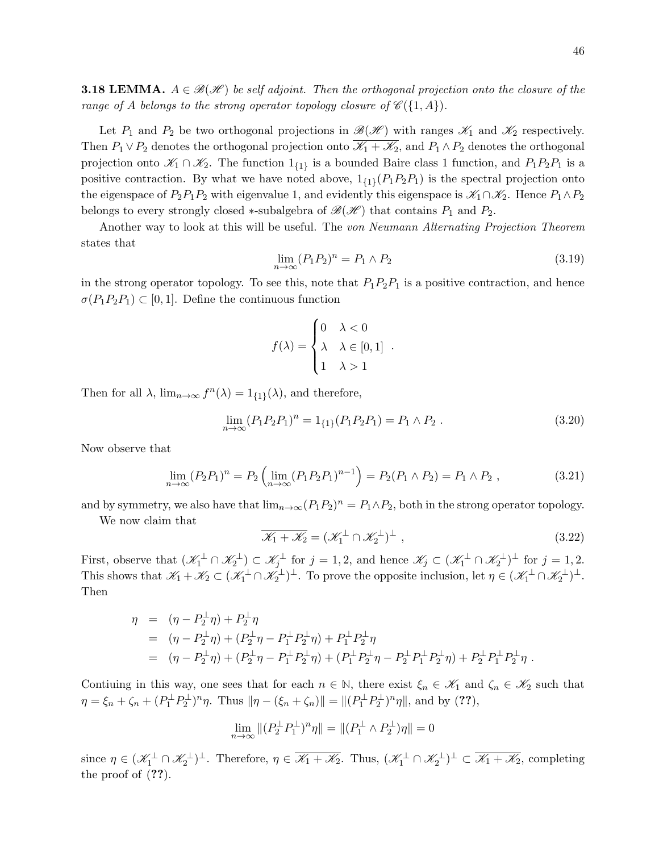**3.18 LEMMA.**  $A \in \mathcal{B}(\mathcal{H})$  be self adjoint. Then the orthogonal projection onto the closure of the range of A belongs to the strong operator topology closure of  $\mathscr{C}(\{1,A\})$ .

Let  $P_1$  and  $P_2$  be two orthogonal projections in  $\mathscr{B}(\mathscr{H})$  with ranges  $\mathscr{K}_1$  and  $\mathscr{K}_2$  respectively. Then  $P_1 \vee P_2$  denotes the orthogonal projection onto  $\mathscr{K}_1 + \mathscr{K}_2$ , and  $P_1 \wedge P_2$  denotes the orthogonal projection onto  $\mathscr{K}_1 \cap \mathscr{K}_2$ . The function  $1_{\{1\}}$  is a bounded Baire class 1 function, and  $P_1P_2P_1$  is a positive contraction. By what we have noted above,  $1_{\{1\}}(P_1P_2P_1)$  is the spectral projection onto the eigenspace of  $P_2P_1P_2$  with eigenvalue 1, and evidently this eigenspace is  $\mathscr{K}_1 \cap \mathscr{K}_2$ . Hence  $P_1 \wedge P_2$ belongs to every strongly closed ∗-subalgebra of  $\mathscr{B}(\mathscr{H})$  that contains  $P_1$  and  $P_2$ .

Another way to look at this will be useful. The von Neumann Alternating Projection Theorem states that

$$
\lim_{n \to \infty} (P_1 P_2)^n = P_1 \wedge P_2 \tag{3.19}
$$

in the strong operator topology. To see this, note that  $P_1P_2P_1$  is a positive contraction, and hence  $\sigma(P_1P_2P_1) \subset [0,1]$ . Define the continuous function

$$
f(\lambda) = \begin{cases} 0 & \lambda < 0 \\ \lambda & \lambda \in [0, 1] \\ 1 & \lambda > 1 \end{cases}
$$

Then for all  $\lambda$ ,  $\lim_{n\to\infty} f^n(\lambda) = 1_{\{1\}}(\lambda)$ , and therefore,

$$
\lim_{n \to \infty} (P_1 P_2 P_1)^n = 1_{\{1\}} (P_1 P_2 P_1) = P_1 \wedge P_2 . \tag{3.20}
$$

.

Now observe that

$$
\lim_{n \to \infty} (P_2 P_1)^n = P_2 \left( \lim_{n \to \infty} (P_1 P_2 P_1)^{n-1} \right) = P_2 (P_1 \wedge P_2) = P_1 \wedge P_2 , \qquad (3.21)
$$

and by symmetry, we also have that  $\lim_{n\to\infty} (P_1P_2)^n = P_1 \wedge P_2$ , both in the strong operator topology.

We now claim that

$$
\overline{\mathcal{K}_1 + \mathcal{K}_2} = (\mathcal{K}_1^{\perp} \cap \mathcal{K}_2^{\perp})^{\perp} , \qquad (3.22)
$$

First, observe that  $(\mathscr{K}_1^{\perp} \cap \mathscr{K}_2^{\perp}) \subset \mathscr{K}_j^{\perp}$  for  $j = 1, 2$ , and hence  $\mathscr{K}_j \subset (\mathscr{K}_1^{\perp} \cap \mathscr{K}_2^{\perp})^{\perp}$  for  $j = 1, 2$ . This shows that  $\mathscr{K}_1 + \mathscr{K}_2 \subset (\mathscr{K}_1^{\perp} \cap \mathscr{K}_2^{\perp})^{\perp}$ . To prove the opposite inclusion, let  $\eta \in (\mathscr{K}_1^{\perp} \cap \mathscr{K}_2^{\perp})^{\perp}$ . Then

$$
\eta = (\eta - P_2^{\perp} \eta) + P_2^{\perp} \eta
$$
  
=  $(\eta - P_2^{\perp} \eta) + (P_2^{\perp} \eta - P_1^{\perp} P_2^{\perp} \eta) + P_1^{\perp} P_2^{\perp} \eta$   
=  $(\eta - P_2^{\perp} \eta) + (P_2^{\perp} \eta - P_1^{\perp} P_2^{\perp} \eta) + (P_1^{\perp} P_2^{\perp} \eta - P_2^{\perp} P_1^{\perp} P_2^{\perp} \eta) + P_2^{\perp} P_1^{\perp} P_2^{\perp} \eta.$ 

Contiuing in this way, one sees that for each  $n \in \mathbb{N}$ , there exist  $\xi_n \in \mathscr{K}_1$  and  $\zeta_n \in \mathscr{K}_2$  such that  $\eta = \xi_n + \zeta_n + (P_1^{\perp} P_2^{\perp})^n \eta$ . Thus  $\|\eta - (\xi_n + \zeta_n)\| = \|(P_1^{\perp} P_2^{\perp})^n \eta\|$ , and by (??),

$$
\lim_{n \to \infty} \left\| (P_2^{\perp} P_1^{\perp})^n \eta \right\| = \left\| (P_1^{\perp} \wedge P_2^{\perp}) \eta \right\| = 0
$$

since  $\eta \in (\mathcal{K}_1^{\perp} \cap \mathcal{K}_2^{\perp})^{\perp}$ . Therefore,  $\eta \in \overline{\mathcal{K}_1 + \mathcal{K}_2}$ . Thus,  $(\mathcal{K}_1^{\perp} \cap \mathcal{K}_2^{\perp})^{\perp} \subset \overline{\mathcal{K}_1 + \mathcal{K}_2}$ , completing the proof of (??).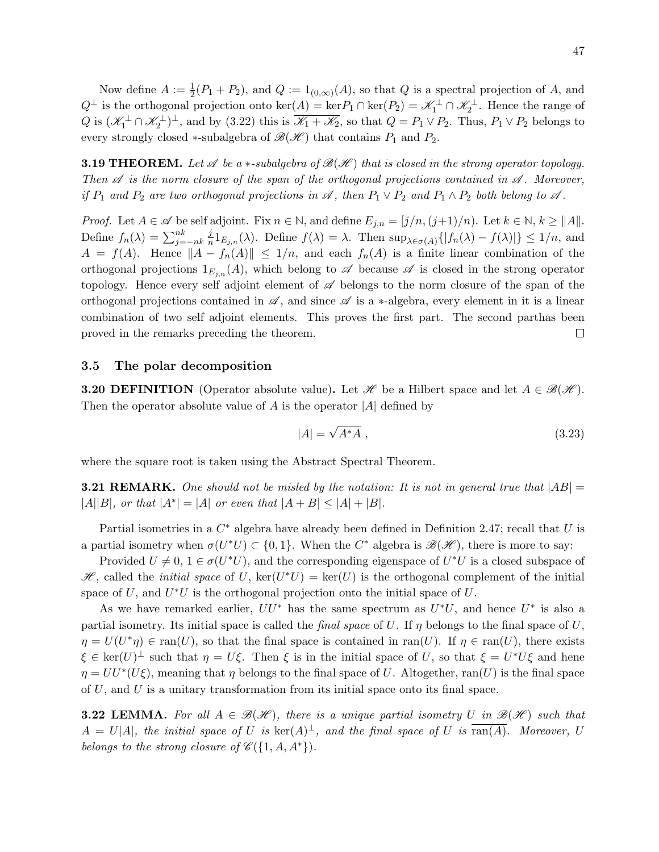Now define  $A := \frac{1}{2}(P_1 + P_2)$ , and  $Q := 1_{(0,\infty)}(A)$ , so that Q is a spectral projection of A, and  $Q^{\perp}$  is the orthogonal projection onto  $\ker(A) = \ker P_1 \cap \ker(P_2) = \mathscr{K}_1^{\perp} \cap \mathscr{K}_2^{\perp}$ . Hence the range of Q is  $(\mathscr{K}_1^{\perp} \cap \mathscr{K}_2^{\perp})^{\perp}$ , and by (3.22) this is  $\overline{\mathscr{K}_1 + \mathscr{K}_2}$ , so that  $Q = P_1 \vee P_2$ . Thus,  $P_1 \vee P_2$  belongs to every strongly closed ∗-subalgebra of  $\mathcal{B}(\mathcal{H})$  that contains  $P_1$  and  $P_2$ .

**3.19 THEOREM.** Let  $\mathscr A$  be a  $\ast$ -subalgebra of  $\mathscr B(\mathscr H)$  that is closed in the strong operator topology. Then  $\mathscr A$  is the norm closure of the span of the orthogonal projections contained in  $\mathscr A$ . Moreover, if  $P_1$  and  $P_2$  are two orthogonal projections in  $\mathscr A$ , then  $P_1 \vee P_2$  and  $P_1 \wedge P_2$  both belong to  $\mathscr A$ .

*Proof.* Let  $A \in \mathcal{A}$  be self adjoint. Fix  $n \in \mathbb{N}$ , and define  $E_{j,n} = [j/n,(j+1)/n)$ . Let  $k \in \mathbb{N}$ ,  $k \ge ||A||$ . Define  $f_n(\lambda) = \sum_{j=-nk}^{nk}$ j  $\frac{\partial}{\partial n} 1_{E_{j,n}}(\lambda)$ . Define  $f(\lambda) = \lambda$ . Then  $\sup_{\lambda \in \sigma(A)} \{ |f_n(\lambda) - f(\lambda)| \} \leq 1/n$ , and  $A = f(A)$ . Hence  $||A - f_n(A)|| \le 1/n$ , and each  $f_n(A)$  is a finite linear combination of the orthogonal projections  $1_{E_{j,n}}(A)$ , which belong to  $\mathscr A$  because  $\mathscr A$  is closed in the strong operator topology. Hence every self adjoint element of  $\mathscr A$  belongs to the norm closure of the span of the orthogonal projections contained in  $\mathscr A$ , and since  $\mathscr A$  is a ∗-algebra, every element in it is a linear combination of two self adjoint elements. This proves the first part. The second parthas been proved in the remarks preceding the theorem.  $\Box$ 

## 3.5 The polar decomposition

**3.20 DEFINITION** (Operator absolute value). Let H be a Hilbert space and let  $A \in \mathcal{B}(\mathcal{H})$ . Then the operator absolute value of A is the operator  $|A|$  defined by

$$
|A| = \sqrt{A^*A} \tag{3.23}
$$

where the square root is taken using the Abstract Spectral Theorem.

**3.21 REMARK.** One should not be misled by the notation: It is not in general true that  $|AB|$  $|A||B|$ , or that  $|A^*| = |A|$  or even that  $|A + B| \leq |A| + |B|$ .

Partial isometries in a  $C^*$  algebra have already been defined in Definition 2.47; recall that U is a partial isometry when  $\sigma(U^*U) \subset \{0,1\}$ . When the  $C^*$  algebra is  $\mathscr{B}(\mathscr{H})$ , there is more to say:

Provided  $U \neq 0, 1 \in \sigma(U^*U)$ , and the corresponding eigenspace of  $U^*U$  is a closed subspace of  $\mathscr{H}$ , called the *initial space* of U, ker(U<sup>\*</sup>U) = ker(U) is the orthogonal complement of the initial space of  $U$ , and  $U^*U$  is the orthogonal projection onto the initial space of  $U$ .

As we have remarked earlier,  $UU^*$  has the same spectrum as  $U^*U$ , and hence  $U^*$  is also a partial isometry. Its initial space is called the *final space* of U. If  $\eta$  belongs to the final space of U,  $\eta = U(U^*\eta) \in \text{ran}(U)$ , so that the final space is contained in ran(U). If  $\eta \in \text{ran}(U)$ , there exists  $\xi \in \text{ker}(U)^{\perp}$  such that  $\eta = U\xi$ . Then  $\xi$  is in the initial space of U, so that  $\xi = U^*U\xi$  and hene  $\eta = U U^* (U \xi)$ , meaning that  $\eta$  belongs to the final space of U. Altogether, ran(U) is the final space of  $U$ , and  $U$  is a unitary transformation from its initial space onto its final space.

**3.22 LEMMA.** For all  $A \in \mathcal{B}(\mathcal{H})$ , there is a unique partial isometry U in  $\mathcal{B}(\mathcal{H})$  such that  $A = U|A|$ , the initial space of U is  $\ker(A)^{\perp}$ , and the final space of U is  $\overline{\tan(A)}$ . Moreover, U belongs to the strong closure of  $\mathscr{C}(\{1, A, A^*\})$ .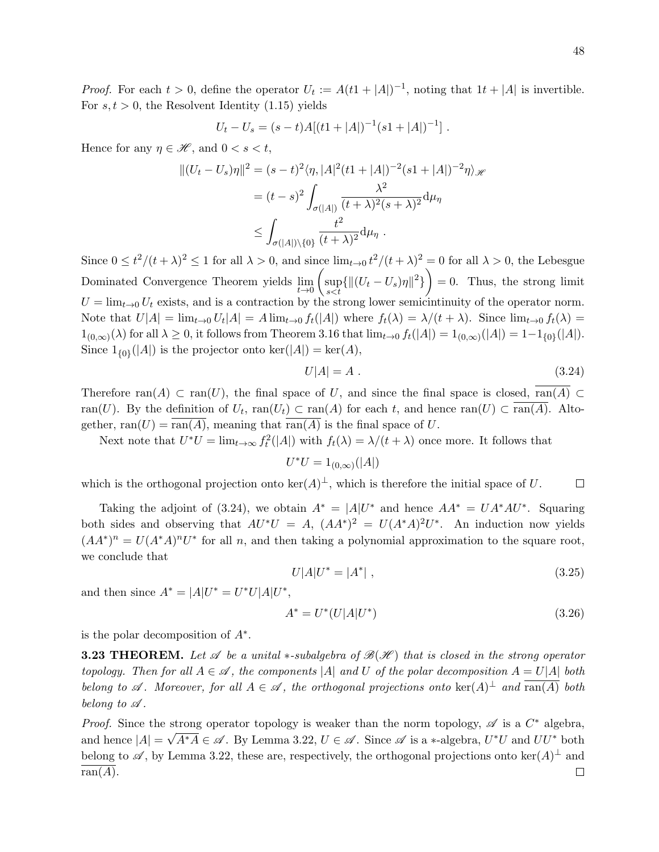*Proof.* For each  $t > 0$ , define the operator  $U_t := A(t1 + |A|)^{-1}$ , noting that  $1t + |A|$  is invertible. For  $s, t > 0$ , the Resolvent Identity (1.15) yields

$$
U_t - U_s = (s-t)A[(t1+|A|)^{-1}(s1+|A|)^{-1}].
$$

Hence for any  $\eta \in \mathcal{H}$ , and  $0 < s < t$ ,

$$
||(U_t - U_s)\eta||^2 = (s - t)^2 \langle \eta, |A|^2 (t1 + |A|)^{-2} (s1 + |A|)^{-2} \eta \rangle_{\mathcal{H}}
$$
  
=  $(t - s)^2 \int_{\sigma(|A|)} \frac{\lambda^2}{(t + \lambda)^2 (s + \lambda)^2} d\mu_{\eta}$   
 $\leq \int_{\sigma(|A|) \setminus \{0\}} \frac{t^2}{(t + \lambda)^2} d\mu_{\eta}.$ 

Since  $0 \le t^2/(t+\lambda)^2 \le 1$  for all  $\lambda > 0$ , and since  $\lim_{t\to 0} t^2/(t+\lambda)^2 = 0$  for all  $\lambda > 0$ , the Lebesgue Dominated Convergence Theorem yields  $\lim_{t\to 0}$  $\int$ sup  $\sup_{s < t} \{ ||(U_t - U_s)\eta||^2 \}$  = 0. Thus, the strong limit  $U = \lim_{t\to 0} U_t$  exists, and is a contraction by the strong lower semicintinuity of the operator norm. Note that  $U[A] = \lim_{t\to 0} U_t[A] = A \lim_{t\to 0} f_t([A])$  where  $f_t(\lambda) = \lambda/(t+\lambda)$ . Since  $\lim_{t\to 0} f_t(\lambda) =$  $1_{(0,\infty)}(\lambda)$  for all  $\lambda \geq 0$ , it follows from Theorem 3.16 that  $\lim_{t\to 0} f_t(|A|) = 1_{(0,\infty)}(|A|) = 1-1_{\{0\}}(|A|)$ . Since  $1_{\{0\}}(|A|)$  is the projector onto  $\ker(|A|) = \ker(A)$ ,

$$
U|A| = A \tag{3.24}
$$

Therefore  $ran(A) \subset ran(U)$ , the final space of U, and since the final space is closed,  $\overline{ran(A)} \subset$ ran(U). By the definition of  $U_t$ ,  $ran(U_t) \subset ran(A)$  for each t, and hence  $ran(U) \subset ran(A)$ . Altogether,  $ran(U) = ran(A)$ , meaning that  $ran(A)$  is the final space of U.

Next note that  $U^*U = \lim_{t \to \infty} f_t^2(|A|)$  with  $f_t(\lambda) = \lambda/(t + \lambda)$  once more. It follows that

$$
U^*U = 1_{(0,\infty)}(|A|)
$$

which is the orthogonal projection onto  $\ker(A)^{\perp}$ , which is therefore the initial space of U.  $\Box$ 

Taking the adjoint of (3.24), we obtain  $A^* = |A|U^*$  and hence  $AA^* = UA^*AU^*$ . Squaring both sides and observing that  $AU^*U = A$ ,  $(AA^*)^2 = U(A^*A)^2U^*$ . An induction now yields  $(AA^*)^n = U(A^*A)^nU^*$  for all n, and then taking a polynomial approximation to the square root, we conclude that

$$
U|A|U^* = |A^*| \t\t(3.25)
$$

and then since  $A^* = |A|U^* = U^*U|A|U^*,$ 

$$
A^* = U^*(U|A|U^*)
$$
\n(3.26)

is the polar decomposition of  $A^*$ .

**3.23 THEOREM.** Let  $\mathscr A$  be a unital  $*$ -subalgebra of  $\mathscr B(\mathscr H)$  that is closed in the strong operator topology. Then for all  $A \in \mathscr{A}$ , the components |A| and U of the polar decomposition  $A = U|A|$  both belong to  $\mathscr A$ . Moreover, for all  $A \in \mathscr A$ , the orthogonal projections onto  $\ker(A)^{\perp}$  and  $\overline{\operatorname{ran}(A)}$  both belong to  $\mathscr A$ .

*Proof.* Since the strong operator topology is weaker than the norm topology,  $\mathscr A$  is a  $C^*$  algebra, and hence  $|A| = \sqrt{A^*A} \in \mathscr{A}$ . By Lemma 3.22,  $U \in \mathscr{A}$ . Since  $\mathscr{A}$  is a  $*$ -algebra,  $U^*U$  and  $UU^*$  both belong to  $\mathscr A$ , by Lemma 3.22, these are, respectively, the orthogonal projections onto  $\ker(A)^{\perp}$  and  $ran(A).$  $\Box$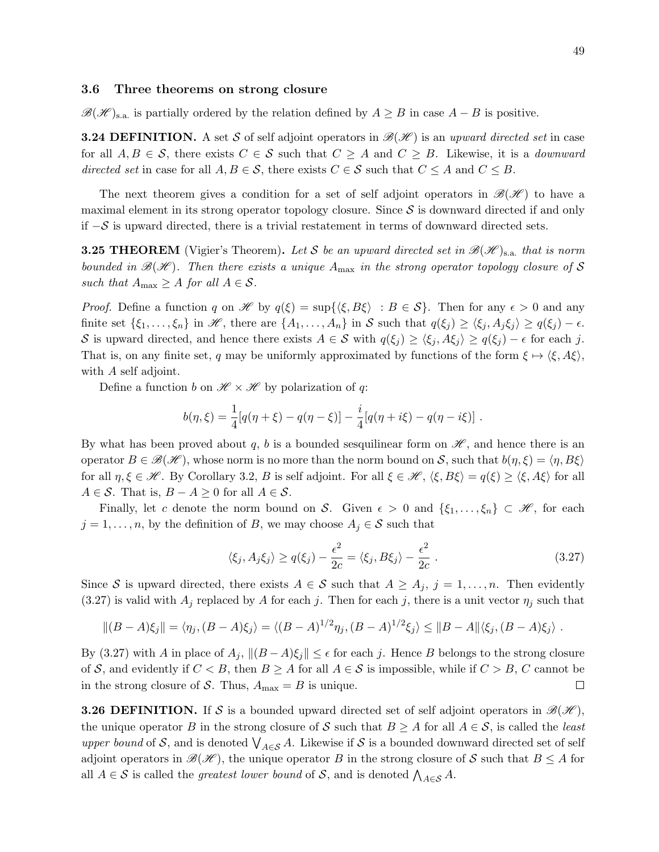#### 3.6 Three theorems on strong closure

 $\mathscr{B}(\mathscr{H})_{\text{s.a.}}$  is partially ordered by the relation defined by  $A \geq B$  in case  $A - B$  is positive.

**3.24 DEFINITION.** A set S of self adjoint operators in  $\mathcal{B}(\mathcal{H})$  is an upward directed set in case for all  $A, B \in \mathcal{S}$ , there exists  $C \in \mathcal{S}$  such that  $C \geq A$  and  $C \geq B$ . Likewise, it is a *downward* directed set in case for all  $A, B \in \mathcal{S}$ , there exists  $C \in \mathcal{S}$  such that  $C \leq A$  and  $C \leq B$ .

The next theorem gives a condition for a set of self adjoint operators in  $\mathscr{B}(\mathscr{H})$  to have a maximal element in its strong operator topology closure. Since  $S$  is downward directed if and only if  $−\mathcal{S}$  is upward directed, there is a trivial restatement in terms of downward directed sets.

**3.25 THEOREM** (Vigier's Theorem). Let S be an upward directed set in  $\mathscr{B}(\mathscr{H})_{s,a}$  that is norm bounded in  $\mathcal{B}(\mathcal{H})$ . Then there exists a unique  $A_{\text{max}}$  in the strong operator topology closure of S such that  $A_{\text{max}} \geq A$  for all  $A \in \mathcal{S}$ .

*Proof.* Define a function q on H by  $q(\xi) = \sup\{\langle \xi, B\xi \rangle : B \in S\}$ . Then for any  $\epsilon > 0$  and any finite set  $\{\xi_1,\ldots,\xi_n\}$  in H, there are  $\{A_1,\ldots,A_n\}$  in S such that  $q(\xi_j) \geq \langle \xi_j, A_j \xi_j \rangle \geq q(\xi_j) - \epsilon$ . S is upward directed, and hence there exists  $A \in S$  with  $q(\xi_j) \geq \langle \xi_j, A\xi_j \rangle \geq q(\xi_j) - \epsilon$  for each j. That is, on any finite set, q may be uniformly approximated by functions of the form  $\xi \mapsto \langle \xi, A\xi \rangle$ , with A self adjoint.

Define a function b on  $\mathcal{H} \times \mathcal{H}$  by polarization of q:

$$
b(\eta,\xi) = \frac{1}{4}[q(\eta + \xi) - q(\eta - \xi)] - \frac{i}{4}[q(\eta + i\xi) - q(\eta - i\xi)].
$$

By what has been proved about q, b is a bounded sesquilinear form on  $\mathscr{H}$ , and hence there is an operator  $B \in \mathcal{B}(\mathcal{H})$ , whose norm is no more than the norm bound on S, such that  $b(\eta, \xi) = \langle \eta, B\xi \rangle$ for all  $\eta, \xi \in \mathcal{H}$ . By Corollary 3.2, B is self adjoint. For all  $\xi \in \mathcal{H}$ ,  $\langle \xi, B\xi \rangle = q(\xi) \geq \langle \xi, A\xi \rangle$  for all  $A \in \mathcal{S}$ . That is,  $B - A \geq 0$  for all  $A \in \mathcal{S}$ .

Finally, let c denote the norm bound on S. Given  $\epsilon > 0$  and  $\{\xi_1, \ldots, \xi_n\} \subset \mathcal{H}$ , for each  $j = 1, \ldots, n$ , by the definition of B, we may choose  $A_j \in \mathcal{S}$  such that

$$
\langle \xi_j, A_j \xi_j \rangle \ge q(\xi_j) - \frac{\epsilon^2}{2c} = \langle \xi_j, B \xi_j \rangle - \frac{\epsilon^2}{2c} . \tag{3.27}
$$

Since S is upward directed, there exists  $A \in S$  such that  $A \geq A_j$ ,  $j = 1, \ldots, n$ . Then evidently  $(3.27)$  is valid with  $A_j$  replaced by A for each j. Then for each j, there is a unit vector  $\eta_j$  such that

$$
||(B-A)\xi_j|| = \langle \eta_j, (B-A)\xi_j \rangle = \langle (B-A)^{1/2} \eta_j, (B-A)^{1/2}\xi_j \rangle \le ||B-A||\langle \xi_j, (B-A)\xi_j \rangle.
$$

By (3.27) with A in place of  $A_j$ ,  $||(B - A)\xi_j|| \leq \epsilon$  for each j. Hence B belongs to the strong closure of S, and evidently if  $C < B$ , then  $B \geq A$  for all  $A \in S$  is impossible, while if  $C > B$ , C cannot be in the strong closure of S. Thus,  $A_{\text{max}} = B$  is unique.  $\Box$ 

**3.26 DEFINITION.** If S is a bounded upward directed set of self adjoint operators in  $\mathcal{B}(\mathcal{H})$ , the unique operator B in the strong closure of S such that  $B \geq A$  for all  $A \in S$ , is called the *least* upper bound of S, and is denoted  $\bigvee_{A\in\mathcal{S}} A$ . Likewise if S is a bounded downward directed set of self adjoint operators in  $\mathcal{B}(\mathcal{H})$ , the unique operator B in the strong closure of S such that  $B \leq A$  for all  $A \in \mathcal{S}$  is called the *greatest lower bound* of  $\mathcal{S}$ , and is denoted  $\bigwedge_{A \in \mathcal{S}} A$ .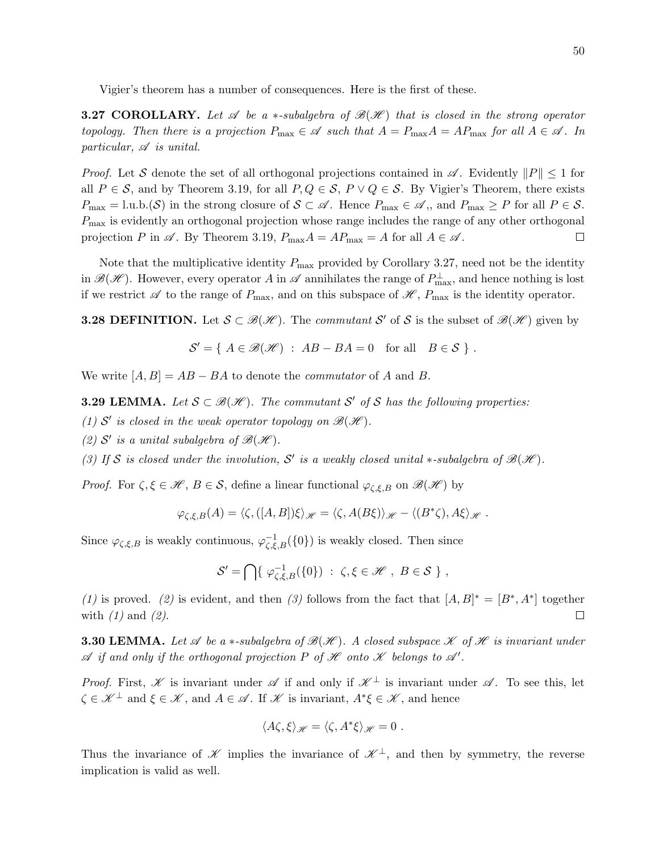Vigier's theorem has a number of consequences. Here is the first of these.

**3.27 COROLLARY.** Let  $\mathscr A$  be a  $*$ -subalgebra of  $\mathscr B(\mathscr H)$  that is closed in the strong operator topology. Then there is a projection  $P_{\text{max}} \in \mathscr{A}$  such that  $A = P_{\text{max}}A = AP_{\text{max}}$  for all  $A \in \mathscr{A}$ . In particular,  $\mathscr A$  is unital.

*Proof.* Let S denote the set of all orthogonal projections contained in  $\mathscr A$ . Evidently  $||P|| \leq 1$  for all  $P \in \mathcal{S}$ , and by Theorem 3.19, for all  $P, Q \in \mathcal{S}$ ,  $P \vee Q \in \mathcal{S}$ . By Vigier's Theorem, there exists  $P_{\text{max}} = \text{l.u.b.}(\mathcal{S})$  in the strong closure of  $\mathcal{S} \subset \mathcal{A}$ . Hence  $P_{\text{max}} \in \mathcal{A}$ ,, and  $P_{\text{max}} \geq P$  for all  $P \in \mathcal{S}$ .  $P_{\text{max}}$  is evidently an orthogonal projection whose range includes the range of any other orthogonal projection P in  $\mathscr A$ . By Theorem 3.19,  $P_{\max}A = AP_{\max} = A$  for all  $A \in \mathscr A$ .  $\Box$ 

Note that the multiplicative identity  $P_{\text{max}}$  provided by Corollary 3.27, need not be the identity in  $\mathscr{B}(\mathscr{H})$ . However, every operator A in  $\mathscr{A}$  annihilates the range of  $P_{\max}^{\perp}$ , and hence nothing is lost if we restrict  $\mathscr A$  to the range of  $P_{\text{max}}$ , and on this subspace of  $\mathscr H$ ,  $P_{\text{max}}$  is the identity operator.

**3.28 DEFINITION.** Let  $S \subset \mathcal{B}(\mathcal{H})$ . The *commutant* S' of S is the subset of  $\mathcal{B}(\mathcal{H})$  given by

$$
S' = \{ A \in \mathcal{B}(\mathcal{H}) : AB - BA = 0 \text{ for all } B \in S \}.
$$

We write  $[A, B] = AB - BA$  to denote the *commutator* of A and B.

**3.29 LEMMA.** Let  $S \subset \mathcal{B}(\mathcal{H})$ . The commutant S' of S has the following properties:

- (1) S' is closed in the weak operator topology on  $\mathcal{B}(\mathcal{H})$ .
- (2)  $S'$  is a unital subalgebra of  $\mathcal{B}(\mathcal{H})$ .
- (3) If S is closed under the involution, S' is a weakly closed unital \*-subalgebra of  $\mathcal{B}(\mathcal{H})$ .

*Proof.* For  $\zeta, \xi \in \mathcal{H}, B \in \mathcal{S}$ , define a linear functional  $\varphi_{\zeta,\xi,B}$  on  $\mathcal{B}(\mathcal{H})$  by

$$
\varphi_{\zeta,\xi,B}(A) = \langle \zeta, ([A,B]) \xi \rangle_{\mathscr{H}} = \langle \zeta, A(B\xi) \rangle_{\mathscr{H}} - \langle (B^* \zeta), A \xi \rangle_{\mathscr{H}}.
$$

Since  $\varphi_{\zeta,\xi,B}$  is weakly continuous,  $\varphi_{\zeta,\xi,B}^{-1}(\{0\})$  is weakly closed. Then since

$$
\mathcal{S}' = \bigcap \{ \varphi_{\zeta,\xi,B}^{-1}(\{0\}) : \zeta,\xi \in \mathscr{H}, B \in \mathcal{S} \},\
$$

(1) is proved. (2) is evident, and then (3) follows from the fact that  $[A, B]^* = [B^*, A^*]$  together with  $(1)$  and  $(2)$ .  $\Box$ 

**3.30 LEMMA.** Let  $\mathscr A$  be a  $*$ -subalgebra of  $\mathscr B(\mathscr H)$ . A closed subspace  $\mathscr K$  of  $\mathscr H$  is invariant under  $\mathscr A$  if and only if the orthogonal projection P of  $\mathscr H$  onto  $\mathscr K$  belongs to  $\mathscr A'$ .

*Proof.* First, X is invariant under  $\mathscr A$  if and only if  $\mathscr K^{\perp}$  is invariant under  $\mathscr A$ . To see this, let  $\zeta \in \mathscr{K}^{\perp}$  and  $\xi \in \mathscr{K}$ , and  $A \in \mathscr{A}$ . If  $\mathscr{K}$  is invariant,  $A^*\xi \in \mathscr{K}$ , and hence

$$
\langle A\zeta,\xi\rangle_{\mathscr{H}}=\langle \zeta,A^*\xi\rangle_{\mathscr{H}}=0.
$$

Thus the invariance of  $\mathscr K$  implies the invariance of  $\mathscr K^{\perp}$ , and then by symmetry, the reverse implication is valid as well.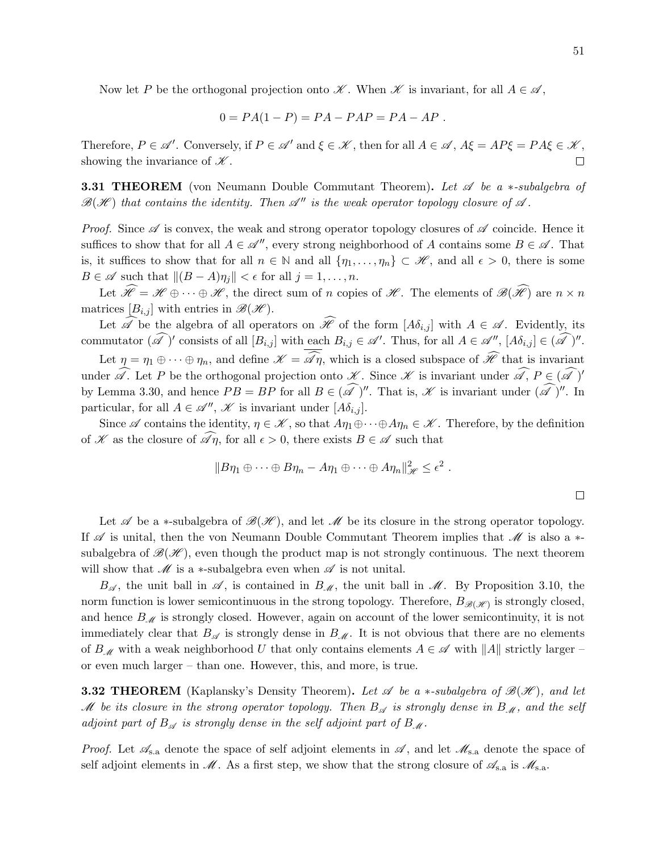Now let P be the orthogonal projection onto  $\mathscr K$ . When  $\mathscr K$  is invariant, for all  $A \in \mathscr A$ ,

$$
0 = PA(1 - P) = PA - PAP = PA - AP.
$$

Therefore,  $P \in \mathscr{A}'$ . Conversely, if  $P \in \mathscr{A}'$  and  $\xi \in \mathscr{K}$ , then for all  $A \in \mathscr{A}$ ,  $A\xi = AP\xi = PA\xi \in \mathscr{K}$ , showing the invariance of  $\mathscr K$ .  $\Box$ 

**3.31 THEOREM** (von Neumann Double Commutant Theorem). Let  $\mathscr A$  be a ∗-subalgebra of  $\mathscr{B}(\mathscr{H})$  that contains the identity. Then  $\mathscr{A}''$  is the weak operator topology closure of  $\mathscr{A}$ .

*Proof.* Since  $\mathscr A$  is convex, the weak and strong operator topology closures of  $\mathscr A$  coincide. Hence it suffices to show that for all  $A \in \mathcal{A}''$ , every strong neighborhood of A contains some  $B \in \mathcal{A}$ . That is, it suffices to show that for all  $n \in \mathbb{N}$  and all  $\{\eta_1, \ldots, \eta_n\} \subset \mathcal{H}$ , and all  $\epsilon > 0$ , there is some  $B \in \mathscr{A}$  such that  $\|(B - A)\eta_i\| < \epsilon$  for all  $j = 1, \ldots, n$ .

Let  $\widehat{\mathscr{H}} = \mathscr{H} \oplus \cdots \oplus \mathscr{H}$ , the direct sum of n copies of  $\mathscr{H}$ . The elements of  $\mathscr{B}(\widehat{\mathscr{H}})$  are  $n \times n$ matrices  $[B_{i,j}]$  with entries in  $\mathscr{B}(\mathscr{H})$ .

Let  $\widehat{\mathscr{A}}$  be the algebra of all operators on  $\widehat{\mathscr{H}}$  of the form  $[A\delta_{i,j}]$  with  $A \in \mathscr{A}$ . Evidently, its commutator  $(\widehat{\mathscr{A}})'$  consists of all  $[B_{i,j}]$  with each  $B_{i,j} \in \mathscr{A}'$ . Thus, for all  $A \in \mathscr{A}''$ ,  $[A\delta_{i,j}] \in (\widehat{\mathscr{A}})''$ .

Let  $\eta = \eta_1 \oplus \cdots \oplus \eta_n$ , and define  $\mathscr{K} = \widehat{\mathscr{A}}\eta$ , which is a closed subspace of  $\widehat{\mathscr{H}}$  that is invariant under  $\widehat{\mathscr{A}}$ . Let P be the orthogonal projection onto  $\mathscr{K}$ . Since  $\mathscr{K}$  is invariant under  $\widehat{\mathscr{A}}$ ,  $P \in (\widehat{\mathscr{A}})'$ by Lemma 3.30, and hence  $PB = BP$  for all  $B \in (\mathscr{A})^{\prime\prime}$ . That is,  $\mathscr{K}$  is invariant under  $(\mathscr{A})^{\prime\prime}$ . In particular, for all  $A \in \mathscr{A}''$ ,  $\mathscr{K}$  is invariant under  $[A\delta_{i,j}]$ .

Since  $\mathscr A$  contains the identity,  $\eta \in \mathscr K$ , so that  $A\eta_1 \oplus \cdots \oplus A\eta_n \in \mathscr K$ . Therefore, by the definition of K as the closure of  $\widehat{\mathscr{A}}\eta$ , for all  $\epsilon > 0$ , there exists  $B \in \mathscr{A}$  such that

$$
||B\eta_1 \oplus \cdots \oplus B\eta_n - A\eta_1 \oplus \cdots \oplus A\eta_n||_{\mathscr{H}}^2 \leq \epsilon^2.
$$

Let  $\mathscr A$  be a ∗-subalgebra of  $\mathscr B(\mathscr H)$ , and let  $\mathscr M$  be its closure in the strong operator topology. If  $\mathscr A$  is unital, then the von Neumann Double Commutant Theorem implies that  $\mathscr M$  is also a  $*$ subalgebra of  $\mathscr{B}(\mathscr{H})$ , even though the product map is not strongly continuous. The next theorem will show that  $\mathcal M$  is a ∗-subalgebra even when  $\mathcal A$  is not unital.

 $B_{\mathscr{A}}$ , the unit ball in  $\mathscr{A}$ , is contained in  $B_{\mathscr{M}}$ , the unit ball in  $\mathscr{M}$ . By Proposition 3.10, the norm function is lower semicontinuous in the strong topology. Therefore,  $B_{\mathscr{B}(\mathscr{H})}$  is strongly closed, and hence  $B_{\mathcal{M}}$  is strongly closed. However, again on account of the lower semicontinuity, it is not immediately clear that  $B_{\mathscr{A}}$  is strongly dense in  $B_{\mathscr{M}}$ . It is not obvious that there are no elements of  $B_M$  with a weak neighborhood U that only contains elements  $A \in \mathscr{A}$  with  $||A||$  strictly larger – or even much larger – than one. However, this, and more, is true.

**3.32 THEOREM** (Kaplansky's Density Theorem). Let  $\mathscr A$  be a  $*$ -subalgebra of  $\mathscr B(\mathscr H)$ , and let M be its closure in the strong operator topology. Then  $B_{\mathscr{A}}$  is strongly dense in  $B_{\mathscr{M}}$ , and the self adjoint part of  $B_{\mathscr{A}}$  is strongly dense in the self adjoint part of  $B_{\mathscr{M}}$ .

*Proof.* Let  $\mathscr{A}_{s,a}$  denote the space of self adjoint elements in  $\mathscr{A}$ , and let  $\mathscr{M}_{s,a}$  denote the space of self adjoint elements in  $\mathcal{M}$ . As a first step, we show that the strong closure of  $\mathcal{A}_{s,a}$  is  $\mathcal{M}_{s,a}$ .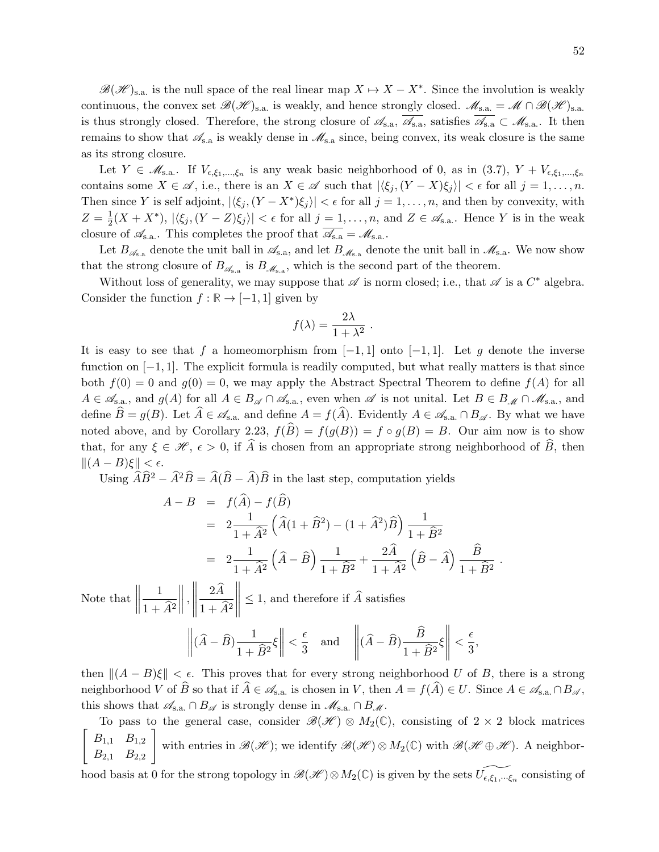$\mathscr{B}(\mathscr{H})_{s,a}$  is the null space of the real linear map  $X \mapsto X - X^*$ . Since the involution is weakly continuous, the convex set  $\mathscr{B}(\mathscr{H})_{s.a.}$  is weakly, and hence strongly closed.  $\mathscr{M}_{s.a.} = \mathscr{M} \cap \mathscr{B}(\mathscr{H})_{s.a.}$ is thus strongly closed. Therefore, the strong closure of  $\mathscr{A}_{s.a}$ ,  $\mathscr{A}_{s.a}$ , satisfies  $\mathscr{A}_{s.a} \subset \mathscr{M}_{s.a}$ . It then remains to show that  $\mathscr{A}_{s,a}$  is weakly dense in  $\mathscr{M}_{s,a}$  since, being convex, its weak closure is the same as its strong closure.

Let  $Y \in \mathscr{M}_{s,a}$ . If  $V_{\epsilon,\xi_1,\dots,\xi_n}$  is any weak basic neighborhood of 0, as in (3.7),  $Y + V_{\epsilon,\xi_1,\dots,\xi_n}$ contains some  $X \in \mathscr{A}$ , i.e., there is an  $X \in \mathscr{A}$  such that  $|\langle \xi_i, (Y - X)\xi_j \rangle| < \epsilon$  for all  $j = 1, ..., n$ . Then since Y is self adjoint,  $|\langle \xi_j, (Y - X^*) \xi_j \rangle| < \epsilon$  for all  $j = 1, \ldots, n$ , and then by convexity, with  $Z=\frac{1}{2}$  $\frac{1}{2}(X+X^*)$ ,  $|\langle \xi_j, (Y-Z)\xi_j \rangle| < \epsilon$  for all  $j=1,\ldots,n$ , and  $Z \in \mathscr{A}_{s.a.}$ . Hence Y is in the weak closure of  $\mathcal{A}_{s.a.}$ . This completes the proof that  $\mathcal{A}_{s.a.} = \mathcal{M}_{s.a.}$ .

Let  $B_{\mathscr{A}_{s,a}}$  denote the unit ball in  $\mathscr{A}_{s,a}$ , and let  $B_{\mathscr{M}_{s,a}}$  denote the unit ball in  $\mathscr{M}_{s,a}$ . We now show that the strong closure of  $B_{\mathscr{A}_{s,a}}$  is  $B_{\mathscr{M}_{s,a}}$ , which is the second part of the theorem.

Without loss of generality, we may suppose that  $\mathscr A$  is norm closed; i.e., that  $\mathscr A$  is a  $C^*$  algebra. Consider the function  $f : \mathbb{R} \to [-1,1]$  given by

$$
f(\lambda) = \frac{2\lambda}{1 + \lambda^2} \; .
$$

It is easy to see that f a homeomorphism from  $[-1, 1]$  onto  $[-1, 1]$ . Let g denote the inverse function on  $[-1, 1]$ . The explicit formula is readily computed, but what really matters is that since both  $f(0) = 0$  and  $g(0) = 0$ , we may apply the Abstract Spectral Theorem to define  $f(A)$  for all  $A \in \mathscr{A}_{s,a}$ , and  $g(A)$  for all  $A \in B_{\mathscr{A}} \cap \mathscr{A}_{s,a}$ , even when  $\mathscr{A}$  is not unital. Let  $B \in B_{\mathscr{M}} \cap \mathscr{M}_{s,a}$ , and define  $\widehat{B} = g(B)$ . Let  $\widehat{A} \in \mathscr{A}_{s.a.}$  and define  $A = f(\widehat{A})$ . Evidently  $A \in \mathscr{A}_{s.a.} \cap B_{\mathscr{A}}$ . By what we have noted above, and by Corollary 2.23,  $f(\hat{B}) = f(g(B)) = f \circ g(B) = B$ . Our aim now is to show that, for any  $\xi \in \mathcal{H}$ ,  $\epsilon > 0$ , if  $\widehat{A}$  is chosen from an appropriate strong neighborhood of  $\widehat{B}$ , then  $||(A - B)\xi|| < \epsilon$ .

Using  $\hat{A}\hat{B}^2 - \hat{A}^2\hat{B} = \hat{A}(\hat{B} - \hat{A})\hat{B}$  in the last step, computation yields

$$
A - B = f(\widehat{A}) - f(\widehat{B})
$$
  
=  $2\frac{1}{1 + \widehat{A}^2} \left( \widehat{A}(1 + \widehat{B}^2) - (1 + \widehat{A}^2) \widehat{B} \right) \frac{1}{1 + \widehat{B}^2}$   
=  $2\frac{1}{1 + \widehat{A}^2} \left( \widehat{A} - \widehat{B} \right) \frac{1}{1 + \widehat{B}^2} + \frac{2\widehat{A}}{1 + \widehat{A}^2} \left( \widehat{B} - \widehat{A} \right) \frac{\widehat{B}}{1 + \widehat{B}^2}.$ 

Note that  $\Big\|$ 1  $1 + \widehat{A}^2$  ,  $\begin{array}{c} \hline \end{array}$  $\frac{2A}{\sqrt{2}}$  $1 + \widehat{A}^2$  $\begin{array}{c} \hline \end{array}$  $\leq$  1, and therefore if A satisfies

$$
\left\| (\widehat{A} - \widehat{B}) \frac{1}{1 + \widehat{B}^2} \xi \right\| < \frac{\epsilon}{3}
$$
 and  $\left\| (\widehat{A} - \widehat{B}) \frac{\widehat{B}}{1 + \widehat{B}^2} \xi \right\| < \frac{\epsilon}{3}$ ,

then  $||(A - B)\xi|| < \epsilon$ . This proves that for every strong neighborhood U of B, there is a strong neighborhood V of B so that if  $A \in \mathscr{A}_{s.a.}$  is chosen in V, then  $A = f(A) \in U$ . Since  $A \in \mathscr{A}_{s.a.} \cap B_{\mathscr{A}}$ , this shows that  $\mathscr{A}_{s.a.} \cap B_{\mathscr{A}}$  is strongly dense in  $\mathscr{M}_{s.a.} \cap B_{\mathscr{A}}$ .

To pass to the general case, consider  $\mathscr{B}(\mathscr{H}) \otimes M_2(\mathbb{C})$ , consisting of 2 × 2 block matrices  $\lceil$  $B_{1,1}$   $B_{1,2}$  $B_{2,1}$   $B_{2,2}$ 1 with entries in  $\mathscr{B}(\mathscr{H})$ ; we identify  $\mathscr{B}(\mathscr{H})\otimes M_2(\mathbb{C})$  with  $\mathscr{B}(\mathscr{H}\oplus\mathscr{H})$ . A neighbor-

hood basis at 0 for the strong topology in  $\mathscr{B}(\mathscr{H}) \otimes M_2(\mathbb{C})$  is given by the sets  $\widetilde{U_{\epsilon,\xi_1,\dots,\xi_n}}$  consisting of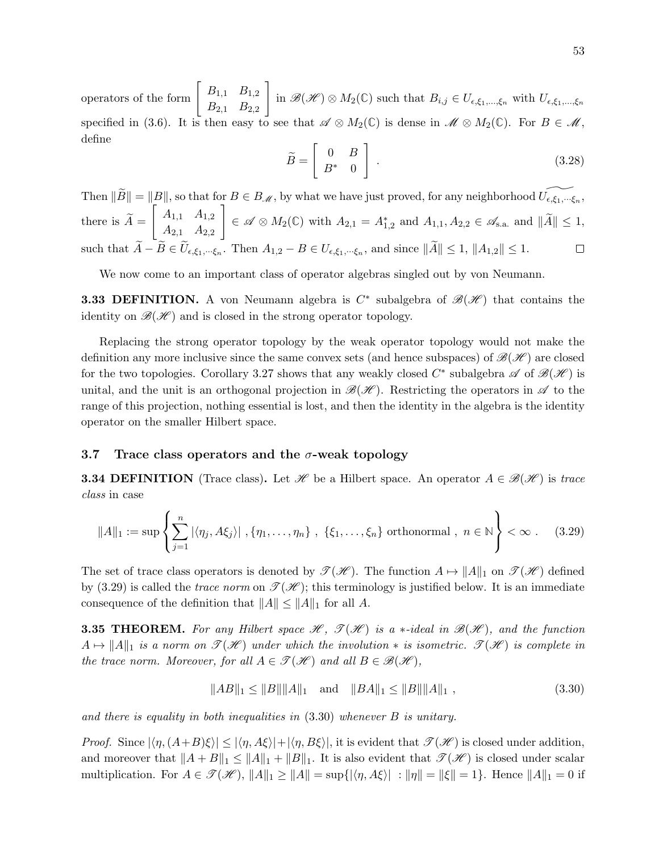operators of the form  $\begin{bmatrix} B_{1,1} & B_{1,2} \\ B_{2,1} & B_{2,2} \end{bmatrix}$  $B_{2,1}$   $B_{2,2}$ 1 in  $\mathscr{B}(\mathscr{H})\otimes M_2(\mathbb{C})$  such that  $B_{i,j}\in U_{\epsilon,\xi_1,\dots,\xi_n}$  with  $U_{\epsilon,\xi_1,\dots,\xi_n}$ specified in (3.6). It is then easy to see that  $\mathscr{A} \otimes M_2(\mathbb{C})$  is dense in  $\mathscr{M} \otimes M_2(\mathbb{C})$ . For  $B \in \mathscr{M}$ , define

$$
\widetilde{B} = \left[ \begin{array}{cc} 0 & B \\ B^* & 0 \end{array} \right] \tag{3.28}
$$

Then  $\|\widetilde{B}\| = \|B\|$ , so that for  $B \in B_{\mathcal{M}}$ , by what we have just proved, for any neighborhood  $\widetilde{U_{\epsilon,\xi_1,\cdots,\xi_n}}$ , there is  $A =$  $\begin{bmatrix} A_{1,1} & A_{1,2} \end{bmatrix}$  $A_{2,1}$   $A_{2,2}$ 1  $\in \mathscr{A} \otimes M_2(\mathbb{C})$  with  $A_{2,1} = A_{1,2}^*$  and  $A_{1,1}, A_{2,2} \in \mathscr{A}_{s.a.}$  and  $\|\tilde{A}\| \leq 1$ , such that  $A - B \in U_{\epsilon, \xi_1, \dots, \xi_n}$ . Then  $A_{1,2} - B \in U_{\epsilon, \xi_1, \dots, \xi_n}$ , and since  $||A|| \leq 1$ ,  $||A_{1,2}|| \leq 1$ .

We now come to an important class of operator algebras singled out by von Neumann.

**3.33 DEFINITION.** A von Neumann algebra is  $C^*$  subalgebra of  $\mathscr{B}(\mathscr{H})$  that contains the identity on  $\mathcal{B}(\mathcal{H})$  and is closed in the strong operator topology.

Replacing the strong operator topology by the weak operator topology would not make the definition any more inclusive since the same convex sets (and hence subspaces) of  $\mathscr{B}(\mathscr{H})$  are closed for the two topologies. Corollary 3.27 shows that any weakly closed  $C^*$  subalgebra  $\mathscr A$  of  $\mathscr B(\mathscr H)$  is unital, and the unit is an orthogonal projection in  $\mathscr{B}(\mathscr{H})$ . Restricting the operators in  $\mathscr{A}$  to the range of this projection, nothing essential is lost, and then the identity in the algebra is the identity operator on the smaller Hilbert space.

## 3.7 Trace class operators and the  $\sigma$ -weak topology

**3.34 DEFINITION** (Trace class). Let H be a Hilbert space. An operator  $A \in \mathcal{B}(\mathcal{H})$  is trace class in case

$$
||A||_1 := \sup \left\{ \sum_{j=1}^n |\langle \eta_j, A\xi_j \rangle| , \{\eta_1, \dots, \eta_n\} , \{\xi_1, \dots, \xi_n\} \text{ orthonormal, } n \in \mathbb{N} \right\} < \infty .
$$
 (3.29)

The set of trace class operators is denoted by  $\mathcal{T}(\mathcal{H})$ . The function  $A \mapsto ||A||_1$  on  $\mathcal{T}(\mathcal{H})$  defined by (3.29) is called the *trace norm* on  $\mathscr{T}(\mathscr{H})$ ; this terminology is justified below. It is an immediate consequence of the definition that  $||A|| \le ||A||_1$  for all A.

**3.35 THEOREM.** For any Hilbert space  $\mathcal{H}$ ,  $\mathcal{T}(\mathcal{H})$  is a \*-ideal in  $\mathcal{B}(\mathcal{H})$ , and the function  $A \mapsto ||A||_1$  is a norm on  $\mathscr{T}(\mathscr{H})$  under which the involution  $*$  is isometric.  $\mathscr{T}(\mathscr{H})$  is complete in the trace norm. Moreover, for all  $A \in \mathcal{T(H)}$  and all  $B \in \mathcal{B(H)}$ ,

$$
||AB||_1 \le ||B|| ||A||_1 \quad \text{and} \quad ||BA||_1 \le ||B|| ||A||_1 \,, \tag{3.30}
$$

and there is equality in both inequalities in (3.30) whenever B is unitary.

*Proof.* Since  $|\langle \eta, (A+B)\xi \rangle| \leq |\langle \eta, A\xi \rangle| + |\langle \eta, B\xi \rangle|$ , it is evident that  $\mathcal{T}(\mathcal{H})$  is closed under addition, and moreover that  $||A + B||_1 \le ||A||_1 + ||B||_1$ . It is also evident that  $\mathcal{T}(\mathcal{H})$  is closed under scalar multiplication. For  $A \in \mathcal{T}(\mathcal{H})$ ,  $||A||_1 \geq ||A|| = \sup\{|\langle \eta, A\xi \rangle | : ||\eta|| = ||\xi|| = 1\}$ . Hence  $||A||_1 = 0$  if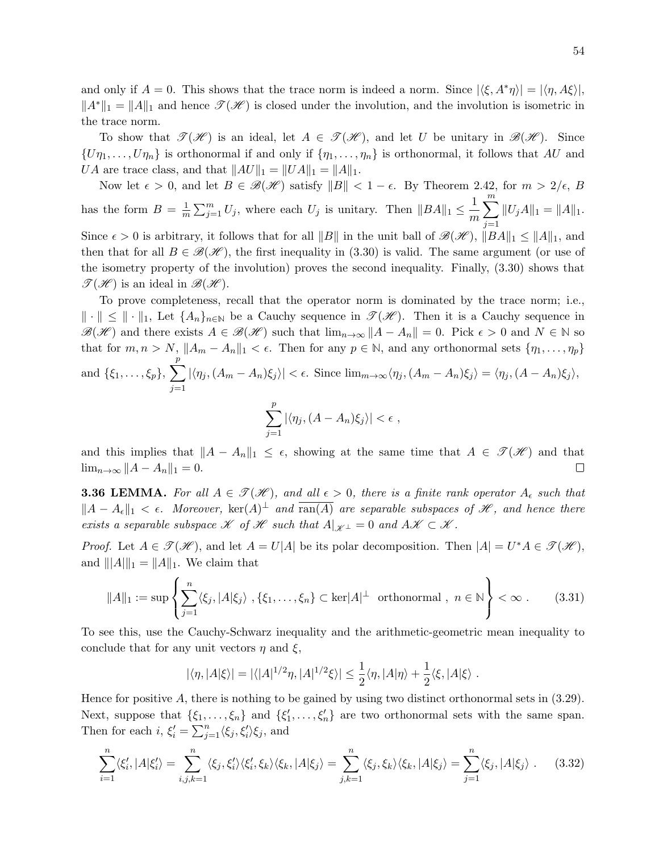and only if  $A = 0$ . This shows that the trace norm is indeed a norm. Since  $|\langle \xi, A^* \eta \rangle| = |\langle \eta, A \xi \rangle|$ ,  $||A^*||_1 = ||A||_1$  and hence  $\mathscr{T}(\mathscr{H})$  is closed under the involution, and the involution is isometric in the trace norm.

To show that  $\mathcal{T}(\mathcal{H})$  is an ideal, let  $A \in \mathcal{T}(\mathcal{H})$ , and let U be unitary in  $\mathcal{B}(\mathcal{H})$ . Since  $\{U\eta_1,\ldots,U\eta_n\}$  is orthonormal if and only if  $\{\eta_1,\ldots,\eta_n\}$  is orthonormal, it follows that AU and *UA* are trace class, and that  $||AU||_1 = ||UA||_1 = ||A||_1$ .

Now let  $\epsilon > 0$ , and let  $B \in \mathcal{B}(\mathcal{H})$  satisfy  $||B|| < 1 - \epsilon$ . By Theorem 2.42, for  $m > 2/\epsilon$ , B has the form  $B = \frac{1}{n}$  $\frac{1}{m}\sum_{j=1}^{m}U_j$ , where each  $U_j$  is unitary. Then  $||BA||_1 \leq \frac{1}{m}$ m  $\sum_{i=1}^{m}$  $j=1$  $||U_jA||_1 = ||A||_1.$ Since  $\epsilon > 0$  is arbitrary, it follows that for all  $||B||$  in the unit ball of  $\mathscr{B}(\mathscr{H})$ ,  $||BA||_1 \leq ||A||_1$ , and then that for all  $B \in \mathcal{B}(\mathcal{H})$ , the first inequality in (3.30) is valid. The same argument (or use of the isometry property of the involution) proves the second inequality. Finally, (3.30) shows that  $\mathscr{T}(\mathscr{H})$  is an ideal in  $\mathscr{B}(\mathscr{H})$ .

To prove completeness, recall that the operator norm is dominated by the trace norm; i.e.,  $\|\cdot\| \leq \|\cdot\|_1$ , Let  $\{A_n\}_{n\in\mathbb{N}}$  be a Cauchy sequence in  $\mathscr{T}(\mathscr{H})$ . Then it is a Cauchy sequence in  $\mathscr{B}(\mathscr{H})$  and there exists  $A \in \mathscr{B}(\mathscr{H})$  such that  $\lim_{n\to\infty}||A-A_n||=0$ . Pick  $\epsilon > 0$  and  $N \in \mathbb{N}$  so that for  $m, n > N$ ,  $||A_m - A_n||_1 < \epsilon$ . Then for any  $p \in \mathbb{N}$ , and any orthonormal sets  $\{\eta_1, \ldots, \eta_p\}$ and  $\{\xi_1,\ldots,\xi_p\},\,\sum\,$ p  $j=1$  $|\langle \eta_j, (A_m - A_n)\xi_j \rangle| < \epsilon$ . Since  $\lim_{m\to\infty} \langle \eta_j, (A_m - A_n)\xi_j \rangle = \langle \eta_j, (A - A_n)\xi_j \rangle$ ,  $\sum$ p  $|\langle \eta_j,(A-A_n)\xi_j\rangle|<\epsilon$ ,

and this implies that 
$$
||A - A_n||_1 \le \epsilon
$$
, showing at the same time that  $A \in \mathcal{T}(\mathcal{H})$  and that  $\lim_{n \to \infty} ||A - A_n||_1 = 0$ .

 $j=1$ 

**3.36 LEMMA.** For all  $A \in \mathcal{T(H)}$ , and all  $\epsilon > 0$ , there is a finite rank operator  $A_{\epsilon}$  such that  $||A - A_{\epsilon}||_1 < \epsilon$ . Moreover,  $\ker(A)^{\perp}$  and  $\overline{\tan(A)}$  are separable subspaces of H, and hence there exists a separable subspace  $\mathscr K$  of  $\mathscr H$  such that  $A|_{\mathscr K^{\perp}} = 0$  and  $A\mathscr K \subset \mathscr K$ .

*Proof.* Let  $A \in \mathcal{T}(\mathcal{H})$ , and let  $A = U|A|$  be its polar decomposition. Then  $|A| = U^*A \in \mathcal{T}(\mathcal{H})$ , and  $|||A||_1 = ||A||_1$ . We claim that

$$
||A||_1 := \sup \left\{ \sum_{j=1}^n \langle \xi_j, |A|\xi_j \rangle, \{\xi_1, \dots, \xi_n\} \subset \text{ker}|A|^\perp \text{ orthonormal, } n \in \mathbb{N} \right\} < \infty. \tag{3.31}
$$

To see this, use the Cauchy-Schwarz inequality and the arithmetic-geometric mean inequality to conclude that for any unit vectors  $\eta$  and  $\xi$ ,

$$
|\langle \eta, |A|\xi \rangle| = |\langle |A|^{1/2}\eta, |A|^{1/2}\xi \rangle| \leq \frac{1}{2} \langle \eta, |A|\eta \rangle + \frac{1}{2} \langle \xi, |A|\xi \rangle.
$$

Hence for positive A, there is nothing to be gained by using two distinct orthonormal sets in (3.29). Next, suppose that  $\{\xi_1,\ldots,\xi_n\}$  and  $\{\xi'_1,\ldots,\xi'_n\}$  are two orthonormal sets with the same span. Then for each  $i, \xi'_i = \sum_{j=1}^n \langle \xi_j, \xi'_i \rangle \xi_j$ , and

$$
\sum_{i=1}^{n} \langle \xi'_i, |A|\xi'_i \rangle = \sum_{i,j,k=1}^{n} \langle \xi_j, \xi'_i \rangle \langle \xi'_i, \xi_k \rangle \langle \xi_k, |A|\xi_j \rangle = \sum_{j,k=1}^{n} \langle \xi_j, \xi_k \rangle \langle \xi_k, |A|\xi_j \rangle = \sum_{j=1}^{n} \langle \xi_j, |A|\xi_j \rangle
$$
 (3.32)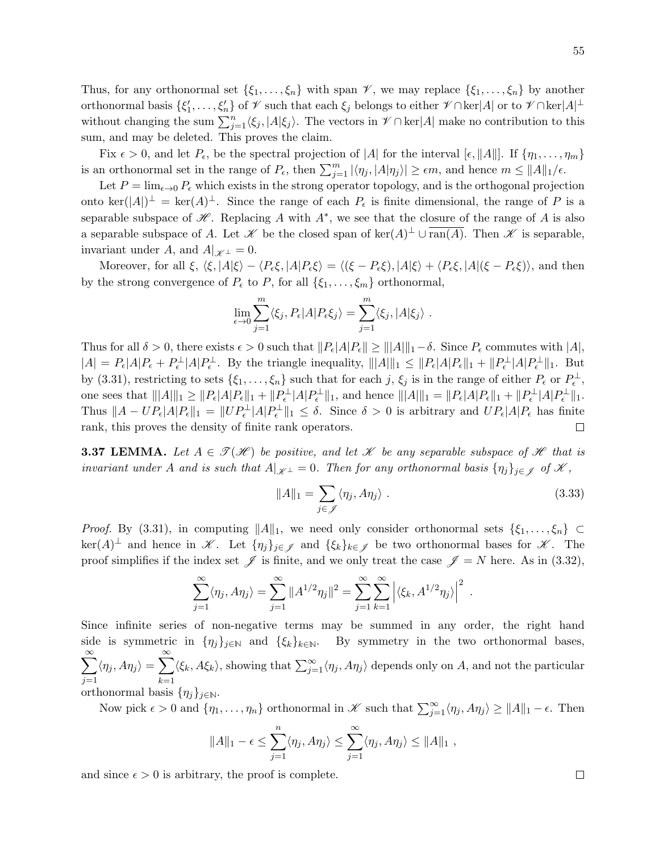Thus, for any orthonormal set  $\{\xi_1,\ldots,\xi_n\}$  with span  $\mathscr V$ , we may replace  $\{\xi_1,\ldots,\xi_n\}$  by another orthonormal basis  $\{\xi_1',\ldots,\xi_n'\}$  of  $\mathscr V$  such that each  $\xi_j$  belongs to either  $\mathscr V\cap\ker[A]$  or to  $\mathscr V\cap\ker[A]^\perp$ without changing the sum  $\sum_{j=1}^{n} \langle \xi_j, |A|\xi_j \rangle$ . The vectors in  $\mathcal{V} \cap \text{ker}|A|$  make no contribution to this sum, and may be deleted. This proves the claim.

Fix  $\epsilon > 0$ , and let  $P_{\epsilon}$ , be the spectral projection of |A| for the interval  $[\epsilon, ||A||]$ . If  $\{\eta_1, \ldots, \eta_m\}$ is an orthonormal set in the range of  $P_{\epsilon}$ , then  $\sum_{j=1}^{m} |\langle \eta_j, |A|\eta_j \rangle| \ge \epsilon m$ , and hence  $m \le ||A||_1/\epsilon$ .

Let  $P = \lim_{\epsilon \to 0} P_{\epsilon}$  which exists in the strong operator topology, and is the orthogonal projection onto ker $(|A|)^{\perp} = \text{ker}(A)^{\perp}$ . Since the range of each  $P_{\epsilon}$  is finite dimensional, the range of P is a separable subspace of  $\mathscr H$ . Replacing A with  $A^*$ , we see that the closure of the range of A is also a separable subspace of A. Let  $\mathscr K$  be the closed span of  $\ker(A)^{\perp} \cup \overline{\text{ran}(A)}$ . Then  $\mathscr K$  is separable, invariant under A, and  $A|_{\mathscr{K}^\perp} = 0$ .

Moreover, for all  $\xi$ ,  $\langle \xi, |A|\xi \rangle - \langle P_{\epsilon} \xi, |A|P_{\epsilon} \xi \rangle = \langle (\xi - P_{\epsilon} \xi), |A|\xi \rangle + \langle P_{\epsilon} \xi, |A|(\xi - P_{\epsilon} \xi) \rangle$ , and then by the strong convergence of  $P_{\epsilon}$  to P, for all  $\{\xi_1, \ldots, \xi_m\}$  orthonormal,

$$
\lim_{\epsilon \to 0} \sum_{j=1}^m \langle \xi_j, P_{\epsilon} | A | P_{\epsilon} \xi_j \rangle = \sum_{j=1}^m \langle \xi_j, | A | \xi_j \rangle.
$$

Thus for all  $\delta > 0$ , there exists  $\epsilon > 0$  such that  $||P_{\epsilon}|A||P_{\epsilon}|| \geq |||A||_{1}-\delta$ . Since  $P_{\epsilon}$  commutes with  $|A|$ ,  $|A| = P_{\epsilon} |A| P_{\epsilon} + P_{\epsilon}^{\perp} |A| P_{\epsilon}^{\perp}$ . By the triangle inequality,  $|||A||_1 \leq ||P_{\epsilon}|A| P_{\epsilon}||_1 + ||P_{\epsilon}^{\perp}|A| P_{\epsilon}^{\perp}||_1$ . But by (3.31), restricting to sets  $\{\xi_1,\ldots,\xi_n\}$  such that for each j,  $\xi_j$  is in the range of either  $P_{\epsilon}$  or  $P_{\epsilon}^{\perp}$ , one sees that  $|||A||_1 \ge ||P_{\epsilon}|A|P_{\epsilon}||_1 + ||P_{\epsilon}^{\perp}|A|P_{\epsilon}^{\perp}||_1$ , and hence  $|||A|||_1 = ||P_{\epsilon}|A|P_{\epsilon}||_1 + ||P_{\epsilon}^{\perp}|A|P_{\epsilon}^{\perp}||_1$ . Thus  $||A - UP_{\epsilon}|A|P_{\epsilon}||_1 = ||UP_{\epsilon}^{\perp}|A|P_{\epsilon}^{\perp}||_1 \leq \delta$ . Since  $\delta > 0$  is arbitrary and  $UP_{\epsilon}|A|P_{\epsilon}$  has finite rank, this proves the density of finite rank operators.  $\Box$ 

**3.37 LEMMA.** Let  $A \in \mathcal{T}(\mathcal{H})$  be positive, and let X be any separable subspace of H that is invariant under A and is such that  $A|_{\mathscr{K}^\perp} = 0$ . Then for any orthonormal basis  $\{\eta_i\}_{i \in \mathscr{I}}$  of  $\mathscr{K}$ ,

$$
||A||_1 = \sum_{j \in \mathscr{J}} \langle \eta_j, A\eta_j \rangle . \tag{3.33}
$$

*Proof.* By (3.31), in computing  $||A||_1$ , we need only consider orthonormal sets  $\{\xi_1, \ldots, \xi_n\}$  $\ker(A)^{\perp}$  and hence in  $\mathscr{K}$ . Let  $\{\eta_j\}_{j\in\mathscr{J}}$  and  $\{\xi_k\}_{k\in\mathscr{J}}$  be two orthonormal bases for  $\mathscr{K}$ . The proof simplifies if the index set  $\mathscr J$  is finite, and we only treat the case  $\mathscr J = N$  here. As in (3.32),

$$
\sum_{j=1}^{\infty} \langle \eta_j, A \eta_j \rangle = \sum_{j=1}^{\infty} ||A^{1/2} \eta_j||^2 = \sum_{j=1}^{\infty} \sum_{k=1}^{\infty} \left| \langle \xi_k, A^{1/2} \eta_j \rangle \right|^2.
$$

Since infinite series of non-negative terms may be summed in any order, the right hand side is symmetric in  $\{\eta_j\}_{j\in\mathbb{N}}$  and  $\{\xi_k\}_{k\in\mathbb{N}}$ . By symmetry in the two orthonormal bases,  $\sum^{\infty}$  $j=1$  $\langle \eta_j, A\eta_j \rangle = \sum_{i=1}^{\infty}$  $k=1$  $\langle \xi_k, A\xi_k \rangle$ , showing that  $\sum_{j=1}^{\infty} \langle \eta_j, A\eta_j \rangle$  depends only on A, and not the particular orthonormal basis  $\{\eta_i\}_{i\in\mathbb{N}}$ .

Now pick  $\epsilon > 0$  and  $\{\eta_1, \ldots, \eta_n\}$  orthonormal in  $\mathscr{K}$  such that  $\sum_{j=1}^{\infty} \langle \eta_j, A\eta_j \rangle \ge ||A||_1 - \epsilon$ . Then

$$
||A||_1 - \epsilon \leq \sum_{j=1}^n \langle \eta_j, A\eta_j \rangle \leq \sum_{j=1}^\infty \langle \eta_j, A\eta_j \rangle \leq ||A||_1,
$$

and since  $\epsilon > 0$  is arbitrary, the proof is complete.

 $\Box$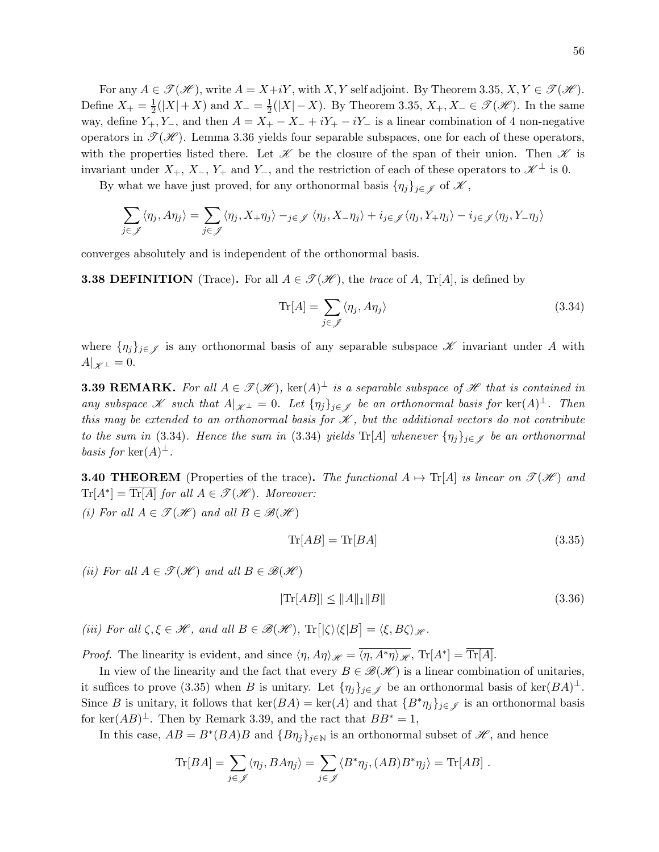For any  $A \in \mathcal{T}(\mathcal{H})$ , write  $A = X + iY$ , with X, Y self adjoint. By Theorem 3.35,  $X, Y \in \mathcal{T}(\mathcal{H})$ . Define  $X_+ = \frac{1}{2}$  $\frac{1}{2}(|X|+X)$  and  $X_-=\frac{1}{2}$  $\frac{1}{2}(|X|-X)$ . By Theorem 3.35,  $X_+, X_- \in \mathscr{T}(\mathscr{H})$ . In the same way, define  $Y_+, Y_-,$  and then  $A = X_+ - X_- + iY_+ - iY_-$  is a linear combination of 4 non-negative operators in  $\mathcal{T}(\mathcal{H})$ . Lemma 3.36 yields four separable subspaces, one for each of these operators, with the properties listed there. Let  $\mathscr K$  be the closure of the span of their union. Then  $\mathscr K$  is invariant under  $X_+$ ,  $X_-, Y_+$  and  $Y_-,$  and the restriction of each of these operators to  $\mathscr{K}^{\perp}$  is 0.

By what we have just proved, for any orthonormal basis  $\{\eta_j\}_{j\in\mathscr{J}}$  of  $\mathscr{K}$ ,

$$
\sum_{j \in \mathscr{J}} \langle \eta_j, A\eta_j \rangle = \sum_{j \in \mathscr{J}} \langle \eta_j, X_+ \eta_j \rangle -_{j \in \mathscr{J}} \langle \eta_j, X_- \eta_j \rangle + i_{j \in \mathscr{J}} \langle \eta_j, Y_+ \eta_j \rangle - i_{j \in \mathscr{J}} \langle \eta_j, Y_- \eta_j \rangle
$$

converges absolutely and is independent of the orthonormal basis.

**3.38 DEFINITION** (Trace). For all  $A \in \mathcal{T}(\mathcal{H})$ , the trace of A, Tr[A], is defined by

$$
\operatorname{Tr}[A] = \sum_{j \in \mathcal{J}} \langle \eta_j, A\eta_j \rangle \tag{3.34}
$$

where  $\{\eta_j\}_{j\in\mathscr{J}}$  is any orthonormal basis of any separable subspace  $\mathscr K$  invariant under A with  $A|_{\mathscr{K}^{\perp}} = 0.$ 

**3.39 REMARK.** For all  $A \in \mathcal{T}(\mathcal{H})$ ,  $\text{ker}(A)^{\perp}$  is a separable subspace of  $\mathcal{H}$  that is contained in any subspace X such that  $A|_{\mathcal{K}^{\perp}} = 0$ . Let  $\{\eta_j\}_{j \in \mathcal{J}}$  be an orthonormal basis for  $\ker(A)^{\perp}$ . Then this may be extended to an orthonormal basis for  $\mathscr K$ , but the additional vectors do not contribute to the sum in (3.34). Hence the sum in (3.34) yields  $\text{Tr}[A]$  whenever  $\{\eta_j\}_{j\in\mathscr{J}}$  be an orthonormal basis for  $\ker(A)^{\perp}$ .

**3.40 THEOREM** (Properties of the trace). The functional  $A \mapsto Tr[A]$  is linear on  $\mathcal{T}(\mathcal{H})$  and  $\text{Tr}[A^*] = \overline{\text{Tr}[A]}$  for all  $A \in \mathcal{T}(\mathcal{H})$ . Moreover:

(i) For all  $A \in \mathcal{T}(\mathcal{H})$  and all  $B \in \mathcal{B}(\mathcal{H})$ 

$$
\operatorname{Tr}[AB] = \operatorname{Tr}[BA] \tag{3.35}
$$

(ii) For all  $A \in \mathscr{T}(\mathscr{H})$  and all  $B \in \mathscr{B}(\mathscr{H})$ 

$$
|\text{Tr}[AB]| \le ||A||_1 ||B|| \tag{3.36}
$$

(iii) For all  $\zeta, \xi \in \mathcal{H}$ , and all  $B \in \mathcal{B}(\mathcal{H})$ ,  $\text{Tr} \big[ \langle \zeta \rangle \langle \xi | B \big] = \langle \xi, B \zeta \rangle_{\mathcal{H}}$ .

*Proof.* The linearity is evident, and since  $\langle \eta, A\eta \rangle_{\mathscr{H}} = \overline{\langle \eta, A^*\eta \rangle_{\mathscr{H}}}$ , Tr[ $A^*$ ] =  $\overline{\text{Tr}[A]}$ .

In view of the linearity and the fact that every  $B \in \mathcal{B}(\mathcal{H})$  is a linear combination of unitaries, it suffices to prove (3.35) when B is unitary. Let  $\{\eta_j\}_{j\in\mathscr{J}}$  be an orthonormal basis of ker $(BA)^{\perp}$ . Since B is unitary, it follows that  $\ker(BA) = \ker(A)$  and that  $\{B^*\eta_j\}_{j\in\mathscr{J}}$  is an orthonormal basis for ker $(AB)^{\perp}$ . Then by Remark 3.39, and the ract that  $BB^* = 1$ ,

In this case,  $AB = B^*(BA)B$  and  $\{B\eta_j\}_{j\in\mathbb{N}}$  is an orthonormal subset of  $\mathscr{H}$ , and hence

$$
\text{Tr}[BA] = \sum_{j \in \mathscr{J}} \langle \eta_j, BA\eta_j \rangle = \sum_{j \in \mathscr{J}} \langle B^* \eta_j, (AB)B^* \eta_j \rangle = \text{Tr}[AB] .
$$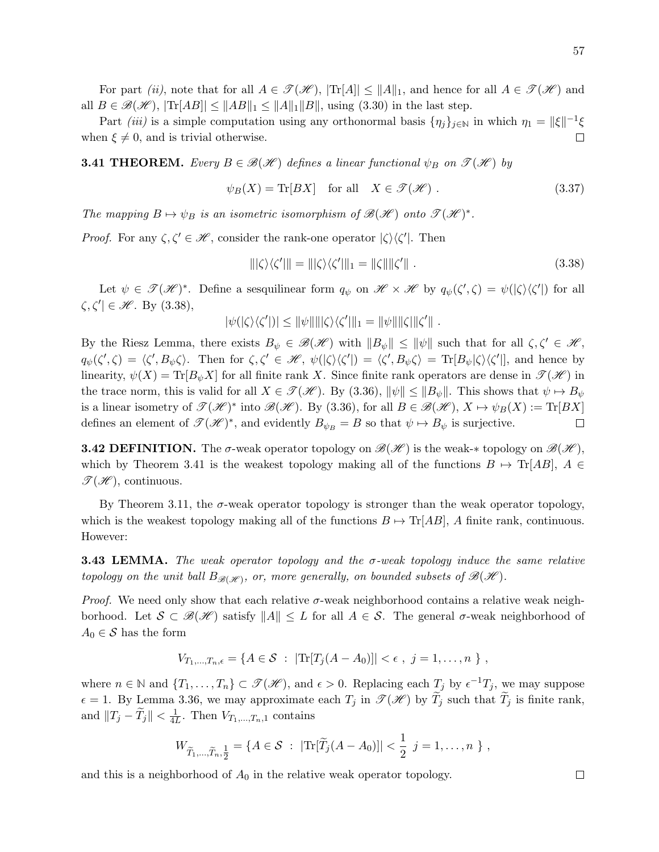For part *(ii)*, note that for all  $A \in \mathcal{T}(\mathcal{H})$ ,  $|\text{Tr}[A]| \leq ||A||_1$ , and hence for all  $A \in \mathcal{T}(\mathcal{H})$  and all  $B \in \mathscr{B}(\mathscr{H})$ ,  $|\text{Tr}[AB] \leq ||AB||_1 \leq ||A||_1 ||B||$ , using (3.30) in the last step.

Part *(iii)* is a simple computation using any orthonormal basis  $\{\eta_j\}_{j\in\mathbb{N}}$  in which  $\eta_1 = ||\xi||^{-1}\xi$ when  $\xi \neq 0$ , and is trivial otherwise.  $\Box$ 

**3.41 THEOREM.** Every  $B \in \mathcal{B}(\mathcal{H})$  defines a linear functional  $\psi_B$  on  $\mathcal{T}(\mathcal{H})$  by

$$
\psi_B(X) = \text{Tr}[BX] \quad \text{for all} \quad X \in \mathcal{F}(\mathcal{H}) \; . \tag{3.37}
$$

The mapping  $B \mapsto \psi_B$  is an isometric isomorphism of  $\mathscr{B}(\mathscr{H})$  onto  $\mathscr{T}(\mathscr{H})^*$ .

*Proof.* For any  $\zeta, \zeta' \in \mathcal{H}$ , consider the rank-one operator  $|\zeta\rangle\langle\zeta'|$ . Then

$$
\|\langle \zeta' \rangle \langle \zeta' \rangle\| = \|\langle \zeta \rangle \langle \zeta' \rangle\|_1 = \|\zeta\| \|\zeta'\|.
$$
\n(3.38)

Let  $\psi \in \mathscr{T}(\mathscr{H})^*$ . Define a sesquilinear form  $q_{\psi}$  on  $\mathscr{H} \times \mathscr{H}$  by  $q_{\psi}(\zeta', \zeta) = \psi(|\zeta\rangle\langle\zeta'|)$  for all  $\zeta, \zeta' \in \mathcal{H}$ . By  $(3.38)$ ,

$$
|\psi(|\zeta\rangle\langle\zeta'|)| \leq ||\psi|| ||\zeta\rangle\langle\zeta'||_1 = ||\psi|| ||\zeta|| ||\zeta'||.
$$

By the Riesz Lemma, there exists  $B_{\psi} \in \mathscr{B}(\mathscr{H})$  with  $||B_{\psi}|| \leq ||\psi||$  such that for all  $\zeta, \zeta' \in \mathscr{H}$ ,  $q_{\psi}(\zeta',\zeta) = \langle \zeta', B_{\psi} \zeta \rangle$ . Then for  $\zeta, \zeta' \in \mathcal{H}$ ,  $\psi(|\zeta\rangle\langle\zeta'|) = \langle \zeta', B_{\psi} \zeta \rangle = \text{Tr}[B_{\psi}|\zeta\rangle\langle\zeta'|]$ , and hence by linearity,  $\psi(X) = \text{Tr}[B_{\psi}X]$  for all finite rank X. Since finite rank operators are dense in  $\mathcal{T}(\mathcal{H})$  in the trace norm, this is valid for all  $X \in \mathcal{T(K)}$ . By (3.36),  $\|\psi\| \leq \|B_{\psi}\|$ . This shows that  $\psi \mapsto B_{\psi}$ is a linear isometry of  $\mathscr{T}(\mathscr{H})^*$  into  $\mathscr{B}(\mathscr{H})$ . By (3.36), for all  $B \in \mathscr{B}(\mathscr{H})$ ,  $X \mapsto \psi_B(X) := \text{Tr}[BX]$ defines an element of  $\mathscr{T}(\mathscr{H})^*$ , and evidently  $B_{\psi_B} = B$  so that  $\psi \mapsto B_{\psi}$  is surjective.  $\Box$ 

**3.42 DEFINITION.** The  $\sigma$ -weak operator topology on  $\mathscr{B}(\mathscr{H})$  is the weak-\* topology on  $\mathscr{B}(\mathscr{H})$ , which by Theorem 3.41 is the weakest topology making all of the functions  $B \mapsto \text{Tr}[AB]$ ,  $A \in$  $\mathscr{T}(\mathscr{H})$ , continuous.

By Theorem 3.11, the  $\sigma$ -weak operator topology is stronger than the weak operator topology, which is the weakest topology making all of the functions  $B \mapsto \text{Tr}[AB]$ , A finite rank, continuous. However:

**3.43 LEMMA.** The weak operator topology and the  $\sigma$ -weak topology induce the same relative topology on the unit ball  $B_{\mathscr{B}(\mathscr{H})}$ , or, more generally, on bounded subsets of  $\mathscr{B}(\mathscr{H})$ .

*Proof.* We need only show that each relative  $\sigma$ -weak neighborhood contains a relative weak neighborhood. Let  $S \subset \mathcal{B}(\mathcal{H})$  satisfy  $||A|| \leq L$  for all  $A \in \mathcal{S}$ . The general  $\sigma$ -weak neighborhood of  $A_0 \in \mathcal{S}$  has the form

$$
V_{T_1,...,T_n,\epsilon} = \{ A \in S \; : \; |\text{Tr}[T_j(A - A_0)]| < \epsilon \; , \; j = 1, \ldots, n \; \} \; ,
$$

where  $n \in \mathbb{N}$  and  $\{T_1, \ldots, T_n\} \subset \mathscr{T}(\mathscr{H})$ , and  $\epsilon > 0$ . Replacing each  $T_j$  by  $\epsilon^{-1}T_j$ , we may suppose  $\epsilon = 1$ . By Lemma 3.36, we may approximate each  $T_j$  in  $\mathscr{T}(\mathscr{H})$  by  $\widetilde{T}_j$  such that  $\widetilde{T}_j$  is finite rank, and  $||T_j - \widetilde{T}_j|| < \frac{1}{4l}$  $\frac{1}{4L}$ . Then  $V_{T_1,\ldots,T_n,1}$  contains

$$
W_{\widetilde{T}_1,\ldots,\widetilde{T}_n,\frac{1}{2}} = \{A \in \mathcal{S} : |\text{Tr}[\widetilde{T}_j(A - A_0)]| < \frac{1}{2} \ j = 1,\ldots,n \ \},
$$

and this is a neighborhood of  $A_0$  in the relative weak operator topology.

 $\Box$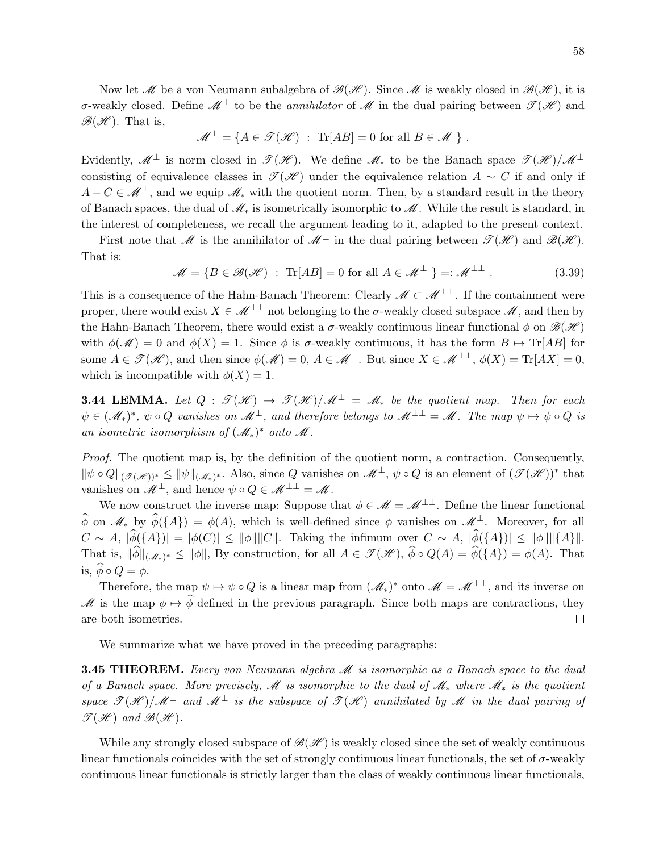Now let  $\mathcal M$  be a von Neumann subalgebra of  $\mathcal B(\mathcal H)$ . Since  $\mathcal M$  is weakly closed in  $\mathcal B(\mathcal H)$ , it is σ-weakly closed. Define  $\mathscr{M}^{\perp}$  to be the *annihilator* of  $\mathscr{M}$  in the dual pairing between  $\mathscr{T}(\mathscr{H})$  and  $\mathscr{B}(\mathscr{H})$ . That is,

$$
\mathscr{M}^{\perp} = \{ A \in \mathscr{T}(\mathscr{H}) \; : \; \text{Tr}[AB] = 0 \text{ for all } B \in \mathscr{M} \; \} \; .
$$

Evidently,  $\mathscr{M}^{\perp}$  is norm closed in  $\mathscr{T}(\mathscr{H})$ . We define  $\mathscr{M}_{*}$  to be the Banach space  $\mathscr{T}(\mathscr{H})/\mathscr{M}^{\perp}$ consisting of equivalence classes in  $\mathcal{T}(\mathcal{H})$  under the equivalence relation  $A \sim C$  if and only if  $A - C \in \mathcal{M}^{\perp}$ , and we equip  $\mathcal{M}_{*}$  with the quotient norm. Then, by a standard result in the theory of Banach spaces, the dual of  $\mathcal{M}_*$  is isometrically isomorphic to  $\mathcal{M}$ . While the result is standard, in the interest of completeness, we recall the argument leading to it, adapted to the present context.

First note that M is the annihilator of  $\mathcal{M}^{\perp}$  in the dual pairing between  $\mathcal{F}(\mathcal{H})$  and  $\mathcal{B}(\mathcal{H})$ . That is:

$$
\mathcal{M} = \{ B \in \mathcal{B}(\mathcal{H}) : \text{Tr}[AB] = 0 \text{ for all } A \in \mathcal{M}^{\perp} \} =: \mathcal{M}^{\perp \perp} . \tag{3.39}
$$

This is a consequence of the Hahn-Banach Theorem: Clearly  $\mathcal{M} \subset \mathcal{M}^{\perp \perp}$ . If the containment were proper, there would exist  $X \in \mathcal{M}^{\perp \perp}$  not belonging to the  $\sigma$ -weakly closed subspace  $\mathcal{M}$ , and then by the Hahn-Banach Theorem, there would exist a  $\sigma$ -weakly continuous linear functional  $\phi$  on  $\mathscr{B}(\mathscr{H})$ with  $\phi(\mathscr{M}) = 0$  and  $\phi(X) = 1$ . Since  $\phi$  is  $\sigma$ -weakly continuous, it has the form  $B \mapsto \text{Tr}[AB]$  for some  $A \in \mathcal{T}(\mathcal{H})$ , and then since  $\phi(\mathcal{M}) = 0$ ,  $A \in \mathcal{M}^{\perp}$ . But since  $X \in \mathcal{M}^{\perp\perp}$ ,  $\phi(X) = \text{Tr}[AX] = 0$ , which is incompatible with  $\phi(X) = 1$ .

**3.44 LEMMA.** Let  $Q : \mathcal{T}(\mathcal{H}) \to \mathcal{T}(\mathcal{H})/\mathcal{M}^{\perp} = \mathcal{M}_{*}$  be the quotient map. Then for each  $\psi\in(\mathscr{M}_*)^*,\ \psi\circ Q$  vanishes on  $\mathscr{M}^\perp$ , and therefore belongs to  $\mathscr{M}^{\perp\perp}=\mathscr{M}$ . The map  $\psi\mapsto\psi\circ Q$  is an isometric isomorphism of  $(\mathcal{M}_*)^*$  onto  $\mathcal M$ .

Proof. The quotient map is, by the definition of the quotient norm, a contraction. Consequently,  $\|\psi \circ Q\|_{(\mathscr{I}(\mathscr{H}))^*} \leq \|\psi\|_{(\mathscr{M}_*)^*}.$  Also, since Q vanishes on  $\mathscr{M}^{\perp}$ ,  $\psi \circ Q$  is an element of  $(\mathscr{T}(\mathscr{H}))^*$  that vanishes on  $\mathscr{M}^{\perp}$ , and hence  $\psi \circ Q \in \mathscr{M}^{\perp \perp} = \mathscr{M}$ .

We now construct the inverse map: Suppose that  $\phi \in \mathcal{M} = \mathcal{M}^{\perp \perp}$ . Define the linear functional  $\widehat{\phi}$  on  $\mathscr{M}_*$  by  $\widehat{\phi}(\{A\}) = \phi(A)$ , which is well-defined since  $\phi$  vanishes on  $\mathscr{M}^{\perp}$ . Moreover, for all  $C \sim A$ ,  $|\widehat{\phi}(\{A\})| = |\phi(C)| \le ||\phi|| ||C||$ . Taking the infimum over  $C \sim A$ ,  $|\widehat{\phi}(\{A\})| \le ||\phi|| ||\{A\}||$ . That is,  $\|\phi\|_{(\mathscr{M}_*)^*} \le \|\phi\|$ , By construction, for all  $A \in \mathscr{T}(\mathscr{H})$ ,  $\phi \circ Q(A) = \phi({A}) = \phi(A)$ . That is,  $\widehat{\phi} \circ Q = \phi$ .

Therefore, the map  $\psi \mapsto \psi \circ Q$  is a linear map from  $(\mathscr{M}_*)^*$  onto  $\mathscr{M} = \mathscr{M}^{\perp \perp}$ , and its inverse on  $M$  is the map  $\phi \mapsto \phi$  defined in the previous paragraph. Since both maps are contractions, they are both isometries. are both isometries.

We summarize what we have proved in the preceding paragraphs:

**3.45 THEOREM.** Every von Neumann algebra  $\mathcal{M}$  is isomorphic as a Banach space to the dual of a Banach space. More precisely, M is isomorphic to the dual of  $\mathcal{M}_*$  where  $\mathcal{M}_*$  is the quotient space  $\mathscr{T}(\mathscr{H})/\mathscr{M}^{\perp}$  and  $\mathscr{M}^{\perp}$  is the subspace of  $\mathscr{T}(\mathscr{H})$  annihilated by  $\mathscr{M}$  in the dual pairing of  $\mathscr{T}(\mathscr{H})$  and  $\mathscr{B}(\mathscr{H})$ .

While any strongly closed subspace of  $\mathcal{B}(\mathcal{H})$  is weakly closed since the set of weakly continuous linear functionals coincides with the set of strongly continuous linear functionals, the set of  $\sigma$ -weakly continuous linear functionals is strictly larger than the class of weakly continuous linear functionals,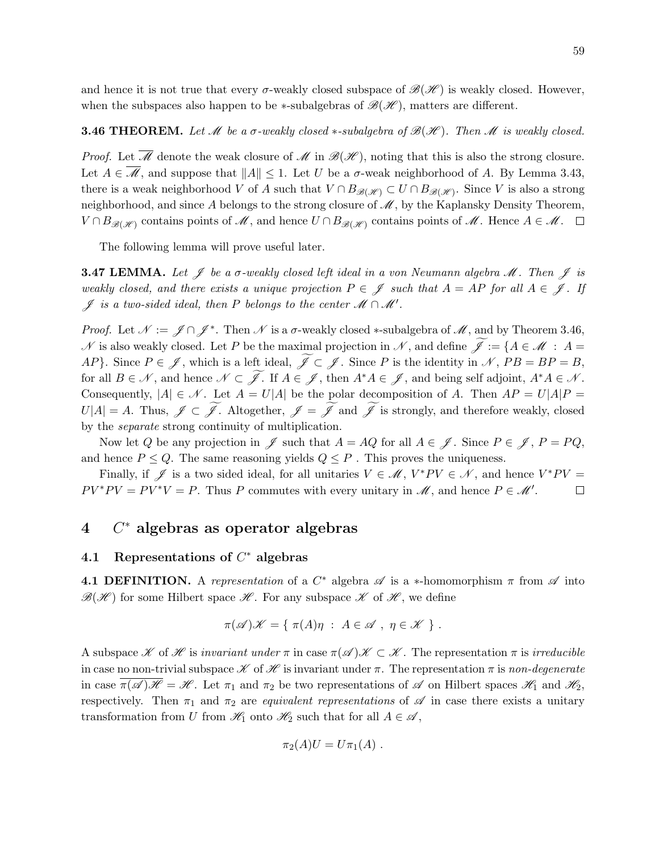and hence it is not true that every  $\sigma$ -weakly closed subspace of  $\mathscr{B}(\mathscr{H})$  is weakly closed. However, when the subspaces also happen to be  $\ast$ -subalgebras of  $\mathcal{B}(\mathcal{H})$ , matters are different.

## **3.46 THEOREM.** Let  $\mathcal M$  be a  $\sigma$ -weakly closed  $*$ -subalgebra of  $\mathcal B(\mathcal H)$ . Then  $\mathcal M$  is weakly closed.

*Proof.* Let  $\overline{\mathcal{M}}$  denote the weak closure of  $\mathcal{M}$  in  $\mathcal{B}(\mathcal{H})$ , noting that this is also the strong closure. Let  $A \in \overline{\mathcal{M}}$ , and suppose that  $||A|| \leq 1$ . Let U be a  $\sigma$ -weak neighborhood of A. By Lemma 3.43, there is a weak neighborhood V of A such that  $V \cap B_{\mathscr{B}(\mathscr{H})} \subset U \cap B_{\mathscr{B}(\mathscr{H})}$ . Since V is also a strong neighborhood, and since A belongs to the strong closure of  $\mathcal{M}$ , by the Kaplansky Density Theorem,  $V \cap B_{\mathscr{B}(\mathscr{H})}$  contains points of  $\mathscr{M}$ , and hence  $U \cap B_{\mathscr{B}(\mathscr{H})}$  contains points of  $\mathscr{M}$ . Hence  $A \in \mathscr{M}$ .  $\Box$ 

The following lemma will prove useful later.

**3.47 LEMMA.** Let  $\mathscr{J}$  be a  $\sigma$ -weakly closed left ideal in a von Neumann algebra  $\mathscr{M}$ . Then  $\mathscr{J}$  is weakly closed, and there exists a unique projection  $P \in \mathscr{J}$  such that  $A = AP$  for all  $A \in \mathscr{J}$ . If  $\mathscr{J}$  is a two-sided ideal, then P belongs to the center  $\mathscr{M} \cap \mathscr{M}'$ .

*Proof.* Let  $\mathcal{N} := \mathcal{J} \cap \mathcal{J}^*$ . Then  $\mathcal{N}$  is a  $\sigma$ -weakly closed \*-subalgebra of  $\mathcal{M}$ , and by Theorem 3.46,  $\mathscr N$  is also weakly closed. Let P be the maximal projection in  $\mathscr N,$  and define  $\widetilde{\mathscr J}:=\{A\in\mathscr M\ :\ A=\emptyset\}$ AP}. Since  $P \in \mathscr{J}$ , which is a left ideal,  $\widetilde{\mathscr{J}} \subset \mathscr{J}$ . Since P is the identity in  $\mathscr{N}$ ,  $PB = BP = B$ , for all  $B \in \mathcal{N}$ , and hence  $\mathcal{N} \subset \widetilde{\mathcal{J}}$ . If  $A \in \mathcal{J}$ , then  $A^*A \in \mathcal{J}$ , and being self adjoint,  $A^*A \in \mathcal{N}$ . Consequently,  $|A| \in \mathcal{N}$ . Let  $A = U|A|$  be the polar decomposition of A. Then  $AP = U|A|P =$  $U|A| = A$ . Thus,  $\mathscr{J} \subset \widetilde{\mathscr{J}}$ . Altogether,  $\mathscr{J} = \widetilde{\mathscr{J}}$  and  $\widetilde{\mathscr{J}}$  is strongly, and therefore weakly, closed by the separate strong continuity of multiplication.

Now let Q be any projection in  $\mathscr J$  such that  $A = AQ$  for all  $A \in \mathscr J$ . Since  $P \in \mathscr J$ ,  $P = PQ$ , and hence  $P \leq Q$ . The same reasoning yields  $Q \leq P$ . This proves the uniqueness.

Finally, if  $\mathscr J$  is a two sided ideal, for all unitaries  $V \in \mathscr M$ ,  $V^*PV \in \mathscr N$ , and hence  $V^*PV =$  $PV^*PV = PV^*V = P$ . Thus P commutes with every unitary in M, and hence  $P \in \mathcal{M}'$ .  $\Box$ 

# $4$   $C^*$  algebras as operator algebras

# 4.1 Representations of  $C^*$  algebras

**4.1 DEFINITION.** A representation of a  $C^*$  algebra  $\mathscr A$  is a \*-homomorphism  $\pi$  from  $\mathscr A$  into  $\mathscr{B}(\mathscr{H})$  for some Hilbert space  $\mathscr{H}$ . For any subspace  $\mathscr{K}$  of  $\mathscr{H}$ , we define

$$
\pi(\mathscr{A})\mathscr{K} = \{ \pi(A)\eta : A \in \mathscr{A}, \eta \in \mathscr{K} \}.
$$

A subspace  $\mathscr K$  of  $\mathscr H$  is invariant under  $\pi$  in case  $\pi(\mathscr A)\mathscr K\subset\mathscr K$ . The representation  $\pi$  is irreducible in case no non-trivial subspace  $\mathscr K$  of  $\mathscr H$  is invariant under  $\pi$ . The representation  $\pi$  is non-degenerate in case  $\pi(\mathscr{A})\mathscr{H} = \mathscr{H}$ . Let  $\pi_1$  and  $\pi_2$  be two representations of  $\mathscr{A}$  on Hilbert spaces  $\mathscr{H}_1$  and  $\mathscr{H}_2$ , respectively. Then  $\pi_1$  and  $\pi_2$  are *equivalent representations* of  $\mathscr A$  in case there exists a unitary transformation from U from  $\mathcal{H}_1$  onto  $\mathcal{H}_2$  such that for all  $A \in \mathcal{A}$ ,

$$
\pi_2(A)U=U\pi_1(A).
$$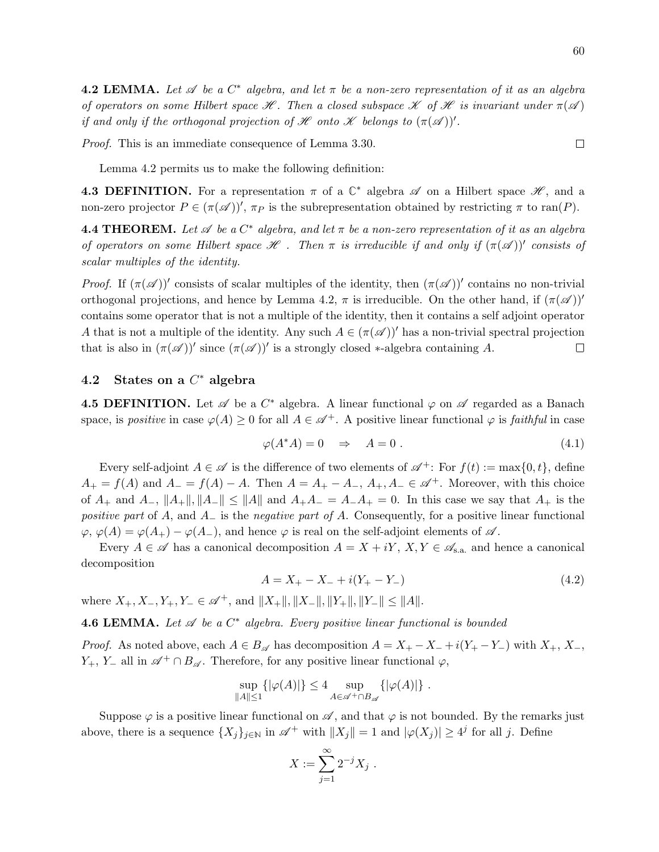60

 $\Box$ 

**4.2 LEMMA.** Let  $\mathscr A$  be a  $C^*$  algebra, and let  $\pi$  be a non-zero representation of it as an algebra of operators on some Hilbert space  $\mathscr H$ . Then a closed subspace  $\mathscr K$  of  $\mathscr H$  is invariant under  $\pi(\mathscr A)$ if and only if the orthogonal projection of  $\mathscr H$  onto  $\mathscr K$  belongs to  $(\pi(\mathscr A))'.$ 

Proof. This is an immediate consequence of Lemma 3.30.

Lemma 4.2 permits us to make the following definition:

**4.3 DEFINITION.** For a representation  $\pi$  of a  $\mathbb{C}^*$  algebra  $\mathscr A$  on a Hilbert space  $\mathscr H$ , and a non-zero projector  $P \in (\pi(\mathscr{A}))'$ ,  $\pi_P$  is the subrepresentation obtained by restricting  $\pi$  to ran(P).

**4.4 THEOREM.** Let  $\mathscr A$  be a  $C^*$  algebra, and let  $\pi$  be a non-zero representation of it as an algebra of operators on some Hilbert space  $\mathcal H$ . Then  $\pi$  is irreducible if and only if  $(\pi(\mathcal A))'$  consists of scalar multiples of the identity.

Proof. If  $(\pi(\mathscr{A}))'$  consists of scalar multiples of the identity, then  $(\pi(\mathscr{A}))'$  contains no non-trivial orthogonal projections, and hence by Lemma 4.2,  $\pi$  is irreducible. On the other hand, if  $(\pi(\mathscr{A}))'$ contains some operator that is not a multiple of the identity, then it contains a self adjoint operator A that is not a multiple of the identity. Any such  $A \in (\pi(\mathscr{A}))'$  has a non-trivial spectral projection that is also in  $(\pi(\mathscr{A}))'$  since  $(\pi(\mathscr{A}))'$  is a strongly closed \*-algebra containing A.  $\Box$ 

# 4.2 States on a  $C^*$  algebra

**4.5 DEFINITION.** Let  $\mathscr A$  be a  $C^*$  algebra. A linear functional  $\varphi$  on  $\mathscr A$  regarded as a Banach space, is positive in case  $\varphi(A) \geq 0$  for all  $A \in \mathcal{A}^+$ . A positive linear functional  $\varphi$  is faithful in case

$$
\varphi(A^*A) = 0 \quad \Rightarrow \quad A = 0 \tag{4.1}
$$

Every self-adjoint  $A \in \mathscr{A}$  is the difference of two elements of  $\mathscr{A}^+$ : For  $f(t) := \max\{0, t\}$ , define  $A_+ = f(A)$  and  $A_- = f(A) - A$ . Then  $A = A_+ - A_-, A_+, A_- \in \mathcal{A}^+$ . Moreover, with this choice of  $A_+$  and  $A_-, \|A_+\|$ ,  $\|A_-\| \le \|A\|$  and  $A_+A_- = A_-A_+ = 0$ . In this case we say that  $A_+$  is the positive part of A, and  $A_-\$  is the negative part of A. Consequently, for a positive linear functional  $\varphi, \varphi(A) = \varphi(A_+) - \varphi(A_-)$ , and hence  $\varphi$  is real on the self-adjoint elements of  $\mathscr A$ .

Every  $A \in \mathscr{A}$  has a canonical decomposition  $A = X + iY, X, Y \in \mathscr{A}_{s.a.}$  and hence a canonical decomposition

$$
A = X_{+} - X_{-} + i(Y_{+} - Y_{-})
$$
\n<sup>(4.2)</sup>

where  $X_+, X_-, Y_+, Y_- \in \mathscr{A}^+$ , and  $||X_+||, ||X_-||, ||Y_+||, ||Y_-|| < ||A||$ .

**4.6 LEMMA.** Let  $\mathscr A$  be a  $C^*$  algebra. Every positive linear functional is bounded

*Proof.* As noted above, each  $A \in B_{\mathscr{A}}$  has decomposition  $A = X_+ - X_- + i(Y_+ - Y_-)$  with  $X_+, X_-,$  $Y_+$ ,  $Y_-$  all in  $\mathscr{A}^+\cap B_{\mathscr{A}}$ . Therefore, for any positive linear functional  $\varphi$ ,

$$
\sup_{\|A\| \le 1} {\left\{ |\varphi(A)| \right\}} \le 4 \sup_{A \in \mathscr{A}^+ \cap B_{\mathscr{A}}} {\left\{ |\varphi(A)| \right\}}.
$$

Suppose  $\varphi$  is a positive linear functional on  $\mathscr A$ , and that  $\varphi$  is not bounded. By the remarks just above, there is a sequence  $\{X_j\}_{j\in\mathbb{N}}$  in  $\mathscr{A}^+$  with  $||X_j|| = 1$  and  $|\varphi(X_j)| \geq 4^j$  for all j. Define

$$
X := \sum_{j=1}^{\infty} 2^{-j} X_j \; .
$$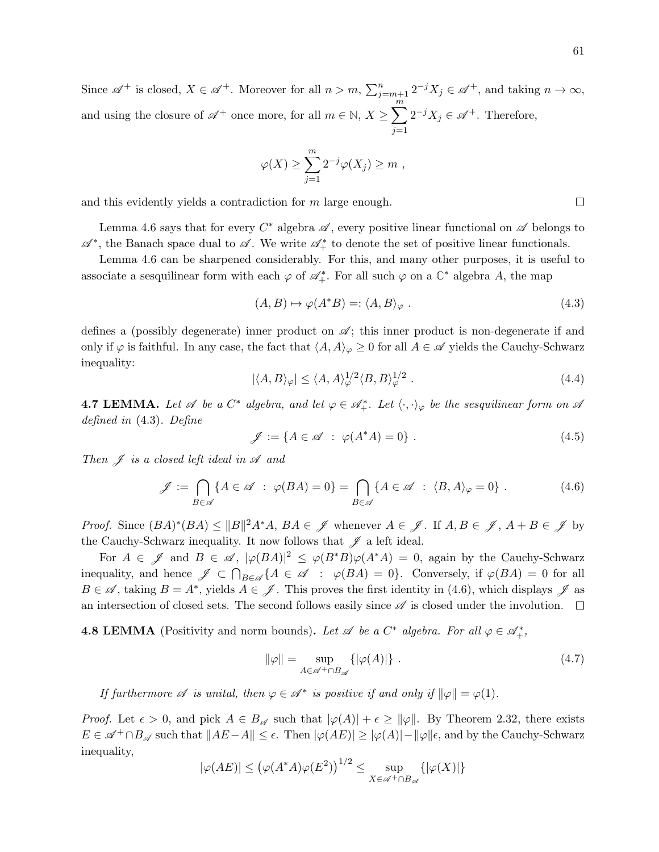Since  $\mathscr{A}^+$  is closed,  $X \in \mathscr{A}^+$ . Moreover for all  $n > m$ ,  $\sum_{j=m+1}^n 2^{-j}X_j \in \mathscr{A}^+$ , and taking  $n \to \infty$ , and using the closure of  $\mathscr{A}^+$  once more, for all  $m \in \mathbb{N}, X \geq \sum_{i=1}^{m}$  $j=1$  $2^{-j}X_j \in \mathscr{A}^+$ . Therefore,

$$
\varphi(X) \geq \sum_{j=1}^m 2^{-j} \varphi(X_j) \geq m ,
$$

and this evidently yields a contradiction for m large enough.

Lemma 4.6 says that for every  $C^*$  algebra  $\mathscr A$ , every positive linear functional on  $\mathscr A$  belongs to  $\mathscr{A}^*$ , the Banach space dual to  $\mathscr{A}$ . We write  $\mathscr{A}_+^*$  to denote the set of positive linear functionals.

Lemma 4.6 can be sharpened considerably. For this, and many other purposes, it is useful to associate a sesquilinear form with each  $\varphi$  of  $\mathscr{A}_{+}^*$ . For all such  $\varphi$  on a  $\mathbb{C}^*$  algebra A, the map

$$
(A, B) \mapsto \varphi(A^*B) =: \langle A, B \rangle_{\varphi} . \tag{4.3}
$$

defines a (possibly degenerate) inner product on  $\mathscr{A}$ ; this inner product is non-degenerate if and only if  $\varphi$  is faithful. In any case, the fact that  $\langle A, A \rangle_{\varphi} \geq 0$  for all  $A \in \mathscr{A}$  yields the Cauchy-Schwarz inequality:

$$
|\langle A, B \rangle_{\varphi}| \le \langle A, A \rangle_{\varphi}^{1/2} \langle B, B \rangle_{\varphi}^{1/2} . \tag{4.4}
$$

**4.7 LEMMA.** Let  $\mathscr A$  be a  $C^*$  algebra, and let  $\varphi \in \mathscr A^*_+$ . Let  $\langle \cdot, \cdot \rangle_{\varphi}$  be the sesquilinear form on  $\mathscr A$ defined in (4.3). Define

$$
\mathscr{J} := \{ A \in \mathscr{A} \; : \; \varphi(A^*A) = 0 \} \; . \tag{4.5}
$$

Then  $\mathscr J$  is a closed left ideal in  $\mathscr A$  and

$$
\mathscr{J} := \bigcap_{B \in \mathscr{A}} \{ A \in \mathscr{A} \; : \; \varphi(BA) = 0 \} = \bigcap_{B \in \mathscr{A}} \{ A \in \mathscr{A} \; : \; \langle B, A \rangle_{\varphi} = 0 \} \; . \tag{4.6}
$$

*Proof.* Since  $(BA)^*(BA) \leq ||B||^2 A^*A$ ,  $BA \in \mathscr{J}$  whenever  $A \in \mathscr{J}$ . If  $A, B \in \mathscr{J}$ ,  $A + B \in \mathscr{J}$  by the Cauchy-Schwarz inequality. It now follows that  $\mathscr J$  a left ideal.

For  $A \in \mathscr{J}$  and  $B \in \mathscr{A}$ ,  $|\varphi(BA)|^2 \leq \varphi(B^*B)\varphi(A^*A) = 0$ , again by the Cauchy-Schwarz inequality, and hence  $\mathscr{J} \subset \bigcap_{B \in \mathscr{A}} \{A \in \mathscr{A} : \varphi(BA) = 0\}$ . Conversely, if  $\varphi(BA) = 0$  for all  $B \in \mathscr{A}$ , taking  $B = A^*$ , yields  $A \in \mathscr{J}$ . This proves the first identity in (4.6), which displays  $\mathscr{J}$  as an intersection of closed sets. The second follows easily since  $\mathscr A$  is closed under the involution.  $\Box$ 

**4.8 LEMMA** (Positivity and norm bounds). Let  $\mathscr A$  be a  $C^*$  algebra. For all  $\varphi \in \mathscr A^*_+,$ 

$$
\|\varphi\| = \sup_{A \in \mathscr{A}^+ \cap B_{\mathscr{A}}} \{ |\varphi(A)| \} . \tag{4.7}
$$

If furthermore  $\mathscr A$  is unital, then  $\varphi \in \mathscr A^*$  is positive if and only if  $\|\varphi\| = \varphi(1)$ .

*Proof.* Let  $\epsilon > 0$ , and pick  $A \in B_{\mathscr{A}}$  such that  $|\varphi(A)| + \epsilon \geq ||\varphi||$ . By Theorem 2.32, there exists  $E \in \mathscr{A}^+ \cap B_{\mathscr{A}}$  such that  $||AE-A|| \leq \epsilon$ . Then  $|\varphi(AE)| \geq |\varphi(A)| - ||\varphi||\epsilon$ , and by the Cauchy-Schwarz inequality,

$$
|\varphi(AE)| \le (\varphi(A^*A)\varphi(E^2))^{1/2} \le \sup_{X \in \mathscr{A}^+ \cap B_{\mathscr{A}}} \{ |\varphi(X)| \}
$$

 $\Box$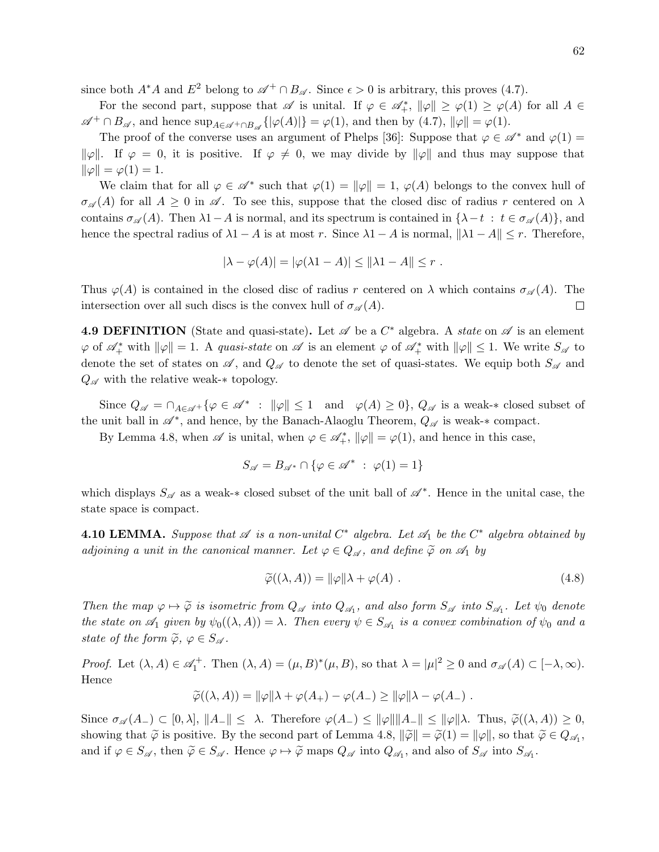since both  $A^*A$  and  $E^2$  belong to  $\mathscr{A}^+\cap B_{\mathscr{A}}$ . Since  $\epsilon > 0$  is arbitrary, this proves (4.7).

For the second part, suppose that  $\mathscr A$  is unital. If  $\varphi \in \mathscr A^*_+$ ,  $\|\varphi\| \ge \varphi(1) \ge \varphi(A)$  for all  $A \in$  $\mathscr{A}^+ \cap B_{\mathscr{A}}$ , and hence  $\sup_{A \in \mathscr{A}^+ \cap B_{\mathscr{A}}} \{ |\varphi(A)| \} = \varphi(1)$ , and then by  $(4.7)$ ,  $||\varphi|| = \varphi(1)$ .

The proof of the converse uses an argument of Phelps [36]: Suppose that  $\varphi \in \mathscr{A}^*$  and  $\varphi(1) =$  $\|\varphi\|$ . If  $\varphi = 0$ , it is positive. If  $\varphi \neq 0$ , we may divide by  $\|\varphi\|$  and thus may suppose that  $\|\varphi\| = \varphi(1) = 1.$ 

We claim that for all  $\varphi \in \mathscr{A}^*$  such that  $\varphi(1) = ||\varphi|| = 1$ ,  $\varphi(A)$  belongs to the convex hull of  $\sigma_{\mathscr{A}}(A)$  for all  $A \geq 0$  in  $\mathscr{A}$ . To see this, suppose that the closed disc of radius r centered on  $\lambda$ contains  $\sigma_{\mathscr{A}}(A)$ . Then  $\lambda$ 1−A is normal, and its spectrum is contained in  $\{\lambda-t : t \in \sigma_{\mathscr{A}}(A)\}\)$ , and hence the spectral radius of  $\lambda 1 - A$  is at most r. Since  $\lambda 1 - A$  is normal,  $\|\lambda 1 - A\| \leq r$ . Therefore,

$$
|\lambda - \varphi(A)| = |\varphi(\lambda_1 - A)| \le ||\lambda_1 - A|| \le r.
$$

Thus  $\varphi(A)$  is contained in the closed disc of radius r centered on  $\lambda$  which contains  $\sigma_{\mathscr{A}}(A)$ . The intersection over all such discs is the convex hull of  $\sigma_{\mathscr{A}}(A)$ .  $\Box$ 

**4.9 DEFINITION** (State and quasi-state). Let  $\mathscr A$  be a  $C^*$  algebra. A *state* on  $\mathscr A$  is an element  $\varphi$  of  $\mathscr{A}_{+}^*$  with  $\|\varphi\|=1$ . A quasi-state on  $\mathscr{A}$  is an element  $\varphi$  of  $\mathscr{A}_{+}^*$  with  $\|\varphi\|\leq 1$ . We write  $S_{\mathscr{A}}$  to denote the set of states on  $\mathscr A$ , and  $Q_{\mathscr A}$  to denote the set of quasi-states. We equip both  $S_{\mathscr A}$  and  $Q_{\mathscr{A}}$  with the relative weak- $*$  topology.

Since  $Q_{\mathscr{A}} = \cap_{A \in \mathscr{A}^+} \{ \varphi \in \mathscr{A}^* \; : \; \|\varphi\| \leq 1 \quad \text{and} \quad \varphi(A) \geq 0 \},\ Q_{\mathscr{A}} \text{ is a weak-}* \text{ closed subset of } \varphi(A) \leq 0 \}$ the unit ball in  $\mathscr{A}^*$ , and hence, by the Banach-Alaoglu Theorem,  $Q_{\mathscr{A}}$  is weak- $*$  compact.

By Lemma 4.8, when  $\mathscr A$  is unital, when  $\varphi \in \mathscr A^*_+$ ,  $\|\varphi\| = \varphi(1)$ , and hence in this case,

$$
S_{\mathscr{A}} = B_{\mathscr{A}^*} \cap \{ \varphi \in \mathscr{A}^* \; : \; \varphi(1) = 1 \}
$$

which displays  $S_{\mathscr{A}}$  as a weak-\* closed subset of the unit ball of  $\mathscr{A}^*$ . Hence in the unital case, the state space is compact.

**4.10 LEMMA.** Suppose that  $\mathscr A$  is a non-unital  $C^*$  algebra. Let  $\mathscr A_1$  be the  $C^*$  algebra obtained by adjoining a unit in the canonical manner. Let  $\varphi \in Q_{\mathscr{A}}$ , and define  $\widetilde{\varphi}$  on  $\mathscr{A}_1$  by

$$
\widetilde{\varphi}((\lambda, A)) = ||\varphi||\lambda + \varphi(A) . \qquad (4.8)
$$

Then the map  $\varphi \mapsto \widetilde{\varphi}$  is isometric from  $Q_{\mathscr{A}}$  into  $Q_{\mathscr{A}_1}$ , and also form  $S_{\mathscr{A}}$  into  $S_{\mathscr{A}_1}$ . Let  $\psi_0$  denote the state on  $\mathscr{A}_1$  given by  $\psi_0((\lambda, A)) = \lambda$ . Then every  $\psi \in S_{\mathscr{A}_1}$  is a convex combination of  $\psi_0$  and a state of the form  $\widetilde{\varphi}$ ,  $\varphi \in S_{\mathscr{A}}$ .

Proof. Let  $(\lambda, A) \in \mathscr{A}_1^+$ . Then  $(\lambda, A) = (\mu, B)^*(\mu, B)$ , so that  $\lambda = |\mu|^2 \geq 0$  and  $\sigma_{\mathscr{A}}(A) \subset [-\lambda, \infty)$ . Hence

$$
\widetilde{\varphi}((\lambda, A)) = ||\varphi||\lambda + \varphi(A_+) - \varphi(A_-) \ge ||\varphi||\lambda - \varphi(A_-) .
$$

Since  $\sigma_{\mathscr{A}}(A_{-}) \subset [0,\lambda], \|A_{-}\| \leq \lambda$ . Therefore  $\varphi(A_{-}) \leq \|\varphi\| \|A_{-}\| \leq \|\varphi\| \lambda$ . Thus,  $\widetilde{\varphi}((\lambda,A)) \geq 0$ , showing that  $\widetilde{\varphi}$  is positive. By the second part of Lemma 4.8,  $\|\widetilde{\varphi}\| = \widetilde{\varphi}(1) = \|\varphi\|$ , so that  $\widetilde{\varphi} \in Q_{\mathscr{A}_1}$ , and if  $\varphi \in S_{\mathscr{A}}$ , then  $\tilde{\varphi} \in S_{\mathscr{A}}$ . Hence  $\varphi \mapsto \tilde{\varphi}$  maps  $Q_{\mathscr{A}}$  into  $Q_{\mathscr{A}_1}$ , and also of  $S_{\mathscr{A}}$  into  $S_{\mathscr{A}_1}$ .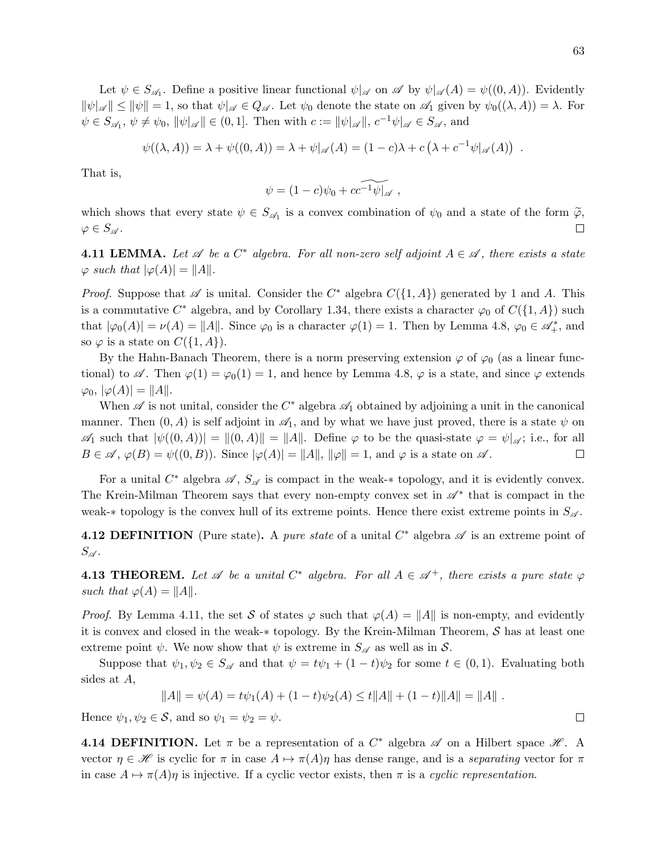Let  $\psi \in S_{\mathscr{A}_1}$ . Define a positive linear functional  $\psi|_{\mathscr{A}}$  on  $\mathscr{A}$  by  $\psi|_{\mathscr{A}}(A) = \psi((0, A))$ . Evidently  $\|\psi|_{\mathscr{A}}\| \le \|\psi\|=1$ , so that  $\psi|_{\mathscr{A}} \in Q_{\mathscr{A}}$ . Let  $\psi_0$  denote the state on  $\mathscr{A}_1$  given by  $\psi_0((\lambda, A)) = \lambda$ . For  $\psi \in S_{\mathscr{A}_1}, \, \psi \neq \psi_0, \, \|\psi|_{\mathscr{A}}\| \in (0,1].$  Then with  $c := \|\psi|_{\mathscr{A}}\|, \, c^{-1}\psi|_{\mathscr{A}} \in S_{\mathscr{A}},$  and

$$
\psi((\lambda, A)) = \lambda + \psi((0, A)) = \lambda + \psi|_{\mathscr{A}}(A) = (1 - c)\lambda + c\left(\lambda + c^{-1}\psi|_{\mathscr{A}}(A)\right) .
$$

That is,

$$
\psi = (1 - c)\psi_0 + c\widetilde{c^{-1}\psi|_{\mathscr{A}}},
$$

which shows that every state  $\psi \in S_{\mathscr{A}_1}$  is a convex combination of  $\psi_0$  and a state of the form  $\widetilde{\varphi}$ ,  $\varphi \in S_{\mathscr{A}}$ .

**4.11 LEMMA.** Let  $\mathscr A$  be a  $C^*$  algebra. For all non-zero self adjoint  $A \in \mathscr A$ , there exists a state  $\varphi$  such that  $|\varphi(A)| = ||A||$ .

*Proof.* Suppose that  $\mathscr A$  is unital. Consider the  $C^*$  algebra  $C({1, A})$  generated by 1 and A. This is a commutative  $C^*$  algebra, and by Corollary 1.34, there exists a character  $\varphi_0$  of  $C({1, A})$  such that  $|\varphi_0(A)| = \nu(A) = ||A||$ . Since  $\varphi_0$  is a character  $\varphi(1) = 1$ . Then by Lemma 4.8,  $\varphi_0 \in \mathscr{A}_{+}^*$ , and so  $\varphi$  is a state on  $C({1, A})$ .

By the Hahn-Banach Theorem, there is a norm preserving extension  $\varphi$  of  $\varphi_0$  (as a linear functional) to  $\mathscr A$ . Then  $\varphi(1) = \varphi_0(1) = 1$ , and hence by Lemma 4.8,  $\varphi$  is a state, and since  $\varphi$  extends  $\varphi_0, |\varphi(A)| = ||A||.$ 

When  $\mathscr A$  is not unital, consider the  $C^*$  algebra  $\mathscr A_1$  obtained by adjoining a unit in the canonical manner. Then  $(0, A)$  is self adjoint in  $\mathscr{A}_1$ , and by what we have just proved, there is a state  $\psi$  on  $\mathscr{A}_1$  such that  $|\psi((0, A))| = ||(0, A)|| = ||A||$ . Define  $\varphi$  to be the quasi-state  $\varphi = \psi|_{\mathscr{A}}$ ; i.e., for all  $B \in \mathscr{A}, \varphi(B) = \psi((0, B)).$  Since  $|\varphi(A)| = ||A||, ||\varphi|| = 1$ , and  $\varphi$  is a state on  $\mathscr{A}$ .  $\Box$ 

For a unital  $C^*$  algebra  $\mathscr{A}, S_{\mathscr{A}}$  is compact in the weak-\* topology, and it is evidently convex. The Krein-Milman Theorem says that every non-empty convex set in  $\mathscr{A}^*$  that is compact in the weak- $*$  topology is the convex hull of its extreme points. Hence there exist extreme points in  $S_{\mathscr{A}}$ .

**4.12 DEFINITION** (Pure state). A pure state of a unital  $C^*$  algebra  $\mathscr A$  is an extreme point of  $S_{\mathscr{A}}$ .

**4.13 THEOREM.** Let  $\mathscr A$  be a unital  $C^*$  algebra. For all  $A \in \mathscr A^+$ , there exists a pure state  $\varphi$ such that  $\varphi(A) = ||A||$ .

*Proof.* By Lemma 4.11, the set S of states  $\varphi$  such that  $\varphi(A) = ||A||$  is non-empty, and evidently it is convex and closed in the weak-∗ topology. By the Krein-Milman Theorem, S has at least one extreme point  $\psi$ . We now show that  $\psi$  is extreme in  $S_{\mathscr{A}}$  as well as in S.

Suppose that  $\psi_1, \psi_2 \in S_{\mathscr{A}}$  and that  $\psi = t\psi_1 + (1-t)\psi_2$  for some  $t \in (0,1)$ . Evaluating both sides at A,

$$
||A|| = \psi(A) = t\psi_1(A) + (1-t)\psi_2(A) \le t||A|| + (1-t)||A|| = ||A||.
$$

Hence  $\psi_1, \psi_2 \in \mathcal{S}$ , and so  $\psi_1 = \psi_2 = \psi$ .

**4.14 DEFINITION.** Let  $\pi$  be a representation of a  $C^*$  algebra  $\mathscr A$  on a Hilbert space  $\mathscr H$ . A vector  $\eta \in \mathcal{H}$  is cyclic for  $\pi$  in case  $A \mapsto \pi(A)\eta$  has dense range, and is a separating vector for  $\pi$ in case  $A \mapsto \pi(A)\eta$  is injective. If a cyclic vector exists, then  $\pi$  is a cyclic representation.

 $\Box$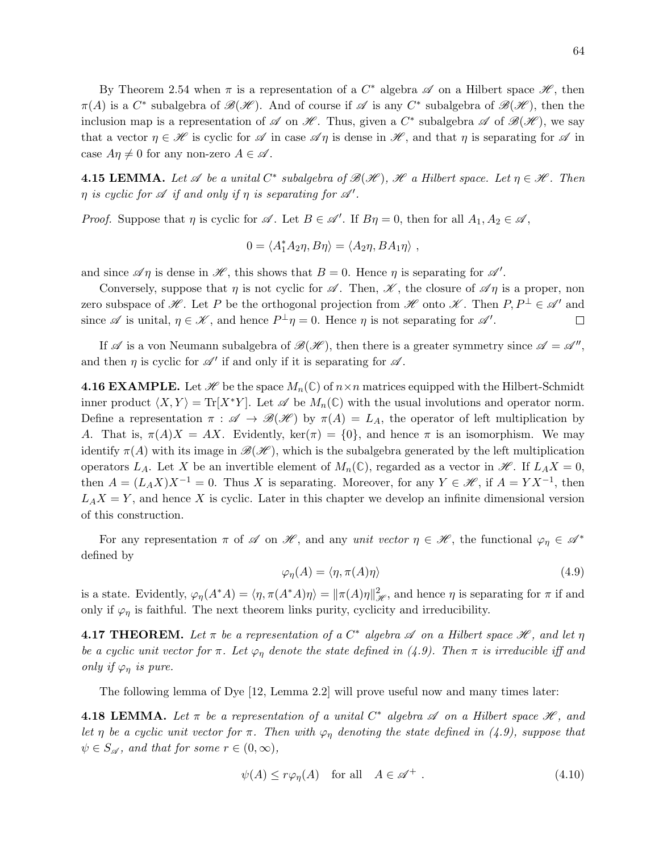By Theorem 2.54 when  $\pi$  is a representation of a  $C^*$  algebra  $\mathscr A$  on a Hilbert space  $\mathscr H$ , then  $\pi(A)$  is a  $C^*$  subalgebra of  $\mathscr{B}(\mathscr{H})$ . And of course if  $\mathscr{A}$  is any  $C^*$  subalgebra of  $\mathscr{B}(\mathscr{H})$ , then the inclusion map is a representation of  $\mathscr A$  on  $\mathscr H$ . Thus, given a  $C^*$  subalgebra  $\mathscr A$  of  $\mathscr B(\mathscr H)$ , we say that a vector  $\eta \in \mathcal{H}$  is cyclic for  $\mathcal A$  in case  $\mathcal A\eta$  is dense in  $\mathcal H$ , and that  $\eta$  is separating for  $\mathcal A$  in case  $A\eta \neq 0$  for any non-zero  $A \in \mathscr{A}$ .

**4.15 LEMMA.** Let  $\mathscr A$  be a unital  $C^*$  subalgebra of  $\mathscr B(\mathscr H)$ ,  $\mathscr H$  a Hilbert space. Let  $\eta \in \mathscr H$ . Then  $\eta$  is cyclic for  $\mathscr A$  if and only if  $\eta$  is separating for  $\mathscr A'$ .

*Proof.* Suppose that  $\eta$  is cyclic for  $\mathscr A$ . Let  $B \in \mathscr A'$ . If  $B\eta = 0$ , then for all  $A_1, A_2 \in \mathscr A$ ,

$$
0 = \langle A_1^* A_2 \eta, B \eta \rangle = \langle A_2 \eta, BA_1 \eta \rangle ,
$$

and since  $\mathscr{A}\eta$  is dense in  $\mathscr{H}$ , this shows that  $B = 0$ . Hence  $\eta$  is separating for  $\mathscr{A}'$ .

Conversely, suppose that  $\eta$  is not cyclic for  $\mathscr A$ . Then,  $\mathscr K$ , the closure of  $\mathscr A\eta$  is a proper, non zero subspace of  $\mathscr{H}$ . Let P be the orthogonal projection from  $\mathscr{H}$  onto  $\mathscr{K}$ . Then  $P, P^{\perp} \in \mathscr{A}'$  and since  $\mathscr A$  is unital,  $\eta \in \mathscr K$ , and hence  $P^{\perp} \eta = 0$ . Hence  $\eta$  is not separating for  $\mathscr A'$ .  $\Box$ 

If  $\mathscr A$  is a von Neumann subalgebra of  $\mathscr B(\mathscr H)$ , then there is a greater symmetry since  $\mathscr A = \mathscr A''$ , and then  $\eta$  is cyclic for  $\mathscr{A}'$  if and only if it is separating for  $\mathscr{A}$ .

**4.16 EXAMPLE.** Let  $\mathcal{H}$  be the space  $M_n(\mathbb{C})$  of  $n \times n$  matrices equipped with the Hilbert-Schmidt inner product  $\langle X, Y \rangle = \text{Tr}[X^*Y]$ . Let  $\mathscr A$  be  $M_n(\mathbb{C})$  with the usual involutions and operator norm. Define a representation  $\pi : \mathscr{A} \to \mathscr{B}(\mathscr{H})$  by  $\pi(A) = L_A$ , the operator of left multiplication by A. That is,  $\pi(A)X = AX$ . Evidently,  $\ker(\pi) = \{0\}$ , and hence  $\pi$  is an isomorphism. We may identify  $\pi(A)$  with its image in  $\mathscr{B}(\mathscr{H})$ , which is the subalgebra generated by the left multiplication operators  $L_A$ . Let X be an invertible element of  $M_n(\mathbb{C})$ , regarded as a vector in  $\mathcal{H}$ . If  $L_A X = 0$ , then  $A = (L_A X)X^{-1} = 0$ . Thus X is separating. Moreover, for any  $Y \in \mathcal{H}$ , if  $A = Y X^{-1}$ , then  $L_A X = Y$ , and hence X is cyclic. Later in this chapter we develop an infinite dimensional version of this construction.

For any representation  $\pi$  of  $\mathscr A$  on  $\mathscr H$ , and any unit vector  $\eta \in \mathscr H$ , the functional  $\varphi_\eta \in \mathscr A^*$ defined by

$$
\varphi_{\eta}(A) = \langle \eta, \pi(A)\eta \rangle \tag{4.9}
$$

is a state. Evidently,  $\varphi_{\eta}(A^*A) = \langle \eta, \pi(A^*A)\eta \rangle = ||\pi(A)\eta||_{\mathscr{H}}^2$ , and hence  $\eta$  is separating for  $\pi$  if and only if  $\varphi_{\eta}$  is faithful. The next theorem links purity, cyclicity and irreducibility.

**4.17 THEOREM.** Let  $\pi$  be a representation of a  $C^*$  algebra  $\mathscr A$  on a Hilbert space  $\mathscr H$ , and let  $\eta$ be a cyclic unit vector for  $\pi$ . Let  $\varphi_n$  denote the state defined in (4.9). Then  $\pi$  is irreducible iff and only if  $\varphi_n$  is pure.

The following lemma of Dye [12, Lemma 2.2] will prove useful now and many times later:

**4.18 LEMMA.** Let  $\pi$  be a representation of a unital  $C^*$  algebra  $\mathscr A$  on a Hilbert space  $\mathscr H$ , and let η be a cyclic unit vector for  $\pi$ . Then with  $\varphi_{\eta}$  denoting the state defined in (4.9), suppose that  $\psi \in S_{\mathscr{A}}$ , and that for some  $r \in (0, \infty)$ ,

$$
\psi(A) \le r\varphi_{\eta}(A) \quad \text{for all} \quad A \in \mathscr{A}^+ \ . \tag{4.10}
$$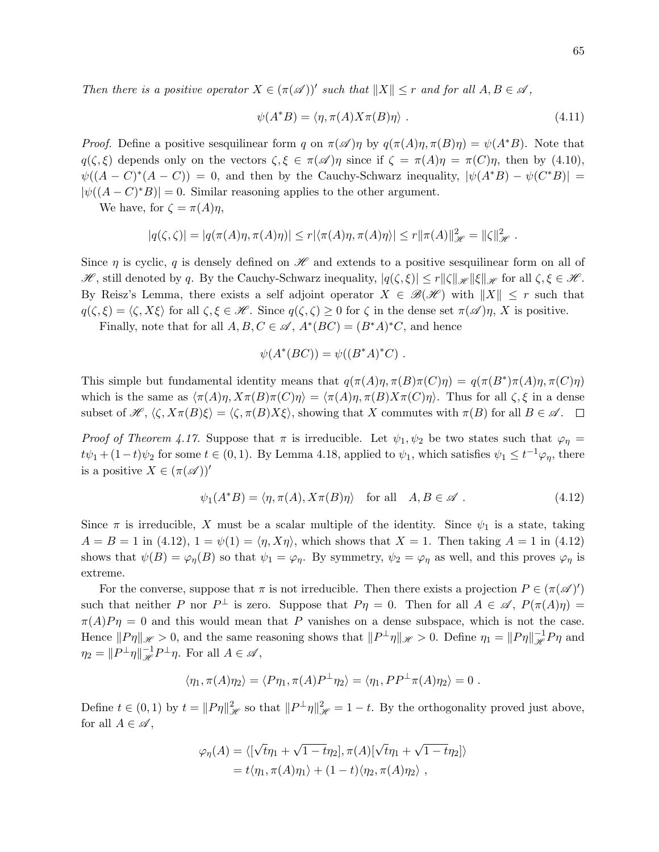Then there is a positive operator  $X \in (\pi(\mathcal{A}))'$  such that  $||X|| \leq r$  and for all  $A, B \in \mathcal{A}$ ,

$$
\psi(A^*B) = \langle \eta, \pi(A)X\pi(B)\eta \rangle . \tag{4.11}
$$

*Proof.* Define a positive sesquilinear form q on  $\pi(\mathscr{A})\eta$  by  $q(\pi(A)\eta, \pi(B)\eta) = \psi(A^*B)$ . Note that  $q(\zeta,\xi)$  depends only on the vectors  $\zeta,\xi \in \pi(\mathscr{A})\eta$  since if  $\zeta = \pi(A)\eta = \pi(C)\eta$ , then by (4.10),  $\psi((A - C)^*(A - C)) = 0$ , and then by the Cauchy-Schwarz inequality,  $|\psi(A^*B) - \psi(C^*B)| =$  $|\psi((A - C)^*B)| = 0$ . Similar reasoning applies to the other argument.

We have, for  $\zeta = \pi(A)\eta$ ,

$$
|q(\zeta,\zeta)| = |q(\pi(A)\eta,\pi(A)\eta)| \le r |\langle \pi(A)\eta,\pi(A)\eta \rangle| \le r ||\pi(A)||_{\mathscr{H}}^2 = ||\zeta||_{\mathscr{H}}^2.
$$

Since  $\eta$  is cyclic, q is densely defined on  $\mathscr H$  and extends to a positive sesquilinear form on all of  $\mathscr{H}$ , still denoted by q. By the Cauchy-Schwarz inequality,  $|q(\zeta,\xi)| \leq r ||\zeta||_{\mathscr{H}} ||\xi||_{\mathscr{H}}$  for all  $\zeta, \xi \in \mathscr{H}$ . By Reisz's Lemma, there exists a self adjoint operator  $X \in \mathcal{B}(\mathcal{H})$  with  $||X|| \leq r$  such that  $q(\zeta, \xi) = \langle \zeta, X\xi \rangle$  for all  $\zeta, \xi \in \mathcal{H}$ . Since  $q(\zeta, \zeta) \geq 0$  for  $\zeta$  in the dense set  $\pi(\mathcal{A})\eta$ , X is positive.

Finally, note that for all  $A, B, C \in \mathcal{A}, A^*(BC) = (B^*A)^*C$ , and hence

$$
\psi(A^*(BC)) = \psi((B^*A)^*C) .
$$

This simple but fundamental identity means that  $q(\pi(A)\eta, \pi(B)\pi(C)\eta) = q(\pi(B^*)\pi(A)\eta, \pi(C)\eta)$ which is the same as  $\langle \pi(A)\eta, X\pi(B)\pi(C)\eta \rangle = \langle \pi(A)\eta, \pi(B)X\pi(C)\eta \rangle$ . Thus for all  $\zeta, \xi$  in a dense subset of  $\mathscr{H}, \langle \zeta, X\pi(B)\xi \rangle = \langle \zeta, \pi(B)X\xi \rangle$ , showing that X commutes with  $\pi(B)$  for all  $B \in \mathscr{A}$ .

Proof of Theorem 4.17. Suppose that  $\pi$  is irreducible. Let  $\psi_1, \psi_2$  be two states such that  $\varphi_n =$  $t\psi_1 + (1-t)\psi_2$  for some  $t \in (0,1)$ . By Lemma 4.18, applied to  $\psi_1$ , which satisfies  $\psi_1 \leq t^{-1}\varphi_\eta$ , there is a positive  $X \in (\pi(\mathscr{A}))'$ 

$$
\psi_1(A^*B) = \langle \eta, \pi(A), X\pi(B)\eta \rangle \quad \text{for all} \quad A, B \in \mathscr{A} \; . \tag{4.12}
$$

Since  $\pi$  is irreducible, X must be a scalar multiple of the identity. Since  $\psi_1$  is a state, taking  $A = B = 1$  in (4.12),  $1 = \psi(1) = \langle \eta, X\eta \rangle$ , which shows that  $X = 1$ . Then taking  $A = 1$  in (4.12) shows that  $\psi(B) = \varphi_{\eta}(B)$  so that  $\psi_1 = \varphi_{\eta}$ . By symmetry,  $\psi_2 = \varphi_{\eta}$  as well, and this proves  $\varphi_{\eta}$  is extreme.

For the converse, suppose that  $\pi$  is not irreducible. Then there exists a projection  $P \in (\pi(\mathscr{A})')$ such that neither P nor  $P^{\perp}$  is zero. Suppose that  $P\eta = 0$ . Then for all  $A \in \mathscr{A}$ ,  $P(\pi(A)\eta) =$  $\pi(A)P\eta = 0$  and this would mean that P vanishes on a dense subspace, which is not the case. Hence  $||P\eta||_{\mathscr{H}} > 0$ , and the same reasoning shows that  $||P^{\perp}\eta||_{\mathscr{H}} > 0$ . Define  $\eta_1 = ||P\eta||_{\mathscr{H}}^{-1}P\eta$  and  $\eta_2 = ||P^{\perp}\eta||_{\mathscr{H}}^{-1}P^{\perp}\eta$ . For all  $A \in \mathscr{A}$ ,

$$
\langle \eta_1, \pi(A)\eta_2 \rangle = \langle P\eta_1, \pi(A)P^{\perp}\eta_2 \rangle = \langle \eta_1, PP^{\perp}\pi(A)\eta_2 \rangle = 0.
$$

Define  $t \in (0,1)$  by  $t = ||P\eta||^2_{\mathscr{H}}$  so that  $||P^{\perp}\eta||^2_{\mathscr{H}} = 1 - t$ . By the orthogonality proved just above, for all  $A \in \mathscr{A}$ ,

$$
\varphi_{\eta}(A) = \langle [\sqrt{t}\eta_1 + \sqrt{1-t}\eta_2], \pi(A) [\sqrt{t}\eta_1 + \sqrt{1-t}\eta_2] \rangle
$$
  
=  $t \langle \eta_1, \pi(A)\eta_1 \rangle + (1-t) \langle \eta_2, \pi(A)\eta_2 \rangle$ ,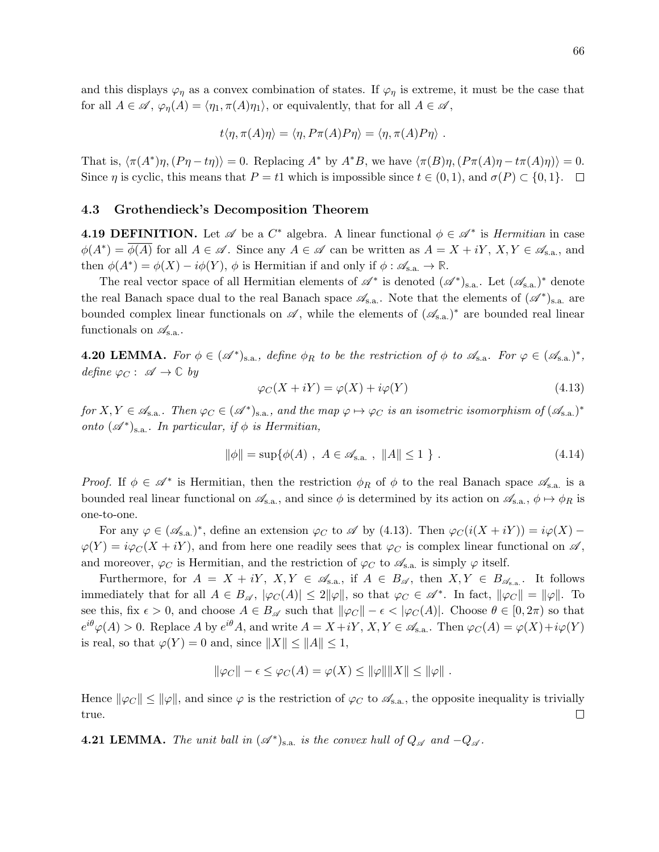and this displays  $\varphi_{\eta}$  as a convex combination of states. If  $\varphi_{\eta}$  is extreme, it must be the case that for all  $A \in \mathscr{A}, \varphi_{\eta}(A) = \langle \eta_1, \pi(A)\eta_1 \rangle$ , or equivalently, that for all  $A \in \mathscr{A}$ ,

$$
t\langle \eta, \pi(A)\eta \rangle = \langle \eta, P\pi(A)P\eta \rangle = \langle \eta, \pi(A)P\eta \rangle.
$$

That is,  $\langle \pi(A^*)\eta, (P\eta - t\eta) \rangle = 0$ . Replacing  $A^*$  by  $A^*B$ , we have  $\langle \pi(B)\eta, (P\pi(A)\eta - t\pi(A)\eta) \rangle = 0$ . Since  $\eta$  is cyclic, this means that  $P = t_1$  which is impossible since  $t \in (0,1)$ , and  $\sigma(P) \subset \{0,1\}$ .  $\Box$ 

### 4.3 Grothendieck's Decomposition Theorem

**4.19 DEFINITION.** Let  $\mathscr A$  be a  $C^*$  algebra. A linear functional  $\phi \in \mathscr A^*$  is *Hermitian* in case  $\phi(A^*) = \overline{\phi(A)}$  for all  $A \in \mathscr{A}$ . Since any  $A \in \mathscr{A}$  can be written as  $A = X + iY, X, Y \in \mathscr{A}_{s.a.}$ , and then  $\phi(A^*) = \phi(X) - i\phi(Y)$ ,  $\phi$  is Hermitian if and only if  $\phi : \mathscr{A}_{s.a.} \to \mathbb{R}$ .

The real vector space of all Hermitian elements of  $\mathscr{A}^*$  is denoted  $(\mathscr{A}^*)_{s.a.}$ . Let  $(\mathscr{A}_{s.a.})^*$  denote the real Banach space dual to the real Banach space  $\mathscr{A}_{s.a.}$ . Note that the elements of  $(\mathscr{A}^*)_{s.a.}$  are bounded complex linear functionals on  $\mathscr A$ , while the elements of  $(\mathscr A_{s.a.})^*$  are bounded real linear functionals on  $\mathscr{A}_{s.a.}$ .

**4.20 LEMMA.** For  $\phi \in (\mathscr{A}^*)_{s.a.}$ , define  $\phi_R$  to be the restriction of  $\phi$  to  $\mathscr{A}_{s.a.}$  For  $\varphi \in (\mathscr{A}_{s.a.})^*$ , define  $\varphi_C: \mathscr{A} \to \mathbb{C}$  by

$$
\varphi_C(X + iY) = \varphi(X) + i\varphi(Y) \tag{4.13}
$$

for  $X, Y \in \mathscr{A}_{s.a.}$ . Then  $\varphi_C \in (\mathscr{A}^*)_{s.a.}$ , and the map  $\varphi \mapsto \varphi_C$  is an isometric isomorphism of  $(\mathscr{A}_{s.a.})^*$ onto  $(\mathscr{A}^*)_{s.a.}$ . In particular, if  $\phi$  is Hermitian,

$$
\|\phi\| = \sup \{ \phi(A) \; , \; A \in \mathcal{A}_{s.a.} \; , \; \|A\| \le 1 \; \} \; . \tag{4.14}
$$

Proof. If  $\phi \in \mathscr{A}^*$  is Hermitian, then the restriction  $\phi_R$  of  $\phi$  to the real Banach space  $\mathscr{A}_{s.a.}$  is a bounded real linear functional on  $\mathscr{A}_{s,a}$ , and since  $\phi$  is determined by its action on  $\mathscr{A}_{s,a}$ ,  $\phi \mapsto \phi_R$  is one-to-one.

For any  $\varphi \in (\mathscr{A}_{\operatorname{sa}})^*$ , define an extension  $\varphi_C$  to  $\mathscr{A}$  by (4.13). Then  $\varphi_C(i(X + iY)) = i\varphi(X) - i\varphi(Y)$  $\varphi(Y) = i\varphi_C(X + iY)$ , and from here one readily sees that  $\varphi_C$  is complex linear functional on  $\mathscr{A}$ , and moreover,  $\varphi_C$  is Hermitian, and the restriction of  $\varphi_C$  to  $\mathscr{A}_{s.a.}$  is simply  $\varphi$  itself.

Furthermore, for  $A = X + iY$ ,  $X, Y \in \mathscr{A}_{s.a.}$ , if  $A \in B_{\mathscr{A}}$ , then  $X, Y \in B_{\mathscr{A}_{s.a.}}$ . It follows immediately that for all  $A \in B_{\mathscr{A}}$ ,  $|\varphi_C(A)| \leq 2||\varphi||$ , so that  $\varphi_C \in \mathscr{A}^*$ . In fact,  $||\varphi_C|| = ||\varphi||$ . To see this, fix  $\epsilon > 0$ , and choose  $A \in B_{\mathscr{A}}$  such that  $\|\varphi_C\| - \epsilon < |\varphi_C(A)|$ . Choose  $\theta \in [0, 2\pi)$  so that  $e^{i\theta}\varphi(A) > 0$ . Replace A by  $e^{i\theta}A$ , and write  $A = X + iY$ ,  $X, Y \in \mathscr{A}_{s.a.}$ . Then  $\varphi_C(A) = \varphi(X) + i\varphi(Y)$ is real, so that  $\varphi(Y) = 0$  and, since  $||X|| \le ||A|| \le 1$ ,

$$
\|\varphi_C\| - \epsilon \leq \varphi_C(A) = \varphi(X) \leq \|\varphi\| \|X\| \leq \|\varphi\|.
$$

Hence  $\|\varphi_C\| \le \|\varphi\|$ , and since  $\varphi$  is the restriction of  $\varphi_C$  to  $\mathscr{A}_{s.a.}$ , the opposite inequality is trivially true.  $\Box$ 

**4.21 LEMMA.** The unit ball in  $(\mathscr{A}^*)_{s.a.}$  is the convex hull of  $Q_{\mathscr{A}}$  and  $-Q_{\mathscr{A}}$ .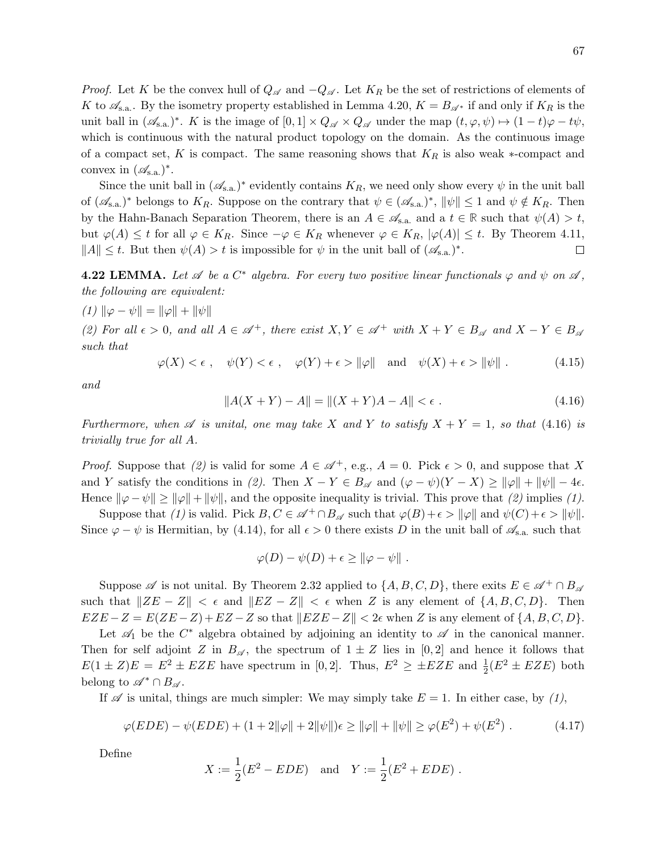*Proof.* Let K be the convex hull of  $Q_{\mathscr{A}}$  and  $-Q_{\mathscr{A}}$ . Let  $K_R$  be the set of restrictions of elements of K to  $\mathscr{A}_{s.a.}$ . By the isometry property established in Lemma 4.20,  $K = B_{\mathscr{A}^*}$  if and only if  $K_R$  is the unit ball in  $(\mathscr{A}_{s,a.})^*$ . K is the image of  $[0,1] \times Q_{\mathscr{A}} \times Q_{\mathscr{A}}$  under the map  $(t, \varphi, \psi) \mapsto (1-t)\varphi - t\psi$ , which is continuous with the natural product topology on the domain. As the continuous image of a compact set, K is compact. The same reasoning shows that  $K_R$  is also weak ∗-compact and convex in  $(\mathcal{A}_{s.a.})^*$ .

Since the unit ball in  $(\mathscr{A}_{s,a.})^*$  evidently contains  $K_R$ , we need only show every  $\psi$  in the unit ball of  $(\mathscr{A}_{s,a.})^*$  belongs to  $K_R$ . Suppose on the contrary that  $\psi \in (\mathscr{A}_{s,a.})^*$ ,  $\|\psi\| \leq 1$  and  $\psi \notin K_R$ . Then by the Hahn-Banach Separation Theorem, there is an  $A \in \mathcal{A}_{s,a}$  and a  $t \in \mathbb{R}$  such that  $\psi(A) > t$ , but  $\varphi(A) \leq t$  for all  $\varphi \in K_R$ . Since  $-\varphi \in K_R$  whenever  $\varphi \in K_R$ ,  $|\varphi(A)| \leq t$ . By Theorem 4.11,  $||A|| \leq t$ . But then  $\psi(A) > t$  is impossible for  $\psi$  in the unit ball of  $(\mathscr{A}_{s,a})^*$ .  $\Box$ 

**4.22 LEMMA.** Let  $\mathscr A$  be a  $C^*$  algebra. For every two positive linear functionals  $\varphi$  and  $\psi$  on  $\mathscr A$ , the following are equivalent:

(1) 
$$
\|\varphi - \psi\| = \|\varphi\| + \|\psi\|
$$

(2) For all  $\epsilon > 0$ , and all  $A \in \mathcal{A}^+$ , there exist  $X, Y \in \mathcal{A}^+$  with  $X + Y \in B_{\mathcal{A}}$  and  $X - Y \in B_{\mathcal{A}}$ such that

 $\varphi(X) < \epsilon$ ,  $\psi(Y) < \epsilon$ ,  $\varphi(Y) + \epsilon > ||\varphi||$  and  $\psi(X) + \epsilon > ||\psi||$ . (4.15)

and

$$
||A(X+Y) - A|| = ||(X+Y)A - A|| < \epsilon.
$$
 (4.16)

Furthermore, when  $\mathscr A$  is unital, one may take X and Y to satisfy  $X + Y = 1$ , so that (4.16) is trivially true for all A.

*Proof.* Suppose that (2) is valid for some  $A \in \mathcal{A}^+$ , e.g.,  $A = 0$ . Pick  $\epsilon > 0$ , and suppose that X and Y satisfy the conditions in (2). Then  $X - Y \in B_{\mathscr{A}}$  and  $(\varphi - \psi)(Y - X) \ge ||\varphi|| + ||\psi|| - 4\epsilon$ . Hence  $\|\varphi - \psi\| \ge \|\varphi\| + \|\psi\|$ , and the opposite inequality is trivial. This prove that (2) implies (1).

Suppose that (1) is valid. Pick  $B, C \in \mathscr{A}^+ \cap B_{\mathscr{A}}$  such that  $\varphi(B) + \epsilon > ||\varphi||$  and  $\psi(C) + \epsilon > ||\psi||$ . Since  $\varphi - \psi$  is Hermitian, by (4.14), for all  $\epsilon > 0$  there exists D in the unit ball of  $\mathscr{A}_{s,a}$  such that

$$
\varphi(D) - \psi(D) + \epsilon \geq \|\varphi - \psi\|.
$$

Suppose  $\mathscr A$  is not unital. By Theorem 2.32 applied to  $\{A, B, C, D\}$ , there exits  $E \in \mathscr A^+ \cap B_{\mathscr A}$ such that  $\|ZE - Z\| < \epsilon$  and  $\|EZ - Z\| < \epsilon$  when Z is any element of  $\{A, B, C, D\}$ . Then  $EZE - Z = E(ZE - Z) + EZ - Z$  so that  $||EZE - Z|| < 2\epsilon$  when Z is any element of  $\{A, B, C, D\}.$ 

Let  $\mathscr{A}_1$  be the  $C^*$  algebra obtained by adjoining an identity to  $\mathscr{A}$  in the canonical manner. Then for self adjoint Z in  $B_{\mathscr{A}}$ , the spectrum of  $1 \pm Z$  lies in [0,2] and hence it follows that  $E(1 \pm Z)E = E^2 \pm EZE$  have spectrum in [0,2]. Thus,  $E^2 \geq \pm EZE$  and  $\frac{1}{2}(E^2 \pm EZE)$  both belong to  $\mathscr{A}^* \cap B_{\mathscr{A}}$ .

If  $\mathscr A$  is unital, things are much simpler: We may simply take  $E = 1$ . In either case, by (1),

$$
\varphi(EDE) - \psi(EDE) + (1 + 2\|\varphi\| + 2\|\psi\|)\epsilon \ge \|\varphi\| + \|\psi\| \ge \varphi(E^2) + \psi(E^2) \ . \tag{4.17}
$$

Define

$$
X := \frac{1}{2}(E^2 - EDE)
$$
 and  $Y := \frac{1}{2}(E^2 + EDE)$ .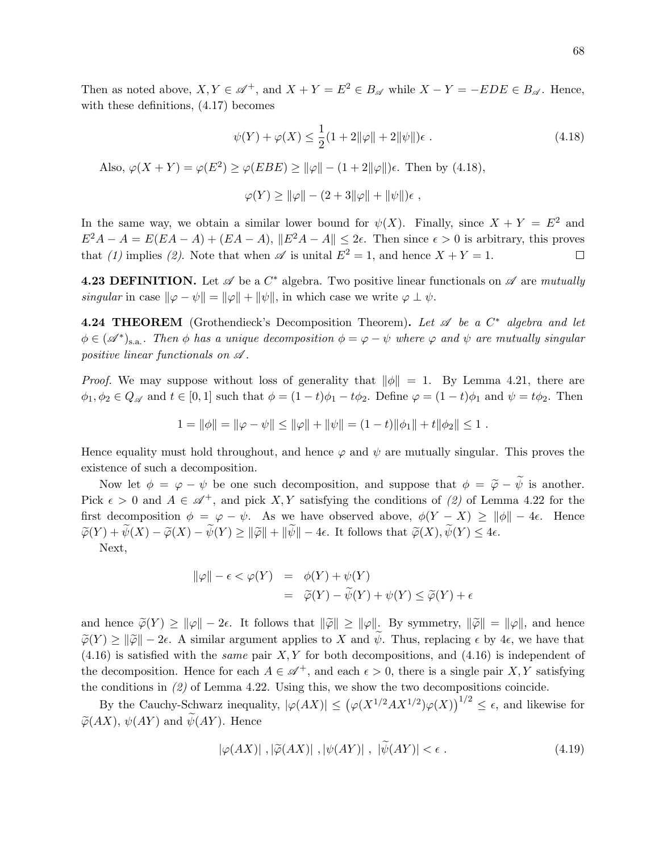Then as noted above,  $X, Y \in \mathcal{A}^+$ , and  $X + Y = E^2 \in B_{\mathcal{A}}$  while  $X - Y = -EDE \in B_{\mathcal{A}}$ . Hence, with these definitions, (4.17) becomes

$$
\psi(Y) + \varphi(X) \le \frac{1}{2}(1 + 2\|\varphi\| + 2\|\psi\|)\epsilon.
$$
\n(4.18)

Also,  $\varphi(X+Y) = \varphi(E^2) \ge \varphi(EBE) \ge ||\varphi|| - (1+2||\varphi||)\epsilon$ . Then by (4.18),

$$
\varphi(Y) \ge ||\varphi|| - (2 + 3||\varphi|| + ||\psi||)\epsilon,
$$

In the same way, we obtain a similar lower bound for  $\psi(X)$ . Finally, since  $X + Y = E^2$  and  $E^2A - A = E(EA - A) + (EA - A), ||E^2A - A|| \leq 2\epsilon$ . Then since  $\epsilon > 0$  is arbitrary, this proves that (1) implies (2). Note that when  $\mathscr A$  is unital  $E^2 = 1$ , and hence  $X + Y = 1$ .  $\Box$ 

**4.23 DEFINITION.** Let  $\mathscr A$  be a  $C^*$  algebra. Two positive linear functionals on  $\mathscr A$  are mutually singular in case  $\|\varphi - \psi\| = \|\varphi\| + \|\psi\|$ , in which case we write  $\varphi \perp \psi$ .

**4.24 THEOREM** (Grothendieck's Decomposition Theorem). Let  $\mathscr A$  be a  $C^*$  algebra and let  $\phi \in (\mathscr{A}^*)_{s.a.}$ . Then  $\phi$  has a unique decomposition  $\phi = \varphi - \psi$  where  $\varphi$  and  $\psi$  are mutually singular positive linear functionals on  $\mathscr A$ .

*Proof.* We may suppose without loss of generality that  $\|\phi\| = 1$ . By Lemma 4.21, there are  $\phi_1, \phi_2 \in Q_{\mathscr{A}}$  and  $t \in [0, 1]$  such that  $\phi = (1 - t)\phi_1 - t\phi_2$ . Define  $\varphi = (1 - t)\phi_1$  and  $\psi = t\phi_2$ . Then

$$
1 = \|\phi\| = \|\varphi - \psi\| \le \|\varphi\| + \|\psi\| = (1 - t)\|\phi_1\| + t\|\phi_2\| \le 1.
$$

Hence equality must hold throughout, and hence  $\varphi$  and  $\psi$  are mutually singular. This proves the existence of such a decomposition.

Now let  $\phi = \varphi - \psi$  be one such decomposition, and suppose that  $\phi = \widetilde{\varphi} - \widetilde{\psi}$  is another. Pick  $\epsilon > 0$  and  $A \in \mathcal{A}^+$ , and pick X, Y satisfying the conditions of (2) of Lemma 4.22 for the first decomposition  $\phi = \varphi - \psi$ . As we have observed above,  $\phi(Y - X) \ge ||\phi|| - 4\epsilon$ . Hence  $\widetilde{\varphi}(Y) + \widetilde{\psi}(X) - \widetilde{\varphi}(X) - \widetilde{\psi}(Y) \ge ||\widetilde{\varphi}|| + ||\widetilde{\psi}|| - 4\epsilon$ . It follows that  $\widetilde{\varphi}(X), \widetilde{\psi}(Y) \le 4\epsilon$ .

Next,

$$
\|\varphi\| - \epsilon < \varphi(Y) = \phi(Y) + \psi(Y) \\
= \widetilde{\varphi}(Y) - \widetilde{\psi}(Y) + \psi(Y) \le \widetilde{\varphi}(Y) + \epsilon
$$

and hence  $\widetilde{\varphi}(Y) \geq ||\varphi|| - 2\epsilon$ . It follows that  $||\widetilde{\varphi}|| \geq ||\varphi||$ . By symmetry,  $||\widetilde{\varphi}|| = ||\varphi||$ , and hence  $\widetilde{\varphi}(Y) \ge ||\widetilde{\varphi}|| - 2\epsilon$ . A similar argument applies to X and  $\psi$ . Thus, replacing  $\epsilon$  by 4 $\epsilon$ , we have that  $(4.16)$  is satisfied with the *same* pair X, Y for both decompositions, and  $(4.16)$  is independent of the decomposition. Hence for each  $A \in \mathcal{A}^+$ , and each  $\epsilon > 0$ , there is a single pair X, Y satisfying the conditions in (2) of Lemma 4.22. Using this, we show the two decompositions coincide.

By the Cauchy-Schwarz inequality,  $|\varphi(AX)| \leq (\varphi(X^{1/2}AX^{1/2})\varphi(X))^{1/2} \leq \epsilon$ , and likewise for  $\widetilde{\varphi}(AX)$ ,  $\psi(AY)$  and  $\widetilde{\psi}(AY)$ . Hence

$$
|\varphi(AX)|, |\tilde{\varphi}(AX)|, |\psi(AY)|, |\psi(AY)| < \epsilon. \tag{4.19}
$$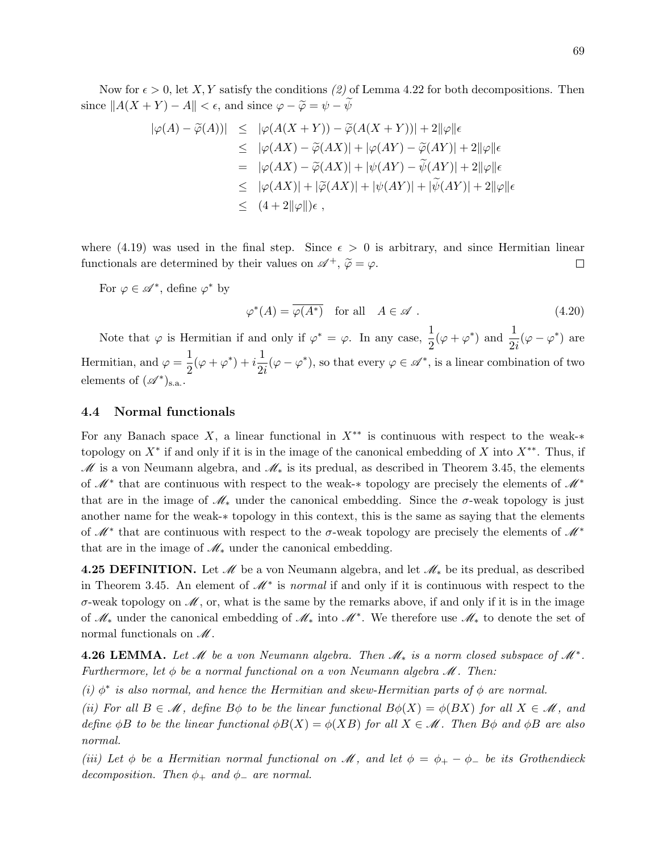Now for  $\epsilon > 0$ , let X, Y satisfy the conditions (2) of Lemma 4.22 for both decompositions. Then since  $||A(X + Y) - A|| < \epsilon$ , and since  $\varphi - \widetilde{\varphi} = \psi - \psi$ 

$$
\begin{array}{rcl}\n|\varphi(A)-\widetilde{\varphi}(A))| &\leq & |\varphi(A(X+Y))-\widetilde{\varphi}(A(X+Y))|+2\|\varphi\|\epsilon \\
&\leq & |\varphi(AX)-\widetilde{\varphi}(AX)|+|\varphi(AY)-\widetilde{\varphi}(AY)|+2\|\varphi\|\epsilon \\
&=& |\varphi(AX)-\widetilde{\varphi}(AX)|+|\psi(AY)-\widetilde{\psi}(AY)|+2\|\varphi\|\epsilon \\
&\leq & |\varphi(AX)|+|\widetilde{\varphi}(AX)|+|\psi(AY)|+|\widetilde{\psi}(AY)|+2\|\varphi\|\epsilon \\
&\leq & (4+2\|\varphi\|)\epsilon,\n\end{array}
$$

where (4.19) was used in the final step. Since  $\epsilon > 0$  is arbitrary, and since Hermitian linear functionals are determined by their values on  $\mathscr{A}^+$ ,  $\widetilde{\varphi} = \varphi$ .  $\Box$ 

For  $\varphi \in \mathscr{A}^*$ , define  $\varphi^*$  by

$$
\varphi^*(A) = \overline{\varphi(A^*)} \quad \text{for all} \quad A \in \mathscr{A} \ . \tag{4.20}
$$

Note that  $\varphi$  is Hermitian if and only if  $\varphi^* = \varphi$ . In any case,  $\frac{1}{2}(\varphi + \varphi^*)$  and  $\frac{1}{2i}(\varphi - \varphi^*)$  are Hermitian, and  $\varphi = \frac{1}{2}$  $\frac{1}{2}(\varphi + \varphi^*) + i\frac{1}{2i}$  $\frac{1}{2i}(\varphi - \varphi^*)$ , so that every  $\varphi \in \mathscr{A}^*$ , is a linear combination of two elements of  $(\mathscr{A}^*)_{s.a.}.$ 

### 4.4 Normal functionals

For any Banach space X, a linear functional in  $X^{**}$  is continuous with respect to the weak-\* topology on  $X^*$  if and only if it is in the image of the canonical embedding of X into  $X^{**}$ . Thus, if  $M$  is a von Neumann algebra, and  $M_*$  is its predual, as described in Theorem 3.45, the elements of  $\mathcal{M}^*$  that are continuous with respect to the weak-\* topology are precisely the elements of  $\mathcal{M}^*$ that are in the image of  $\mathcal{M}_*$  under the canonical embedding. Since the  $\sigma$ -weak topology is just another name for the weak-∗ topology in this context, this is the same as saying that the elements of  $\mathscr{M}^*$  that are continuous with respect to the  $\sigma$ -weak topology are precisely the elements of  $\mathscr{M}^*$ that are in the image of  $\mathcal{M}_*$  under the canonical embedding.

4.25 DEFINITION. Let  $\mathcal M$  be a von Neumann algebra, and let  $\mathcal M_*$  be its predual, as described in Theorem 3.45. An element of  $\mathcal{M}^*$  is normal if and only if it is continuous with respect to the  $\sigma$ -weak topology on  $\mathscr{M}$ , or, what is the same by the remarks above, if and only if it is in the image of M<sup>∗</sup> under the canonical embedding of M<sup>∗</sup> into M<sup>∗</sup> . We therefore use M<sup>∗</sup> to denote the set of normal functionals on  $\mathcal{M}$ .

**4.26 LEMMA.** Let  $\mathcal{M}$  be a von Neumann algebra. Then  $\mathcal{M}_*$  is a norm closed subspace of  $\mathcal{M}^*$ . Furthermore, let  $\phi$  be a normal functional on a von Neumann algebra  $\mathcal{M}$ . Then:

(i)  $\phi^*$  is also normal, and hence the Hermitian and skew-Hermitian parts of  $\phi$  are normal.

(ii) For all  $B \in \mathcal{M}$ , define  $B\phi$  to be the linear functional  $B\phi(X) = \phi(BX)$  for all  $X \in \mathcal{M}$ , and define  $\phi B$  to be the linear functional  $\phi B(X) = \phi(XB)$  for all  $X \in \mathcal{M}$ . Then  $B\phi$  and  $\phi B$  are also normal.

(iii) Let  $\phi$  be a Hermitian normal functional on  $\mathcal{M}$ , and let  $\phi = \phi_+ - \phi_-$  be its Grothendieck decomposition. Then  $\phi_+$  and  $\phi_-$  are normal.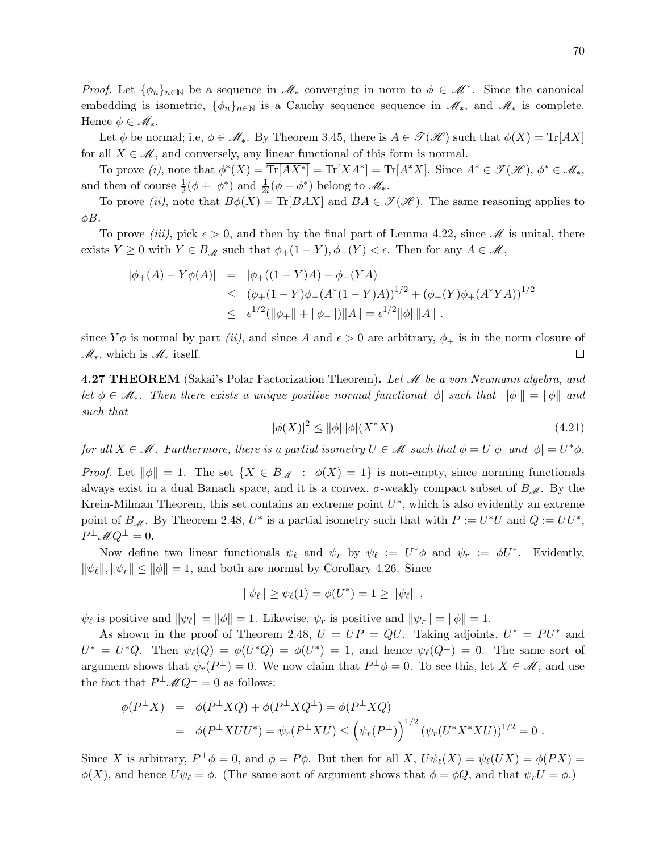*Proof.* Let  $\{\phi_n\}_{n\in\mathbb{N}}$  be a sequence in  $\mathscr{M}_*$  converging in norm to  $\phi \in \mathscr{M}^*$ . Since the canonical embedding is isometric,  $\{\phi_n\}_{n\in\mathbb{N}}$  is a Cauchy sequence sequence in  $\mathscr{M}_*$ , and  $\mathscr{M}_*$  is complete. Hence  $\phi \in \mathcal{M}_*$ .

Let  $\phi$  be normal; i.e,  $\phi \in \mathcal{M}_*$ . By Theorem 3.45, there is  $A \in \mathcal{T}(\mathcal{H})$  such that  $\phi(X) = \text{Tr}[AX]$ for all  $X \in \mathcal{M}$ , and conversely, any linear functional of this form is normal.

To prove (i), note that  $\phi^*(X) = \overline{\text{Tr}[AX^*]} = \text{Tr}[XA^*] = \text{Tr}[A^*X]$ . Since  $A^* \in \mathcal{I}(\mathcal{H})$ ,  $\phi^* \in \mathcal{M}_*$ , and then of course  $\frac{1}{2}(\phi + \phi^*)$  and  $\frac{1}{2i}(\phi - \phi^*)$  belong to  $\mathscr{M}_{*}$ .

To prove (ii), note that  $B\phi(X) = \text{Tr}[BAX]$  and  $BA \in \mathcal{T}(\mathcal{H})$ . The same reasoning applies to  $\phi B$ .

To prove *(iii)*, pick  $\epsilon > 0$ , and then by the final part of Lemma 4.22, since *M* is unital, there exists  $Y \geq 0$  with  $Y \in B_{\mathcal{M}}$  such that  $\phi_+(1-Y), \phi_-(Y) < \epsilon$ . Then for any  $A \in \mathcal{M}$ ,

$$
\begin{array}{rcl}\n|\phi_{+}(A) - Y\phi(A)| & = & |\phi_{+}((1 - Y)A) - \phi_{-}(YA)| \\
& \leq & (\phi_{+}(1 - Y)\phi_{+}(A^*(1 - Y)A))^{1/2} + (\phi_{-}(Y)\phi_{+}(A^*YA))^{1/2} \\
& \leq & \epsilon^{1/2}(\|\phi_{+}\| + \|\phi_{-}\|) \|A\| = \epsilon^{1/2} \|\phi\| \|A\|\n\end{array}
$$

since  $Y\phi$  is normal by part *(ii)*, and since A and  $\epsilon > 0$  are arbitrary,  $\phi_+$  is in the norm closure of  $\mathscr{M}_*$ , which is  $\mathscr{M}_*$  itself.  $\Box$ 

**4.27 THEOREM** (Sakai's Polar Factorization Theorem). Let  $\mathcal{M}$  be a von Neumann algebra, and let  $\phi \in \mathscr{M}_{*}$ . Then there exists a unique positive normal functional  $|\phi|$  such that  $||\phi|| = ||\phi||$  and such that

$$
|\phi(X)|^2 \le \|\phi\| |\phi|(X^*X) \tag{4.21}
$$

for all  $X \in \mathcal{M}$ . Furthermore, there is a partial isometry  $U \in \mathcal{M}$  such that  $\phi = U|\phi|$  and  $|\phi| = U^*\phi$ .

*Proof.* Let  $\|\phi\| = 1$ . The set  $\{X \in B_M : \phi(X) = 1\}$  is non-empty, since norming functionals always exist in a dual Banach space, and it is a convex,  $\sigma$ -weakly compact subset of  $B_{\mathcal{M}}$ . By the Krein-Milman Theorem, this set contains an extreme point  $U^*$ , which is also evidently an extreme point of  $B_M$ . By Theorem 2.48,  $U^*$  is a partial isometry such that with  $P := U^*U$  and  $Q := UU^*$ ,  $P^{\perp} \mathscr{M} Q^{\perp} = 0.$ 

Now define two linear functionals  $\psi_{\ell}$  and  $\psi_r$  by  $\psi_{\ell} := U^* \phi$  and  $\psi_r := \phi U^*$ . Evidently,  $\|\psi_{\ell}\|, \|\psi_r\| \le \|\phi\| = 1$ , and both are normal by Corollary 4.26. Since

$$
\|\psi_{\ell}\| \ge \psi_{\ell}(1) = \phi(U^*) = 1 \ge \|\psi_{\ell}\|,
$$

 $\psi_{\ell}$  is positive and  $\|\psi_{\ell}\| = \|\phi\| = 1$ . Likewise,  $\psi_r$  is positive and  $\|\psi_r\| = \|\phi\| = 1$ .

As shown in the proof of Theorem 2.48,  $U = UP = QU$ . Taking adjoints,  $U^* = PU^*$  and  $U^* = U^*Q$ . Then  $\psi_{\ell}(Q) = \phi(U^*Q) = \phi(U^*) = 1$ , and hence  $\psi_{\ell}(Q^{\perp}) = 0$ . The same sort of argument shows that  $\psi_r(P^{\perp}) = 0$ . We now claim that  $P^{\perp} \phi = 0$ . To see this, let  $X \in \mathcal{M}$ , and use the fact that  $P^{\perp} \mathscr{M} Q^{\perp} = 0$  as follows:

$$
\phi(P^{\perp}X) = \phi(P^{\perp}XQ) + \phi(P^{\perp}XQ^{\perp}) = \phi(P^{\perp}XQ)
$$
  
= 
$$
\phi(P^{\perp}XUU^*) = \psi_r(P^{\perp}XU) \le (\psi_r(P^{\perp}))^{1/2} (\psi_r(U^*X^*XU))^{1/2} = 0.
$$

Since X is arbitrary,  $P^{\perp}\phi = 0$ , and  $\phi = P\phi$ . But then for all X,  $U\psi_{\ell}(X) = \psi_{\ell}(UX) = \phi(PX) = \psi(PX)$  $\phi(X)$ , and hence  $U\psi_{\ell} = \phi$ . (The same sort of argument shows that  $\phi = \phi Q$ , and that  $\psi_r U = \phi$ .)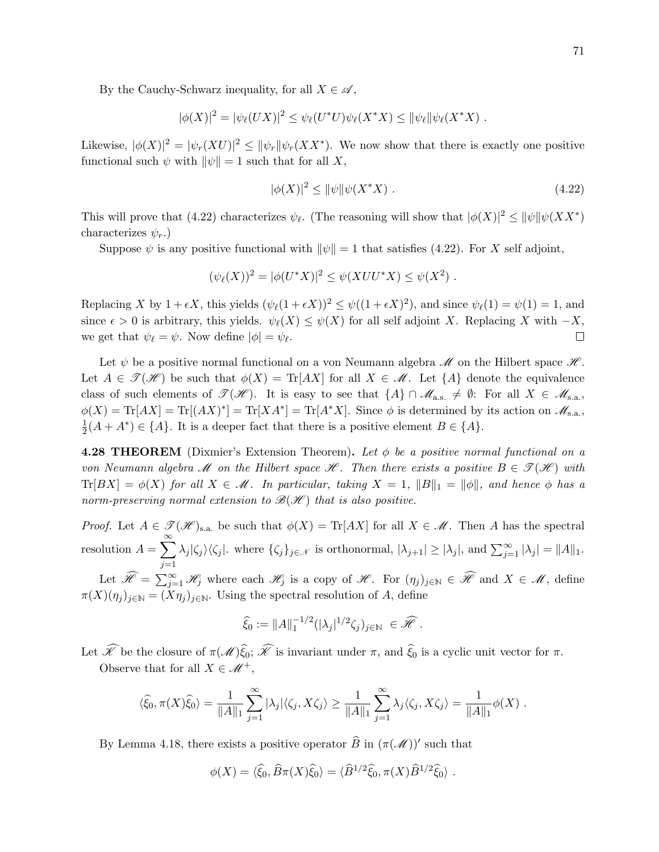By the Cauchy-Schwarz inequality, for all  $X \in \mathscr{A}$ ,

$$
|\phi(X)|^2 = |\psi_{\ell}(UX)|^2 \leq \psi_{\ell}(U^*U)\psi_{\ell}(X^*X) \leq ||\psi_{\ell}||\psi_{\ell}(X^*X) .
$$

Likewise,  $|\phi(X)|^2 = |\psi_r(XU)|^2 \le ||\psi_r|| \psi_r(XX^*)$ . We now show that there is exactly one positive functional such  $\psi$  with  $\|\psi\| = 1$  such that for all X,

$$
|\phi(X)|^2 \le \|\psi\|\psi(X^*X) \tag{4.22}
$$

This will prove that (4.22) characterizes  $\psi_{\ell}$ . (The reasoning will show that  $|\phi(X)|^2 \leq ||\psi|| \psi(XX^*)$ characterizes  $\psi_r$ .)

Suppose  $\psi$  is any positive functional with  $\|\psi\| = 1$  that satisfies (4.22). For X self adjoint,

$$
(\psi_{\ell}(X))^2 = |\phi(U^*X)|^2 \le \psi(XUU^*X) \le \psi(X^2) .
$$

Replacing X by  $1 + \epsilon X$ , this yields  $(\psi_{\ell}(1 + \epsilon X))^2 \leq \psi((1 + \epsilon X)^2)$ , and since  $\psi_{\ell}(1) = \psi(1) = 1$ , and since  $\epsilon > 0$  is arbitrary, this yields.  $\psi_{\ell}(X) \leq \psi(X)$  for all self adjoint X. Replacing X with  $-X$ , we get that  $\psi_{\ell} = \psi$ . Now define  $|\phi| = \psi_{\ell}$ .  $\Box$ 

Let  $\psi$  be a positive normal functional on a von Neumann algebra  $\mathcal M$  on the Hilbert space  $\mathcal H$ . Let  $A \in \mathcal{T}(\mathcal{H})$  be such that  $\phi(X) = \text{Tr}[AX]$  for all  $X \in \mathcal{M}$ . Let  $\{A\}$  denote the equivalence class of such elements of  $\mathscr{T}(\mathscr{H})$ . It is easy to see that  $\{A\} \cap \mathscr{M}_{a.s.} \neq \emptyset$ : For all  $X \in \mathscr{M}_{s.a.}$ ,  $\phi(X) = \text{Tr}[AX] = \text{Tr}[(AX)^*] = \text{Tr}[XA^*] = \text{Tr}[A^*X]$ . Since  $\phi$  is determined by its action on  $\mathscr{M}_{s.a.}$ , 1  $\frac{1}{2}(A + A^*) \in \{A\}$ . It is a deeper fact that there is a positive element  $B \in \{A\}$ .

**4.28 THEOREM** (Dixmier's Extension Theorem). Let  $\phi$  be a positive normal functional on a von Neumann algebra M on the Hilbert space  $\mathcal{H}$ . Then there exists a positive  $B \in \mathcal{I}(\mathcal{H})$  with  $\text{Tr}[BX] = \phi(X)$  for all  $X \in \mathcal{M}$ . In particular, taking  $X = 1$ ,  $||B||_1 = ||\phi||$ , and hence  $\phi$  has a norm-preserving normal extension to  $\mathcal{B}(\mathcal{H})$  that is also positive.

*Proof.* Let  $A \in \mathcal{T}(\mathcal{H})_{\text{s.a.}}$  be such that  $\phi(X) = \text{Tr}[AX]$  for all  $X \in \mathcal{M}$ . Then A has the spectral resolution  $A = \sum_{n=1}^{\infty}$  $j=1$  $\lambda_j |\zeta_j\rangle \langle \zeta_j|$ . where  $\{\zeta_j\}_{j\in\mathcal{N}}$  is orthonormal,  $|\lambda_{j+1}| \geq |\lambda_j|$ , and  $\sum_{j=1}^{\infty} |\lambda_j| = ||A||_1$ .

Let  $\widehat{\mathscr{H}} = \sum_{j=1}^{\infty} \mathscr{H}_j$  where each  $\mathscr{H}_j$  is a copy of  $\mathscr{H}$ . For  $(\eta_j)_{j \in \mathbb{N}} \in \widehat{\mathscr{H}}$  and  $X \in \mathscr{M}$ , define  $\pi(X)(\eta_j)_{j\in\mathbb{N}} = (X\eta_j)_{j\in\mathbb{N}}$ . Using the spectral resolution of A, define

$$
\widehat{\xi}_0 := ||A||_1^{-1/2} (|\lambda_j|^{1/2} \zeta_j)_{j \in \mathbb{N}} \in \widehat{\mathscr{H}}.
$$

Let  $\widehat{\mathscr{K}}$  be the closure of  $\pi(\mathscr{M})\widehat{\xi}_0$ ;  $\widehat{\mathscr{K}}$  is invariant under  $\pi$ , and  $\widehat{\xi}_0$  is a cyclic unit vector for  $\pi$ . Observe that for all  $X \in \mathcal{M}^+$ ,

$$
\langle \widehat{\xi}_0, \pi(X)\widehat{\xi}_0\rangle = \frac{1}{\|A\|_1} \sum_{j=1}^{\infty} |\lambda_j| \langle \zeta_j, X\zeta_j\rangle \ge \frac{1}{\|A\|_1} \sum_{j=1}^{\infty} \lambda_j \langle \zeta_j, X\zeta_j\rangle = \frac{1}{\|A\|_1} \phi(X) .
$$

By Lemma 4.18, there exists a positive operator  $\widehat{B}$  in  $(\pi(\mathscr{M}))'$  such that

$$
\phi(X) = \langle \widehat{\xi}_0, \widehat{B}\pi(X)\widehat{\xi}_0 \rangle = \langle \widehat{B}^{1/2}\widehat{\xi}_0, \pi(X)\widehat{B}^{1/2}\widehat{\xi}_0 \rangle.
$$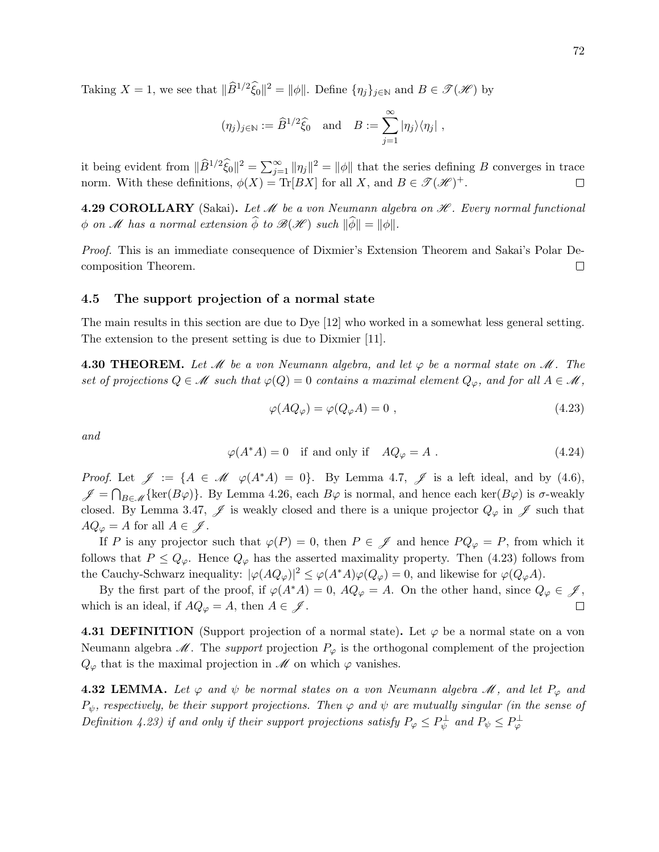Taking  $X = 1$ , we see that  $\|\widehat{B}^{1/2}\widehat{\xi}_0\|^2 = \|\phi\|$ . Define  $\{\eta_j\}_{j\in\mathbb{N}}$  and  $B \in \mathcal{T}(\mathcal{H})$  by

$$
(\eta_j)_{j\in\mathbb{N}}:=\widehat{B}^{1/2}\widehat{\xi}_0\quad\text{and}\quad B:=\sum_{j=1}^\infty|\eta_j\rangle\langle\eta_j|~,
$$

it being evident from  $\|\widehat{B}^{1/2}\widehat{\xi}_0\|^2 = \sum_{j=1}^{\infty} \|\eta_j\|^2 = \|\phi\|$  that the series defining B converges in trace norm. With these definitions,  $\phi(X) = \text{Tr}[BX]$  for all X, and  $B \in \mathcal{F}(\mathcal{H})^+$ .  $\Box$ 

**4.29 COROLLARY** (Sakai). Let  $\mathcal{M}$  be a von Neumann algebra on  $\mathcal{H}$ . Every normal functional  $\phi$  on *M* has a normal extension  $\widehat{\phi}$  to  $\mathscr{B}(\mathscr{H})$  such  $\|\widehat{\phi}\| = \|\phi\|.$ 

Proof. This is an immediate consequence of Dixmier's Extension Theorem and Sakai's Polar Decomposition Theorem. □

### 4.5 The support projection of a normal state

The main results in this section are due to Dye [12] who worked in a somewhat less general setting. The extension to the present setting is due to Dixmier [11].

4.30 THEOREM. Let  $\mathcal M$  be a von Neumann algebra, and let  $\varphi$  be a normal state on  $\mathcal M$ . The set of projections  $Q \in \mathcal{M}$  such that  $\varphi(Q) = 0$  contains a maximal element  $Q_{\varphi}$ , and for all  $A \in \mathcal{M}$ ,

$$
\varphi(AQ_{\varphi}) = \varphi(Q_{\varphi}A) = 0 , \qquad (4.23)
$$

and

$$
\varphi(A^*A) = 0 \quad \text{if and only if} \quad A Q_{\varphi} = A \tag{4.24}
$$

*Proof.* Let  $\mathscr{J} := \{A \in \mathscr{M} \ \varphi(A^*A) = 0\}$ . By Lemma 4.7,  $\mathscr{J}$  is a left ideal, and by (4.6),  $\mathscr{J} = \bigcap_{B \in \mathscr{M}} \{\ker(B\varphi)\}.$  By Lemma 4.26, each  $B\varphi$  is normal, and hence each ker $(B\varphi)$  is  $\sigma$ -weakly closed. By Lemma 3.47,  $\mathscr J$  is weakly closed and there is a unique projector  $Q_{\varphi}$  in  $\mathscr J$  such that  $AQ_{\varphi} = A$  for all  $A \in \mathscr{J}$ .

If P is any projector such that  $\varphi(P) = 0$ , then  $P \in \mathscr{J}$  and hence  $P Q_{\varphi} = P$ , from which it follows that  $P \leq Q_{\varphi}$ . Hence  $Q_{\varphi}$  has the asserted maximality property. Then (4.23) follows from the Cauchy-Schwarz inequality:  $|\varphi(AQ_{\varphi})|^2 \leq \varphi(A^*A)\varphi(Q_{\varphi}) = 0$ , and likewise for  $\varphi(Q_{\varphi}A)$ .

By the first part of the proof, if  $\varphi(A^*A) = 0$ ,  $AQ_{\varphi} = A$ . On the other hand, since  $Q_{\varphi} \in \mathscr{J}$ , which is an ideal, if  $AQ_{\varphi} = A$ , then  $A \in \mathscr{J}$ . П

4.31 DEFINITION (Support projection of a normal state). Let  $\varphi$  be a normal state on a von Neumann algebra  $\mathscr M$ . The support projection  $P_{\varphi}$  is the orthogonal complement of the projection  $Q_{\varphi}$  that is the maximal projection in  $\mathscr M$  on which  $\varphi$  vanishes.

**4.32 LEMMA.** Let  $\varphi$  and  $\psi$  be normal states on a von Neumann algebra  $\mathcal{M}$ , and let  $P_{\varphi}$  and  $P_{\psi}$ , respectively, be their support projections. Then  $\varphi$  and  $\psi$  are mutually singular (in the sense of Definition 4.23) if and only if their support projections satisfy  $P_{\varphi} \leq P_{\psi}^{\perp}$  and  $P_{\psi} \leq P_{\varphi}^{\perp}$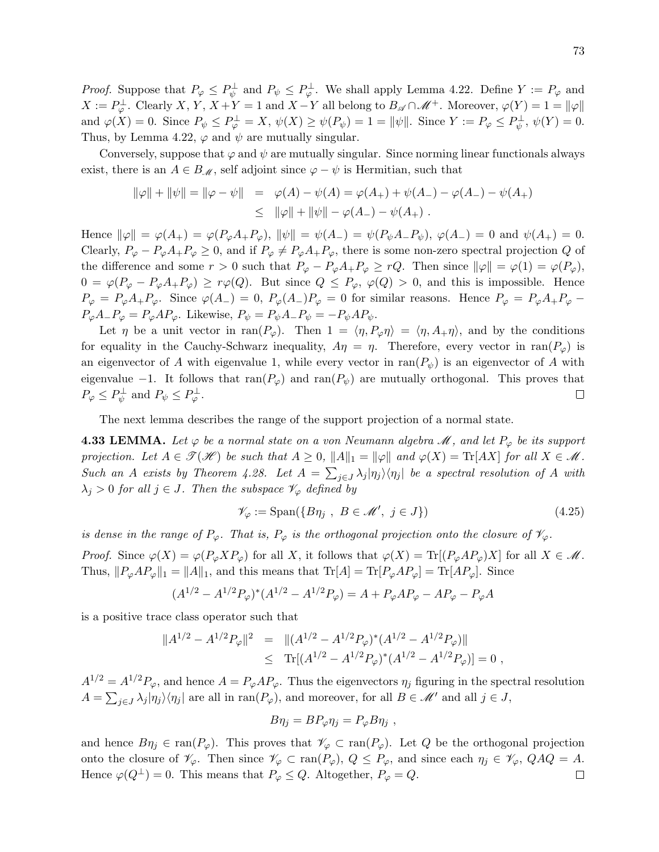*Proof.* Suppose that  $P_{\varphi} \leq P_{\psi}^{\perp}$  and  $P_{\psi} \leq P_{\varphi}^{\perp}$ . We shall apply Lemma 4.22. Define  $Y := P_{\varphi}$  and  $X := P_{\varphi}^{\perp}$ . Clearly X, Y,  $X + Y = 1$  and  $X - Y$  all belong to  $B_{\mathscr{A}} \cap \mathscr{M}^+$ . Moreover,  $\varphi(Y) = 1 = ||\varphi||$ and  $\varphi(X) = 0$ . Since  $P_{\psi} \le P_{\varphi}^{\perp} = X$ ,  $\psi(X) \ge \psi(P_{\psi}) = 1 = ||\psi||$ . Since  $Y := P_{\varphi} \le P_{\psi}^{\perp}$ ,  $\psi(Y) = 0$ . Thus, by Lemma 4.22,  $\varphi$  and  $\psi$  are mutually singular.

Conversely, suppose that  $\varphi$  and  $\psi$  are mutually singular. Since norming linear functionals always exist, there is an  $A \in B_{\mathcal{M}}$ , self adjoint since  $\varphi - \psi$  is Hermitian, such that

$$
\|\varphi\| + \|\psi\| = \|\varphi - \psi\| = \varphi(A) - \psi(A) = \varphi(A_+) + \psi(A_-) - \varphi(A_-) - \psi(A_+)
$$
  

$$
\leq \|\varphi\| + \|\psi\| - \varphi(A_-) - \psi(A_+).
$$

Hence  $\|\varphi\| = \varphi(A_+) = \varphi(P_{\varphi}A_+P_{\varphi}), \ \|\psi\| = \psi(A_-) = \psi(P_{\psi}A_-P_{\psi}), \ \varphi(A_-) = 0$  and  $\psi(A_+) = 0$ . Clearly,  $P_{\varphi} - P_{\varphi}A_+P_{\varphi} \geq 0$ , and if  $P_{\varphi} \neq P_{\varphi}A_+P_{\varphi}$ , there is some non-zero spectral projection Q of the difference and some  $r > 0$  such that  $P_{\varphi} - P_{\varphi} A_+ P_{\varphi} \ge rQ$ . Then since  $\|\varphi\| = \varphi(1) = \varphi(P_{\varphi})$ ,  $0 = \varphi(P_{\varphi} - P_{\varphi}A_+P_{\varphi}) \geq r\varphi(Q)$ . But since  $Q \leq P_{\varphi}$ ,  $\varphi(Q) > 0$ , and this is impossible. Hence  $P_{\varphi} = P_{\varphi}A_+P_{\varphi}$ . Since  $\varphi(A_-) = 0$ ,  $P_{\varphi}(A_-)P_{\varphi} = 0$  for similar reasons. Hence  $P_{\varphi} = P_{\varphi}A_+P_{\varphi}$  $P_{\varphi}A-P_{\varphi}=P_{\varphi}AP_{\varphi}$ . Likewise,  $P_{\psi}=P_{\psi}A-P_{\psi}=-P_{\psi}AP_{\psi}$ .

Let  $\eta$  be a unit vector in ran( $P_{\varphi}$ ). Then  $1 = \langle \eta, P_{\varphi} \eta \rangle = \langle \eta, A_{+} \eta \rangle$ , and by the conditions for equality in the Cauchy-Schwarz inequality,  $A\eta = \eta$ . Therefore, every vector in ran( $P_{\varphi}$ ) is an eigenvector of A with eigenvalue 1, while every vector in  $\text{ran}(P_{\psi})$  is an eigenvector of A with eigenvalue −1. It follows that  $ran(P_{\varphi})$  and  $ran(P_{\psi})$  are mutually orthogonal. This proves that  $P_{\varphi} \leq P_{\psi}^{\perp}$  and  $P_{\psi} \leq P_{\varphi}^{\perp}$ .  $\Box$ 

The next lemma describes the range of the support projection of a normal state.

**4.33 LEMMA.** Let  $\varphi$  be a normal state on a von Neumann algebra  $\mathscr{M}$ , and let  $P_{\varphi}$  be its support projection. Let  $A \in \mathcal{T}(\mathcal{H})$  be such that  $A \geq 0$ ,  $||A||_1 = ||\varphi||$  and  $\varphi(X) = \text{Tr}[AX]$  for all  $X \in \mathcal{M}$ . Such an A exists by Theorem 4.28. Let  $A = \sum_{j\in J} \lambda_j |\eta_j\rangle\langle\eta_j|$  be a spectral resolution of A with  $\lambda_j > 0$  for all  $j \in J$ . Then the subspace  $\mathscr{V}_{\varphi}$  defined by

$$
\mathscr{V}_{\varphi} := \text{Span}(\{B\eta_j \ , \ B \in \mathscr{M}', \ j \in J\})\tag{4.25}
$$

is dense in the range of  $P_{\varphi}$ . That is,  $P_{\varphi}$  is the orthogonal projection onto the closure of  $\mathscr{V}_{\varphi}$ .

Proof. Since  $\varphi(X) = \varphi(P_{\varphi} X P_{\varphi})$  for all X, it follows that  $\varphi(X) = \text{Tr}[(P_{\varphi} A P_{\varphi})X]$  for all  $X \in \mathcal{M}$ . Thus,  $||P_{\varphi}AP_{\varphi}||_1 = ||A||_1$ , and this means that  $\text{Tr}[A] = \text{Tr}[P_{\varphi}AP_{\varphi}] = \text{Tr}[AP_{\varphi}].$  Since

$$
(A^{1/2} - A^{1/2}P_{\varphi})^*(A^{1/2} - A^{1/2}P_{\varphi}) = A + P_{\varphi}AP_{\varphi} - AP_{\varphi} - P_{\varphi}A
$$

is a positive trace class operator such that

$$
||A^{1/2} - A^{1/2}P_{\varphi}||^2 = ||(A^{1/2} - A^{1/2}P_{\varphi})^*(A^{1/2} - A^{1/2}P_{\varphi})||
$$
  
 
$$
\leq \text{Tr}[(A^{1/2} - A^{1/2}P_{\varphi})^*(A^{1/2} - A^{1/2}P_{\varphi})] = 0,
$$

 $A^{1/2} = A^{1/2}P_{\varphi}$ , and hence  $A = P_{\varphi}AP_{\varphi}$ . Thus the eigenvectors  $\eta_i$  figuring in the spectral resolution  $A = \sum_{j\in J} \lambda_j |\eta_j\rangle\langle\eta_j|$  are all in  $\text{ran}(P_{\varphi})$ , and moreover, for all  $B \in \mathcal{M}'$  and all  $j \in J$ ,

$$
B\eta_j = B P_\varphi \eta_j = P_\varphi B \eta_j ,
$$

and hence  $B\eta_j \in \text{ran}(P_\varphi)$ . This proves that  $\mathscr{V}_\varphi \subset \text{ran}(P_\varphi)$ . Let Q be the orthogonal projection onto the closure of  $\mathscr{V}_{\varphi}$ . Then since  $\mathscr{V}_{\varphi} \subset \text{ran}(P_{\varphi}), Q \leq P_{\varphi}$ , and since each  $\eta_j \in \mathscr{V}_{\varphi}, QAQ = A$ . Hence  $\varphi(Q^{\perp}) = 0$ . This means that  $P_{\varphi} \leq Q$ . Altogether,  $P_{\varphi} = Q$ .  $\Box$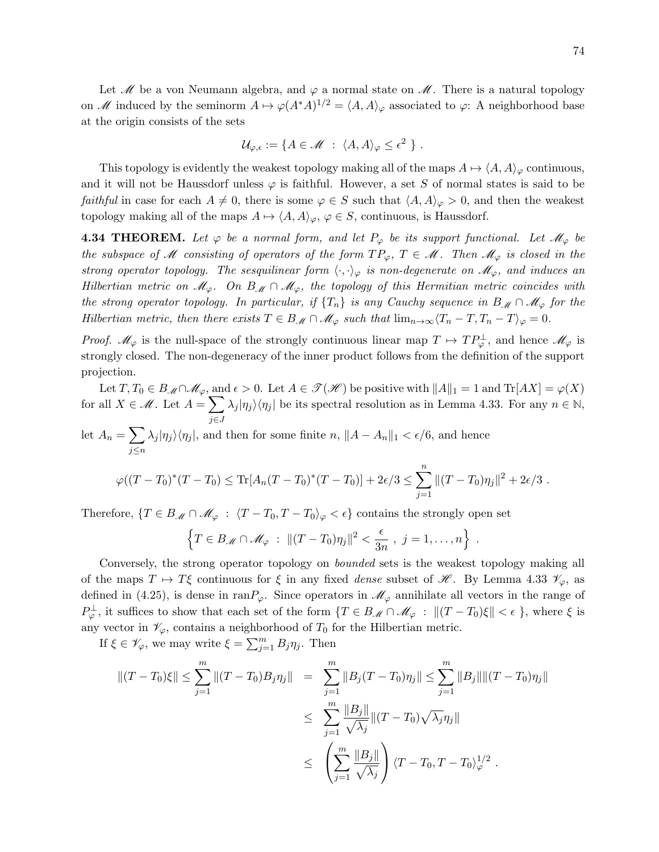Let  $\mathcal{M}$  be a von Neumann algebra, and  $\varphi$  a normal state on  $\mathcal{M}$ . There is a natural topology on M induced by the seminorm  $A \mapsto \varphi(A^*A)^{1/2} = \langle A, A \rangle_{\varphi}$  associated to  $\varphi$ : A neighborhood base at the origin consists of the sets

$$
\mathcal{U}_{\varphi,\epsilon} := \{ A \in \mathscr{M} \; : \; \langle A, A \rangle_{\varphi} \leq \epsilon^2 \; \} \; .
$$

This topology is evidently the weakest topology making all of the maps  $A \mapsto \langle A, A \rangle_{\varphi}$  continuous, and it will not be Haussdorf unless  $\varphi$  is faithful. However, a set S of normal states is said to be *faithful* in case for each  $A \neq 0$ , there is some  $\varphi \in S$  such that  $\langle A, A \rangle_{\varphi} > 0$ , and then the weakest topology making all of the maps  $A \mapsto \langle A, A \rangle_{\varphi}, \varphi \in S$ , continuous, is Haussdorf.

**4.34 THEOREM.** Let  $\varphi$  be a normal form, and let  $P_{\varphi}$  be its support functional. Let  $\mathcal{M}_{\varphi}$  be the subspace of M consisting of operators of the form  $TP_{\varphi}$ ,  $T \in \mathcal{M}$ . Then  $\mathcal{M}_{\varphi}$  is closed in the strong operator topology. The sesquilinear form  $\langle \cdot, \cdot \rangle_{\varphi}$  is non-degenerate on  $\mathscr{M}_{\varphi}$ , and induces an Hilbertian metric on  $\mathcal{M}_{\varphi}$ . On  $B_{\mathcal{M}} \cap \mathcal{M}_{\varphi}$ , the topology of this Hermitian metric coincides with the strong operator topology. In particular, if  $\{T_n\}$  is any Cauchy sequence in  $B_M \cap M_\varphi$  for the Hilbertian metric, then there exists  $T \in B_{\mathcal{M}} \cap \mathcal{M}_{\varphi}$  such that  $\lim_{n\to\infty} \langle T_n - T, T_n - T \rangle_{\varphi} = 0$ .

*Proof.*  $\mathscr{M}_{\varphi}$  is the null-space of the strongly continuous linear map  $T \mapsto TP_{\varphi}^{\perp}$ , and hence  $\mathscr{M}_{\varphi}$  is strongly closed. The non-degeneracy of the inner product follows from the definition of the support projection.

Let  $T, T_0 \in B_{\mathcal{M}} \cap \mathcal{M}_{\varphi}$ , and  $\epsilon > 0$ . Let  $A \in \mathcal{T}(\mathcal{H})$  be positive with  $||A||_1 = 1$  and  $Tr[AX] = \varphi(X)$ for all  $X \in \mathcal{M}$ . Let  $A = \sum$ j∈J  $\lambda_j |\eta_j\rangle\langle\eta_j|$  be its spectral resolution as in Lemma 4.33. For any  $n \in \mathbb{N}$ , let  $A_n = \sum$ j≤n  $\lambda_j |\eta_j\rangle\langle\eta_j|$ , and then for some finite  $n, \|A - A_n\|_1 < \epsilon/6$ , and hence  $\varphi((T-T_0)^*(T-T_0) \le \text{Tr}[A_n(T-T_0)^*(T-T_0)] + 2\epsilon/3 \le \sum_{n=1}^{\infty}$  $j=1$  $||(T - T_0)\eta_j||^2 + 2\epsilon/3$ .

Therefore,  $\{T \in B_{\mathcal{M}} \cap \mathcal{M}_{\varphi} : \langle T - T_0, T - T_0 \rangle_{\varphi} < \epsilon \}$  contains the strongly open set

$$
\left\{T \in B_{\mathcal{M}} \cap \mathcal{M}_{\varphi} : ||(T - T_0)\eta_j||^2 < \frac{\epsilon}{3n}, \ j = 1, \ldots, n\right\} .
$$

Conversely, the strong operator topology on bounded sets is the weakest topology making all of the maps  $T \mapsto T\xi$  continuous for  $\xi$  in any fixed dense subset of  $\mathscr{H}$ . By Lemma 4.33  $\mathscr{V}_{\varphi}$ , as defined in (4.25), is dense in ran $P_\varphi$ . Since operators in  $\mathcal{M}_\varphi$  annihilate all vectors in the range of  $P_{\varphi}^{\perp}$ , it suffices to show that each set of the form  $\{T \in B_{\mathcal{M}} \cap \mathcal{M}_{\varphi} : ||(T - T_0)\xi|| < \epsilon \}$ , where  $\xi$  is any vector in  $\mathcal{V}_{\varphi}$ , contains a neighborhood of  $T_0$  for the Hilbertian metric.

If  $\xi \in \mathscr{V}_{\varphi}$ , we may write  $\xi = \sum_{j=1}^{m} B_j \eta_j$ . Then

$$
||(T - T_0)\xi|| \le \sum_{j=1}^m ||(T - T_0)B_j \eta_j|| = \sum_{j=1}^m ||B_j(T - T_0)\eta_j|| \le \sum_{j=1}^m ||B_j|| ||(T - T_0)\eta_j||
$$
  

$$
\le \sum_{j=1}^m \frac{||B_j||}{\sqrt{\lambda_j}} ||(T - T_0)\sqrt{\lambda_j}\eta_j||
$$
  

$$
\le \left(\sum_{j=1}^m \frac{||B_j||}{\sqrt{\lambda_j}}\right) \langle T - T_0, T - T_0 \rangle_{\varphi}^{1/2}.
$$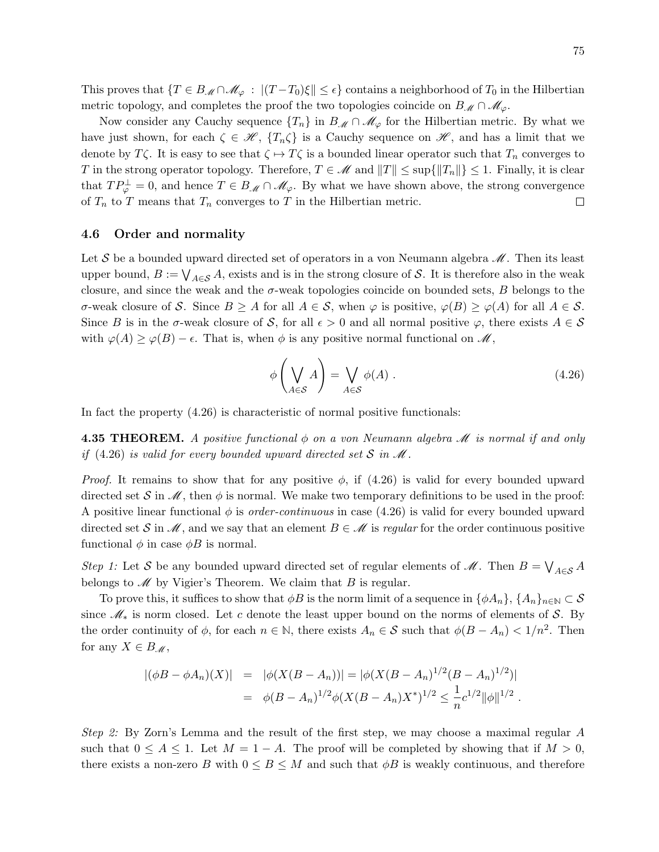This proves that  $\{T \in B_{\mathcal{M}} \cap \mathcal{M}_{\varphi} : |(T - T_0)\xi| \leq \epsilon\}$  contains a neighborhood of  $T_0$  in the Hilbertian metric topology, and completes the proof the two topologies coincide on  $B_{\mathscr{M}} \cap \mathscr{M}_{\varphi}$ .

Now consider any Cauchy sequence  $\{T_n\}$  in  $B_M \cap \mathcal{M}_{\varphi}$  for the Hilbertian metric. By what we have just shown, for each  $\zeta \in \mathcal{H}$ ,  $\{T_n\zeta\}$  is a Cauchy sequence on  $\mathcal{H}$ , and has a limit that we denote by T $\zeta$ . It is easy to see that  $\zeta \mapsto T\zeta$  is a bounded linear operator such that  $T_n$  converges to T in the strong operator topology. Therefore,  $T \in \mathcal{M}$  and  $||T|| \leq \sup{||T_n||} \leq 1$ . Finally, it is clear that  $TP_{\varphi}^{\perp} = 0$ , and hence  $T \in B_{\mathscr{M}} \cap \mathscr{M}_{\varphi}$ . By what we have shown above, the strong convergence of  $T_n$  to T means that  $T_n$  converges to T in the Hilbertian metric.  $\Box$ 

## 4.6 Order and normality

Let S be a bounded upward directed set of operators in a von Neumann algebra  $\mathcal{M}$ . Then its least upper bound,  $B := \bigvee_{A \in \mathcal{S}} A$ , exists and is in the strong closure of S. It is therefore also in the weak closure, and since the weak and the  $\sigma$ -weak topologies coincide on bounded sets,  $B$  belongs to the σ-weak closure of S. Since B ≥ A for all  $A \in S$ , when  $\varphi$  is positive,  $\varphi(B) \ge \varphi(A)$  for all  $A \in S$ . Since B is in the  $\sigma$ -weak closure of S, for all  $\epsilon > 0$  and all normal positive  $\varphi$ , there exists  $A \in \mathcal{S}$ with  $\varphi(A) \geq \varphi(B) - \epsilon$ . That is, when  $\phi$  is any positive normal functional on  $\mathscr{M}$ ,

$$
\phi\left(\bigvee_{A\in\mathcal{S}}A\right) = \bigvee_{A\in\mathcal{S}}\phi(A) .
$$
\n(4.26)

In fact the property (4.26) is characteristic of normal positive functionals:

**4.35 THEOREM.** A positive functional  $\phi$  on a von Neumann algebra  $\mathcal M$  is normal if and only if (4.26) is valid for every bounded upward directed set S in  $\mathcal M$ .

*Proof.* It remains to show that for any positive  $\phi$ , if (4.26) is valid for every bounded upward directed set S in  $\mathscr M$ , then  $\phi$  is normal. We make two temporary definitions to be used in the proof: A positive linear functional  $\phi$  is *order-continuous* in case (4.26) is valid for every bounded upward directed set S in  $\mathscr M$ , and we say that an element  $B \in \mathscr M$  is regular for the order continuous positive functional  $\phi$  in case  $\phi B$  is normal.

Step 1: Let S be any bounded upward directed set of regular elements of  $\mathcal{M}$ . Then  $B = \bigvee_{A \in \mathcal{S}} A$ belongs to  $\mathscr M$  by Vigier's Theorem. We claim that  $B$  is regular.

To prove this, it suffices to show that  $\phi B$  is the norm limit of a sequence in  $\{\phi A_n\}$ ,  $\{A_n\}_{n\in\mathbb{N}}\subset\mathcal{S}$ since  $\mathcal{M}_*$  is norm closed. Let c denote the least upper bound on the norms of elements of S. By the order continuity of  $\phi$ , for each  $n \in \mathbb{N}$ , there exists  $A_n \in \mathcal{S}$  such that  $\phi(B - A_n) < 1/n^2$ . Then for any  $X \in B_{\mathscr{M}}$ ,

$$
\begin{array}{rcl} |(\phi B - \phi A_n)(X)| & = & |\phi(X(B - A_n))| = |\phi(X(B - A_n)^{1/2}(B - A_n)^{1/2})| \\ & = & \phi(B - A_n)^{1/2}\phi(X(B - A_n)^{1/2} \le \frac{1}{n}c^{1/2}||\phi||^{1/2} \end{array}.
$$

Step 2: By Zorn's Lemma and the result of the first step, we may choose a maximal regular A such that  $0 \leq A \leq 1$ . Let  $M = 1 - A$ . The proof will be completed by showing that if  $M > 0$ , there exists a non-zero B with  $0 \leq B \leq M$  and such that  $\phi B$  is weakly continuous, and therefore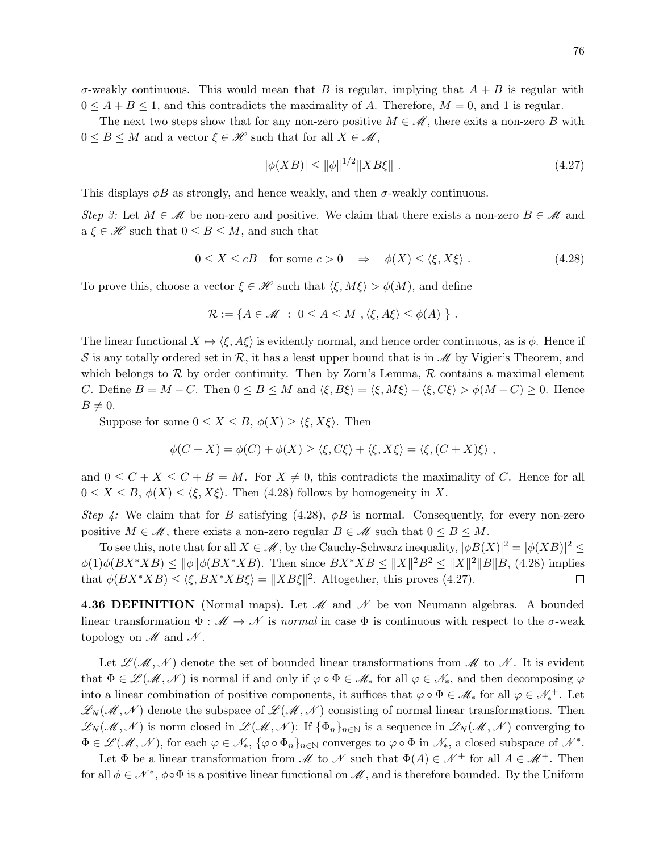$\sigma$ -weakly continuous. This would mean that B is regular, implying that  $A + B$  is regular with  $0 \leq A + B \leq 1$ , and this contradicts the maximality of A. Therefore,  $M = 0$ , and 1 is regular.

The next two steps show that for any non-zero positive  $M \in \mathcal{M}$ , there exits a non-zero B with  $0 \leq B \leq M$  and a vector  $\xi \in \mathcal{H}$  such that for all  $X \in \mathcal{M}$ ,

$$
|\phi(XB)| \le \|\phi\|^{1/2} \|XB\xi\| \tag{4.27}
$$

This displays  $\phi B$  as strongly, and hence weakly, and then  $\sigma$ -weakly continuous.

Step 3: Let  $M \in \mathcal{M}$  be non-zero and positive. We claim that there exists a non-zero  $B \in \mathcal{M}$  and  $a \xi \in \mathcal{H}$  such that  $0 \leq B \leq M$ , and such that

$$
0 \le X \le cB \quad \text{for some } c > 0 \quad \Rightarrow \quad \phi(X) \le \langle \xi, X\xi \rangle \tag{4.28}
$$

To prove this, choose a vector  $\xi \in \mathscr{H}$  such that  $\langle \xi, M\xi \rangle > \phi(M)$ , and define

$$
\mathcal{R} := \{ A \in \mathcal{M} \; : \; 0 \leq A \leq M \; , \langle \xi, A\xi \rangle \leq \phi(A) \; \} \; .
$$

The linear functional  $X \mapsto \langle \xi, A\xi \rangle$  is evidently normal, and hence order continuous, as is  $\phi$ . Hence if S is any totally ordered set in R, it has a least upper bound that is in  $\mathscr{M}$  by Vigier's Theorem, and which belongs to  $\mathcal R$  by order continuity. Then by Zorn's Lemma,  $\mathcal R$  contains a maximal element C. Define  $B = M - C$ . Then  $0 \le B \le M$  and  $\langle \xi, B\xi \rangle = \langle \xi, M\xi \rangle - \langle \xi, C\xi \rangle > \phi(M - C) \ge 0$ . Hence  $B\neq 0$ .

Suppose for some  $0 \le X \le B$ ,  $\phi(X) \ge \langle \xi, X \xi \rangle$ . Then

$$
\phi(C+X) = \phi(C) + \phi(X) \ge \langle \xi, C\xi \rangle + \langle \xi, X\xi \rangle = \langle \xi, (C+X)\xi \rangle,
$$

and  $0 \leq C + X \leq C + B = M$ . For  $X \neq 0$ , this contradicts the maximality of C. Hence for all  $0 \leq X \leq B, \phi(X) \leq \langle \xi, X\xi \rangle$ . Then (4.28) follows by homogeneity in X.

Step 4: We claim that for B satisfying (4.28),  $\phi$ B is normal. Consequently, for every non-zero positive  $M \in \mathcal{M}$ , there exists a non-zero regular  $B \in \mathcal{M}$  such that  $0 \leq B \leq M$ .

To see this, note that for all  $X \in \mathcal{M}$ , by the Cauchy-Schwarz inequality,  $|\phi B(X)|^2 = |\phi(XB)|^2 \leq$  $\phi(1)\phi(BX^*XB) \le \|\phi\|\phi(BX^*XB)$ . Then since  $BX^*XB \le \|X\|^2B^2 \le \|X\|^2\|B\|B$ , (4.28) implies that  $\phi(BX^*XB) \leq \langle \xi, BX^*XB\xi \rangle = ||XB\xi||^2$ . Altogether, this proves (4.27).  $\Box$ 

**4.36 DEFINITION** (Normal maps). Let  $\mathcal{M}$  and  $\mathcal{N}$  be von Neumann algebras. A bounded linear transformation  $\Phi : \mathcal{M} \to \mathcal{N}$  is normal in case  $\Phi$  is continuous with respect to the  $\sigma$ -weak topology on  $\mathscr M$  and  $\mathscr N$ .

Let  $\mathscr{L}(\mathscr{M},\mathscr{N})$  denote the set of bounded linear transformations from  $\mathscr{M}$  to  $\mathscr{N}$ . It is evident that  $\Phi \in \mathscr{L}(\mathscr{M}, \mathscr{N})$  is normal if and only if  $\varphi \circ \Phi \in \mathscr{M}_{*}$  for all  $\varphi \in \mathscr{N}_{*}$ , and then decomposing  $\varphi$ into a linear combination of positive components, it suffices that  $\varphi \circ \Phi \in \mathscr{M}_{*}$  for all  $\varphi \in \mathscr{N}_{*}^{+}$ . Let  $\mathscr{L}_{N}(\mathscr{M},\mathscr{N})$  denote the subspace of  $\mathscr{L}(\mathscr{M},\mathscr{N})$  consisting of normal linear transformations. Then  $\mathscr{L}_{N}(\mathscr{M},\mathscr{N})$  is norm closed in  $\mathscr{L}(\mathscr{M},\mathscr{N})$ : If  $\{\Phi_n\}_{n\in\mathbb{N}}$  is a sequence in  $\mathscr{L}_{N}(\mathscr{M},\mathscr{N})$  converging to  $\Phi \in \mathscr{L}(\mathscr{M}, \mathscr{N})$ , for each  $\varphi \in \mathscr{N}_*, \{\varphi \circ \Phi_n\}_{n \in \mathbb{N}}$  converges to  $\varphi \circ \Phi$  in  $\mathscr{N}_*$ , a closed subspace of  $\mathscr{N}^*$ .

Let  $\Phi$  be a linear transformation from  $\mathcal M$  to  $\mathcal N$  such that  $\Phi(A) \in \mathcal N^+$  for all  $A \in \mathcal M^+$ . Then for all  $\phi \in \mathcal{N}^*$ ,  $\phi \circ \Phi$  is a positive linear functional on  $\mathcal{M}$ , and is therefore bounded. By the Uniform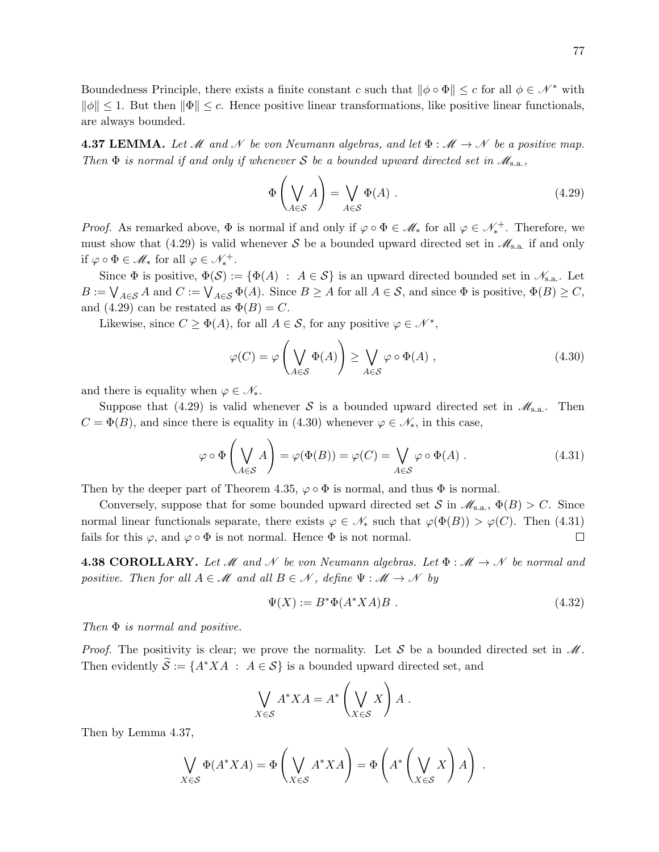**4.37 LEMMA.** Let M and N be von Neumann algebras, and let  $\Phi : \mathcal{M} \to \mathcal{N}$  be a positive map. Then  $\Phi$  is normal if and only if whenever S be a bounded upward directed set in  $\mathscr{M}_{s.a.}$ ,

$$
\Phi\left(\bigvee_{A\in\mathcal{S}}A\right) = \bigvee_{A\in\mathcal{S}}\Phi(A) .
$$
\n(4.29)

*Proof.* As remarked above,  $\Phi$  is normal if and only if  $\varphi \circ \Phi \in \mathcal{M}_{*}$  for all  $\varphi \in \mathcal{N}_{*}^{+}$ . Therefore, we must show that (4.29) is valid whenever S be a bounded upward directed set in  $\mathscr{M}_{s.a.}$  if and only if  $\varphi \circ \Phi \in \mathcal{M}_{*}$  for all  $\varphi \in \mathcal{N}_{*}^{+}$ .

Since  $\Phi$  is positive,  $\Phi(\mathcal{S}) := \{ \Phi(A) : A \in \mathcal{S} \}$  is an upward directed bounded set in  $\mathcal{N}_{s.a.}$ . Let  $B := \bigvee_{A \in \mathcal{S}} A$  and  $C := \bigvee_{A \in \mathcal{S}} \Phi(A)$ . Since  $B \ge A$  for all  $A \in \mathcal{S}$ , and since  $\Phi$  is positive,  $\Phi(B) \ge C$ , and (4.29) can be restated as  $\Phi(B) = C$ .

Likewise, since  $C \ge \Phi(A)$ , for all  $A \in \mathcal{S}$ , for any positive  $\varphi \in \mathcal{N}^*$ ,

$$
\varphi(C) = \varphi\left(\bigvee_{A \in \mathcal{S}} \Phi(A)\right) \ge \bigvee_{A \in \mathcal{S}} \varphi \circ \Phi(A) , \qquad (4.30)
$$

and there is equality when  $\varphi \in \mathscr{N}_{*}$ .

Suppose that (4.29) is valid whenever S is a bounded upward directed set in  $\mathscr{M}_{s.a.}$ . Then  $C = \Phi(B)$ , and since there is equality in (4.30) whenever  $\varphi \in \mathcal{N}_{*}$ , in this case,

$$
\varphi \circ \Phi\left(\bigvee_{A \in \mathcal{S}} A\right) = \varphi(\Phi(B)) = \varphi(C) = \bigvee_{A \in \mathcal{S}} \varphi \circ \Phi(A) . \tag{4.31}
$$

Then by the deeper part of Theorem 4.35,  $\varphi \circ \Phi$  is normal, and thus  $\Phi$  is normal.

Conversely, suppose that for some bounded upward directed set  $S$  in  $\mathscr{M}_{s.a.}$ ,  $\Phi(B) > C$ . Since normal linear functionals separate, there exists  $\varphi \in \mathcal{N}_*$  such that  $\varphi(\Phi(B)) > \varphi(C)$ . Then (4.31) fails for this  $\varphi$ , and  $\varphi \circ \Phi$  is not normal. Hence  $\Phi$  is not normal.  $\Box$ 

**4.38 COROLLARY.** Let M and N be von Neumann algebras. Let  $\Phi : \mathcal{M} \to \mathcal{N}$  be normal and positive. Then for all  $A \in \mathcal{M}$  and all  $B \in \mathcal{N}$ , define  $\Psi : \mathcal{M} \to \mathcal{N}$  by

$$
\Psi(X) := B^* \Phi(A^* X A) B . \tag{4.32}
$$

Then  $\Phi$  is normal and positive.

*Proof.* The positivity is clear; we prove the normality. Let S be a bounded directed set in  $\mathcal{M}$ . Then evidently  $\widetilde{\mathcal{S}} := \{A^*XA \; : \; A \in \mathcal{S}\}\$ is a bounded upward directed set, and

$$
\bigvee_{X \in \mathcal{S}} A^* X A = A^* \left( \bigvee_{X \in \mathcal{S}} X \right) A.
$$

Then by Lemma 4.37,

$$
\bigvee_{X \in \mathcal{S}} \Phi(A^*XA) = \Phi\left(\bigvee_{X \in \mathcal{S}} A^*XA\right) = \Phi\left(A^*\left(\bigvee_{X \in \mathcal{S}} X\right)A\right) .
$$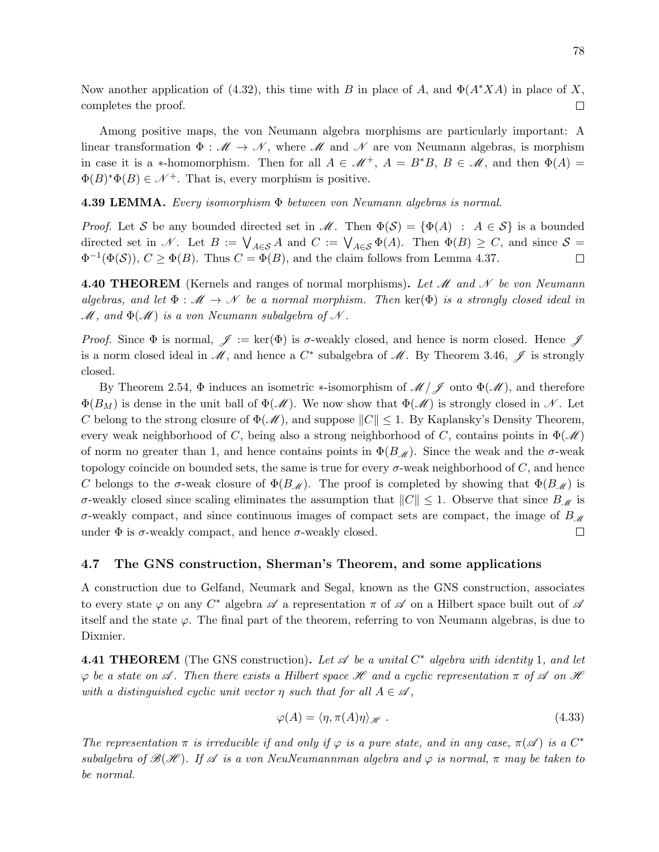Now another application of (4.32), this time with B in place of A, and  $\Phi(A^*XA)$  in place of X, completes the proof.  $\Box$ 

Among positive maps, the von Neumann algebra morphisms are particularly important: A linear transformation  $\Phi : \mathcal{M} \to \mathcal{N}$ , where  $\mathcal{M}$  and  $\mathcal{N}$  are von Neumann algebras, is morphism in case it is a \*-homomorphism. Then for all  $A \in \mathcal{M}^+$ ,  $A = B^*B$ ,  $B \in \mathcal{M}$ , and then  $\Phi(A) =$  $\Phi(B)^*\Phi(B) \in \mathcal{N}^+$ . That is, every morphism is positive.

**4.39 LEMMA.** Every isomorphism  $\Phi$  between von Neumann algebras is normal.

*Proof.* Let S be any bounded directed set in  $\mathcal{M}$ . Then  $\Phi(\mathcal{S}) = {\Phi(A) : A \in \mathcal{S}}$  is a bounded directed set in N. Let  $B := \bigvee_{A \in \mathcal{S}} A$  and  $C := \bigvee_{A \in \mathcal{S}} \Phi(A)$ . Then  $\Phi(B) \geq C$ , and since  $\mathcal{S} =$  $\Phi^{-1}(\Phi(\mathcal{S}))$ ,  $C \geq \Phi(B)$ . Thus  $C = \Phi(B)$ , and the claim follows from Lemma 4.37.  $\Box$ 

**4.40 THEOREM** (Kernels and ranges of normal morphisms). Let  $\mathcal{M}$  and  $\mathcal{N}$  be von Neumann algebras, and let  $\Phi : \mathcal{M} \to \mathcal{N}$  be a normal morphism. Then  $\text{ker}(\Phi)$  is a strongly closed ideal in  $M$ , and  $\Phi(M)$  is a von Neumann subalgebra of N.

Proof. Since  $\Phi$  is normal,  $\mathscr{J} := \ker(\Phi)$  is  $\sigma$ -weakly closed, and hence is norm closed. Hence  $\mathscr{J}$ is a norm closed ideal in  $\mathscr{M}$ , and hence a  $C^*$  subalgebra of  $\mathscr{M}$ . By Theorem 3.46,  $\mathscr{J}$  is strongly closed.

By Theorem 2.54,  $\Phi$  induces an isometric ∗-isomorphism of  $\mathcal{M}/\mathcal{J}$  onto  $\Phi(\mathcal{M})$ , and therefore  $\Phi(B_M)$  is dense in the unit ball of  $\Phi(\mathcal{M})$ . We now show that  $\Phi(\mathcal{M})$  is strongly closed in N. Let C belong to the strong closure of  $\Phi(\mathcal{M})$ , and suppose  $||C|| \leq 1$ . By Kaplansky's Density Theorem, every weak neighborhood of C, being also a strong neighborhood of C, contains points in  $\Phi(\mathscr{M})$ of norm no greater than 1, and hence contains points in  $\Phi(B_{\mathcal{M}})$ . Since the weak and the  $\sigma$ -weak topology coincide on bounded sets, the same is true for every  $\sigma$ -weak neighborhood of  $C$ , and hence C belongs to the σ-weak closure of  $\Phi(B_{\mathcal{M}})$ . The proof is completed by showing that  $\Phi(B_{\mathcal{M}})$  is σ-weakly closed since scaling eliminates the assumption that  $||C|| \leq 1$ . Observe that since  $B_M$  is σ-weakly compact, and since continuous images of compact sets are compact, the image of  $B_{\mathcal{M}}$ under  $\Phi$  is  $\sigma$ -weakly compact, and hence  $\sigma$ -weakly closed.  $\Box$ 

## 4.7 The GNS construction, Sherman's Theorem, and some applications

A construction due to Gelfand, Neumark and Segal, known as the GNS construction, associates to every state  $\varphi$  on any  $C^*$  algebra  $\mathscr A$  a representation  $\pi$  of  $\mathscr A$  on a Hilbert space built out of  $\mathscr A$ itself and the state  $\varphi$ . The final part of the theorem, referring to von Neumann algebras, is due to Dixmier.

**4.41 THEOREM** (The GNS construction). Let  $\mathscr A$  be a unital  $C^*$  algebra with identity 1, and let  $\varphi$  be a state on  $\mathscr A$ . Then there exists a Hilbert space  $\mathscr H$  and a cyclic representation  $\pi$  of  $\mathscr A$  on  $\mathscr H$ with a distinguished cyclic unit vector  $\eta$  such that for all  $A \in \mathscr{A}$ ,

$$
\varphi(A) = \langle \eta, \pi(A)\eta \rangle_{\mathscr{H}}.
$$
\n(4.33)

The representation  $\pi$  is irreducible if and only if  $\varphi$  is a pure state, and in any case,  $\pi(\mathscr{A})$  is a  $C^*$ subalgebra of  $\mathscr{B}(\mathscr{H})$ . If  $\mathscr{A}$  is a von NeuNeumannman algebra and  $\varphi$  is normal,  $\pi$  may be taken to be normal.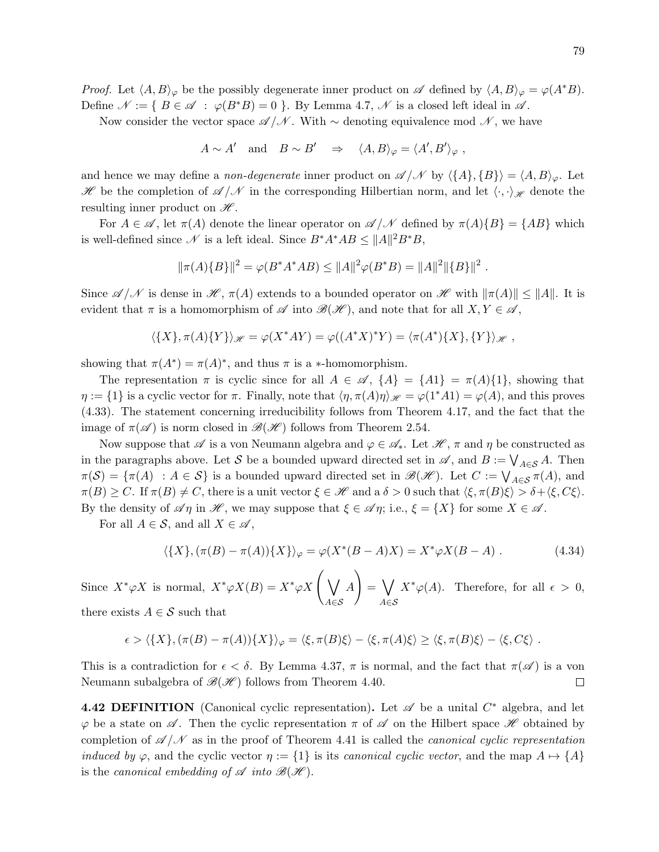*Proof.* Let  $\langle A, B \rangle_{\varphi}$  be the possibly degenerate inner product on  $\mathscr A$  defined by  $\langle A, B \rangle_{\varphi} = \varphi(A^*B)$ . Define  $\mathcal{N} := \{ B \in \mathcal{A} : \varphi(B^*B) = 0 \}$ . By Lemma 4.7,  $\mathcal{N}$  is a closed left ideal in  $\mathcal{A}$ .

Now consider the vector space  $\mathscr{A}/\mathscr{N}$ . With ∼ denoting equivalence mod  $\mathscr{N}$ , we have

 $A \sim A'$  and  $B \sim B' \Rightarrow \langle A, B \rangle_{\varphi} = \langle A', B' \rangle_{\varphi}$ ,

and hence we may define a *non-degenerate* inner product on  $\mathscr{A}/\mathscr{N}$  by  $\langle \{A\}, \{B\}\rangle = \langle A, B\rangle_{\varphi}$ . Let H be the completion of  $\mathscr{A}/\mathscr{N}$  in the corresponding Hilbertian norm, and let  $\langle \cdot, \cdot \rangle_{\mathscr{H}}$  denote the resulting inner product on  $\mathscr{H}$ .

For  $A \in \mathscr{A}$ , let  $\pi(A)$  denote the linear operator on  $\mathscr{A}/\mathscr{N}$  defined by  $\pi(A)\{B\} = \{AB\}$  which is well-defined since  $\mathscr N$  is a left ideal. Since  $B^*A^*AB \le ||A||^2B^*B$ ,

$$
\|\pi(A)\{B\}\|^2 = \varphi(B^*A^*AB) \le \|A\|^2 \varphi(B^*B) = \|A\|^2 \|\{B\}\|^2.
$$

Since  $\mathscr{A}/\mathscr{N}$  is dense in  $\mathscr{H}, \pi(A)$  extends to a bounded operator on  $\mathscr{H}$  with  $\|\pi(A)\| \leq \|A\|$ . It is evident that  $\pi$  is a homomorphism of  $\mathscr A$  into  $\mathscr B(\mathscr H)$ , and note that for all  $X, Y \in \mathscr A$ ,

$$
\langle \{X\}, \pi(A)\{Y\}\rangle_{\mathscr{H}} = \varphi(X^*AY) = \varphi((A^*X)^*Y) = \langle \pi(A^*)\{X\}, \{Y\}\rangle_{\mathscr{H}},
$$

showing that  $\pi(A^*) = \pi(A)^*$ , and thus  $\pi$  is a  $*$ -homomorphism.

The representation  $\pi$  is cyclic since for all  $A \in \mathscr{A}$ ,  $\{A\} = \{A1\} = \pi(A)\{1\}$ , showing that  $\eta := \{1\}$  is a cyclic vector for  $\pi$ . Finally, note that  $\langle \eta, \pi(A)\eta \rangle_{\mathscr{H}} = \varphi(1^*A1) = \varphi(A)$ , and this proves (4.33). The statement concerning irreducibility follows from Theorem 4.17, and the fact that the image of  $\pi(\mathscr{A})$  is norm closed in  $\mathscr{B}(\mathscr{H})$  follows from Theorem 2.54.

Now suppose that  $\mathscr A$  is a von Neumann algebra and  $\varphi \in \mathscr A_*$ . Let  $\mathscr H, \pi$  and  $\eta$  be constructed as in the paragraphs above. Let S be a bounded upward directed set in  $\mathscr{A}$ , and  $B := \bigvee_{A \in \mathcal{S}} A$ . Then  $\pi(\mathcal{S}) = \{\pi(A) : A \in \mathcal{S}\}\$ is a bounded upward directed set in  $\mathscr{B}(\mathscr{H})$ . Let  $C := \bigvee_{A \in \mathcal{S}} \pi(A)$ , and  $\pi(B) \geq C$ . If  $\pi(B) \neq C$ , there is a unit vector  $\xi \in \mathcal{H}$  and a  $\delta > 0$  such that  $\langle \xi, \pi(B)\xi \rangle > \delta + \langle \xi, C\xi \rangle$ . By the density of  $\mathscr{A}\eta$  in  $\mathscr{H}$ , we may suppose that  $\xi \in \mathscr{A}\eta$ ; i.e.,  $\xi = \{X\}$  for some  $X \in \mathscr{A}$ .

For all  $A \in \mathcal{S}$ , and all  $X \in \mathcal{A}$ ,

$$
\langle \{X\}, (\pi(B) - \pi(A))\{X\}\rangle_{\varphi} = \varphi(X^*(B - A)X) = X^*\varphi X(B - A) . \tag{4.34}
$$

Since  $X^*\varphi X$  is normal,  $X^*\varphi X(B) = X^*\varphi X$   $\bigvee$ A∈S A  $\setminus$  $= \bigvee$ A∈S  $X^*\varphi(A)$ . Therefore, for all  $\epsilon > 0$ , there exists  $A \in \mathcal{S}$  such that

$$
\epsilon > \langle \{X\}, (\pi(B) - \pi(A))\{X\}\rangle_{\varphi} = \langle \xi, \pi(B)\xi \rangle - \langle \xi, \pi(A)\xi \rangle \geq \langle \xi, \pi(B)\xi \rangle - \langle \xi, C\xi \rangle.
$$

This is a contradiction for  $\epsilon < \delta$ . By Lemma 4.37,  $\pi$  is normal, and the fact that  $\pi(\mathscr{A})$  is a von Neumann subalgebra of  $\mathcal{B}(\mathcal{H})$  follows from Theorem 4.40.  $\Box$ 

4.42 DEFINITION (Canonical cyclic representation). Let  $\mathscr A$  be a unital  $C^*$  algebra, and let  $\varphi$  be a state on  $\mathscr A$ . Then the cyclic representation  $\pi$  of  $\mathscr A$  on the Hilbert space  $\mathscr H$  obtained by completion of  $\mathscr{A}/\mathscr{N}$  as in the proof of Theorem 4.41 is called the *canonical cyclic representation* induced by  $\varphi$ , and the cyclic vector  $\eta := \{1\}$  is its canonical cyclic vector, and the map  $A \mapsto \{A\}$ is the canonical embedding of  $\mathscr A$  into  $\mathscr B(\mathscr H)$ .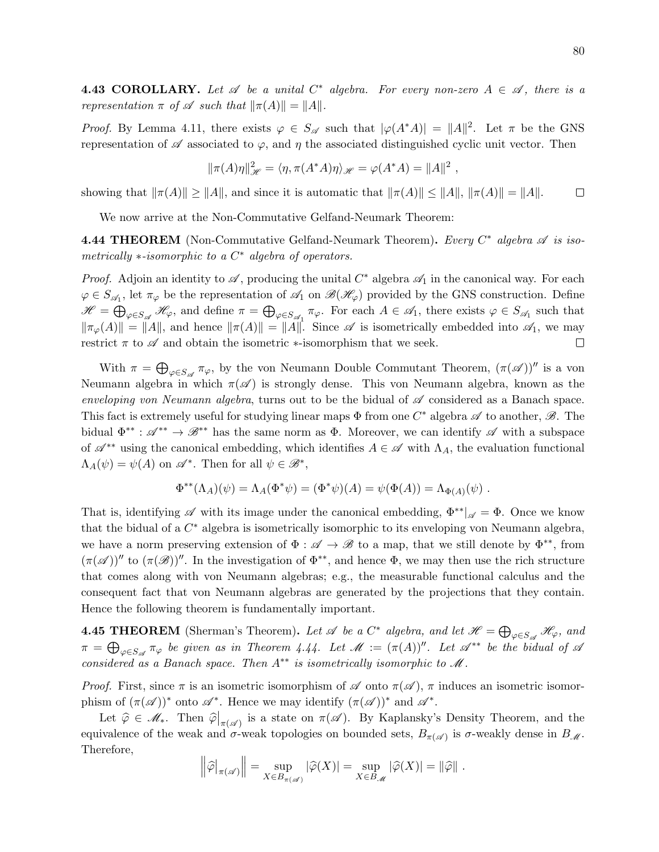**4.43 COROLLARY.** Let  $\mathscr A$  be a unital  $C^*$  algebra. For every non-zero  $A \in \mathscr A$ , there is a representation  $\pi$  of  $\mathscr A$  such that  $\|\pi(A)\| = \|A\|.$ 

*Proof.* By Lemma 4.11, there exists  $\varphi \in S_{\mathscr{A}}$  such that  $|\varphi(A^*A)| = ||A||^2$ . Let  $\pi$  be the GNS representation of  $\mathscr A$  associated to  $\varphi$ , and  $\eta$  the associated distinguished cyclic unit vector. Then

$$
\|\pi(A)\eta\|_{\mathscr{H}}^2 = \langle \eta, \pi(A^*A)\eta \rangle_{\mathscr{H}} = \varphi(A^*A) = \|A\|^2,
$$

showing that  $\|\pi(A)\| \geq \|A\|$ , and since it is automatic that  $\|\pi(A)\| \leq \|A\|$ ,  $\|\pi(A)\| = \|A\|$ .  $\Box$ 

We now arrive at the Non-Commutative Gelfand-Neumark Theorem:

**4.44 THEOREM** (Non-Commutative Gelfand-Neumark Theorem). Every  $C^*$  algebra  $\mathscr A$  is isometrically  $*$ -isomorphic to a  $C^*$  algebra of operators.

*Proof.* Adjoin an identity to  $\mathscr A$ , producing the unital  $C^*$  algebra  $\mathscr A_1$  in the canonical way. For each  $\varphi \in S_{\mathscr{A}_1}$ , let  $\pi_{\varphi}$  be the representation of  $\mathscr{A}_1$  on  $\mathscr{B}(\mathscr{H}_{\varphi})$  provided by the GNS construction. Define  $\mathscr{H} = \bigoplus_{\varphi \in S_{\mathscr{A}}} \mathscr{H}_{\varphi}$ , and define  $\pi = \bigoplus_{\varphi \in S_{\mathscr{A}_{1}}} \pi_{\varphi}$ . For each  $A \in \mathscr{A}_{1}$ , there exists  $\varphi \in S_{\mathscr{A}_{1}}$  such that  $\|\pi_{\varphi}(A)\| = \|A\|$ , and hence  $\|\pi(A)\| = \|A\|$ . Since  $\mathscr A$  is isometrically embedded into  $\mathscr A_1$ , we may restrict  $\pi$  to  $\mathscr A$  and obtain the isometric  $\ast$ -isomorphism that we seek.  $\Box$ 

With  $\pi = \bigoplus_{\varphi \in S_{\mathscr{A}}} \pi_{\varphi}$ , by the von Neumann Double Commutant Theorem,  $(\pi(\mathscr{A}))''$  is a von Neumann algebra in which  $\pi(\mathscr{A})$  is strongly dense. This von Neumann algebra, known as the enveloping von Neumann algebra, turns out to be the bidual of  $\mathscr A$  considered as a Banach space. This fact is extremely useful for studying linear maps  $\Phi$  from one  $C^*$  algebra  $\mathscr A$  to another,  $\mathscr B$ . The bidual  $\Phi^{**}$ :  $\mathscr{A}^{**} \to \mathscr{B}^{**}$  has the same norm as  $\Phi$ . Moreover, we can identify  $\mathscr{A}$  with a subspace of  $\mathscr{A}^{**}$  using the canonical embedding, which identifies  $A \in \mathscr{A}$  with  $\Lambda_A$ , the evaluation functional  $\Lambda_A(\psi) = \psi(A)$  on  $\mathscr{A}^*$ . Then for all  $\psi \in \mathscr{B}^*$ ,

$$
\Phi^{**}(\Lambda_A)(\psi) = \Lambda_A(\Phi^*\psi) = (\Phi^*\psi)(A) = \psi(\Phi(A)) = \Lambda_{\Phi(A)}(\psi) .
$$

That is, identifying  $\mathscr A$  with its image under the canonical embedding,  $\Phi^{**}|_{\mathscr A} = \Phi$ . Once we know that the bidual of a  $C^*$  algebra is isometrically isomorphic to its enveloping von Neumann algebra, we have a norm preserving extension of  $\Phi : \mathscr{A} \to \mathscr{B}$  to a map, that we still denote by  $\Phi^{**}$ , from  $(\pi(\mathscr{A}))''$  to  $(\pi(\mathscr{B}))''$ . In the investigation of  $\Phi^{**}$ , and hence  $\Phi$ , we may then use the rich structure that comes along with von Neumann algebras; e.g., the measurable functional calculus and the consequent fact that von Neumann algebras are generated by the projections that they contain. Hence the following theorem is fundamentally important.

**4.45 THEOREM** (Sherman's Theorem). Let  $\mathscr A$  be a  $C^*$  algebra, and let  $\mathscr H = \bigoplus_{\varphi \in S_{\mathscr A}} \mathscr H_{\varphi}$ , and  $\pi = \bigoplus_{\varphi \in S_{\mathscr{A}}} \pi_{\varphi}$  be given as in Theorem 4.44. Let  $\mathscr{M} := (\pi(A))^{\prime \prime}$ . Let  $\mathscr{A}^{**}$  be the bidual of  $\mathscr{A}$ considered as a Banach space. Then  $A^{**}$  is isometrically isomorphic to  $\mathcal M$ .

*Proof.* First, since  $\pi$  is an isometric isomorphism of  $\mathscr A$  onto  $\pi(\mathscr A)$ ,  $\pi$  induces an isometric isomorphism of  $(\pi(\mathscr{A}))^*$  onto  $\mathscr{A}^*$ . Hence we may identify  $(\pi(\mathscr{A}))^*$  and  $\mathscr{A}^*$ .

Let  $\widehat{\varphi} \in \mathcal{M}_*$ . Then  $\widehat{\varphi}|_{\pi(\mathscr{A})}$  is a state on  $\pi(\mathscr{A})$ . By Kaplansky's Density Theorem, and the equivalence of the weak and  $\sigma$ -weak topologies on bounded sets,  $B_{\pi(\mathscr{A})}$  is  $\sigma$ -weakly dense in  $B_{\mathscr{M}}$ . Therefore,

$$
\left\|\widehat{\varphi}\right\|_{\pi(\mathscr{A})}\right\| = \sup_{X \in B_{\pi(\mathscr{A})}} |\widehat{\varphi}(X)| = \sup_{X \in B_{\mathscr{M}}} |\widehat{\varphi}(X)| = ||\widehat{\varphi}||.
$$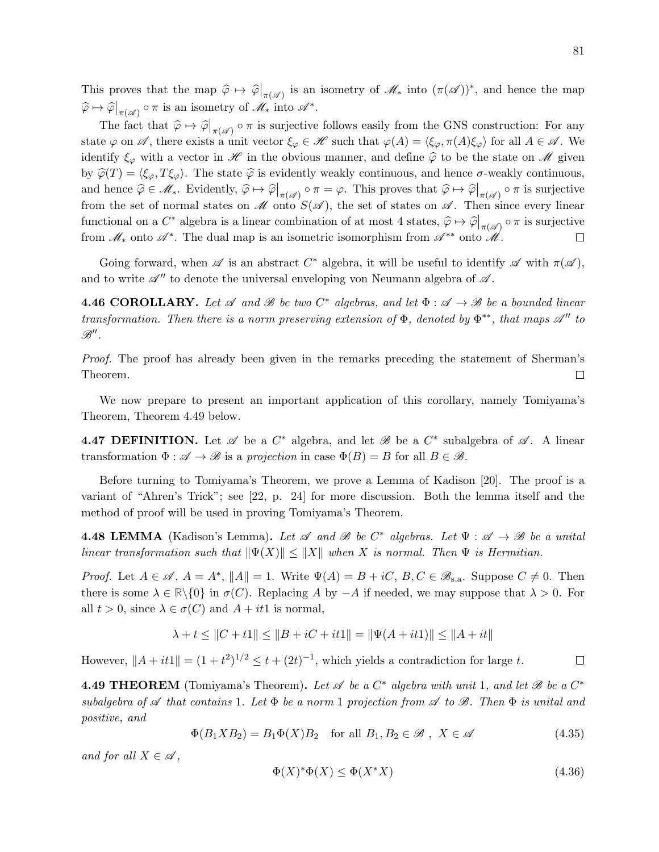This proves that the map  $\hat{\varphi} \mapsto \hat{\varphi}\big|_{\pi(\mathscr{A})}$  is an isometry of  $\mathscr{M}_{*}$  into  $(\pi(\mathscr{A}))^{*}$ , and hence the map  $\widehat{\varphi} \mapsto \widehat{\varphi}\big|_{\pi(\mathscr{A})} \circ \pi$  is an isometry of  $\mathscr{M}_*$  into  $\mathscr{A}^*$ .

The fact that  $\hat{\varphi} \mapsto \hat{\varphi}|_{\pi(\mathscr{A})} \circ \pi$  is surjective follows easily from the GNS construction: For any state  $\varphi$  on  $\mathscr A$ , there exists a unit vector  $\xi_\varphi \in \mathscr H$  such that  $\varphi(A) = \langle \xi_\varphi, \pi(A)\xi_\varphi \rangle$  for all  $A \in \mathscr A$ . We identify  $\xi_{\varphi}$  with a vector in  $\mathscr H$  in the obvious manner, and define  $\hat{\varphi}$  to be the state on  $\mathscr M$  given by  $\hat{\varphi}(T) = \langle \xi_{\varphi}, T \xi_{\varphi} \rangle$ . The state  $\hat{\varphi}$  is evidently weakly continuous, and hence  $\sigma$ -weakly continuous, and hence  $\hat{\varphi} \in \mathcal{M}_*$ . Evidently,  $\hat{\varphi} \mapsto \hat{\varphi}\big|_{\pi(\mathscr{A})} \circ \pi = \varphi$ . This proves that  $\hat{\varphi} \mapsto \hat{\varphi}\big|_{\pi(\mathscr{A})} \circ \pi$  is surjective from the set of normal states on  $\mathscr M$  onto  $S(\mathscr A)$ , the set of states on  $\mathscr A$ . Then since every linear functional on a  $C^*$  algebra is a linear combination of at most 4 states,  $\hat{\varphi} \mapsto \hat{\varphi}|_{\pi(\mathscr{A})} \circ \pi$  is surjective from  $\mathscr{M}_{*}$  onto  $\mathscr{A}^{*}$ . The dual map is an isometric isomorphism from  $\mathscr{A}^{**}$  onto  $\mathscr{M}$ .  $\Box$ 

Going forward, when  $\mathscr A$  is an abstract  $C^*$  algebra, it will be useful to identify  $\mathscr A$  with  $\pi(\mathscr A)$ , and to write  $\mathscr{A}$  to denote the universal enveloping von Neumann algebra of  $\mathscr{A}$ .

**4.46 COROLLARY.** Let  $\mathscr A$  and  $\mathscr B$  be two  $C^*$  algebras, and let  $\Phi : \mathscr A \to \mathscr B$  be a bounded linear transformation. Then there is a norm preserving extension of  $\Phi$ , denoted by  $\Phi^{**}$ , that maps  $\mathscr{A}''$  to  $\mathscr{B}''$  .

Proof. The proof has already been given in the remarks preceding the statement of Sherman's Theorem.  $\Box$ 

We now prepare to present an important application of this corollary, namely Tomiyama's Theorem, Theorem 4.49 below.

**4.47 DEFINITION.** Let  $\mathscr A$  be a  $C^*$  algebra, and let  $\mathscr B$  be a  $C^*$  subalgebra of  $\mathscr A$ . A linear transformation  $\Phi : \mathscr{A} \to \mathscr{B}$  is a projection in case  $\Phi(B) = B$  for all  $B \in \mathscr{B}$ .

Before turning to Tomiyama's Theorem, we prove a Lemma of Kadison [20]. The proof is a variant of "Ahren's Trick"; see [22, p. 24] for more discussion. Both the lemma itself and the method of proof will be used in proving Tomiyama's Theorem.

**4.48 LEMMA** (Kadison's Lemma). Let  $\mathscr A$  and  $\mathscr B$  be  $C^*$  algebras. Let  $\Psi : \mathscr A \to \mathscr B$  be a unital linear transformation such that  $\|\Psi(X)\| \leq \|X\|$  when X is normal. Then  $\Psi$  is Hermitian.

*Proof.* Let  $A \in \mathscr{A}$ ,  $A = A^*$ ,  $||A|| = 1$ . Write  $\Psi(A) = B + iC$ ,  $B, C \in \mathscr{B}_{s.a}$ . Suppose  $C \neq 0$ . Then there is some  $\lambda \in \mathbb{R}\setminus\{0\}$  in  $\sigma(C)$ . Replacing A by  $-A$  if needed, we may suppose that  $\lambda > 0$ . For all  $t > 0$ , since  $\lambda \in \sigma(C)$  and  $A + it1$  is normal,

$$
\lambda + t \leq ||C + t1|| \leq ||B + iC + it1|| = ||\Psi(A + it1)|| \leq ||A + it||
$$

However,  $||A + it1|| = (1 + t^2)^{1/2} \le t + (2t)^{-1}$ , which yields a contradiction for large t.

**4.49 THEOREM** (Tomiyama's Theorem). Let  $\mathscr A$  be a  $C^*$  algebra with unit 1, and let  $\mathscr B$  be a  $C^*$ subalgebra of  $\mathscr A$  that contains 1. Let  $\Phi$  be a norm 1 projection from  $\mathscr A$  to  $\mathscr B$ . Then  $\Phi$  is unital and positive, and

$$
\Phi(B_1 X B_2) = B_1 \Phi(X) B_2 \quad \text{for all } B_1, B_2 \in \mathcal{B} \ , \ X \in \mathcal{A} \tag{4.35}
$$

and for all  $X \in \mathcal{A}$ ,

$$
\Phi(X)^*\Phi(X) \le \Phi(X^*X) \tag{4.36}
$$

 $\Box$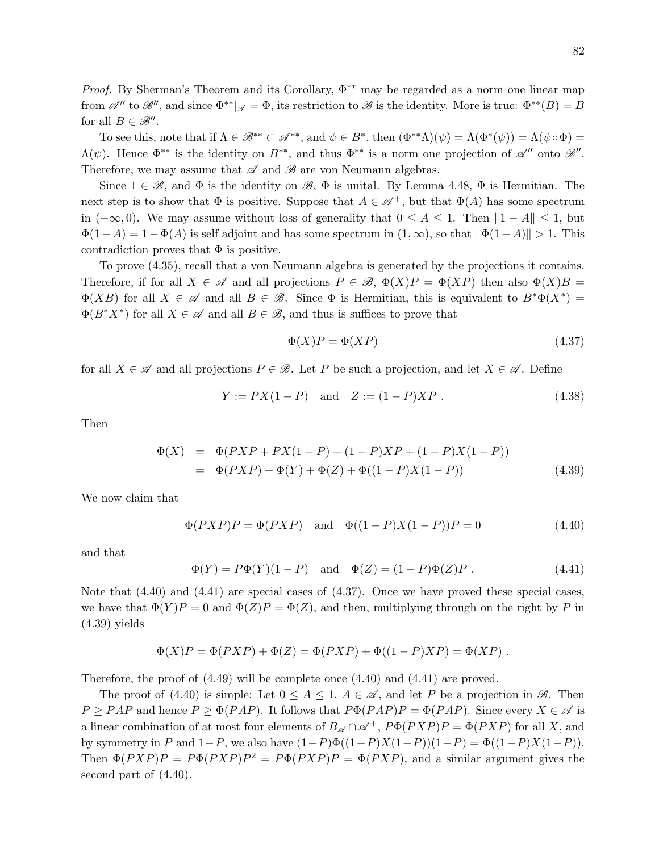*Proof.* By Sherman's Theorem and its Corollary,  $\Phi^{**}$  may be regarded as a norm one linear map from  $\mathscr{A}''$  to  $\mathscr{B}''$ , and since  $\Phi^{**}|_{\mathscr{A}} = \Phi$ , its restriction to  $\mathscr{B}$  is the identity. More is true:  $\Phi^{**}(B) = B$ for all  $B \in \mathcal{B}''$ .

To see this, note that if  $\Lambda \in \mathcal{B}^{**} \subset \mathcal{A}^{**}$ , and  $\psi \in B^*$ , then  $(\Phi^{**}\Lambda)(\psi) = \Lambda(\Phi^*(\psi)) = \Lambda(\psi \circ \Phi) =$  $\Lambda(\psi)$ . Hence  $\Phi^{**}$  is the identity on  $B^{**}$ , and thus  $\Phi^{**}$  is a norm one projection of  $\mathscr{A}''$  onto  $\mathscr{B}''$ . Therefore, we may assume that  $\mathscr A$  and  $\mathscr B$  are von Neumann algebras.

Since  $1 \in \mathcal{B}$ , and  $\Phi$  is the identity on  $\mathcal{B}, \Phi$  is unital. By Lemma 4.48,  $\Phi$  is Hermitian. The next step is to show that  $\Phi$  is positive. Suppose that  $A \in \mathscr{A}^+$ , but that  $\Phi(A)$  has some spectrum in  $(-\infty, 0)$ . We may assume without loss of generality that  $0 \le A \le 1$ . Then  $||1 - A|| \le 1$ , but  $\Phi(1-A) = 1-\Phi(A)$  is self adjoint and has some spectrum in  $(1,\infty)$ , so that  $\|\Phi(1-A)\| > 1$ . This contradiction proves that  $\Phi$  is positive.

To prove (4.35), recall that a von Neumann algebra is generated by the projections it contains. Therefore, if for all  $X \in \mathscr{A}$  and all projections  $P \in \mathscr{B}$ ,  $\Phi(X)P = \Phi(XP)$  then also  $\Phi(X)B =$  $\Phi(XB)$  for all  $X \in \mathscr{A}$  and all  $B \in \mathscr{B}$ . Since  $\Phi$  is Hermitian, this is equivalent to  $B^*\Phi(X^*) =$  $\Phi(B^*X^*)$  for all  $X \in \mathscr{A}$  and all  $B \in \mathscr{B}$ , and thus is suffices to prove that

$$
\Phi(X)P = \Phi(XP) \tag{4.37}
$$

for all  $X \in \mathscr{A}$  and all projections  $P \in \mathscr{B}$ . Let P be such a projection, and let  $X \in \mathscr{A}$ . Define

$$
Y := PX(1 - P) \text{ and } Z := (1 - P)XP. \tag{4.38}
$$

Then

$$
\Phi(X) = \Phi(PXP + PX(1 - P) + (1 - P)XP + (1 - P)X(1 - P))
$$
  
= 
$$
\Phi(PXP) + \Phi(Y) + \Phi(Z) + \Phi((1 - P)X(1 - P))
$$
 (4.39)

We now claim that

$$
\Phi(PXP)P = \Phi(PXP)
$$
 and  $\Phi((1 - P)X(1 - P))P = 0$  (4.40)

and that

 $\Phi(Y) = P\Phi(Y)(1 - P)$  and  $\Phi(Z) = (1 - P)\Phi(Z)P$ . (4.41)

Note that (4.40) and (4.41) are special cases of (4.37). Once we have proved these special cases, we have that  $\Phi(Y)P = 0$  and  $\Phi(Z)P = \Phi(Z)$ , and then, multiplying through on the right by P in  $(4.39)$  yields

$$
\Phi(X)P = \Phi(PXP) + \Phi(Z) = \Phi(PXP) + \Phi((1 - P)XP) = \Phi(XP) .
$$

Therefore, the proof of (4.49) will be complete once (4.40) and (4.41) are proved.

The proof of (4.40) is simple: Let  $0 \leq A \leq 1$ ,  $A \in \mathscr{A}$ , and let P be a projection in  $\mathscr{B}$ . Then  $P \geq PAP$  and hence  $P \geq \Phi(PAP)$ . It follows that  $P\Phi(PAP)P = \Phi(PAP)$ . Since every  $X \in \mathscr{A}$  is a linear combination of at most four elements of  $B_{\mathscr{A}} \cap \mathscr{A}^+$ ,  $P\Phi(PXP)P = \Phi(PXP)$  for all X, and by symmetry in P and  $1-P$ , we also have  $(1-P)\Phi((1-P)X(1-P))(1-P) = \Phi((1-P)X(1-P)).$ Then  $\Phi(PXP)P = P\Phi(PXP)P^2 = P\Phi(PXP)P = \Phi(PXP)$ , and a similar argument gives the second part of (4.40).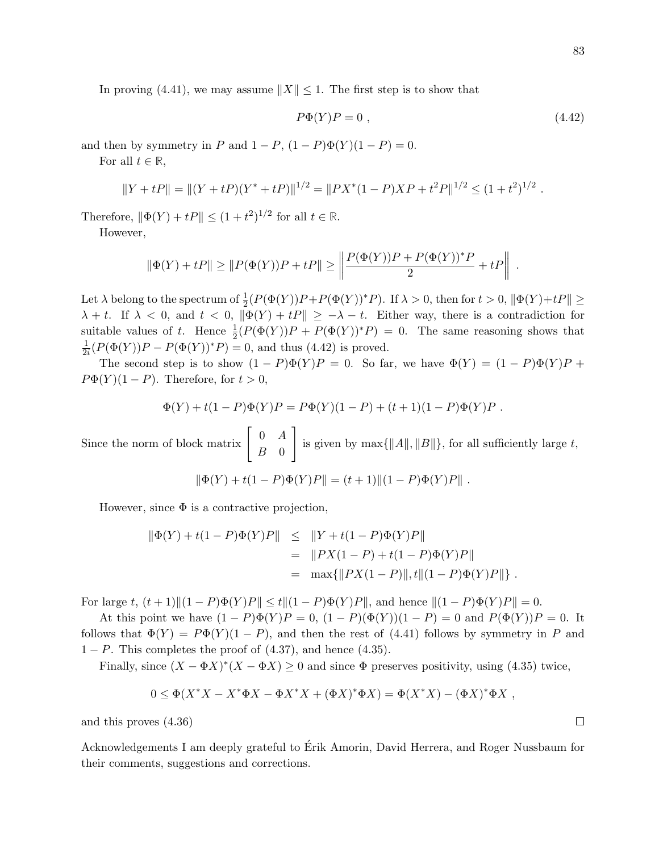$$
P\Phi(Y)P = 0 \t{,} \t(4.42)
$$

and then by symmetry in P and  $1 - P$ ,  $(1 - P)\Phi(Y)(1 - P) = 0$ .

For all  $t \in \mathbb{R}$ ,

$$
||Y + tP|| = ||(Y + tP)(Y^* + tP)||^{1/2} = ||PX^*(1 - P)XP + t^2P||^{1/2} \leq (1 + t^2)^{1/2}.
$$

Therefore,  $\|\Phi(Y) + tP\| \le (1 + t^2)^{1/2}$  for all  $t \in \mathbb{R}$ .

However,

$$
\|\Phi(Y) + tP\| \ge \|P(\Phi(Y))P + tP\| \ge \left\|\frac{P(\Phi(Y))P + P(\Phi(Y))^*P}{2} + tP\right\|
$$

Let  $\lambda$  belong to the spectrum of  $\frac{1}{2}(P(\Phi(Y))P + P(\Phi(Y))^*P)$ . If  $\lambda > 0$ , then for  $t > 0$ ,  $\|\Phi(Y)+tP\| \ge$  $\lambda + t$ . If  $\lambda < 0$ , and  $t < 0$ ,  $\|\Phi(Y) + t\Phi\| \ge -\lambda - t$ . Either way, there is a contradiction for suitable values of t. Hence  $\frac{1}{2}(P(\Phi(Y))P + P(\Phi(Y))^*P) = 0$ . The same reasoning shows that 1  $\frac{1}{2i}(P(\Phi(Y))P - P(\Phi(Y))^*P) = 0$ , and thus (4.42) is proved.

The second step is to show  $(1 - P)\Phi(Y)P = 0$ . So far, we have  $\Phi(Y) = (1 - P)\Phi(Y)P +$  $P\Phi(Y)(1-P)$ . Therefore, for  $t>0$ ,

$$
\Phi(Y) + t(1 - P)\Phi(Y)P = P\Phi(Y)(1 - P) + (t + 1)(1 - P)\Phi(Y)P.
$$

Since the norm of block matrix  $\begin{bmatrix} 0 & A \\ B & 0 \end{bmatrix}$  $B \quad 0$ 1 is given by  $\max\{\Vert A\Vert, \Vert B\Vert\}$ , for all sufficiently large t,

$$
\|\Phi(Y) + t(1 - P)\Phi(Y)P\| = (t+1)\|(1 - P)\Phi(Y)P\|.
$$

However, since  $\Phi$  is a contractive projection,

$$
\|\Phi(Y) + t(1 - P)\Phi(Y)P\| \leq \|Y + t(1 - P)\Phi(Y)P\|
$$
  
= 
$$
\|PX(1 - P) + t(1 - P)\Phi(Y)P\|
$$
  
= 
$$
\max{\|PX(1 - P)\|, t\|(1 - P)\Phi(Y)P\|\}.
$$

For large t,  $(t+1)\|(1 - P)\Phi(Y)P\| \le t\|(1 - P)\Phi(Y)P\|$ , and hence  $\|(1 - P)\Phi(Y)P\| = 0$ .

At this point we have  $(1 - P)\Phi(Y)P = 0$ ,  $(1 - P)(\Phi(Y))(1 - P) = 0$  and  $P(\Phi(Y))P = 0$ . It follows that  $\Phi(Y) = P\Phi(Y)(1 - P)$ , and then the rest of (4.41) follows by symmetry in P and  $1 - P$ . This completes the proof of  $(4.37)$ , and hence  $(4.35)$ .

Finally, since  $(X - \Phi X)^*(X - \Phi X) \geq 0$  and since  $\Phi$  preserves positivity, using (4.35) twice,

$$
0 \le \Phi(X^*X - X^*\Phi X - \Phi X^*X + (\Phi X)^*\Phi X) = \Phi(X^*X) - (\Phi X)^*\Phi X,
$$

and this proves (4.36)

Acknowledgements I am deeply grateful to Erik Amorin, David Herrera, and Roger Nussbaum for ´ their comments, suggestions and corrections.

.

 $\Box$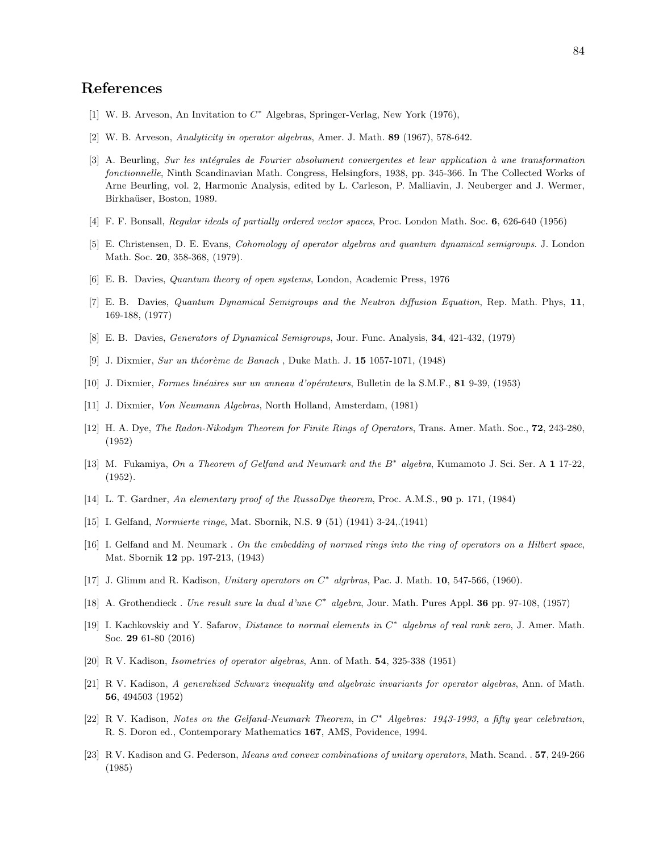## References

- [1] W. B. Arveson, An Invitation to  $C^*$  Algebras, Springer-Verlag, New York (1976),
- [2] W. B. Arveson, Analyticity in operator algebras, Amer. J. Math. 89 (1967), 578-642.
- [3] A. Beurling, Sur les intégrales de Fourier absolument convergentes et leur application à une transformation fonctionnelle, Ninth Scandinavian Math. Congress, Helsingfors, 1938, pp. 345-366. In The Collected Works of Arne Beurling, vol. 2, Harmonic Analysis, edited by L. Carleson, P. Malliavin, J. Neuberger and J. Wermer, Birkhaüser, Boston, 1989.
- [4] F. F. Bonsall, Regular ideals of partially ordered vector spaces, Proc. London Math. Soc. 6, 626-640 (1956)
- [5] E. Christensen, D. E. Evans, Cohomology of operator algebras and quantum dynamical semigroups. J. London Math. Soc. 20, 358-368, (1979).
- [6] E. B. Davies, Quantum theory of open systems, London, Academic Press, 1976
- [7] E. B. Davies, Quantum Dynamical Semigroups and the Neutron diffusion Equation, Rep. Math. Phys, 11, 169-188, (1977)
- [8] E. B. Davies, Generators of Dynamical Semigroups, Jour. Func. Analysis, 34, 421-432, (1979)
- [9] J. Dixmier, Sur un théorème de Banach, Duke Math. J. 15 1057-1071, (1948)
- [10] J. Dixmier, Formes linéaires sur un anneau d'opérateurs, Bulletin de la S.M.F., 81 9-39, (1953)
- [11] J. Dixmier, Von Neumann Algebras, North Holland, Amsterdam, (1981)
- [12] H. A. Dye, The Radon-Nikodym Theorem for Finite Rings of Operators, Trans. Amer. Math. Soc., 72, 243-280, (1952)
- [13] M. Fukamiya, On a Theorem of Gelfand and Neumark and the B<sup>\*</sup> algebra, Kumamoto J. Sci. Ser. A 1 17-22, (1952).
- [14] L. T. Gardner, An elementary proof of the RussoDye theorem, Proc. A.M.S., 90 p. 171, (1984)
- [15] I. Gelfand, Normierte ringe, Mat. Sbornik, N.S. 9 (51) (1941) 3-24,.(1941)
- [16] I. Gelfand and M. Neumark . On the embedding of normed rings into the ring of operators on a Hilbert space, Mat. Sbornik 12 pp. 197-213, (1943)
- [17] J. Glimm and R. Kadison, Unitary operators on  $C^*$  algrbras, Pac. J. Math. 10, 547-566, (1960).
- [18] A. Grothendieck . Une result sure la dual d'une C<sup>\*</sup> algebra, Jour. Math. Pures Appl. 36 pp. 97-108, (1957)
- [19] I. Kachkovskiy and Y. Safarov, Distance to normal elements in C<sup>\*</sup> algebras of real rank zero, J. Amer. Math. Soc. 29 61-80 (2016)
- [20] R V. Kadison, Isometries of operator algebras, Ann. of Math. 54, 325-338 (1951)
- [21] R V. Kadison, A generalized Schwarz inequality and algebraic invariants for operator algebras, Ann. of Math. 56, 494503 (1952)
- [22] R. V. Kadison, Notes on the Gelfand-Neumark Theorem, in C<sup>\*</sup> Algebras: 1943-1993, a fifty year celebration, R. S. Doron ed., Contemporary Mathematics 167, AMS, Povidence, 1994.
- [23] R V. Kadison and G. Pederson, Means and convex combinations of unitary operators, Math. Scand. . 57, 249-266 (1985)